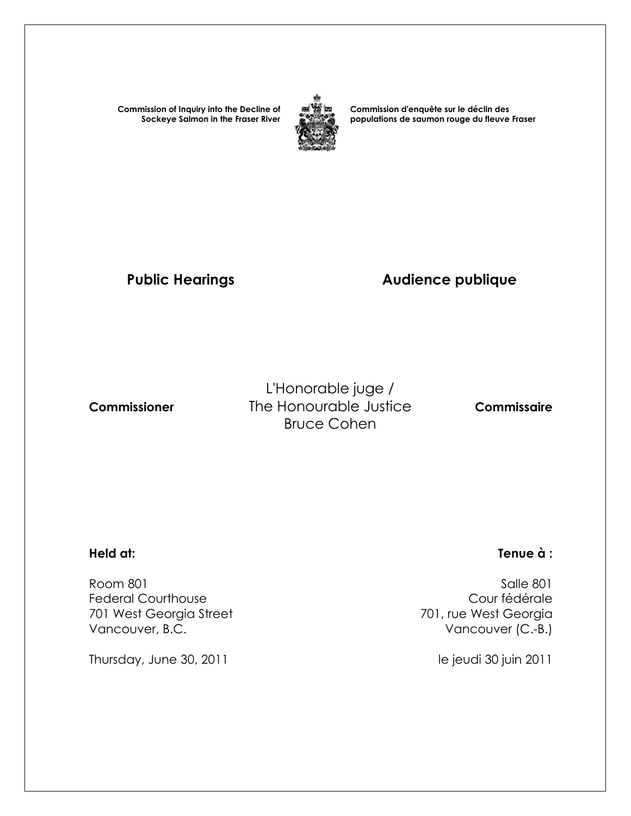**Commission of Inquiry into the Decline of Sockeye Salmon in the Fraser River**



**Commission d'enquête sur le déclin des populations de saumon rouge du fleuve Fraser** 

# Public Hearings **Audience publique**

L'Honorable juge /  **Commissioner** The Honourable Justice **Commissaire** Bruce Cohen

 Room 801 Salle 801 Federal Courthouse<br>
701 west Georgia Street<br>
701 west Georgia Street<br>
201 west Georgia 701 West Georgia Street Vancouver, B.C. **Vancouver (C.-B.)** 

Thursday, June 30, 2011 **le jeudi 30 juin 2011** 

### **Held at: Tenue à :**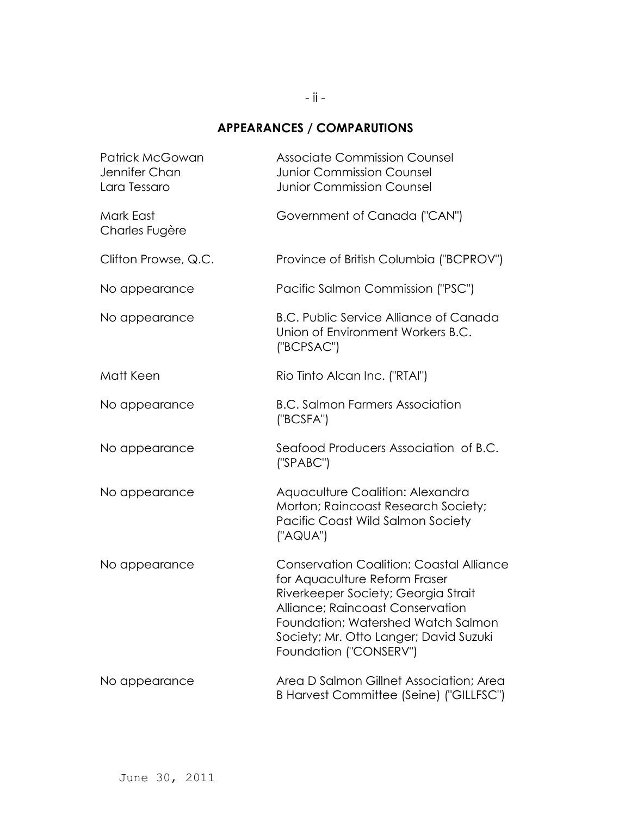# **APPEARANCES / COMPARUTIONS**

| <b>Patrick McGowan</b><br>Jennifer Chan<br>Lara Tessaro | <b>Associate Commission Counsel</b><br><b>Junior Commission Counsel</b><br><b>Junior Commission Counsel</b>                                                                                                                                                           |
|---------------------------------------------------------|-----------------------------------------------------------------------------------------------------------------------------------------------------------------------------------------------------------------------------------------------------------------------|
| Mark East<br>Charles Fugère                             | Government of Canada ("CAN")                                                                                                                                                                                                                                          |
| Clifton Prowse, Q.C.                                    | Province of British Columbia ("BCPROV")                                                                                                                                                                                                                               |
| No appearance                                           | Pacific Salmon Commission ("PSC")                                                                                                                                                                                                                                     |
| No appearance                                           | <b>B.C. Public Service Alliance of Canada</b><br>Union of Environment Workers B.C.<br>("BCPSAC")                                                                                                                                                                      |
| Matt Keen                                               | Rio Tinto Alcan Inc. ("RTAI")                                                                                                                                                                                                                                         |
| No appearance                                           | <b>B.C. Salmon Farmers Association</b><br>('BCSFA")                                                                                                                                                                                                                   |
| No appearance                                           | Seafood Producers Association of B.C.<br>('SPABC")                                                                                                                                                                                                                    |
| No appearance                                           | Aquaculture Coalition: Alexandra<br>Morton; Raincoast Research Society;<br>Pacific Coast Wild Salmon Society<br>("AQUA")                                                                                                                                              |
| No appearance                                           | <b>Conservation Coalition: Coastal Alliance</b><br>for Aquaculture Reform Fraser<br>Riverkeeper Society; Georgia Strait<br>Alliance; Raincoast Conservation<br>Foundation; Watershed Watch Salmon<br>Society; Mr. Otto Langer; David Suzuki<br>Foundation ("CONSERV") |
| No appearance                                           | Area D Salmon Gillnet Association; Area<br>B Harvest Committee (Seine) ("GILLFSC")                                                                                                                                                                                    |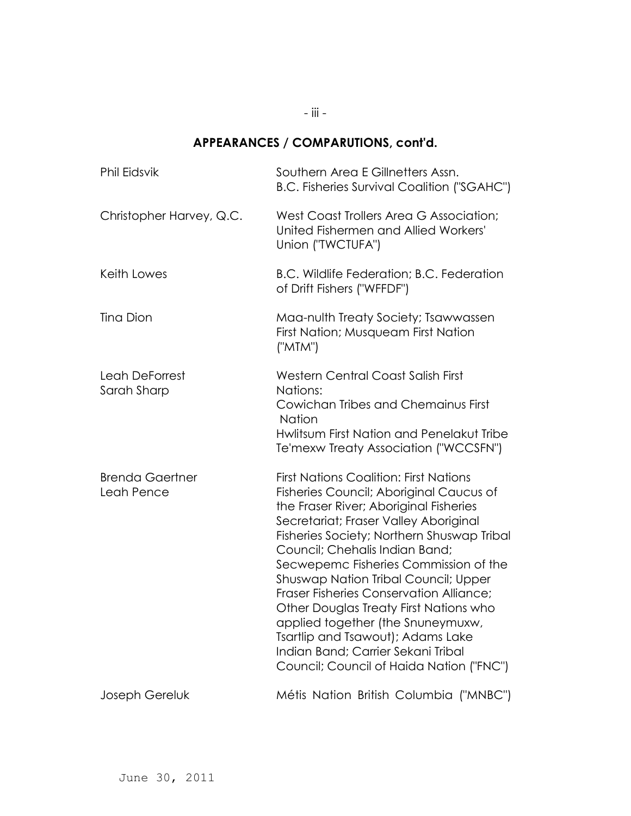# **APPEARANCES / COMPARUTIONS, cont'd.**

| <b>Phil Eidsvik</b>                  | Southern Area E Gillnetters Assn.<br>B.C. Fisheries Survival Coalition ("SGAHC")                                                                                                                                                                                                                                                                                                                                                                                                                                                                                                                            |
|--------------------------------------|-------------------------------------------------------------------------------------------------------------------------------------------------------------------------------------------------------------------------------------------------------------------------------------------------------------------------------------------------------------------------------------------------------------------------------------------------------------------------------------------------------------------------------------------------------------------------------------------------------------|
| Christopher Harvey, Q.C.             | West Coast Trollers Area G Association;<br>United Fishermen and Allied Workers'<br>Union ("TWCTUFA")                                                                                                                                                                                                                                                                                                                                                                                                                                                                                                        |
| Keith Lowes                          | B.C. Wildlife Federation; B.C. Federation<br>of Drift Fishers ("WFFDF")                                                                                                                                                                                                                                                                                                                                                                                                                                                                                                                                     |
| Tina Dion                            | Maa-nulth Treaty Society; Tsawwassen<br>First Nation; Musqueam First Nation<br>("MTM")                                                                                                                                                                                                                                                                                                                                                                                                                                                                                                                      |
| Leah DeForrest<br>Sarah Sharp        | Western Central Coast Salish First<br>Nations:<br>Cowichan Tribes and Chemainus First<br>Nation<br>Hwlitsum First Nation and Penelakut Tribe<br>Te'mexw Treaty Association ("WCCSFN")                                                                                                                                                                                                                                                                                                                                                                                                                       |
| <b>Brenda Gaertner</b><br>Leah Pence | <b>First Nations Coalition: First Nations</b><br>Fisheries Council; Aboriginal Caucus of<br>the Fraser River; Aboriginal Fisheries<br>Secretariat; Fraser Valley Aboriginal<br>Fisheries Society; Northern Shuswap Tribal<br>Council; Chehalis Indian Band;<br>Secwepemc Fisheries Commission of the<br><b>Shuswap Nation Tribal Council; Upper</b><br><b>Fraser Fisheries Conservation Alliance;</b><br>Other Douglas Treaty First Nations who<br>applied together (the Snuneymuxw,<br>Tsartlip and Tsawout); Adams Lake<br>Indian Band; Carrier Sekani Tribal<br>Council; Council of Haida Nation ("FNC") |
| Joseph Gereluk                       | Métis Nation British Columbia ("MNBC")                                                                                                                                                                                                                                                                                                                                                                                                                                                                                                                                                                      |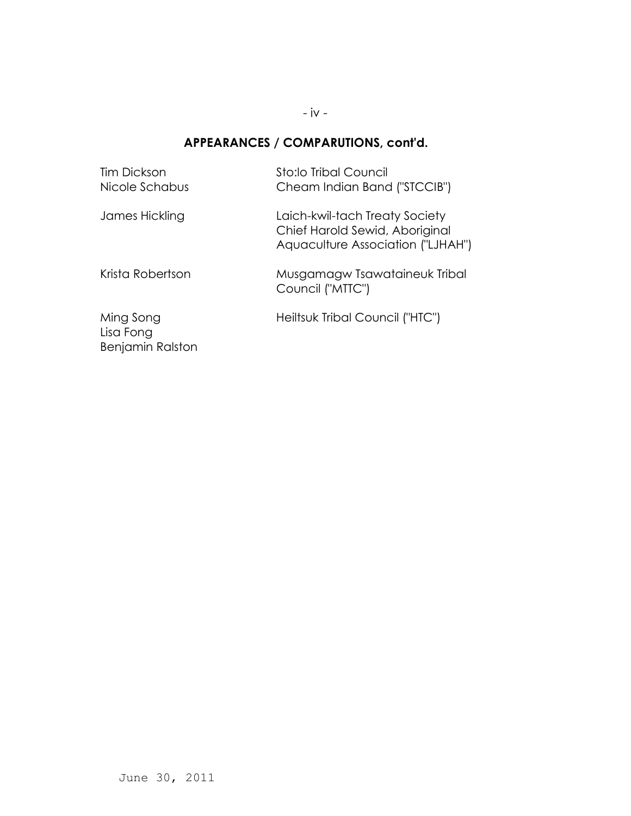- iv -

### **APPEARANCES / COMPARUTIONS, cont'd.**

| Tim Dickson<br>Nicole Schabus              | Sto:lo Tribal Council<br>Cheam Indian Band ("STCCIB")                                                 |
|--------------------------------------------|-------------------------------------------------------------------------------------------------------|
| James Hickling                             | Laich-kwil-tach Treaty Society<br>Chief Harold Sewid, Aboriginal<br>Aquaculture Association ("LJHAH") |
| Krista Robertson                           | Musgamagw Tsawataineuk Tribal<br>Council ("MTTC")                                                     |
| Ming Song<br>Lisa Fong<br>Benjamin Ralston | Heiltsuk Tribal Council ("HTC")                                                                       |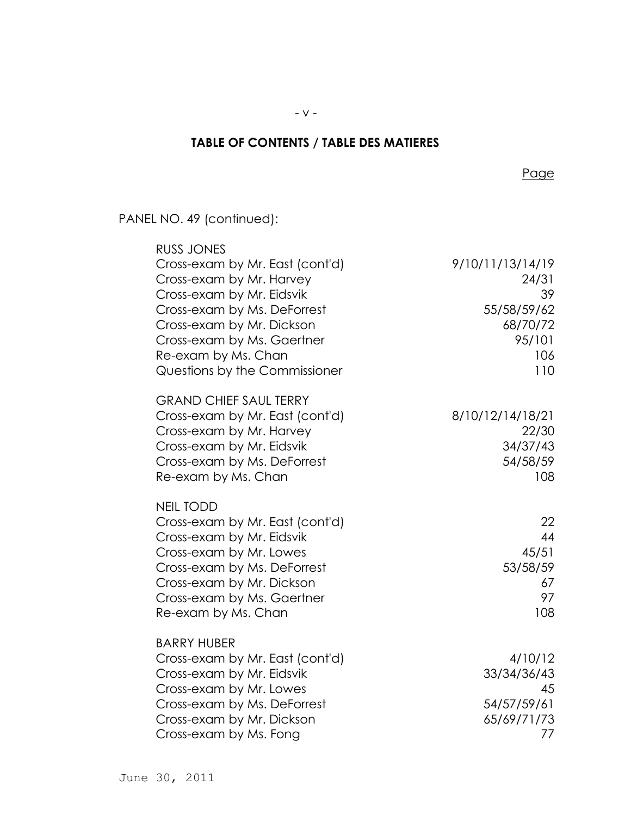# **TABLE OF CONTENTS / TABLE DES MATIERES**

<u>Page in the state of the state of the state of the state of the state of the state of the state of the state of the state of the state of the state of the state of the state of the state of the state of the state of the s</u>

PANEL NO. 49 (continued):

| <b>RUSS JONES</b>               |                  |
|---------------------------------|------------------|
| Cross-exam by Mr. East (cont'd) | 9/10/11/13/14/19 |
| Cross-exam by Mr. Harvey        | 24/31            |
| Cross-exam by Mr. Eidsvik       | 39               |
| Cross-exam by Ms. DeForrest     | 55/58/59/62      |
| Cross-exam by Mr. Dickson       | 68/70/72         |
| Cross-exam by Ms. Gaertner      | 95/101           |
| Re-exam by Ms. Chan             | 106              |
| Questions by the Commissioner   | 110              |
| <b>GRAND CHIEF SAUL TERRY</b>   |                  |
| Cross-exam by Mr. East (cont'd) | 8/10/12/14/18/21 |
| Cross-exam by Mr. Harvey        | 22/30            |
| Cross-exam by Mr. Eidsvik       | 34/37/43         |
| Cross-exam by Ms. DeForrest     | 54/58/59         |
| Re-exam by Ms. Chan             | 108              |
| <b>NEIL TODD</b>                |                  |
| Cross-exam by Mr. East (cont'd) | 22               |
| Cross-exam by Mr. Eidsvik       | 44               |
| Cross-exam by Mr. Lowes         | 45/51            |
| Cross-exam by Ms. DeForrest     | 53/58/59         |
| Cross-exam by Mr. Dickson       | 67               |
| Cross-exam by Ms. Gaertner      | 97               |
| Re-exam by Ms. Chan             | 108              |
| <b>BARRY HUBER</b>              |                  |
| Cross-exam by Mr. East (cont'd) | 4/10/12          |
| Cross-exam by Mr. Eidsvik       | 33/34/36/43      |
| Cross-exam by Mr. Lowes         | 45               |
| Cross-exam by Ms. DeForrest     | 54/57/59/61      |
| Cross-exam by Mr. Dickson       | 65/69/71/73      |
| Cross-exam by Ms. Fong          | 77               |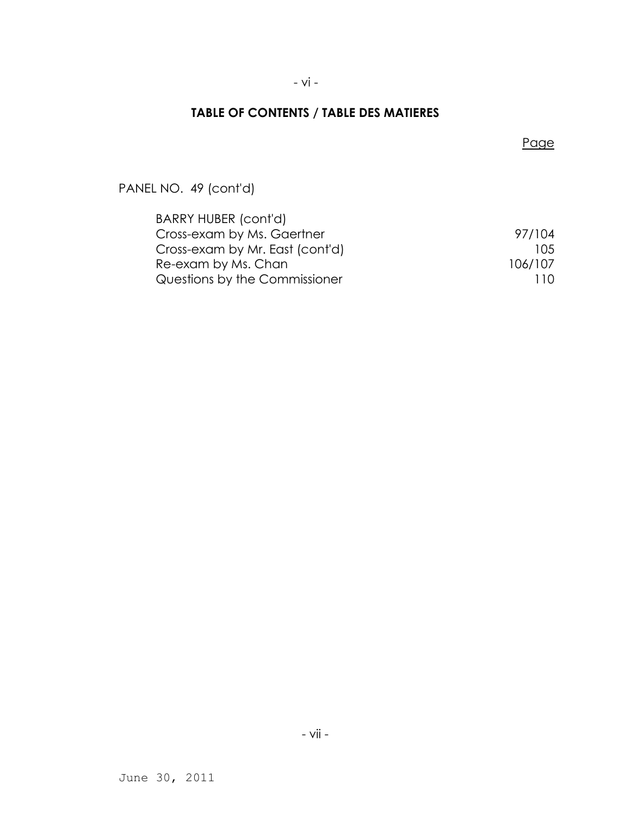### - vi -

### **TABLE OF CONTENTS / TABLE DES MATIERES**

### <u>Page in the state of the state of the state of the state of the state of the state of the state of the state of the state of the state of the state of the state of the state of the state of the state of the state of the s</u>

PANEL NO. 49 (cont'd)

| BARRY HUBER (cont'd)            |         |
|---------------------------------|---------|
| Cross-exam by Ms. Gaertner      | 97/104  |
| Cross-exam by Mr. East (cont'd) | 10.5    |
| Re-exam by Ms. Chan             | 106/107 |
| Questions by the Commissioner   | 110     |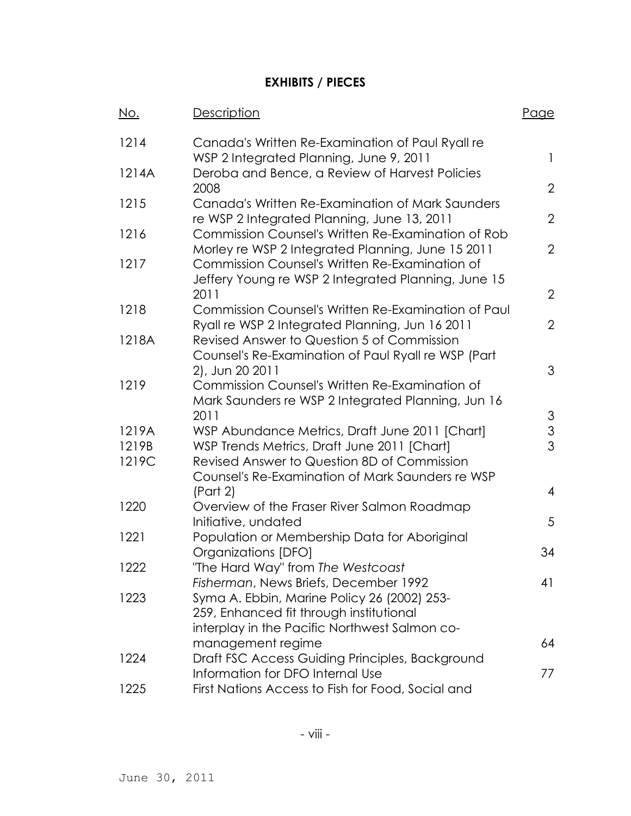# **EXHIBITS / PIECES**

| <u>No.</u> | Description                                                                                                             | Page           |
|------------|-------------------------------------------------------------------------------------------------------------------------|----------------|
| 1214       | Canada's Written Re-Examination of Paul Ryall re<br>WSP 2 Integrated Planning, June 9, 2011                             | 1              |
| 1214A      | Deroba and Bence, a Review of Harvest Policies<br>2008                                                                  | $\overline{2}$ |
| 1215       | Canada's Written Re-Examination of Mark Saunders                                                                        |                |
| 1216       | re WSP 2 Integrated Planning, June 13, 2011<br>Commission Counsel's Written Re-Examination of Rob                       | $\overline{2}$ |
|            | Morley re WSP 2 Integrated Planning, June 15 2011                                                                       | $\overline{2}$ |
| 1217       | Commission Counsel's Written Re-Examination of<br>Jeffery Young re WSP 2 Integrated Planning, June 15<br>2011           | $\overline{2}$ |
| 1218       | Commission Counsel's Written Re-Examination of Paul<br>Ryall re WSP 2 Integrated Planning, Jun 16 2011                  | $\overline{2}$ |
| 1218A      | Revised Answer to Question 5 of Commission<br>Counsel's Re-Examination of Paul Ryall re WSP (Part                       |                |
| 1219       | 2), Jun 20 2011<br>Commission Counsel's Written Re-Examination of<br>Mark Saunders re WSP 2 Integrated Planning, Jun 16 | 3              |
|            | 2011                                                                                                                    | 3              |
| 1219A      | WSP Abundance Metrics, Draft June 2011 [Chart]                                                                          | 3              |
| 1219B      | WSP Trends Metrics, Draft June 2011 [Chart]                                                                             | 3              |
| 1219C      | Revised Answer to Question 8D of Commission                                                                             |                |
|            | Counsel's Re-Examination of Mark Saunders re WSP                                                                        |                |
| 1220       | (Part 2)<br>Overview of the Fraser River Salmon Roadmap                                                                 | $\overline{4}$ |
|            | Initiative, undated                                                                                                     | 5              |
| 1221       | Population or Membership Data for Aboriginal                                                                            |                |
|            | Organizations [DFO]                                                                                                     | 34             |
| 1222       | "The Hard Way" from The Westcoast                                                                                       |                |
|            | Fisherman, News Briefs, December 1992                                                                                   | 41             |
| 1223       | Syma A. Ebbin, Marine Policy 26 (2002) 253-                                                                             |                |
|            | 259, Enhanced fit through institutional                                                                                 |                |
|            | interplay in the Pacific Northwest Salmon co-                                                                           |                |
|            | management regime                                                                                                       | 64             |
| 1224       | Draft FSC Access Guiding Principles, Background<br>Information for DFO Internal Use                                     | 77             |
| 1225       | First Nations Access to Fish for Food, Social and                                                                       |                |
|            |                                                                                                                         |                |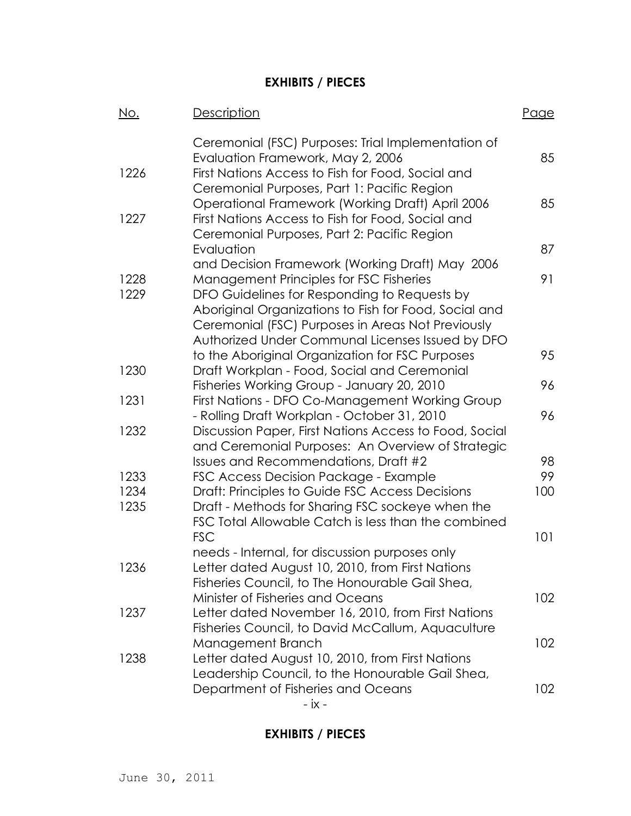# **EXHIBITS / PIECES**

| <u>No.</u>   | <b>Description</b>                                                                                                                                                                                                                                        | Page |
|--------------|-----------------------------------------------------------------------------------------------------------------------------------------------------------------------------------------------------------------------------------------------------------|------|
| 1226         | Ceremonial (FSC) Purposes: Trial Implementation of<br>Evaluation Framework, May 2, 2006<br>First Nations Access to Fish for Food, Social and                                                                                                              | 85   |
| 1227         | Ceremonial Purposes, Part 1: Pacific Region<br>Operational Framework (Working Draft) April 2006<br>First Nations Access to Fish for Food, Social and                                                                                                      | 85   |
|              | Ceremonial Purposes, Part 2: Pacific Region<br>Evaluation                                                                                                                                                                                                 | 87   |
|              | and Decision Framework (Working Draft) May 2006                                                                                                                                                                                                           |      |
| 1228<br>1229 | Management Principles for FSC Fisheries<br>DFO Guidelines for Responding to Requests by<br>Aboriginal Organizations to Fish for Food, Social and<br>Ceremonial (FSC) Purposes in Areas Not Previously<br>Authorized Under Communal Licenses Issued by DFO | 91   |
|              | to the Aboriginal Organization for FSC Purposes                                                                                                                                                                                                           | 95   |
| 1230         | Draft Workplan - Food, Social and Ceremonial                                                                                                                                                                                                              | 96   |
| 1231         | Fisheries Working Group - January 20, 2010<br>First Nations - DFO Co-Management Working Group                                                                                                                                                             |      |
|              | - Rolling Draft Workplan - October 31, 2010                                                                                                                                                                                                               | 96   |
| 1232         | Discussion Paper, First Nations Access to Food, Social<br>and Ceremonial Purposes: An Overview of Strategic<br>Issues and Recommendations, Draft #2                                                                                                       | 98   |
| 1233         | FSC Access Decision Package - Example                                                                                                                                                                                                                     | 99   |
| 1234         | Draft: Principles to Guide FSC Access Decisions                                                                                                                                                                                                           | 100  |
| 1235         | Draft - Methods for Sharing FSC sockeye when the<br>FSC Total Allowable Catch is less than the combined                                                                                                                                                   |      |
|              | <b>FSC</b>                                                                                                                                                                                                                                                | 101  |
| 1236         | needs - Internal, for discussion purposes only<br>Letter dated August 10, 2010, from First Nations<br>Fisheries Council, to The Honourable Gail Shea,                                                                                                     |      |
|              | Minister of Fisheries and Oceans                                                                                                                                                                                                                          | 102  |
| 1237         | Letter dated November 16, 2010, from First Nations<br>Fisheries Council, to David McCallum, Aquaculture                                                                                                                                                   |      |
| 1238         | Management Branch<br>Letter dated August 10, 2010, from First Nations                                                                                                                                                                                     | 102  |
|              | Leadership Council, to the Honourable Gail Shea,<br>Department of Fisheries and Oceans<br>- ix -                                                                                                                                                          | 102  |

# **EXHIBITS / PIECES**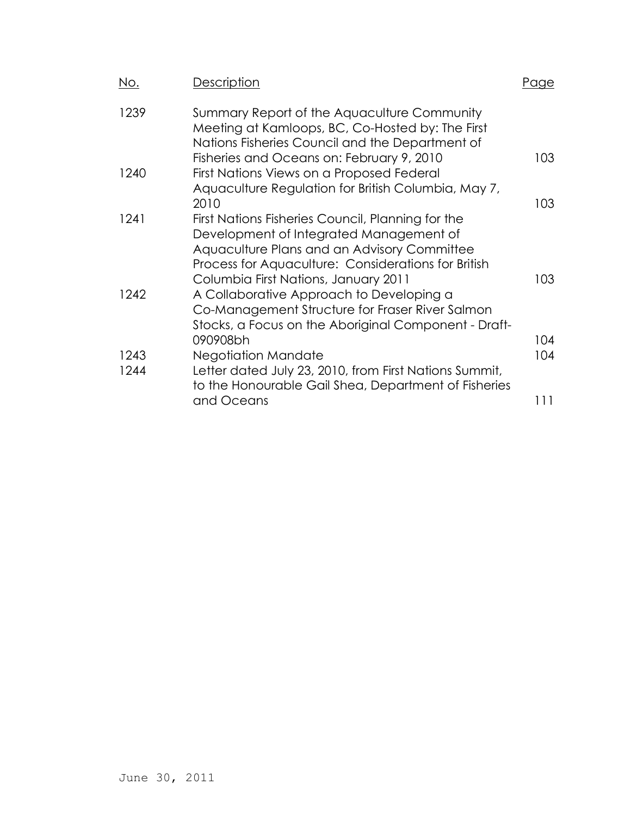| <u>No.</u> | Description                                                                                                                                                                                        | raae |
|------------|----------------------------------------------------------------------------------------------------------------------------------------------------------------------------------------------------|------|
| 1239       | Summary Report of the Aquaculture Community<br>Meeting at Kamloops, BC, Co-Hosted by: The First<br>Nations Fisheries Council and the Department of                                                 |      |
| 1240       | Fisheries and Oceans on: February 9, 2010<br>First Nations Views on a Proposed Federal                                                                                                             | 103  |
|            | Aquaculture Regulation for British Columbia, May 7,                                                                                                                                                |      |
|            | 2010                                                                                                                                                                                               | 103  |
| 1241       | First Nations Fisheries Council, Planning for the<br>Development of Integrated Management of<br>Aquaculture Plans and an Advisory Committee<br>Process for Aquaculture: Considerations for British |      |
|            | Columbia First Nations, January 2011                                                                                                                                                               | 103  |
| 1242       | A Collaborative Approach to Developing a<br>Co-Management Structure for Fraser River Salmon<br>Stocks, a Focus on the Aboriginal Component - Draft-                                                |      |
|            | 090908bh                                                                                                                                                                                           | 104  |
| 1243       | <b>Negotiation Mandate</b>                                                                                                                                                                         | 104  |
| 1244       | Letter dated July 23, 2010, from First Nations Summit,<br>to the Honourable Gail Shea, Department of Fisheries                                                                                     |      |
|            | and Oceans                                                                                                                                                                                         | 111  |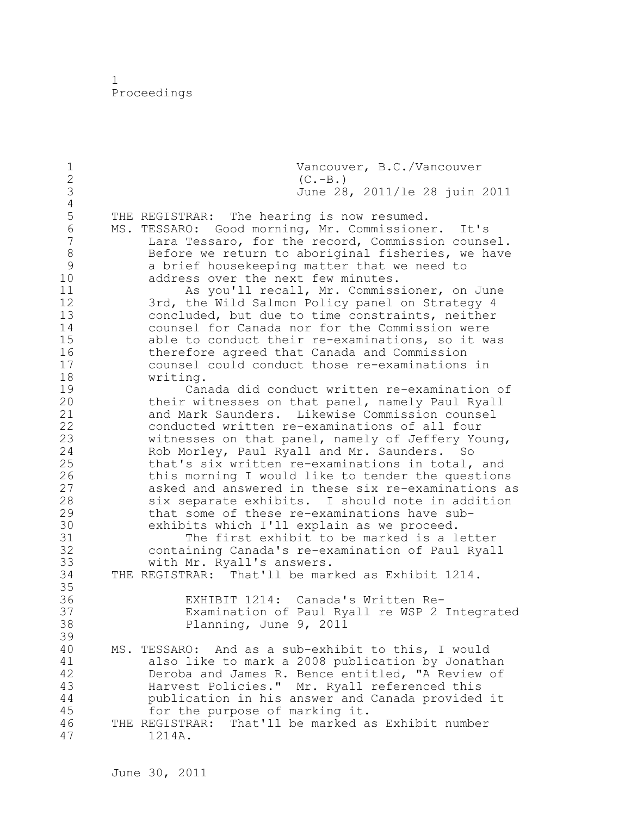1 Proceedings

1 Vancouver, B.C./Vancouver<br>2 (C.-B.) 2 (C.-B.)<br>3 June 28 3 June 28, 2011/le 28 juin 2011  $\frac{4}{5}$ 5 THE REGISTRAR: The hearing is now resumed. 6 MS. TESSARO: Good morning, Mr. Commissioner. It's Lara Tessaro, for the record, Commission counsel. 8 Before we return to aboriginal fisheries, we have<br>9 a brief housekeeping matter that we need to 9 a brief housekeeping matter that we need to<br>10 address over the next few minutes. address over the next few minutes. 11 As you'll recall, Mr. Commissioner, on June 12 3rd, the Wild Salmon Policy panel on Strategy 4 13 concluded, but due to time constraints, neither 14 counsel for Canada nor for the Commission were<br>15 able to conduct their re-examinations, so it w able to conduct their re-examinations, so it was 16 therefore agreed that Canada and Commission<br>17 counsel could conduct those re-examinations counsel could conduct those re-examinations in 18 writing. 19 Canada did conduct written re-examination of<br>20 their witnesses on that panel, namely Paul Ryall their witnesses on that panel, namely Paul Ryall 21 and Mark Saunders. Likewise Commission counsel 22 conducted written re-examinations of all four 23 witnesses on that panel, namely of Jeffery Young, 24 Rob Morley, Paul Ryall and Mr. Saunders. So 25 that's six written re-examinations in total, and 26 this morning I would like to tender the questions<br>27 asked and answered in these six re-examinations a 27 asked and answered in these six re-examinations as six separate exhibits. I should note in addition 29 that some of these re-examinations have sub-30 exhibits which I'll explain as we proceed. 31 The first exhibit to be marked is a letter<br>32 Containing Canada's re-examination of Paul Ryal containing Canada's re-examination of Paul Ryall 33 with Mr. Ryall's answers. 34 THE REGISTRAR: That'll be marked as Exhibit 1214. 35 36 EXHIBIT 1214: Canada's Written Re-37 Examination of Paul Ryall re WSP 2 Integrated<br>38 Planning, June 9, 2011 Planning, June 9, 2011 39 40 MS. TESSARO: And as a sub-exhibit to this, I would 41 also like to mark a 2008 publication by Jonathan<br>42 Deroba and James R. Bence entitled, "A Review of 42 Deroba and James R. Bence entitled, "A Review of<br>43 Harvest Policies." Mr. Rvall referenced this Harvest Policies." Mr. Ryall referenced this 44 publication in his answer and Canada provided it 45 for the purpose of marking it. 46 THE REGISTRAR: That'll be marked as Exhibit number 47 1214A.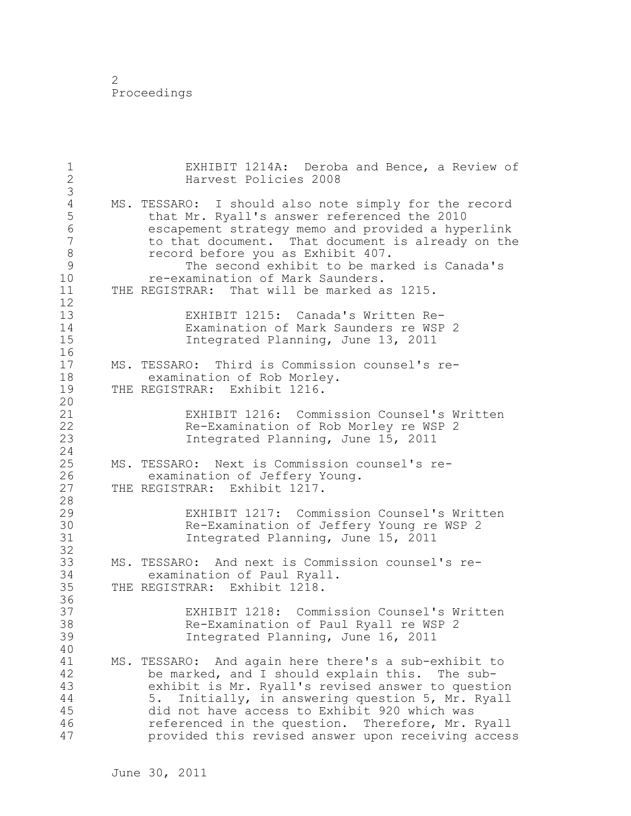| $\mathbf 1$<br>$\overline{2}$<br>3                                                   | EXHIBIT 1214A: Deroba and Bence, a Review of<br>Harvest Policies 2008                                                                                                                                                                                                                                                                                                                 |
|--------------------------------------------------------------------------------------|---------------------------------------------------------------------------------------------------------------------------------------------------------------------------------------------------------------------------------------------------------------------------------------------------------------------------------------------------------------------------------------|
| $\sqrt{4}$<br>5<br>$6\,$<br>$\boldsymbol{7}$<br>$\,8\,$<br>$\mathcal{G}$<br>10<br>11 | MS. TESSARO: I should also note simply for the record<br>that Mr. Ryall's answer referenced the 2010<br>escapement strategy memo and provided a hyperlink<br>to that document. That document is already on the<br>record before you as Exhibit 407.<br>The second exhibit to be marked is Canada's<br>re-examination of Mark Saunders.<br>THE REGISTRAR: That will be marked as 1215. |
| 12<br>13<br>14<br>15<br>16                                                           | EXHIBIT 1215: Canada's Written Re-<br>Examination of Mark Saunders re WSP 2<br>Integrated Planning, June 13, 2011                                                                                                                                                                                                                                                                     |
| 17<br>18<br>19<br>20                                                                 | MS. TESSARO: Third is Commission counsel's re-<br>examination of Rob Morley.<br>THE REGISTRAR: Exhibit 1216.                                                                                                                                                                                                                                                                          |
| 21<br>22<br>23<br>24                                                                 | EXHIBIT 1216: Commission Counsel's Written<br>Re-Examination of Rob Morley re WSP 2<br>Integrated Planning, June 15, 2011                                                                                                                                                                                                                                                             |
| 25<br>26<br>27<br>28                                                                 | MS. TESSARO: Next is Commission counsel's re-<br>examination of Jeffery Young.<br>THE REGISTRAR: Exhibit 1217.                                                                                                                                                                                                                                                                        |
| 29<br>30<br>31<br>32                                                                 | EXHIBIT 1217: Commission Counsel's Written<br>Re-Examination of Jeffery Young re WSP 2<br>Integrated Planning, June 15, 2011                                                                                                                                                                                                                                                          |
| 33<br>34<br>35<br>36                                                                 | MS. TESSARO: And next is Commission counsel's re-<br>examination of Paul Ryall.<br>THE REGISTRAR: Exhibit 1218.                                                                                                                                                                                                                                                                       |
| 37<br>38<br>39<br>40                                                                 | EXHIBIT 1218: Commission Counsel's Written<br>Re-Examination of Paul Ryall re WSP 2<br>Integrated Planning, June 16, 2011                                                                                                                                                                                                                                                             |
| 41<br>42<br>43<br>44<br>45<br>46<br>47                                               | MS. TESSARO:<br>And again here there's a sub-exhibit to<br>be marked, and I should explain this. The sub-<br>exhibit is Mr. Ryall's revised answer to question<br>Initially, in answering question 5, Mr. Ryall<br>5.<br>did not have access to Exhibit 920 which was<br>referenced in the question. Therefore, Mr. Ryall<br>provided this revised answer upon receiving access       |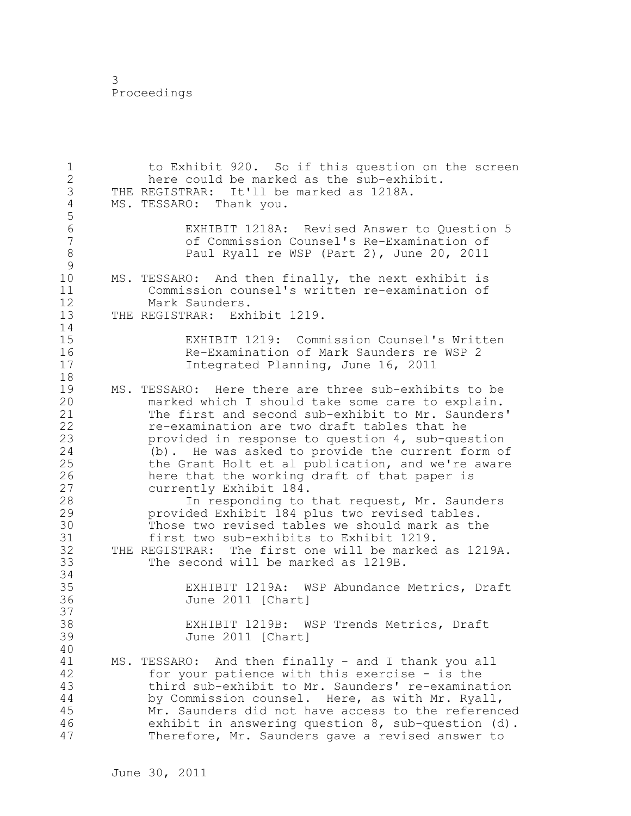1 to Exhibit 920. So if this question on the screen 2 here could be marked as the sub-exhibit. 3 THE REGISTRAR: It'll be marked as 1218A.<br>4 MS. TESSARO: Thank you. MS. TESSARO: Thank you. 5 6 EXHIBIT 1218A: Revised Answer to Question 5 7 of Commission Counsel's Re-Examination of 8 Paul Ryall re WSP (Part 2), June 20, 2011  $\begin{array}{c} 9 \\ 10 \end{array}$ MS. TESSARO: And then finally, the next exhibit is 11 Commission counsel's written re-examination of 12 Mark Saunders. 13 THE REGISTRAR: Exhibit 1219. 14 15 EXHIBIT 1219: Commission Counsel's Written<br>16 Re-Examination of Mark Saunders re WSP 2 16 Re-Examination of Mark Saunders re WSP 2 17 Integrated Planning, June 16, 2011 18 19 MS. TESSARO: Here there are three sub-exhibits to be<br>20 marked which I should take some care to explain. marked which I should take some care to explain. 21 The first and second sub-exhibit to Mr. Saunders' 22 re-examination are two draft tables that he 23 provided in response to question 4, sub-question 24 (b). He was asked to provide the current form of 25 the Grant Holt et al publication, and we're aware 26 here that the working draft of that paper is<br>27 currently Exhibit 184. 27 currently Exhibit 184.<br>28 1n responding to In responding to that request, Mr. Saunders 29 provided Exhibit 184 plus two revised tables. 30 Those two revised tables we should mark as the<br>31 first two sub-exhibits to Exhibit 1219. 31 first two sub-exhibits to Exhibit 1219.<br>32 THE REGISTRAR: The first one will be marked THE REGISTRAR: The first one will be marked as 1219A. 33 The second will be marked as 1219B. 34 35 EXHIBIT 1219A: WSP Abundance Metrics, Draft 36 June 2011 [Chart] 37<br>38 EXHIBIT 1219B: WSP Trends Metrics, Draft 39 June 2011 [Chart] 40 41 MS. TESSARO: And then finally - and I thank you all<br>42 for your patience with this exercise - is the for your patience with this exercise - is the 43 third sub-exhibit to Mr. Saunders' re-examination 44 by Commission counsel. Here, as with Mr. Ryall, 45 Mr. Saunders did not have access to the referenced 46 exhibit in answering question 8, sub-question (d). 47 Therefore, Mr. Saunders gave a revised answer to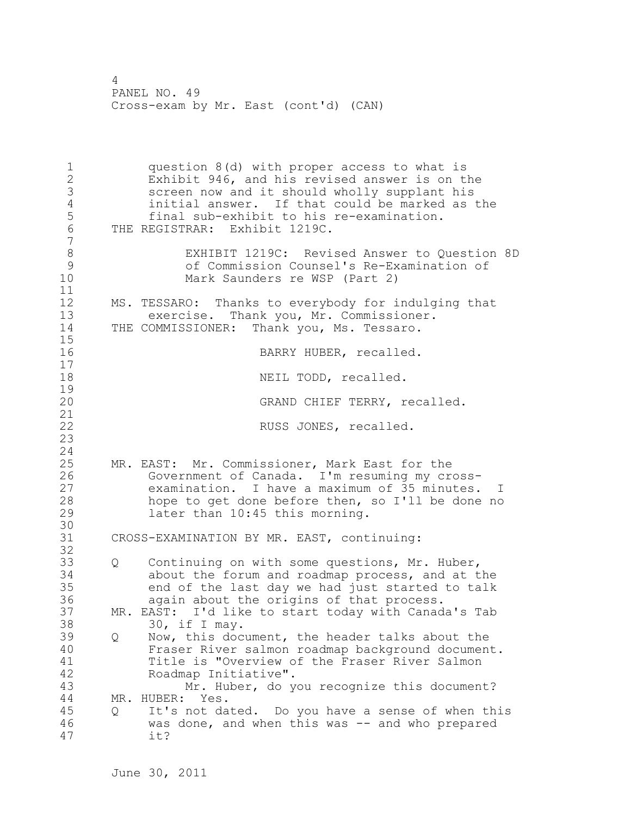1 question 8(d) with proper access to what is 2 Exhibit 946, and his revised answer is on the 3 screen now and it should wholly supplant his<br>4 initial answer. If that could be marked as 4 initial answer. If that could be marked as the<br>5 final sub-exhibit to his re-examination. final sub-exhibit to his re-examination. 6 THE REGISTRAR: Exhibit 1219C. 7 8 EXHIBIT 1219C: Revised Answer to Question 8D 9 of Commission Counsel's Re-Examination of Mark Saunders re WSP (Part 2) 11 12 MS. TESSARO: Thanks to everybody for indulging that 13 exercise. Thank you, Mr. Commissioner. 14 THE COMMISSIONER: Thank you, Ms. Tessaro.  $15$ <br> $16$ BARRY HUBER, recalled. 17 18 NEIL TODD, recalled.  $\begin{array}{c} 19 \\ 20 \end{array}$ GRAND CHIEF TERRY, recalled. 21 22 RUSS JONES, recalled. 23 24 25 MR. EAST: Mr. Commissioner, Mark East for the 26 Government of Canada. I'm resuming my cross-<br>27 examination. I have a maximum of 35 minutes. examination. I have a maximum of 35 minutes. I 28 hope to get done before then, so I'll be done no 29 later than 10:45 this morning. 30<br>31 CROSS-EXAMINATION BY MR. EAST, continuing: 32 33 Q Continuing on with some questions, Mr. Huber, 34 about the forum and roadmap process, and at the 35 end of the last day we had just started to talk 36 again about the origins of that process. 37 MR. EAST: I'd like to start today with Canada's Tab 38 30, if I may. 39 Q Now, this document, the header talks about the 40 Fraser River salmon roadmap background document. 41 Title is "Overview of the Fraser River Salmon<br>42 Roadmap Initiative". Roadmap Initiative". 43 Mr. Huber, do you recognize this document? 44 MR. HUBER: Yes. 45 Q It's not dated. Do you have a sense of when this 46 was done, and when this was -- and who prepared 47 it?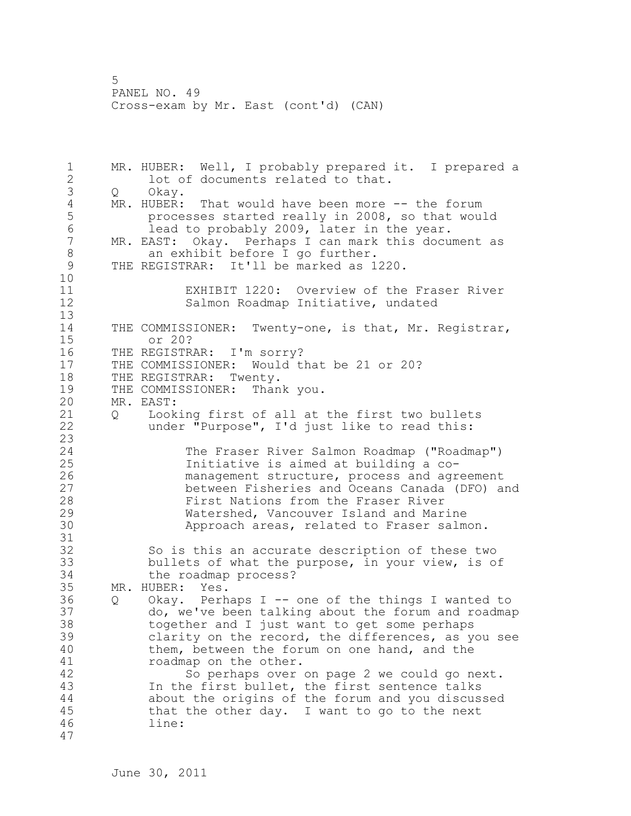1 MR. HUBER: Well, I probably prepared it. I prepared a 2 lot of documents related to that. 3 Q Okay. 4 MR. HUBER: That would have been more -- the forum<br>5 brocesses started really in 2008, so that wou. 5 processes started really in 2008, so that would<br>6 lead to probably 2009, later in the year. 6 lead to probably 2009, later in the year.<br>7 MR. EAST: Okav. Perhaps I can mark this docu MR. EAST: Okay. Perhaps I can mark this document as 8 an exhibit before I go further.<br>9 THE REGISTRAR: It'll be marked as 1 THE REGISTRAR: It'll be marked as 1220. 10 11 EXHIBIT 1220: Overview of the Fraser River 12 Salmon Roadmap Initiative, undated 13 14 THE COMMISSIONER: Twenty-one, is that, Mr. Registrar, 15 or 20? 16 THE REGISTRAR: I'm sorry? 17 THE COMMISSIONER: Would that be 21 or 20? 18 THE REGISTRAR: Twenty. 19 THE COMMISSIONER: Thank you.<br>20 MR. EAST: MR. EAST: 21 Q Looking first of all at the first two bullets 22 under "Purpose", I'd just like to read this:  $\frac{23}{24}$ The Fraser River Salmon Roadmap ("Roadmap") 25 Initiative is aimed at building a co-26 management structure, process and agreement<br>27 between Fisheries and Oceans Canada (DFO) a between Fisheries and Oceans Canada (DFO) and 28 First Nations from the Fraser River 29 Watershed, Vancouver Island and Marine 30 Approach areas, related to Fraser salmon. 31 32 So is this an accurate description of these two 33 bullets of what the purpose, in your view, is of 34 the roadmap process? 35 MR. HUBER: Yes. 36 Q Okay. Perhaps I -- one of the things I wanted to 37 do, we've been talking about the forum and roadmap 38 together and I just want to get some perhaps 39 clarity on the record, the differences, as you see 40 them, between the forum on one hand, and the 41 roadmap on the other.<br>42 So perhaps over So perhaps over on page 2 we could go next. 43 In the first bullet, the first sentence talks 44 about the origins of the forum and you discussed 45 that the other day. I want to go to the next 46 line: 47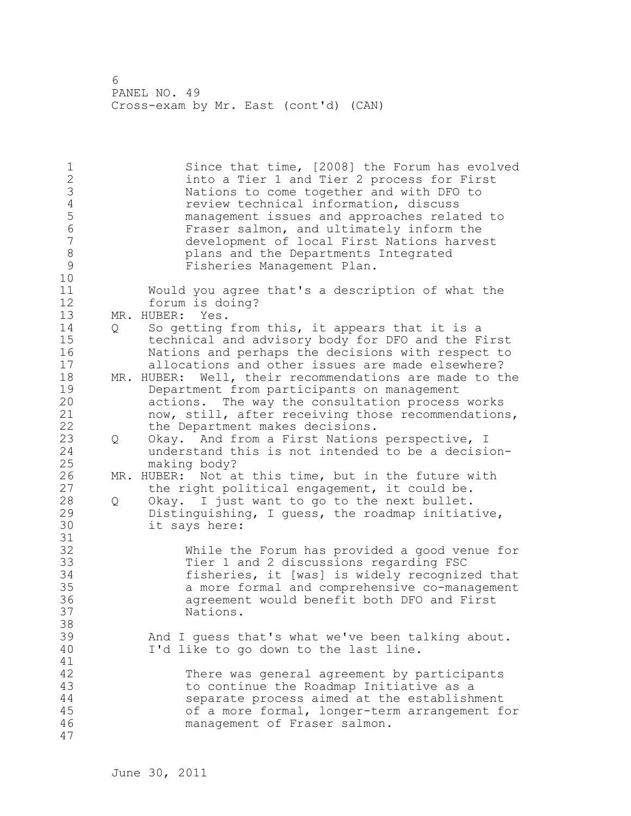| $\frac{1}{2}$<br>$\mathfrak{Z}$<br>$\overline{4}$<br>5<br>$\overline{6}$<br>$\overline{7}$<br>8<br>9<br>10 |   | Since that time, [2008] the Forum has evolved<br>into a Tier 1 and Tier 2 process for First<br>Nations to come together and with DFO to<br>review technical information, discuss<br>management issues and approaches related to<br>Fraser salmon, and ultimately inform the<br>development of local First Nations harvest<br>plans and the Departments Integrated<br>Fisheries Management Plan. |
|------------------------------------------------------------------------------------------------------------|---|-------------------------------------------------------------------------------------------------------------------------------------------------------------------------------------------------------------------------------------------------------------------------------------------------------------------------------------------------------------------------------------------------|
| 11<br>12<br>13                                                                                             |   | Would you agree that's a description of what the<br>forum is doing?<br>MR. HUBER:<br>Yes.                                                                                                                                                                                                                                                                                                       |
| 14<br>15<br>16<br>17                                                                                       | Q | So getting from this, it appears that it is a<br>technical and advisory body for DFO and the First<br>Nations and perhaps the decisions with respect to<br>allocations and other issues are made elsewhere?                                                                                                                                                                                     |
| 18<br>19<br>20<br>21<br>22                                                                                 |   | MR. HUBER: Well, their recommendations are made to the<br>Department from participants on management<br>actions. The way the consultation process works<br>now, still, after receiving those recommendations,<br>the Department makes decisions.                                                                                                                                                |
| 23<br>24<br>25                                                                                             | Q | Okay. And from a First Nations perspective, I<br>understand this is not intended to be a decision-<br>making body?                                                                                                                                                                                                                                                                              |
| 26<br>27                                                                                                   |   | MR. HUBER: Not at this time, but in the future with<br>the right political engagement, it could be.                                                                                                                                                                                                                                                                                             |
| 28<br>29<br>30<br>31                                                                                       | Q | Okay. I just want to go to the next bullet.<br>Distinguishing, I guess, the roadmap initiative,<br>it says here:                                                                                                                                                                                                                                                                                |
| 32<br>33<br>34<br>35<br>36<br>37<br>38                                                                     |   | While the Forum has provided a good venue for<br>Tier 1 and 2 discussions regarding FSC<br>fisheries, it [was] is widely recognized that<br>a more formal and comprehensive co-management<br>agreement would benefit both DFO and First<br>Nations.                                                                                                                                             |
| 39<br>40<br>41                                                                                             |   | And I quess that's what we've been talking about.<br>I'd like to go down to the last line.                                                                                                                                                                                                                                                                                                      |
| 42<br>43<br>44<br>45<br>46<br>47                                                                           |   | There was general agreement by participants<br>to continue the Roadmap Initiative as a<br>separate process aimed at the establishment<br>of a more formal, longer-term arrangement for<br>management of Fraser salmon.                                                                                                                                                                          |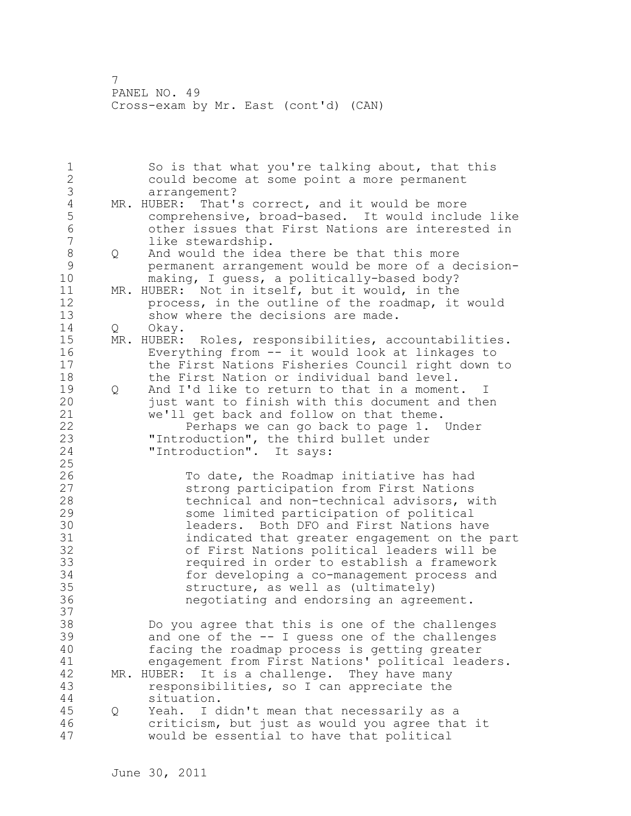|                |   | So is that what you're talking about, that this          |
|----------------|---|----------------------------------------------------------|
| $\frac{1}{2}$  |   | could become at some point a more permanent              |
| 3              |   | arrangement?                                             |
| $\overline{4}$ |   | MR. HUBER: That's correct, and it would be more          |
| 5              |   | comprehensive, broad-based. It would include like        |
| $6\,$          |   | other issues that First Nations are interested in        |
| $\overline{7}$ |   | like stewardship.                                        |
| $\,8\,$        | Q | And would the idea there be that this more               |
| $\mathcal{G}$  |   | permanent arrangement would be more of a decision-       |
| 10             |   | making, I guess, a politically-based body?               |
| 11             |   | MR. HUBER: Not in itself, but it would, in the           |
| 12             |   | process, in the outline of the roadmap, it would         |
| 13             |   | show where the decisions are made.                       |
| 14             | Q | Okay.                                                    |
| 15             |   | MR. HUBER:<br>Roles, responsibilities, accountabilities. |
| 16             |   | Everything from -- it would look at linkages to          |
| 17             |   | the First Nations Fisheries Council right down to        |
| 18             |   | the First Nation or individual band level.               |
| 19             | Q | And I'd like to return to that in a moment. I            |
| 20             |   | just want to finish with this document and then          |
| 21             |   | we'll get back and follow on that theme.                 |
| 22             |   | Perhaps we can go back to page 1. Under                  |
| 23             |   | "Introduction", the third bullet under                   |
| 24             |   | "Introduction". It says:                                 |
| 25             |   |                                                          |
| 26             |   | To date, the Roadmap initiative has had                  |
| 27             |   | strong participation from First Nations                  |
| 28             |   | technical and non-technical advisors, with               |
| 29             |   | some limited participation of political                  |
| 30             |   | leaders. Both DFO and First Nations have                 |
| 31             |   | indicated that greater engagement on the part            |
| 32             |   | of First Nations political leaders will be               |
| 33             |   | required in order to establish a framework               |
| 34             |   | for developing a co-management process and               |
| 35             |   | structure, as well as (ultimately)                       |
| 36             |   | negotiating and endorsing an agreement.                  |
| 37             |   |                                                          |
| 38             |   | Do you agree that this is one of the challenges          |
| 39             |   | and one of the -- I guess one of the challenges          |
| 40             |   | facing the roadmap process is getting greater            |
| 41             |   | engagement from First Nations' political leaders.        |
| 42             |   | It is a challenge. They have many<br>MR. HUBER:          |
| 43             |   | responsibilities, so I can appreciate the                |
| 44             |   | situation.                                               |
| 45             | Q | I didn't mean that necessarily as a<br>Yeah.             |
| 46             |   | criticism, but just as would you agree that it           |
| 47             |   | would be essential to have that political                |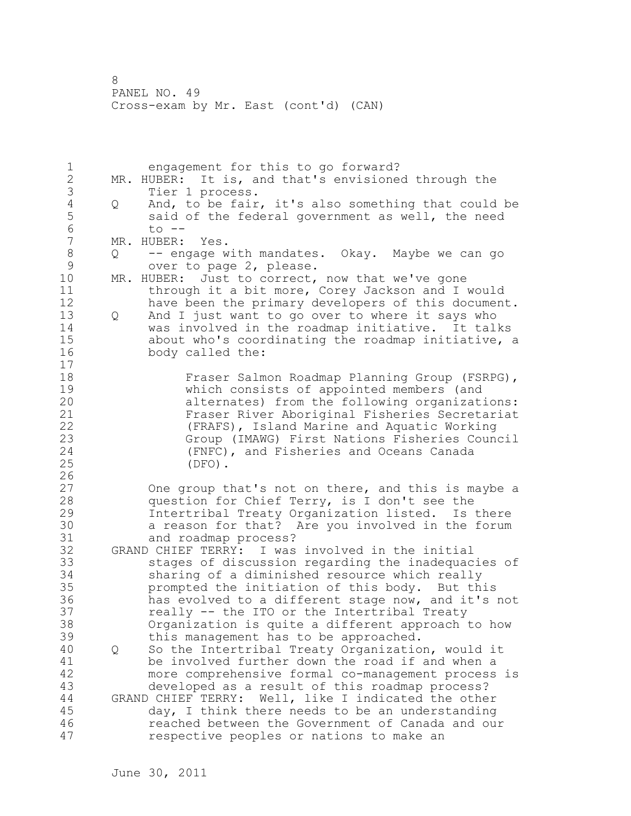1 engagement for this to go forward? 2 MR. HUBER: It is, and that's envisioned through the 3 Tier 1 process.<br>4 Q And, to be fair 4 Q And, to be fair, it's also something that could be<br>5 said of the federal government as well, the need 5 said of the federal government as well, the need<br>6 to --6 to --<br>7 MR. HUBER: MR. HUBER: Yes. 8 Q -- engage with mandates. Okay. Maybe we can go<br>9 over to page 2. please. 9 over to page 2, please.<br>10 MR. HUBER: Just to correct, MR. HUBER: Just to correct, now that we've gone 11 through it a bit more, Corey Jackson and I would 12 have been the primary developers of this document. 13 Q And I just want to go over to where it says who 14 was involved in the roadmap initiative. It talks 15 about who's coordinating the roadmap initiative, a 16 body called the: 17 18 Fraser Salmon Roadmap Planning Group (FSRPG), 19 which consists of appointed members (and<br>20 alternates) from the following organizat alternates) from the following organizations: 21 Fraser River Aboriginal Fisheries Secretariat 22 (FRAFS), Island Marine and Aquatic Working 23 Group (IMAWG) First Nations Fisheries Council<br>24 (FNFC), and Fisheries and Oceans Canada (FNFC), and Fisheries and Oceans Canada 25 (DFO).  $\frac{26}{27}$ One group that's not on there, and this is maybe a 28 question for Chief Terry, is I don't see the 29 Intertribal Treaty Organization listed. Is there 30 a reason for that? Are you involved in the forum<br>31 and roadmap process? and roadmap process? 32 GRAND CHIEF TERRY: I was involved in the initial 33 stages of discussion regarding the inadequacies of 34 sharing of a diminished resource which really 35 prompted the initiation of this body. But this 36 has evolved to a different stage now, and it's not 37 really -- the ITO or the Intertribal Treaty 38 Organization is quite a different approach to how 39 this management has to be approached. 40 Q So the Intertribal Treaty Organization, would it 41 be involved further down the road if and when a<br>42 more comprehensive formal co-management process more comprehensive formal co-management process is 43 developed as a result of this roadmap process? 44 GRAND CHIEF TERRY: Well, like I indicated the other 45 day, I think there needs to be an understanding 46 reached between the Government of Canada and our 47 respective peoples or nations to make an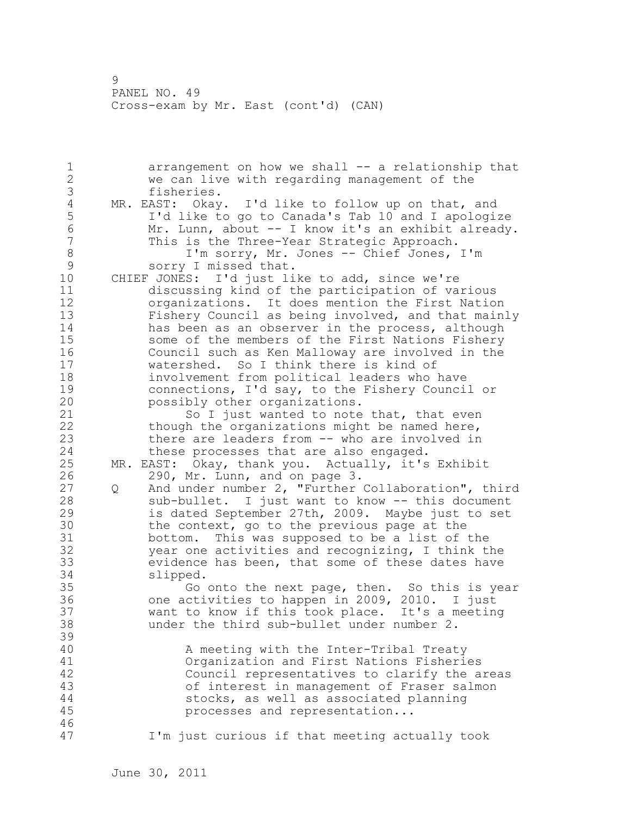1 arrangement on how we shall -- a relationship that 2 we can live with regarding management of the 3 fisheries.<br>4 MR. EAST: Okay 4 MR. EAST: Okay. I'd like to follow up on that, and<br>5 I'd like to go to Canada's Tab 10 and I apologi: 5 I'd like to go to Canada's Tab 10 and I apologize 6 Mr. Lunn, about -- I know it's an exhibit already. This is the Three-Year Strategic Approach. 8 I'm sorry, Mr. Jones -- Chief Jones, I'm<br>9 Sorry I missed that. 9 sorry I missed that.<br>10 CHIEF JONES: I'd just li CHIEF JONES: I'd just like to add, since we're 11 discussing kind of the participation of various 12 organizations. It does mention the First Nation 13 Fishery Council as being involved, and that mainly 14 has been as an observer in the process, although 15 some of the members of the First Nations Fishery 16 Council such as Ken Malloway are involved in the 17 watershed. So I think there is kind of 18 involvement from political leaders who have 19 connections, I'd say, to the Fishery Council or<br>20 possibly other organizations. possibly other organizations. 21 So I just wanted to note that, that even 22 though the organizations might be named here, 23 there are leaders from -- who are involved in 24 these processes that are also engaged. 25 MR. EAST: Okay, thank you. Actually, it's Exhibit 26 290, Mr. Lunn, and on page 3.<br>27 0 And under number 2, "Further Q And under number 2, "Further Collaboration", third 28 sub-bullet. I just want to know -- this document 29 is dated September 27th, 2009. Maybe just to set 30 the context, go to the previous page at the<br>31 bottom. This was supposed to be a list of bottom. This was supposed to be a list of the 32 year one activities and recognizing, I think the 33 evidence has been, that some of these dates have 34 slipped. 35 Go onto the next page, then. So this is year 36 one activities to happen in 2009, 2010. I just 37 want to know if this took place. It's a meeting 38 under the third sub-bullet under number 2. 39 40 A meeting with the Inter-Tribal Treaty 41 Organization and First Nations Fisheries Council representatives to clarify the areas 43 of interest in management of Fraser salmon 44 stocks, as well as associated planning 45 processes and representation... 46 47 I'm just curious if that meeting actually took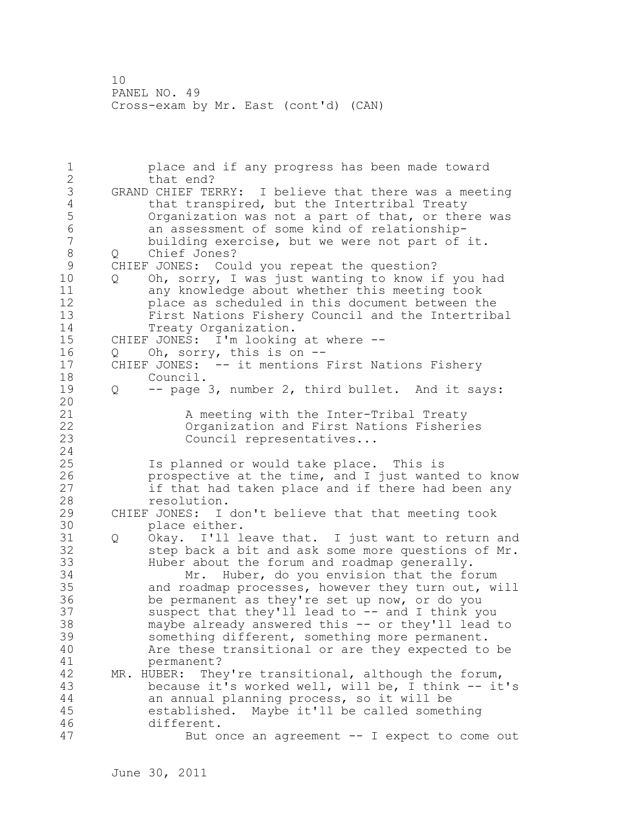1 place and if any progress has been made toward 2 that end? 3 GRAND CHIEF TERRY: I believe that there was a meeting<br>4 that transpired, but the Intertribal Treaty 4 that transpired, but the Intertribal Treaty<br>5 0rganization was not a part of that, or the 5 Organization was not a part of that, or there was<br>6 an assessment of some kind of relationship-6 an assessment of some kind of relationshipbuilding exercise, but we were not part of it. 8 Q Chief Jones? 9 CHIEF JONES: Could you repeat the question?<br>10 0 Oh, sorry, I was just wanting to know i 10 Q Oh, sorry, I was just wanting to know if you had 11 any knowledge about whether this meeting took 12 place as scheduled in this document between the 13 First Nations Fishery Council and the Intertribal 14 Treaty Organization. 15 CHIEF JONES: I'm looking at where -- 16 Q Oh, sorry, this is on -- 17 CHIEF JONES: -- it mentions First Nations Fishery 18 Council. 19 Q -- page 3, number 2, third bullet. And it says: 20 21 A meeting with the Inter-Tribal Treaty 22 Organization and First Nations Fisheries 23 Council representatives... 24 25 Is planned or would take place. This is 26 prospective at the time, and I just wanted to know<br>27 if that had taken place and if there had been any if that had taken place and if there had been any 28 resolution. 29 CHIEF JONES: I don't believe that that meeting took 30 place either.<br>31 0 Okav. I'll l Q Okay. I'll leave that. I just want to return and 32 step back a bit and ask some more questions of Mr. 33 Huber about the forum and roadmap generally. 34 Mr. Huber, do you envision that the forum 35 and roadmap processes, however they turn out, will 36 be permanent as they're set up now, or do you 37 suspect that they'll lead to -- and I think you 38 maybe already answered this -- or they'll lead to 39 something different, something more permanent. 40 Are these transitional or are they expected to be 41 permanent?<br>42 MR. HUBER: The MR. HUBER: They're transitional, although the forum, 43 because it's worked well, will be, I think -- it's 44 an annual planning process, so it will be 45 established. Maybe it'll be called something 46 different. 47 But once an agreement -- I expect to come out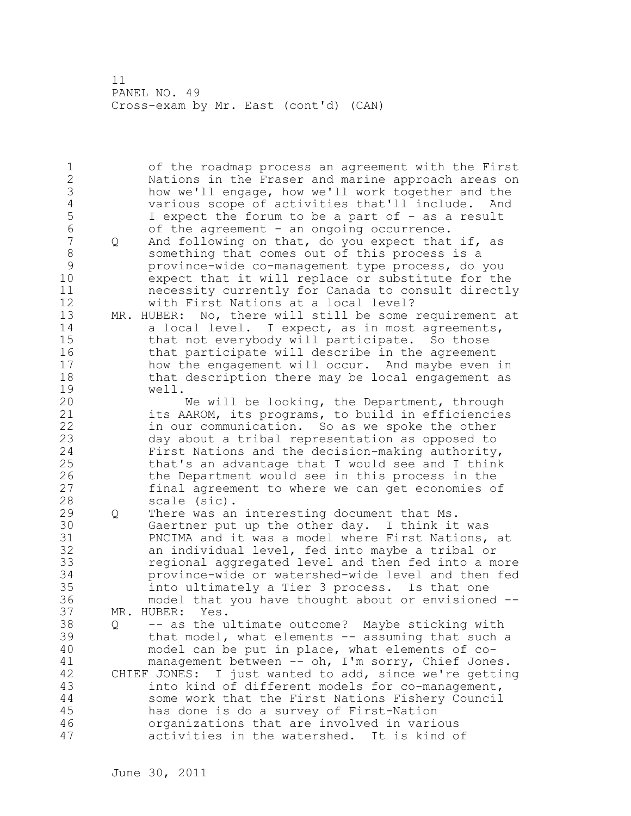1 of the roadmap process an agreement with the First 2 Nations in the Fraser and marine approach areas on 3 how we'll engage, how we'll work together and the 4 various scope of activities that'll include. And<br>5 1 expect the forum to be a part of - as a result 5 I expect the forum to be a part of - as a result 6 of the agreement - an ongoing occurrence.<br>7 0 And following on that, do you expect that Q And following on that, do you expect that if, as 8 something that comes out of this process is a 9 province-wide co-management type process, do you expect that it will replace or substitute for the 11 necessity currently for Canada to consult directly 12 with First Nations at a local level? 13 MR. HUBER: No, there will still be some requirement at 14 a local level. I expect, as in most agreements, 15 that not everybody will participate. So those 16 that participate will describe in the agreement 17 how the engagement will occur. And maybe even in 18 that description there may be local engagement as 19 well.<br>20 We will be looking, the Department, through 21 its AAROM, its programs, to build in efficiencies 22 in our communication. So as we spoke the other 23 day about a tribal representation as opposed to 24 First Nations and the decision-making authority, 25 that's an advantage that I would see and I think 26 the Department would see in this process in the<br>27 final agreement to where we can get economies of final agreement to where we can get economies of 28 scale (sic). 29 Q There was an interesting document that Ms. 30 Gaertner put up the other day. I think it was 31 PNCIMA and it was a model where First Nations, at 32 an individual level, fed into maybe a tribal or 33 regional aggregated level and then fed into a more 34 province-wide or watershed-wide level and then fed 35 into ultimately a Tier 3 process. Is that one 36 model that you have thought about or envisioned -- 37 MR. HUBER: Yes. 38 Q -- as the ultimate outcome? Maybe sticking with 39 that model, what elements -- assuming that such a 40 model can be put in place, what elements of co-41 management between -- oh, I'm sorry, Chief Jones.<br>42 CHIEF JONES: I just wanted to add, since we're gettin CHIEF JONES: I just wanted to add, since we're getting 43 into kind of different models for co-management, 44 some work that the First Nations Fishery Council 45 has done is do a survey of First-Nation 46 organizations that are involved in various 47 activities in the watershed. It is kind of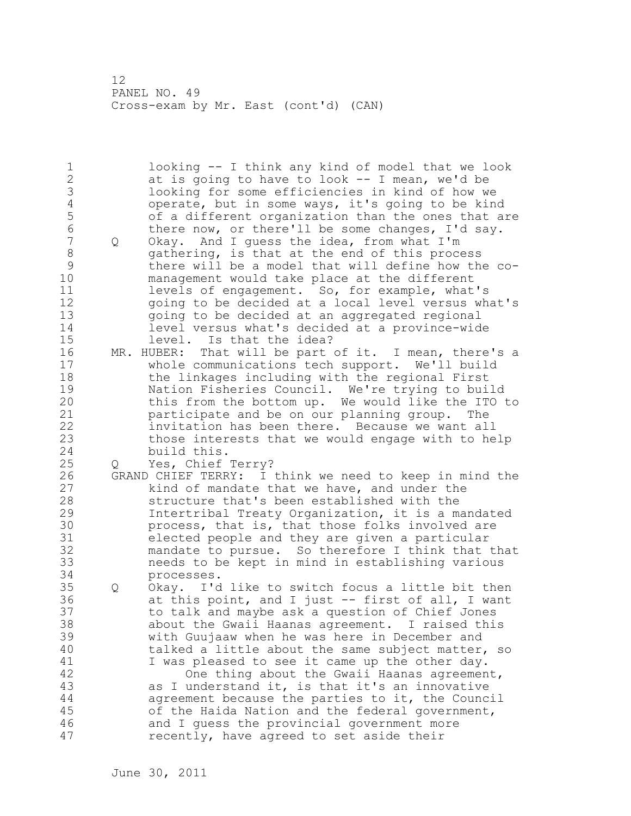1 looking -- I think any kind of model that we look 2 at is going to have to look -- I mean, we'd be 3 looking for some efficiencies in kind of how we<br>4 operate, but in some ways, it's going to be kine 4 operate, but in some ways, it's going to be kind<br>5 of a different organization than the ones that a 5 5 of a different organization than the ones that are<br>6 there now, or there'll be some changes, I'd sav. 6 there now, or there'll be some changes, I'd say.<br>7 0 Okav. And I quess the idea, from what I'm 7 Q Okay. And I guess the idea, from what I'm 8 gathering, is that at the end of this process 9 there will be a model that will define how the co-<br>10 management would take place at the different management would take place at the different 11 levels of engagement. So, for example, what's 12 going to be decided at a local level versus what's 13 going to be decided at an aggregated regional 14 level versus what's decided at a province-wide 15 level. Is that the idea? 16 MR. HUBER: That will be part of it. I mean, there's a 17 whole communications tech support. We'll build 18 the linkages including with the regional First 19 Mation Fisheries Council. We're trying to build<br>20 this from the bottom up. We would like the ITO this from the bottom up. We would like the ITO to 21 participate and be on our planning group. The 22 invitation has been there. Because we want all 23 those interests that we would engage with to help 24 build this. 25 Q Yes, Chief Terry? 26 GRAND CHIEF TERRY: I think we need to keep in mind the<br>27 https://www.that we have, and under the kind of mandate that we have, and under the 28 structure that's been established with the 29 Intertribal Treaty Organization, it is a mandated 30 process, that is, that those folks involved are<br>31 elected people and they are given a particular 31 elected people and they are given a particular<br>32 mandate to pursue. So therefore I think that mandate to pursue. So therefore I think that that 33 needs to be kept in mind in establishing various 34 processes. 35 Q Okay. I'd like to switch focus a little bit then 36 at this point, and I just -- first of all, I want 37 to talk and maybe ask a question of Chief Jones 38 about the Gwaii Haanas agreement. I raised this 39 with Guujaaw when he was here in December and 40 talked a little about the same subject matter, so 41 I was pleased to see it came up the other day.<br>42 One thing about the Gwaii Haanas agreemen One thing about the Gwaii Haanas agreement, 43 as I understand it, is that it's an innovative 44 agreement because the parties to it, the Council 45 of the Haida Nation and the federal government, 46 and I guess the provincial government more 47 recently, have agreed to set aside their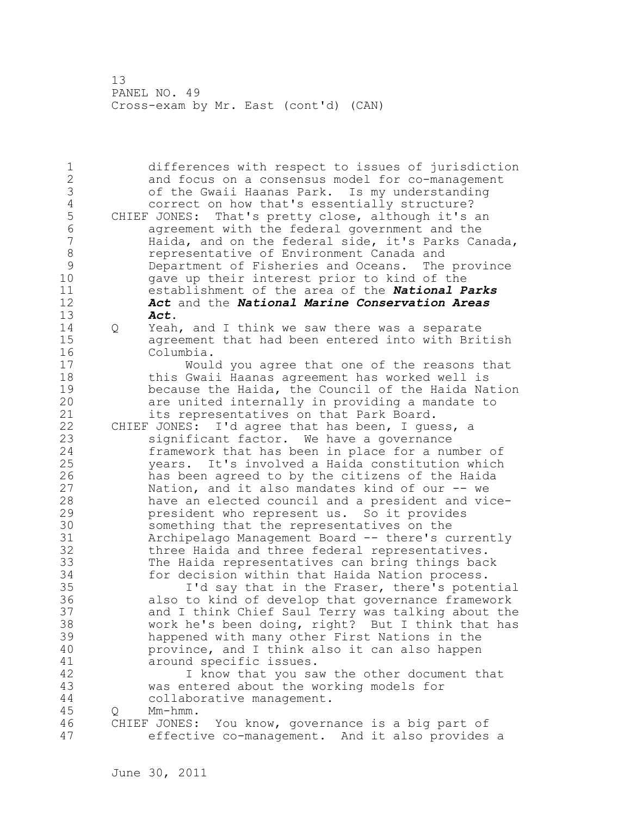1 differences with respect to issues of jurisdiction 2 and focus on a consensus model for co-management 3 of the Gwaii Haanas Park. Is my understanding 4 correct on how that's essentially structure?<br>5 CHIEF JONES: That's pretty close, although it's 5 CHIEF JONES: That's pretty close, although it's an<br>6 agreement with the federal government and the 6 agreement with the federal government and the Haida, and on the federal side, it's Parks Canada, 8 8 representative of Environment Canada and<br>9 9 Department of Fisheries and Oceans. The 9 Department of Fisheries and Oceans. The province<br>10 aave up their interest prior to kind of the gave up their interest prior to kind of the 11 establishment of the area of the *National Parks*  12 *Act* and the *National Marine Conservation Areas*  13 *Act*. 14 Q Yeah, and I think we saw there was a separate 15 agreement that had been entered into with British 16 Columbia. 17 Would you agree that one of the reasons that 18 this Gwaii Haanas agreement has worked well is 19 because the Haida, the Council of the Haida Nation<br>20 are united internally in providing a mandate to are united internally in providing a mandate to 21 its representatives on that Park Board. 22 CHIEF JONES: I'd agree that has been, I guess, a 23 significant factor. We have a governance 24 framework that has been in place for a number of 25 years. It's involved a Haida constitution which 26 has been agreed to by the citizens of the Haida<br>27 hation, and it also mandates kind of our -- we Nation, and it also mandates kind of our  $-$ - we 28 have an elected council and a president and vice-29 president who represent us. So it provides 30 something that the representatives on the<br>31 Sarchipelago Management Board -- there's c 31 Archipelago Management Board -- there's currently three Haida and three federal representatives. 33 The Haida representatives can bring things back 34 for decision within that Haida Nation process. 35 I'd say that in the Fraser, there's potential 36 also to kind of develop that governance framework 37 and I think Chief Saul Terry was talking about the 38 work he's been doing, right? But I think that has 39 happened with many other First Nations in the 40 province, and I think also it can also happen 41 around specific issues.<br>42 1 know that you sa I know that you saw the other document that 43 was entered about the working models for 44 collaborative management. 45 Q Mm-hmm. 46 CHIEF JONES: You know, governance is a big part of 47 effective co-management. And it also provides a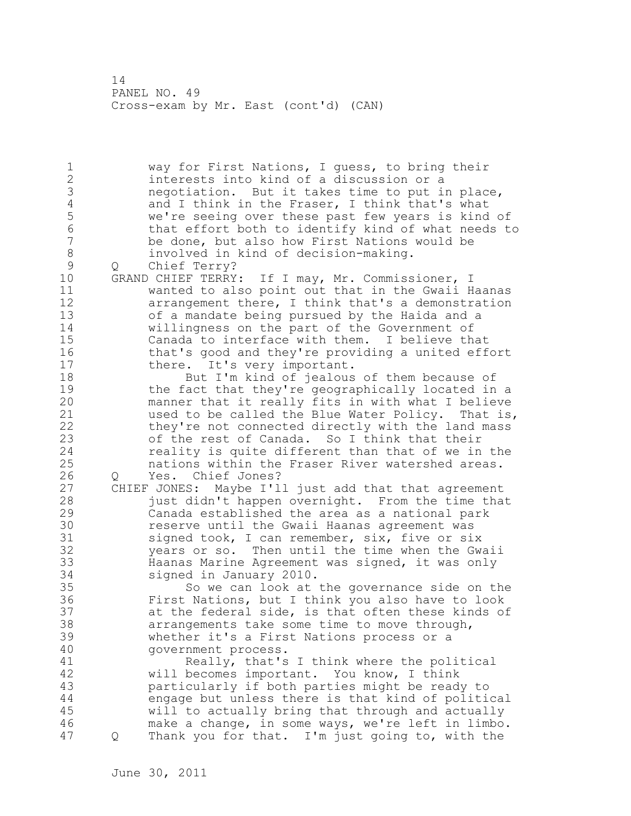1 way for First Nations, I guess, to bring their 2 interests into kind of a discussion or a 3 negotiation. But it takes time to put in place,<br>4 and I think in the Fraser, I think that's what 4 and I think in the Fraser, I think that's what<br>5 we're seeing over these past few years is kind 5 we're seeing over these past few years is kind of<br>6 that effort both to identify kind of what needs to 6 that effort both to identify kind of what needs to<br>7 be done, but also how First Nations would be be done, but also how First Nations would be 8 involved in kind of decision-making. 9 Q Chief Terry?<br>10 GRAND CHIEF TERRY GRAND CHIEF TERRY: If I may, Mr. Commissioner, I 11 wanted to also point out that in the Gwaii Haanas 12 arrangement there, I think that's a demonstration 13 of a mandate being pursued by the Haida and a 14 willingness on the part of the Government of 15 Canada to interface with them. I believe that 16 that's good and they're providing a united effort 17 there. It's very important. 18 But I'm kind of jealous of them because of 19 the fact that they're geographically located in a<br>20 manner that it really fits in with what I believe manner that it really fits in with what I believe 21 used to be called the Blue Water Policy. That is, 22 they're not connected directly with the land mass 23 of the rest of Canada. So I think that their 24 reality is quite different than that of we in the 25 nations within the Fraser River watershed areas. 26 Q Yes. Chief Jones?<br>27 CHIEF JONES: Maybe I'l CHIEF JONES: Maybe I'll just add that that agreement 28 just didn't happen overnight. From the time that 29 Canada established the area as a national park 30 **1988** reserve until the Gwaii Haanas agreement was<br>31 1 signed took, I can remember, six, five or si signed took, I can remember, six, five or six 32 years or so. Then until the time when the Gwaii 33 Haanas Marine Agreement was signed, it was only 34 signed in January 2010. 35 So we can look at the governance side on the 36 First Nations, but I think you also have to look 37 at the federal side, is that often these kinds of 38 arrangements take some time to move through, 39 whether it's a First Nations process or a 40 government process. 41 Really, that's I think where the political<br>42 will becomes important. You know, I think will becomes important. You know, I think 43 particularly if both parties might be ready to 44 engage but unless there is that kind of political 45 will to actually bring that through and actually 46 make a change, in some ways, we're left in limbo. 47 Q Thank you for that. I'm just going to, with the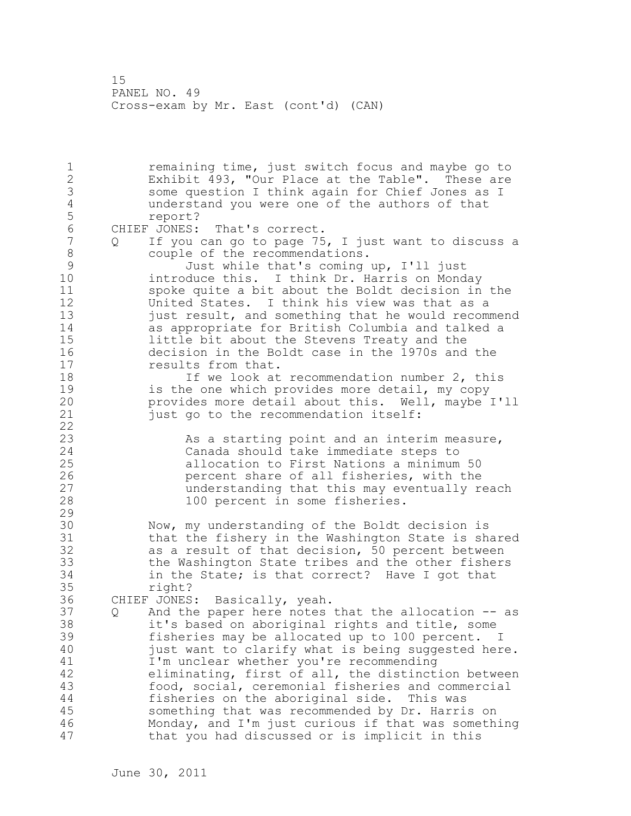1 remaining time, just switch focus and maybe go to 2 Exhibit 493, "Our Place at the Table". These are 3 some question I think again for Chief Jones as I 4 understand you were one of the authors of that 5 report?<br>6 CHIEF JONES: 6 CHIEF JONES: That's correct.<br>7 0 If you can go to page 75 If you can go to page 75, I just want to discuss a 8 couple of the recommendations.<br>9 Just while that's coming 9 Just while that's coming up, I'll just introduce this. I think Dr. Harris on Monday 11 spoke quite a bit about the Boldt decision in the 12 United States. I think his view was that as a 13 just result, and something that he would recommend 14 as appropriate for British Columbia and talked a 15 little bit about the Stevens Treaty and the 16 decision in the Boldt case in the 1970s and the 17 results from that. 18 18 If we look at recommendation number 2, this 19 is the one which provides more detail, my copy<br>20 provides more detail about this. Well, maybe provides more detail about this. Well, maybe I'll 21 just go to the recommendation itself: 22 23 As a starting point and an interim measure, 24 Canada should take immediate steps to 25 allocation to First Nations a minimum 50 26 **percent share of all fisheries, with the**<br>27 **percent share of all fisheries, with the** understanding that this may eventually reach 28 100 percent in some fisheries. 29 30 Now, my understanding of the Boldt decision is 31 that the fishery in the Washington State is shared 32 as a result of that decision, 50 percent between 33 the Washington State tribes and the other fishers 34 in the State; is that correct? Have I got that 35 right? 36 CHIEF JONES: Basically, yeah. 37 Q And the paper here notes that the allocation -- as 38 it's based on aboriginal rights and title, some 39 fisheries may be allocated up to 100 percent. I 40 just want to clarify what is being suggested here. 41 I'm unclear whether you're recommending 42 eliminating, first of all, the distinction between 43 food, social, ceremonial fisheries and commercial 44 fisheries on the aboriginal side. This was 45 something that was recommended by Dr. Harris on 46 Monday, and I'm just curious if that was something 47 that you had discussed or is implicit in this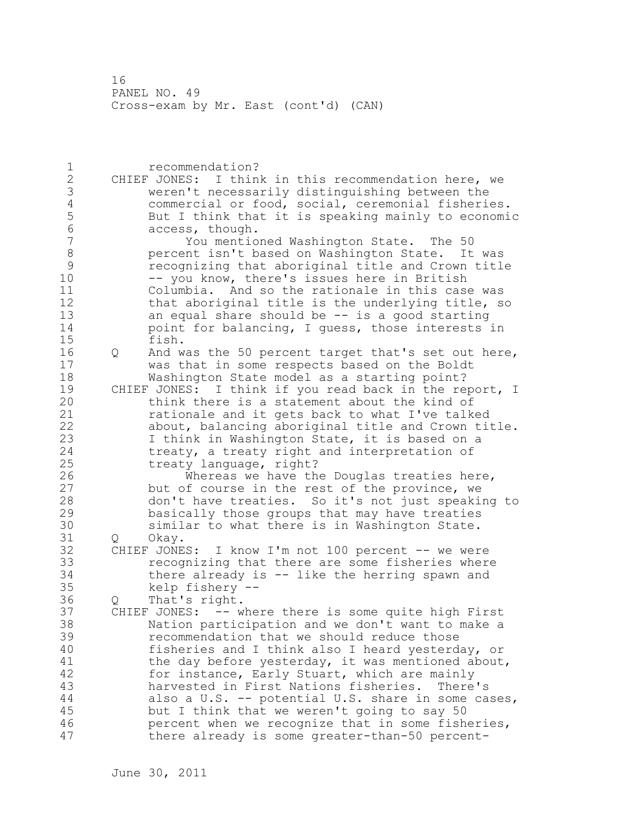1 recommendation? 2 CHIEF JONES: I think in this recommendation here, we 3 weren't necessarily distinguishing between the 4 commercial or food, social, ceremonial fisheries.<br>5 But I think that it is speaking mainly to economi 5 But I think that it is speaking mainly to economic 6 access, though.<br>7 You mentio 7 You mentioned Washington State. The 50 8 percent isn't based on Washington State. It was<br>9 secognizing that aboriginal title and Crown titl 9 recognizing that aboriginal title and Crown title<br>10 -- you know, there's issues here in British -- you know, there's issues here in British 11 Columbia. And so the rationale in this case was 12 that aboriginal title is the underlying title, so 13 an equal share should be -- is a good starting 14 **point for balancing, I guess, those interests in** 15 fish. 16 Q And was the 50 percent target that's set out here, 17 was that in some respects based on the Boldt 18 Washington State model as a starting point? 19 CHIEF JONES: I think if you read back in the report, I<br>20 think there is a statement about the kind of think there is a statement about the kind of 21 rationale and it gets back to what I've talked 22 about, balancing aboriginal title and Crown title. 23 I think in Washington State, it is based on a 24 treaty, a treaty right and interpretation of 25 treaty language, right? 26 Whereas we have the Douglas treaties here,<br>27 but of course in the rest of the province, we but of course in the rest of the province, we 28 don't have treaties. So it's not just speaking to 29 basically those groups that may have treaties 30 similar to what there is in Washington State.<br>31 0 Okav. Q Okay. 32 CHIEF JONES: I know I'm not 100 percent -- we were 33 recognizing that there are some fisheries where 34 there already is -- like the herring spawn and 35 kelp fishery -- 36 Q That's right. 37 CHIEF JONES: -- where there is some quite high First 38 Nation participation and we don't want to make a 39 recommendation that we should reduce those 40 fisheries and I think also I heard yesterday, or 41 the day before yesterday, it was mentioned about, 42 for instance, Early Stuart, which are mainly 43 harvested in First Nations fisheries. There's 44 also a U.S. -- potential U.S. share in some cases, 45 but I think that we weren't going to say 50 46 percent when we recognize that in some fisheries, 47 there already is some greater-than-50 percent-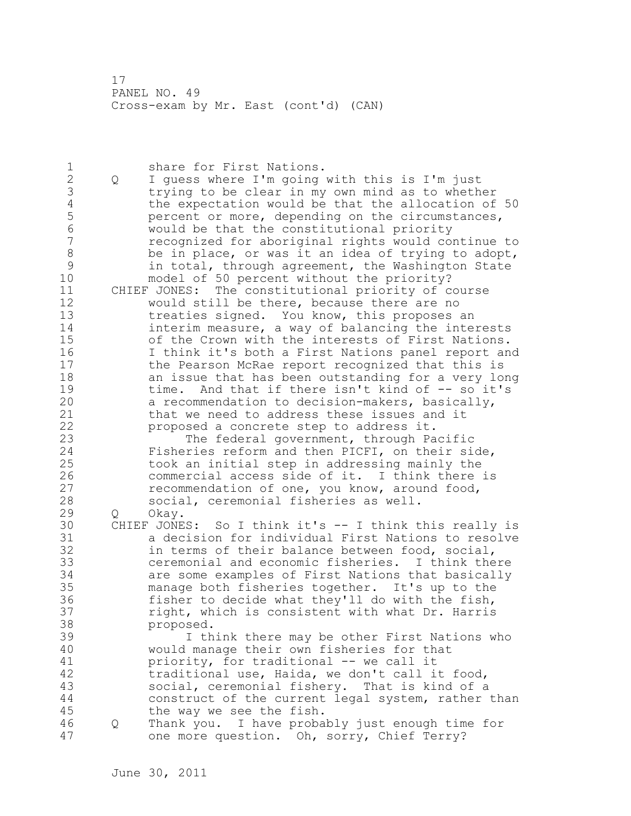1 share for First Nations. 2 Q I guess where I'm going with this is I'm just 3 trying to be clear in my own mind as to whether<br>4 the expectation would be that the allocation of 4 the expectation would be that the allocation of 50<br>5 percent or more, depending on the circumstances, 5 bercent or more, depending on the circumstances,<br>6 6 would be that the constitutional priority 6 would be that the constitutional priority 7 recognized for aboriginal rights would continue to 8 be in place, or was it an idea of trying to adopt, 9 in total, through agreement, the Washington State<br>10 model of 50 percent without the priority? model of 50 percent without the priority? 11 CHIEF JONES: The constitutional priority of course 12 would still be there, because there are no 13 treaties signed. You know, this proposes an 14 interim measure, a way of balancing the interests 15 of the Crown with the interests of First Nations. 16 I think it's both a First Nations panel report and 17 the Pearson McRae report recognized that this is 18 an issue that has been outstanding for a very long 19 time. And that if there isn't kind of -- so it's<br>20 a recommendation to decision-makers, basically, a recommendation to decision-makers, basically, 21 that we need to address these issues and it 22 proposed a concrete step to address it. 23 The federal government, through Pacific 24 Fisheries reform and then PICFI, on their side, 25 took an initial step in addressing mainly the 26 commercial access side of it. I think there is<br>27 cecommendation of one, you know, around food, recommendation of one, you know, around food, 28 social, ceremonial fisheries as well. 29 Q Okay. 30 CHIEF JONES: So I think it's -- I think this really is 31 a decision for individual First Nations to resolve<br>32 in terms of their balance between food, social, in terms of their balance between food, social, 33 ceremonial and economic fisheries. I think there 34 are some examples of First Nations that basically 35 manage both fisheries together. It's up to the 36 fisher to decide what they'll do with the fish, 37 right, which is consistent with what Dr. Harris 38 proposed. 39 I think there may be other First Nations who 40 would manage their own fisheries for that 41 priority, for traditional -- we call it<br>42 traditional use, Haida, we don't call i traditional use, Haida, we don't call it food, 43 social, ceremonial fishery. That is kind of a 44 construct of the current legal system, rather than 45 the way we see the fish. 46 Q Thank you. I have probably just enough time for 47 one more question. Oh, sorry, Chief Terry?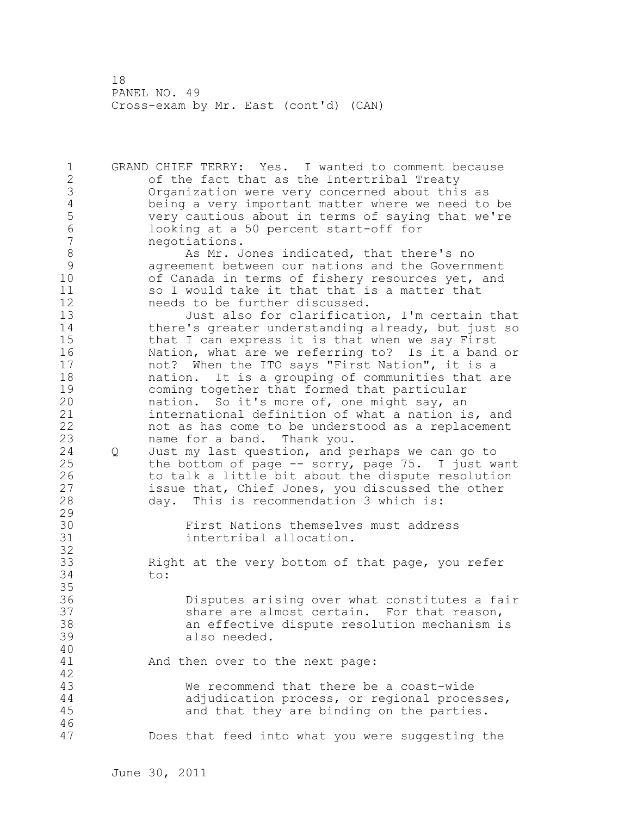1 GRAND CHIEF TERRY: Yes. I wanted to comment because 2 of the fact that as the Intertribal Treaty 3 Organization were very concerned about this as 4 being a very important matter where we need to be<br>5 very cautious about in terms of saying that we're 5 very cautious about in terms of saying that we're<br>6 100king at a 50 percent start-off for 6 looking at a 50 percent start-off for 7 negotiations. 8 As Mr. Jones indicated, that there's no<br>9 agreement between our nations and the Govern 9 agreement between our nations and the Government<br>10 of Canada in terms of fishery resources vet, and of Canada in terms of fishery resources yet, and 11 so I would take it that that is a matter that 12 needs to be further discussed. 13 Just also for clarification, I'm certain that 14 there's greater understanding already, but just so 15 that I can express it is that when we say First 16 Nation, what are we referring to? Is it a band or 17 not? When the ITO says "First Nation", it is a 18 nation. It is a grouping of communities that are 19 coming together that formed that particular<br>20 hation. So it's more of, one might say, an nation. So it's more of, one might say, an 21 international definition of what a nation is, and 22 not as has come to be understood as a replacement 23 name for a band. Thank you. 24 Q Just my last question, and perhaps we can go to 25 the bottom of page -- sorry, page 75. I just want 26 to talk a little bit about the dispute resolution<br>27 sissue that, Chief Jones, you discussed the other issue that, Chief Jones, you discussed the other 28 day. This is recommendation 3 which is: 29 30 First Nations themselves must address<br>31 intertribal allocation. intertribal allocation. 32 33 Right at the very bottom of that page, you refer 34 to: 35 36 Disputes arising over what constitutes a fair 37 share are almost certain. For that reason, 38 an effective dispute resolution mechanism is 39 also needed. 40 41 And then over to the next page: 42 43 We recommend that there be a coast-wide 44 adjudication process, or regional processes, 45 and that they are binding on the parties. 46 47 Does that feed into what you were suggesting the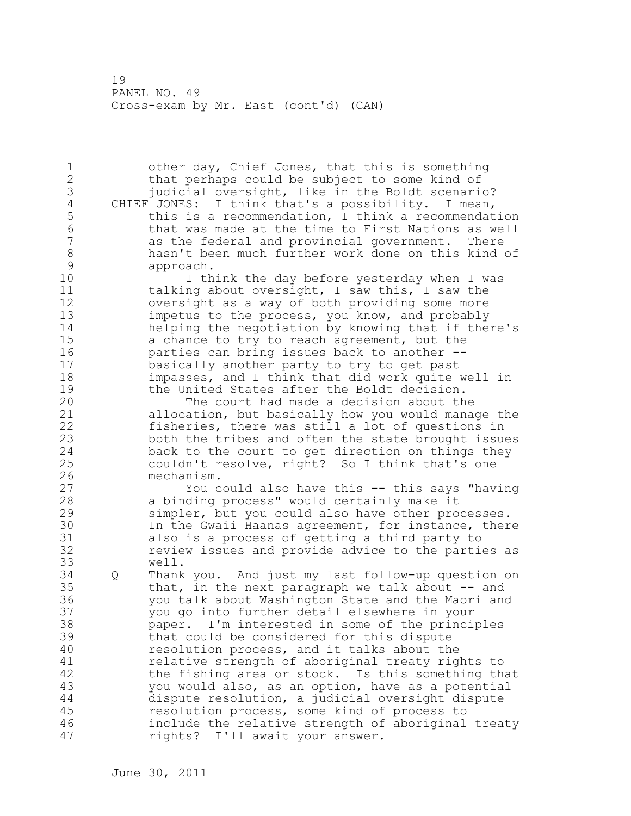1 other day, Chief Jones, that this is something 2 that perhaps could be subject to some kind of 3 judicial oversight, like in the Boldt scenario?<br>4 CHIEF JONES: I think that's a possibility. I mean, 4 CHIEF JONES: I think that's a possibility. I mean,<br>5 this is a recommendation, I think a recommendat 5 this is a recommendation, I think a recommendation<br>6 that was made at the time to First Nations as well 6 that was made at the time to First Nations as well as the federal and provincial government. There 8 hasn't been much further work done on this kind of<br>9 approach. 9 approach.<br>10 I th I think the day before yesterday when I was 11 talking about oversight, I saw this, I saw the 12 oversight as a way of both providing some more 13 impetus to the process, you know, and probably 14 helping the negotiation by knowing that if there's 15 a chance to try to reach agreement, but the 16 parties can bring issues back to another -- 17 basically another party to try to get past 18 impasses, and I think that did work quite well in 19 the United States after the Boldt decision.<br>20 The court had made a decision about th The court had made a decision about the 21 allocation, but basically how you would manage the 22 fisheries, there was still a lot of questions in 23 both the tribes and often the state brought issues 24 back to the court to get direction on things they 25 couldn't resolve, right? So I think that's one 26 mechanism.<br>27 You c You could also have this -- this says "having 28 a binding process" would certainly make it 29 simpler, but you could also have other processes. 30 In the Gwaii Haanas agreement, for instance, there<br>31 also is a process of getting a third party to also is a process of getting a third party to 32 review issues and provide advice to the parties as 33 well. 34 Q Thank you. And just my last follow-up question on 35 that, in the next paragraph we talk about -- and 36 you talk about Washington State and the Maori and 37 you go into further detail elsewhere in your 38 paper. I'm interested in some of the principles 39 that could be considered for this dispute 40 resolution process, and it talks about the 41 relative strength of aboriginal treaty rights to<br>42 the fishing area or stock. Is this something the the fishing area or stock. Is this something that 43 you would also, as an option, have as a potential 44 dispute resolution, a judicial oversight dispute 45 resolution process, some kind of process to 46 include the relative strength of aboriginal treaty 47 rights? I'll await your answer.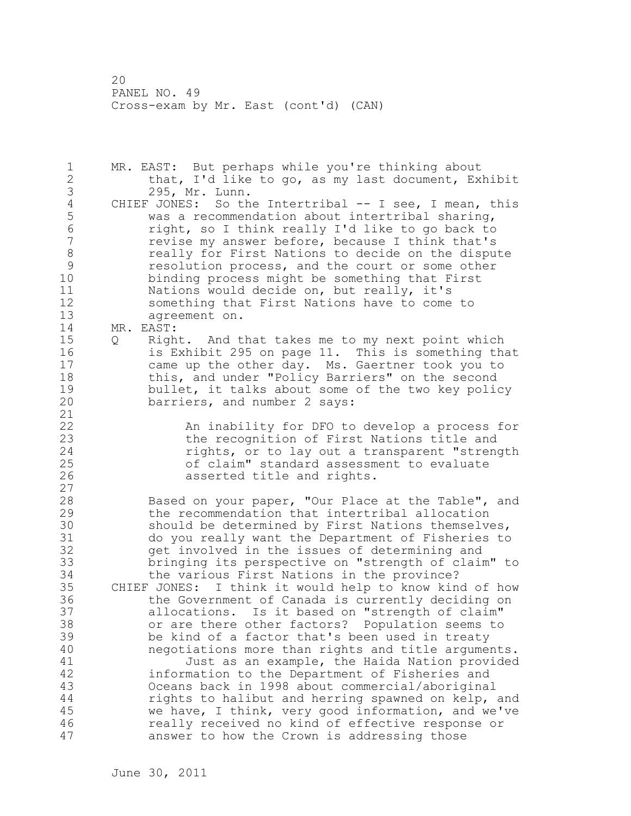1 MR. EAST: But perhaps while you're thinking about 2 that, I'd like to go, as my last document, Exhibit 3 295, Mr. Lunn.<br>4 CHIEF JONES: So th 4 CHIEF JONES: So the Intertribal -- I see, I mean, this<br>5 was a recommendation about intertribal sharing, 5 was a recommendation about intertribal sharing, 6 right, so I think really I'd like to go back to revise my answer before, because I think that's 8 **8** really for First Nations to decide on the dispute 9 esolution process, and the court or some other<br>10 binding process might be something that First binding process might be something that First 11 Nations would decide on, but really, it's 12 something that First Nations have to come to 13 agreement on. 14 MR. EAST: 15 Q Right. And that takes me to my next point which 16 is Exhibit 295 on page 11. This is something that 17 came up the other day. Ms. Gaertner took you to 18 this, and under "Policy Barriers" on the second 19 bullet, it talks about some of the two key policy<br>20 barriers, and number 2 says: barriers, and number 2 says: 21 22 An inability for DFO to develop a process for 23 the recognition of First Nations title and 24 rights, or to lay out a transparent "strength 25 of claim" standard assessment to evaluate 26 asserted title and rights. 27 28 Based on your paper, "Our Place at the Table", and 29 the recommendation that intertribal allocation 30 should be determined by First Nations themselves,<br>31 do you really want the Department of Fisheries to do you really want the Department of Fisheries to 32 get involved in the issues of determining and 33 bringing its perspective on "strength of claim" to 34 the various First Nations in the province? 35 CHIEF JONES: I think it would help to know kind of how 36 the Government of Canada is currently deciding on 37 allocations. Is it based on "strength of claim" 38 or are there other factors? Population seems to 39 be kind of a factor that's been used in treaty 40 negotiations more than rights and title arguments. 41 Just as an example, the Haida Nation provided<br>42 information to the Department of Fisheries and information to the Department of Fisheries and 43 Oceans back in 1998 about commercial/aboriginal 44 rights to halibut and herring spawned on kelp, and 45 we have, I think, very good information, and we've 46 really received no kind of effective response or 47 answer to how the Crown is addressing those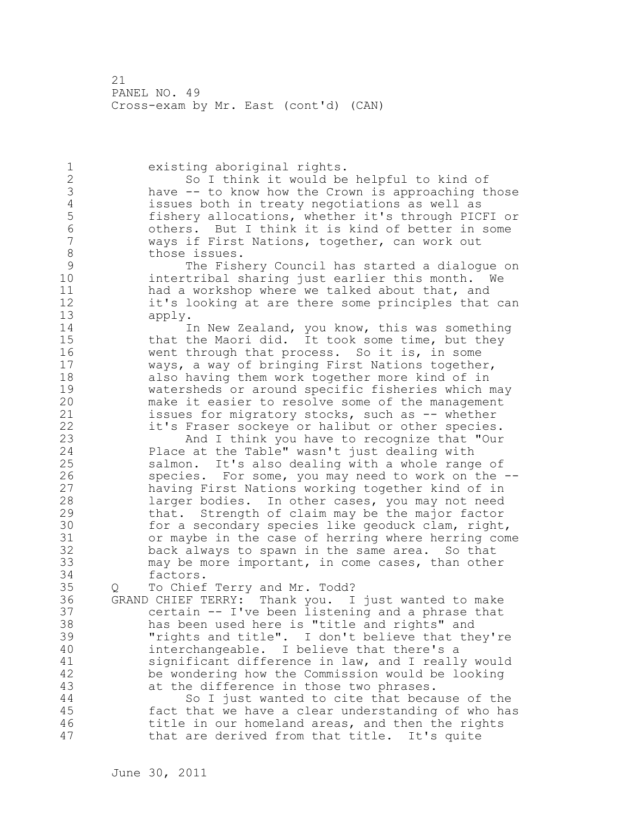1 existing aboriginal rights. 2 So I think it would be helpful to kind of 3 have -- to know how the Crown is approaching those<br>4 issues both in treaty negotiations as well as 4 issues both in treaty negotiations as well as<br>5 fishery allocations, whether it's through PIC 5 fishery allocations, whether it's through PICFI or 6 others. But I think it is kind of better in some ways if First Nations, together, can work out 8 those issues.<br>9 The Fish 9 The Fishery Council has started a dialogue on intertribal sharing just earlier this month. We 11 had a workshop where we talked about that, and 12 it's looking at are there some principles that can 13 apply. 14 In New Zealand, you know, this was something 15 that the Maori did. It took some time, but they 16 went through that process. So it is, in some 17 ways, a way of bringing First Nations together, 18 also having them work together more kind of in 19 watersheds or around specific fisheries which may<br>20 make it easier to resolve some of the management make it easier to resolve some of the management 21 issues for migratory stocks, such as -- whether 22 it's Fraser sockeye or halibut or other species. 23 And I think you have to recognize that "Our 24 Place at the Table" wasn't just dealing with 25 salmon. It's also dealing with a whole range of 26 species. For some, you may need to work on the --<br>27 having First Nations working together kind of in having First Nations working together kind of in 28 larger bodies. In other cases, you may not need 29 that. Strength of claim may be the major factor 30 for a secondary species like geoduck clam, right,<br>31 or maybe in the case of herring where herring com or maybe in the case of herring where herring come 32 back always to spawn in the same area. So that 33 may be more important, in come cases, than other 34 factors. 35 Q To Chief Terry and Mr. Todd? 36 GRAND CHIEF TERRY: Thank you. I just wanted to make 37 certain -- I've been listening and a phrase that 38 has been used here is "title and rights" and 39 "rights and title". I don't believe that they're 40 interchangeable. I believe that there's a 41 significant difference in law, and I really would<br>42 be wondering how the Commission would be looking be wondering how the Commission would be looking 43 at the difference in those two phrases. 44 So I just wanted to cite that because of the 45 fact that we have a clear understanding of who has 46 title in our homeland areas, and then the rights 47 that are derived from that title. It's quite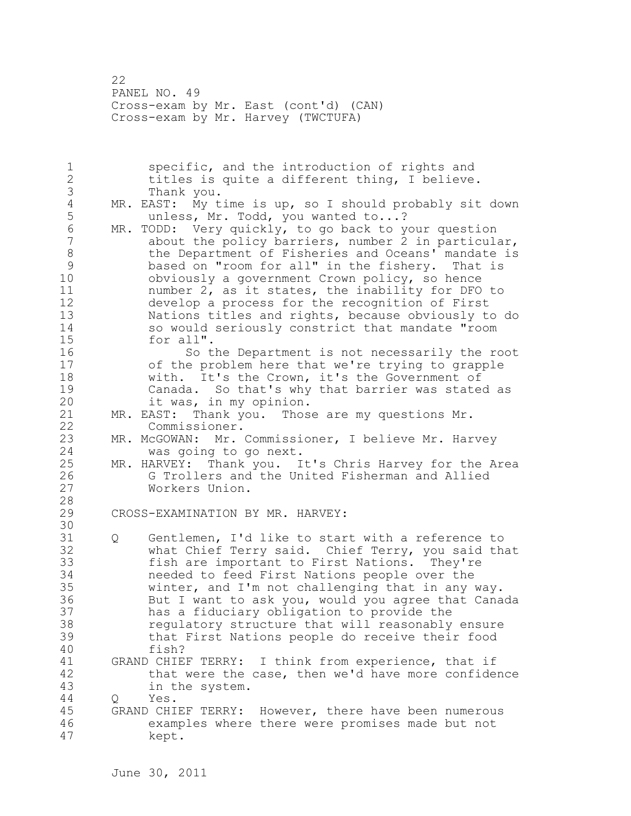22 PANEL NO. 49 Cross-exam by Mr. East (cont'd) (CAN) Cross-exam by Mr. Harvey (TWCTUFA)

1 specific, and the introduction of rights and 2 titles is quite a different thing, I believe. 3 Thank you.<br>4 MR. EAST: My t 4 MR. EAST: My time is up, so I should probably sit down<br>5 unless, Mr. Todd, you wanted to...? 5 unless, Mr. Todd, you wanted to...? 6 MR. TODD: Very quickly, to go back to your question about the policy barriers, number 2 in particular, 8 the Department of Fisheries and Oceans' mandate is 9 based on "room for all" in the fishery. That is<br>10 obviously a government Crown policy, so hence obviously a government Crown policy, so hence 11 number 2, as it states, the inability for DFO to 12 develop a process for the recognition of First 13 Nations titles and rights, because obviously to do 14 so would seriously constrict that mandate "room 15 for all". 16 So the Department is not necessarily the root 17 of the problem here that we're trying to grapple 18 with. It's the Crown, it's the Government of 19 Canada. So that's why that barrier was stated as<br>20 it was, in my opinion. it was, in my opinion.<br>MR. EAST: Thank you. Thos 21 MR. EAST: Thank you. Those are my questions Mr. 22 Commissioner. 23 MR. McGOWAN: Mr. Commissioner, I believe Mr. Harvey 24 was going to go next. 25 MR. HARVEY: Thank you. It's Chris Harvey for the Area 26 G Trollers and the United Fisherman and Allied<br>27 Workers Union. Workers Union. 28 29 CROSS-EXAMINATION BY MR. HARVEY: 30<br>31 Q Gentlemen, I'd like to start with a reference to 32 what Chief Terry said. Chief Terry, you said that 33 fish are important to First Nations. They're 34 needed to feed First Nations people over the 35 winter, and I'm not challenging that in any way. 36 But I want to ask you, would you agree that Canada 37 has a fiduciary obligation to provide the 38 regulatory structure that will reasonably ensure 39 that First Nations people do receive their food 40 fish? 41 GRAND CHIEF TERRY: I think from experience, that if<br>42 that were the case, then we'd have more confide: that were the case, then we'd have more confidence 43 in the system. 44 Q Yes. 45 GRAND CHIEF TERRY: However, there have been numerous 46 examples where there were promises made but not 47 kept.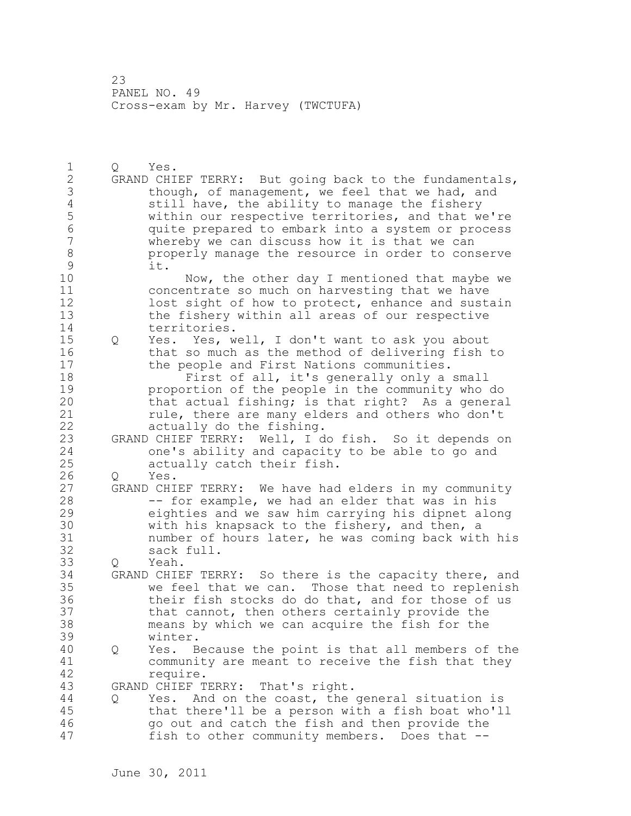1 Q Yes. 2 GRAND CHIEF TERRY: But going back to the fundamentals, 3 though, of management, we feel that we had, and<br>4 still have, the ability to manage the fishery 4 still have, the ability to manage the fishery<br>5 within our respective territories, and that w 5 within our respective territories, and that we're 6 quite prepared to embark into a system or process whereby we can discuss how it is that we can 8 properly manage the resource in order to conserve  $\begin{array}{ccc} 9 & & \text{it.} \\ 10 & & \end{array}$ Now, the other day I mentioned that maybe we 11 concentrate so much on harvesting that we have 12 lost sight of how to protect, enhance and sustain 13 the fishery within all areas of our respective 14 territories. 15 Q Yes. Yes, well, I don't want to ask you about 16 that so much as the method of delivering fish to 17 the people and First Nations communities. 18 First of all, it's generally only a small 19 **proportion of the people in the community who do**<br>20 **hat actual fishing; is that right?** As a genera that actual fishing; is that right? As a general 21 rule, there are many elders and others who don't 22 actually do the fishing. 23 GRAND CHIEF TERRY: Well, I do fish. So it depends on 24 one's ability and capacity to be able to go and 25 actually catch their fish. 26 Q Yes.<br>27 GRAND CHI GRAND CHIEF TERRY: We have had elders in my community 28 -- for example, we had an elder that was in his 29 eighties and we saw him carrying his dipnet along 30 with his knapsack to the fishery, and then, a<br>31 mumber of hours later, he was coming back with number of hours later, he was coming back with his 32 sack full. 33 Q Yeah. 34 GRAND CHIEF TERRY: So there is the capacity there, and 35 we feel that we can. Those that need to replenish 36 their fish stocks do do that, and for those of us 37 that cannot, then others certainly provide the 38 means by which we can acquire the fish for the 39 winter. 40 Q Yes. Because the point is that all members of the 41 community are meant to receive the fish that they<br>42 require. require. 43 GRAND CHIEF TERRY: That's right. 44 Q Yes. And on the coast, the general situation is 45 that there'll be a person with a fish boat who'll 46 go out and catch the fish and then provide the 47 fish to other community members. Does that --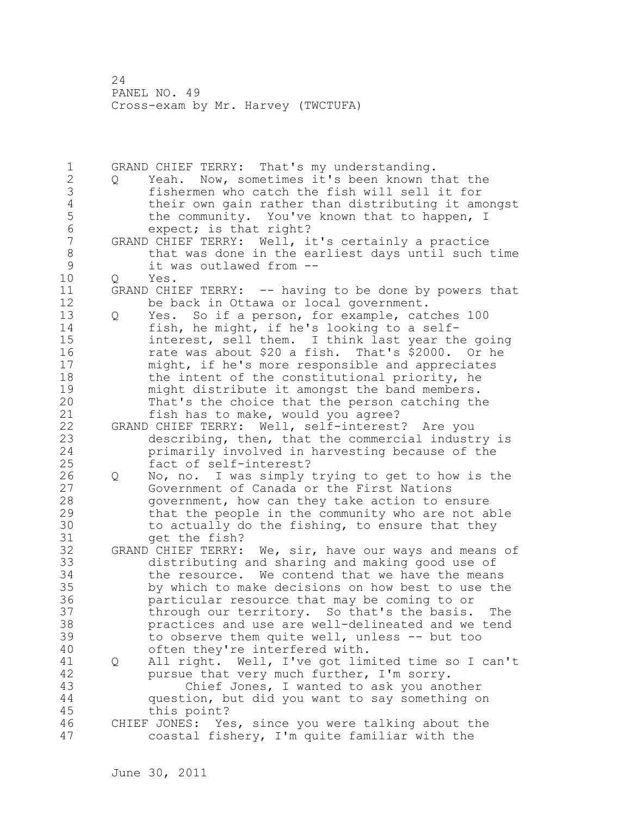1 GRAND CHIEF TERRY: That's my understanding. 2 Q Yeah. Now, sometimes it's been known that the 3 fishermen who catch the fish will sell it for 4 their own gain rather than distributing it amongst<br>5 the community. You've known that to happen, I 5 the community. You've known that to happen, I<br>6 expect: is that right? 6 expect; is that right?<br>7 GRAND CHIEF TERRY: Well, i GRAND CHIEF TERRY: Well, it's certainly a practice 8 that was done in the earliest days until such time<br>9 it was outlawed from --9 it was outlawed from --<br>10 0 Yes. 10 Q Yes. 11 GRAND CHIEF TERRY: -- having to be done by powers that 12 be back in Ottawa or local government. 13 Q Yes. So if a person, for example, catches 100 14 fish, he might, if he's looking to a self-15 interest, sell them. I think last year the going 16 rate was about \$20 a fish. That's \$2000. Or he 17 might, if he's more responsible and appreciates 18 the intent of the constitutional priority, he 19 might distribute it amongst the band members.<br>20 That's the choice that the person catching th That's the choice that the person catching the 21 fish has to make, would you agree? 22 GRAND CHIEF TERRY: Well, self-interest? Are you 23 describing, then, that the commercial industry is 24 primarily involved in harvesting because of the 25 fact of self-interest? 26 Q No, no. I was simply trying to get to how is the<br>27 Government of Canada or the First Nations Government of Canada or the First Nations 28 government, how can they take action to ensure 29 that the people in the community who are not able 30 to actually do the fishing, to ensure that they<br>31 ort the fish? get the fish? 32 GRAND CHIEF TERRY: We, sir, have our ways and means of 33 distributing and sharing and making good use of 34 the resource. We contend that we have the means 35 by which to make decisions on how best to use the 36 particular resource that may be coming to or 37 through our territory. So that's the basis. The 38 practices and use are well-delineated and we tend 39 to observe them quite well, unless -- but too 40 often they're interfered with. 41 Q All right. Well, I've got limited time so I can't<br>42 Dursue that very much further, I'm sorry. pursue that very much further, I'm sorry. 43 Chief Jones, I wanted to ask you another 44 question, but did you want to say something on 45 this point? 46 CHIEF JONES: Yes, since you were talking about the 47 coastal fishery, I'm quite familiar with the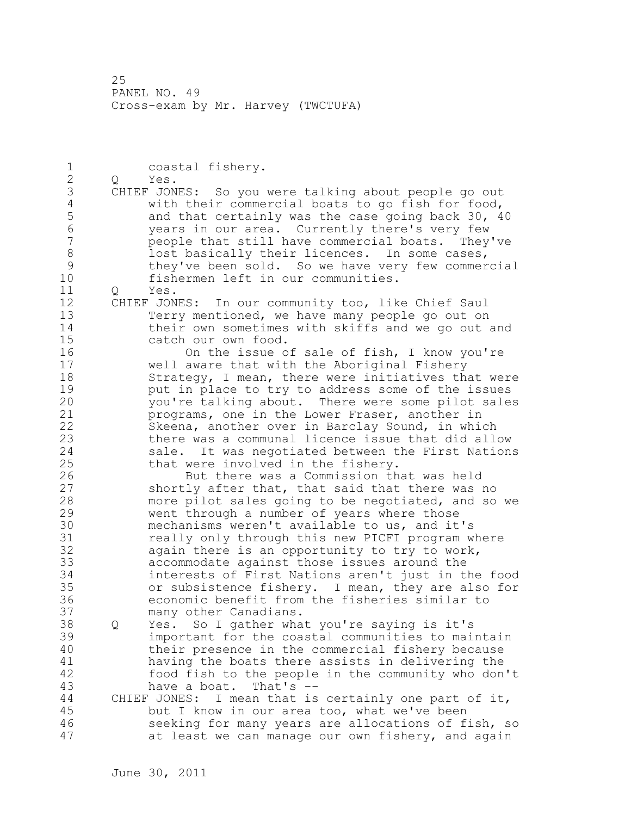1 coastal fishery. 2 Q Yes. 3 CHIEF JONES: So you were talking about people go out<br>4 with their commercial boats to go fish for food, 4 with their commercial boats to go fish for food,<br>5 and that certainly was the case going back 30, 4 5 and that certainly was the case going back 30, 40<br>6 vears in our area. Currently there's very few 6 years in our area. Currently there's very few people that still have commercial boats. They've 8 lost basically their licences. In some cases, 9 they've been sold. So we have very few commercial<br>10 fishermen left in our communities. fishermen left in our communities. 11 Q Yes. 12 CHIEF JONES: In our community too, like Chief Saul 13 Terry mentioned, we have many people go out on 14 their own sometimes with skiffs and we go out and 15 catch our own food. 16 On the issue of sale of fish, I know you're 17 well aware that with the Aboriginal Fishery 18 Strategy, I mean, there were initiatives that were 19 but in place to try to address some of the issues<br>20 bou're talking about. There were some pilot sales you're talking about. There were some pilot sales 21 programs, one in the Lower Fraser, another in 22 Skeena, another over in Barclay Sound, in which 23 there was a communal licence issue that did allow 24 sale. It was negotiated between the First Nations 25 that were involved in the fishery. 26 But there was a Commission that was held<br>27 Shortly after that, that said that there was shortly after that, that said that there was no 28 more pilot sales going to be negotiated, and so we 29 went through a number of years where those 30 mechanisms weren't available to us, and it's<br>31 meally only through this new PICFI program w really only through this new PICFI program where 32 again there is an opportunity to try to work, 33 accommodate against those issues around the 34 interests of First Nations aren't just in the food 35 or subsistence fishery. I mean, they are also for 36 economic benefit from the fisheries similar to 37 many other Canadians. 38 Q Yes. So I gather what you're saying is it's 39 important for the coastal communities to maintain 40 their presence in the commercial fishery because 41 having the boats there assists in delivering the<br>42 food fish to the people in the community who don food fish to the people in the community who don't 43 have a boat. That's -- 44 CHIEF JONES: I mean that is certainly one part of it, 45 but I know in our area too, what we've been 46 seeking for many years are allocations of fish, so 47 at least we can manage our own fishery, and again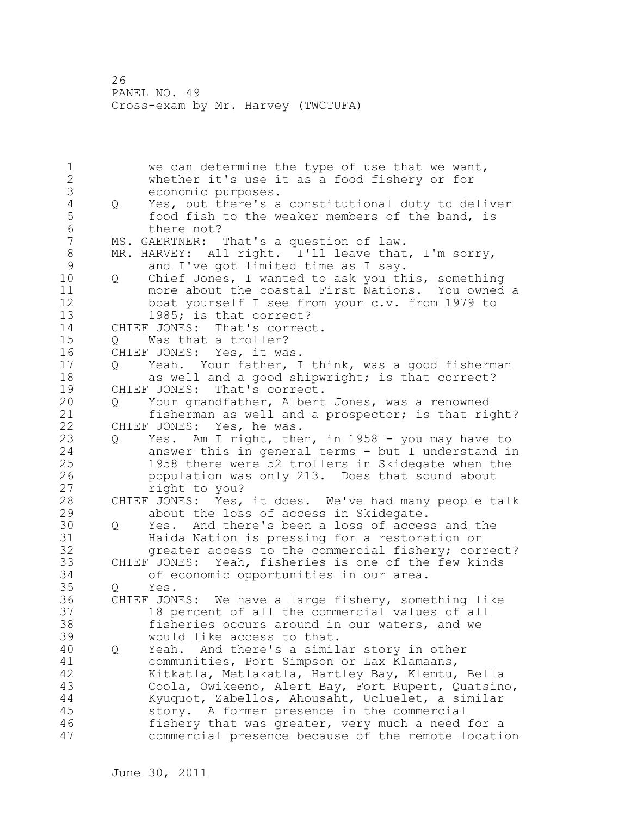1 we can determine the type of use that we want, 2 whether it's use it as a food fishery or for 3 economic purposes.<br>4 Q Yes, but there's a 4 Q Yes, but there's a constitutional duty to deliver 5 food fish to the weaker members of the band, is<br>6 there not? 6 there not?<br>7 MS. GAERTNER: MS. GAERTNER: That's a question of law. 8 MR. HARVEY: All right. I'll leave that, I'm sorry,<br>9 and I've got limited time as I sav. 9 and I've got limited time as I say.<br>10 0 Chief Jones, I wanted to ask you th 10 Q Chief Jones, I wanted to ask you this, something 11 more about the coastal First Nations. You owned a 12 boat yourself I see from your c.v. from 1979 to 13 1985; is that correct? 14 CHIEF JONES: That's correct. 15 Q Was that a troller? 16 CHIEF JONES: Yes, it was. 17 Q Yeah. Your father, I think, was a good fisherman 18 as well and a good shipwright; is that correct? 19 CHIEF JONES: That's correct.<br>20 0 Your grandfather, Albert Your grandfather, Albert Jones, was a renowned 21 fisherman as well and a prospector; is that right? 22 CHIEF JONES: Yes, he was. 23 Q Yes. Am I right, then, in 1958 - you may have to 24 answer this in general terms - but I understand in 25 1958 there were 52 trollers in Skidegate when the 26 population was only 213. Does that sound about<br>27 http://www.com/2013. Does that sound about right to you? 28 CHIEF JONES: Yes, it does. We've had many people talk 29 about the loss of access in Skidegate. 30 Q Yes. And there's been a loss of access and the 31 31 Haida Nation is pressing for a restoration or<br>32 The areater access to the commercial fishery: cor greater access to the commercial fishery; correct? 33 CHIEF JONES: Yeah, fisheries is one of the few kinds 34 of economic opportunities in our area. 35 Q Yes.<br>36 CHIEF JON CHIEF JONES: We have a large fishery, something like 37 18 percent of all the commercial values of all 38 fisheries occurs around in our waters, and we 39 would like access to that. 40 Q Yeah. And there's a similar story in other 41 communities, Port Simpson or Lax Klamaans, Kitkatla, Metlakatla, Hartley Bay, Klemtu, Bella 43 Coola, Owikeeno, Alert Bay, Fort Rupert, Quatsino, 44 Kyuquot, Zabellos, Ahousaht, Ucluelet, a similar 45 story. A former presence in the commercial 46 fishery that was greater, very much a need for a 47 commercial presence because of the remote location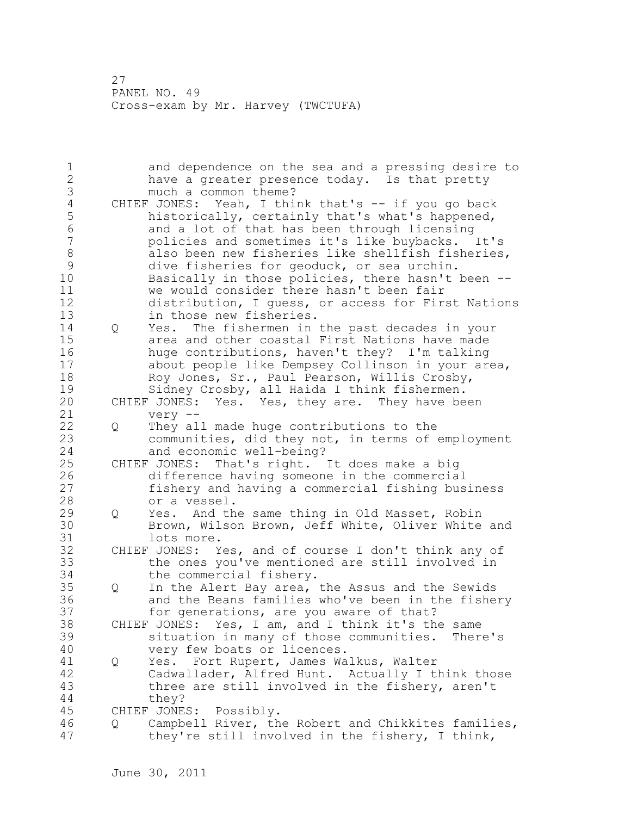1 and dependence on the sea and a pressing desire to 2 have a greater presence today. Is that pretty 3 much a common theme?<br>4 CHIEF JONES: Yeah, I this 4 CHIEF JONES: Yeah, I think that's -- if you go back<br>5 historically, certainly that's what's happened, 5 historically, certainly that's what's happened,<br>6 and a lot of that has been through licensing 6 and a lot of that has been through licensing<br>7 bolicies and sometimes it's like buvbacks. policies and sometimes it's like buybacks. It's 8 also been new fisheries like shellfish fisheries, 9 dive fisheries for geoduck, or sea urchin.<br>10 Basically in those policies, there hasn't Basically in those policies, there hasn't been --11 we would consider there hasn't been fair 12 distribution, I guess, or access for First Nations 13 in those new fisheries. 14 Q Yes. The fishermen in the past decades in your 15 area and other coastal First Nations have made 16 huge contributions, haven't they? I'm talking 17 about people like Dempsey Collinson in your area, 18 Roy Jones, Sr., Paul Pearson, Willis Crosby, 19 Sidney Crosby, all Haida I think fishermen.<br>20 CHIEF JONES: Yes. Yes, they are. They have be CHIEF JONES: Yes. Yes, they are. They have been 21 very -- 22 Q They all made huge contributions to the 23 communities, did they not, in terms of employment 24 and economic well-being? 25 CHIEF JONES: That's right. It does make a big 26 difference having someone in the commercial<br>27 fishery and having a commercial fishing bus fishery and having a commercial fishing business 28 or a vessel. 29 Q Yes. And the same thing in Old Masset, Robin 30 Brown, Wilson Brown, Jeff White, Oliver White and<br>31 lots more. lots more. 32 CHIEF JONES: Yes, and of course I don't think any of 33 the ones you've mentioned are still involved in 34 the commercial fishery. 35 Q In the Alert Bay area, the Assus and the Sewids 36 and the Beans families who've been in the fishery 37 for generations, are you aware of that? 38 CHIEF JONES: Yes, I am, and I think it's the same 39 situation in many of those communities. There's 40 very few boats or licences. 41 Q Yes. Fort Rupert, James Walkus, Walter<br>42 Cadwallader, Alfred Hunt. Actually I t Cadwallader, Alfred Hunt. Actually I think those 43 three are still involved in the fishery, aren't 44 they? 45 CHIEF JONES: Possibly. 46 Q Campbell River, the Robert and Chikkites families, 47 they're still involved in the fishery, I think,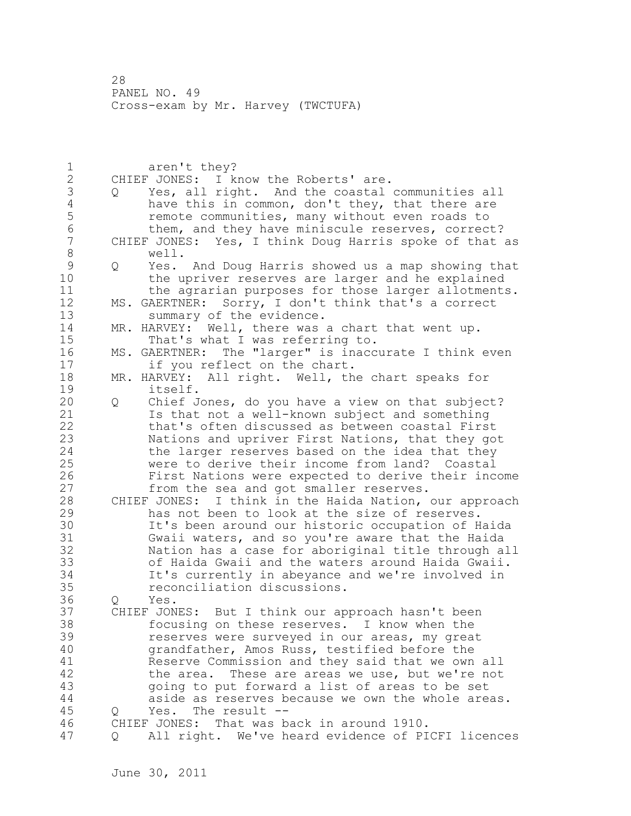1 aren't they? 2 CHIEF JONES: I know the Roberts' are. 3 Q Yes, all right. And the coastal communities all<br>4 have this in common, don't they, that there are 4 have this in common, don't they, that there are<br>5 memote communities, many without even roads to 5 5 remote communities, many without even roads to<br>6 them, and they have miniscule reserves, correct 6 them, and they have miniscule reserves, correct?<br>7 CHIEF JONES: Yes, I think Doug Harris spoke of that CHIEF JONES: Yes, I think Doug Harris spoke of that as 8 well.<br>9 0 Yes. 9 Q Yes. And Doug Harris showed us a map showing that<br>10 the upriver reserves are larger and he explained the upriver reserves are larger and he explained 11 the agrarian purposes for those larger allotments. 12 MS. GAERTNER: Sorry, I don't think that's a correct 13 summary of the evidence. 14 MR. HARVEY: Well, there was a chart that went up.<br>15 That's what I was referring to. 15 That's what I was referring to.<br>16 MS. GAERTNER: The "larger" is inacc MS. GAERTNER: The "larger" is inaccurate I think even 17 if you reflect on the chart. 18 MR. HARVEY: All right. Well, the chart speaks for 19 itself.<br>20 0 Chief J 20 Q Chief Jones, do you have a view on that subject? 21 Is that not a well-known subject and something 22 that's often discussed as between coastal First 23 Nations and upriver First Nations, that they got 24 the larger reserves based on the idea that they 25 were to derive their income from land? Coastal 26 First Nations were expected to derive their income<br>27 from the sea and got smaller reserves. from the sea and got smaller reserves. 28 CHIEF JONES: I think in the Haida Nation, our approach 29 has not been to look at the size of reserves. 30 It's been around our historic occupation of Haida<br>31 Gwaii waters, and so vou're aware that the Haida Gwaii waters, and so you're aware that the Haida 32 Nation has a case for aboriginal title through all 33 of Haida Gwaii and the waters around Haida Gwaii. 34 It's currently in abeyance and we're involved in 35 reconciliation discussions. 36 Q Yes. 37 CHIEF JONES: But I think our approach hasn't been 38 focusing on these reserves. I know when the 39 reserves were surveyed in our areas, my great 40 grandfather, Amos Russ, testified before the 41 Reserve Commission and they said that we own all<br>42 the area. These are areas we use, but we're not the area. These are areas we use, but we're not 43 going to put forward a list of areas to be set 44 aside as reserves because we own the whole areas. 45 Q Yes. The result -- 46 CHIEF JONES: That was back in around 1910. 47 Q All right. We've heard evidence of PICFI licences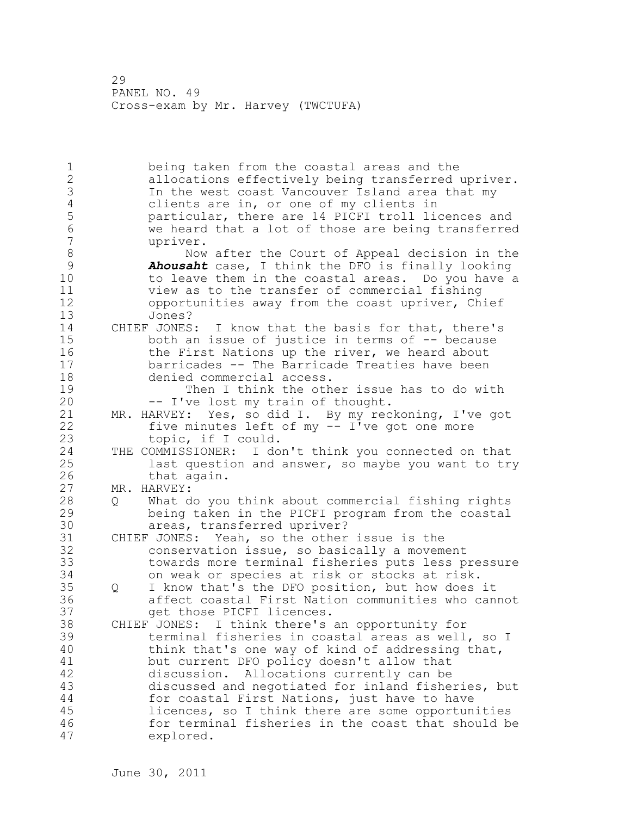1 being taken from the coastal areas and the 2 allocations effectively being transferred upriver. 3 In the west coast Vancouver Island area that my<br>4 clients are in, or one of my clients in 4 clients are in, or one of my clients in<br>5 particular, there are 14 PICFI troll li 5 particular, there are 14 PICFI troll licences and 6 we heard that a lot of those are being transferred upriver. 8 Now after the Court of Appeal decision in the<br>9 **Ahousaht** case, I think the DFO is finally looking 9 *Ahousaht* case, I think the DFO is finally looking to leave them in the coastal areas. Do you have a 11 view as to the transfer of commercial fishing 12 opportunities away from the coast upriver, Chief 13 Jones? 14 CHIEF JONES: I know that the basis for that, there's 15 both an issue of justice in terms of -- because 16 the First Nations up the river, we heard about 17 barricades -- The Barricade Treaties have been 18 denied commercial access. 19 Then I think the other issue has to do with<br>20 -- I've lost my train of thought. -- I've lost my train of thought. 21 MR. HARVEY: Yes, so did I. By my reckoning, I've got 22 five minutes left of my -- I've got one more 23 topic, if I could. 24 THE COMMISSIONER: I don't think you connected on that 25 last question and answer, so maybe you want to try 26 that again.<br>27 MR. HARVEY: MR. HARVEY: 28 Q What do you think about commercial fishing rights 29 being taken in the PICFI program from the coastal 30 areas, transferred upriver?<br>31 CHIEF JONES: Yeah, so the other CHIEF JONES: Yeah, so the other issue is the 32 conservation issue, so basically a movement 33 towards more terminal fisheries puts less pressure 34 on weak or species at risk or stocks at risk. 35 Q I know that's the DFO position, but how does it 36 affect coastal First Nation communities who cannot 37 get those PICFI licences. 38 CHIEF JONES: I think there's an opportunity for 39 terminal fisheries in coastal areas as well, so I 40 think that's one way of kind of addressing that, 41 but current DFO policy doesn't allow that<br>42 discussion. Allocations currently can be discussion. Allocations currently can be 43 discussed and negotiated for inland fisheries, but 44 for coastal First Nations, just have to have 45 licences, so I think there are some opportunities 46 for terminal fisheries in the coast that should be 47 explored.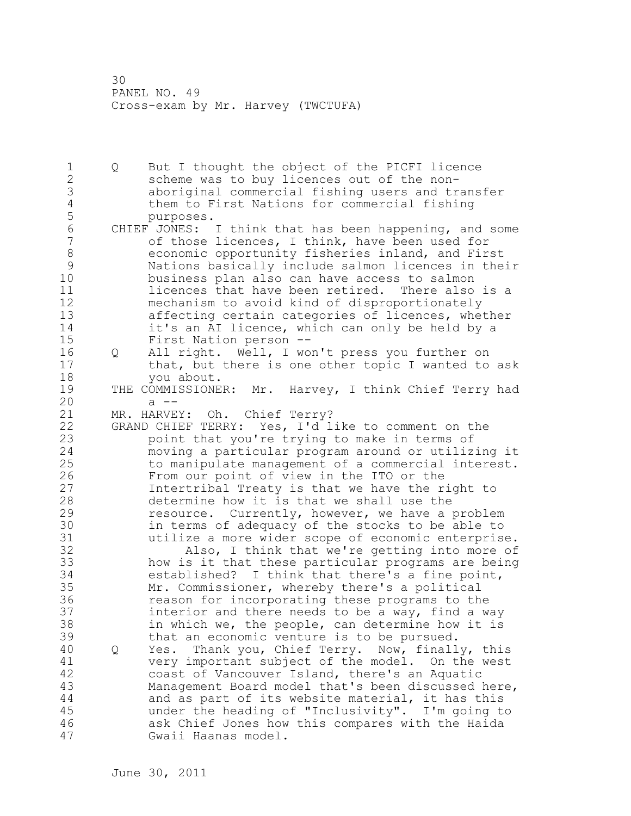1 Q But I thought the object of the PICFI licence 2 scheme was to buy licences out of the non-3 aboriginal commercial fishing users and transfer 4 them to First Nations for commercial fishing 5 purposes. 6 CHIEF JONES: I think that has been happening, and some<br>7 of those licences, I think, have been used for of those licences, I think, have been used for 8 economic opportunity fisheries inland, and First 9 Nations basically include salmon licences in their business plan also can have access to salmon 11 **licences that have been retired.** There also is a 12 mechanism to avoid kind of disproportionately 13 affecting certain categories of licences, whether 14 it's an AI licence, which can only be held by a 15 First Nation person -- 16 Q All right. Well, I won't press you further on 17 that, but there is one other topic I wanted to ask 18 you about. 19 THE COMMISSIONER: Mr. Harvey, I think Chief Terry had<br>20 a -a --<br>MR. HARVEY: 21 MR. HARVEY: Oh. Chief Terry? 22 GRAND CHIEF TERRY: Yes, I'd like to comment on the 23 point that you're trying to make in terms of 24 moving a particular program around or utilizing it 25 to manipulate management of a commercial interest. 26 From our point of view in the ITO or the<br>27 Intertribal Treaty is that we have the r Intertribal Treaty is that we have the right to 28 determine how it is that we shall use the 29 resource. Currently, however, we have a problem 30 in terms of adequacy of the stocks to be able to 31 utilize a more wider scope of economic enterprise.<br>32 also, I think that we're getting into more of Also, I think that we're getting into more of 33 how is it that these particular programs are being 34 established? I think that there's a fine point, 35 Mr. Commissioner, whereby there's a political 36 reason for incorporating these programs to the 37 interior and there needs to be a way, find a way 38 in which we, the people, can determine how it is 39 that an economic venture is to be pursued. 40 Q Yes. Thank you, Chief Terry. Now, finally, this 41 very important subject of the model. On the west<br>42 coast of Vancouver Island, there's an Aquatic coast of Vancouver Island, there's an Aquatic 43 Management Board model that's been discussed here, 44 and as part of its website material, it has this 45 under the heading of "Inclusivity". I'm going to 46 ask Chief Jones how this compares with the Haida 47 Gwaii Haanas model.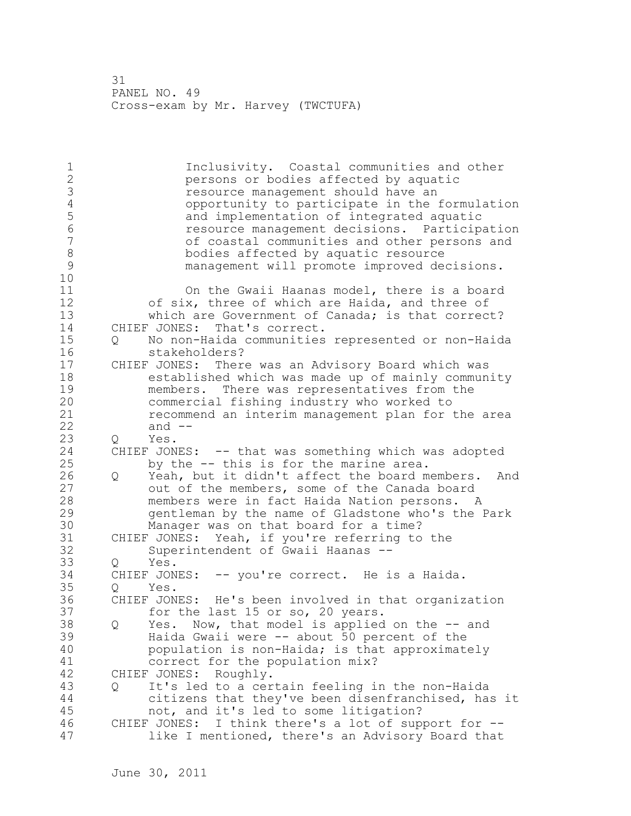1 1 Inclusivity. Coastal communities and other<br>2 1 Dersons or bodies affected by aguatic persons or bodies affected by aquatic 3 resource management should have an<br>4 copportunity to participate in the 4 opportunity to participate in the formulation<br>5 and implementation of integrated aquatic 5 and implementation of integrated aquatic 6 resource management decisions. Participation of coastal communities and other persons and 8 bodies affected by aquatic resource<br>9 management will promote improved de management will promote improved decisions. 10 11 On the Gwaii Haanas model, there is a board 12 of six, three of which are Haida, and three of 13 which are Government of Canada; is that correct? 14 CHIEF JONES: That's correct. 15 Q No non-Haida communities represented or non-Haida 16 stakeholders? 17 CHIEF JONES: There was an Advisory Board which was 18 established which was made up of mainly community 19 members. There was representatives from the<br>20 commercial fishing industry who worked to commercial fishing industry who worked to 21 recommend an interim management plan for the area 22 and -- 23 Q Yes. 24 CHIEF JONES: -- that was something which was adopted 25 by the -- this is for the marine area. 26 Q Yeah, but it didn't affect the board members. And<br>27 out of the members, some of the Canada board out of the members, some of the Canada board 28 members were in fact Haida Nation persons. A 29 gentleman by the name of Gladstone who's the Park 30 Manager was on that board for a time?<br>31 CHIEF JONES: Yeah, if you're referring to 31 CHIEF JONES: Yeah, if you're referring to the<br>32 Superintendent of Gwaii Haanas --Superintendent of Gwaii Haanas --33 Q Yes. 34 CHIEF JONES: -- you're correct. He is a Haida. 35 Q Yes. 36 CHIEF JONES: He's been involved in that organization 37 for the last 15 or so, 20 years. 38 Q Yes. Now, that model is applied on the -- and 39 Haida Gwaii were -- about 50 percent of the 40 population is non-Haida; is that approximately 41 correct for the population mix?<br>42 CHIEF JONES: Roughly. CHIEF JONES: Roughly. 43 Q It's led to a certain feeling in the non-Haida 44 citizens that they've been disenfranchised, has it 45 not, and it's led to some litigation? 46 CHIEF JONES: I think there's a lot of support for -- 47 like I mentioned, there's an Advisory Board that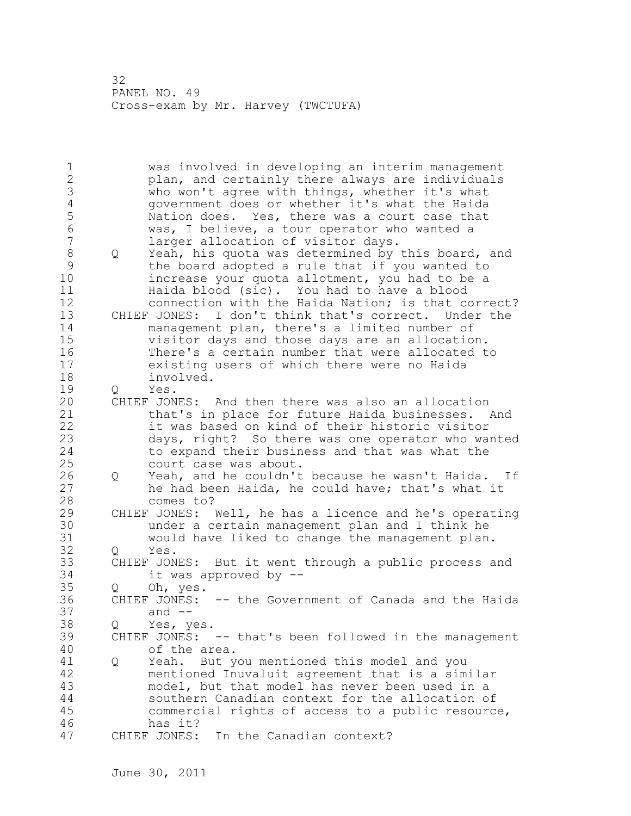1 was involved in developing an interim management 2 plan, and certainly there always are individuals 3 who won't agree with things, whether it's what<br>4 qovernment does or whether it's what the Haida 4 government does or whether it's what the Haida<br>5 Nation does. Yes, there was a court case that 5 Nation does. Yes, there was a court case that<br>6 Was, I believe, a tour operator who wanted a 6 was, I believe, a tour operator who wanted a larger allocation of visitor days. 8 Q Yeah, his quota was determined by this board, and<br>9 the board adopted a rule that if you wanted to 9 the board adopted a rule that if you wanted to increase your quota allotment, you had to be a 11 Haida blood (sic). You had to have a blood 12 connection with the Haida Nation; is that correct? 13 CHIEF JONES: I don't think that's correct. Under the 14 management plan, there's a limited number of 15 visitor days and those days are an allocation. 16 There's a certain number that were allocated to 17 existing users of which there were no Haida 18 involved. 19 Q Yes.<br>20 CHIEF JON CHIEF JONES: And then there was also an allocation 21 that's in place for future Haida businesses. And 22 it was based on kind of their historic visitor 23 days, right? So there was one operator who wanted 24 to expand their business and that was what the 25 court case was about. 26 Q Yeah, and he couldn't because he wasn't Haida. If<br>27 he had been Haida, he could have; that's what it he had been Haida, he could have; that's what it 28 comes to? 29 CHIEF JONES: Well, he has a licence and he's operating 30 under a certain management plan and I think he 31 would have liked to change the management plan. Q Yes. 33 CHIEF JONES: But it went through a public process and 34 it was approved by -- 35 Q Oh, yes.<br>36 CHIEF JONES: CHIEF JONES: -- the Government of Canada and the Haida 37 and -- 38 Q Yes, yes. 39 CHIEF JONES: -- that's been followed in the management 40 of the area. 41 Q Yeah. But you mentioned this model and you<br>42 mentioned Inuvaluit agreement that is a sim mentioned Inuvaluit agreement that is a similar 43 model, but that model has never been used in a 44 southern Canadian context for the allocation of 45 commercial rights of access to a public resource, 46 has it? 47 CHIEF JONES: In the Canadian context?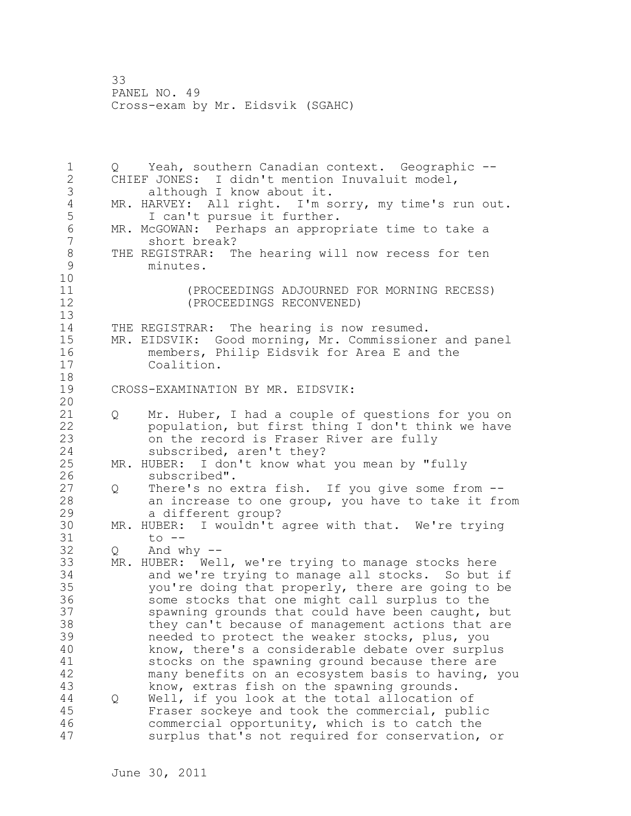1 Q Yeah, southern Canadian context. Geographic -- 2 CHIEF JONES: I didn't mention Inuvaluit model, 3 although I know about it.<br>4 MR. HARVEY: All right. I'm s 4 MR. HARVEY: All right. I'm sorry, my time's run out.<br>5 1 can't pursue it further. 5 1 can't pursue it further.<br>6 MR. McGOWAN: Perhaps an approp 6 MR. McGOWAN: Perhaps an appropriate time to take a short break? 8 THE REGISTRAR: The hearing will now recess for ten<br>9 minutes. minutes. 10 11 (PROCEEDINGS ADJOURNED FOR MORNING RECESS) 12 (PROCEEDINGS RECONVENED) 13 14 THE REGISTRAR: The hearing is now resumed. 15 MR. EIDSVIK: Good morning, Mr. Commissioner and panel 16 members, Philip Eidsvik for Area E and the<br>17 Coalition. Coalition. 18 19 CROSS-EXAMINATION BY MR. EIDSVIK: 20 21 Q Mr. Huber, I had a couple of questions for you on 22 population, but first thing I don't think we have 23 on the record is Fraser River are fully 24 subscribed, aren't they? 25 MR. HUBER: I don't know what you mean by "fully 26 subscribed".<br>27 Q There's no e 0 There's no extra fish. If you give some from --28 an increase to one group, you have to take it from 29 a different group? 30 MR. HUBER: I wouldn't agree with that. We're trying<br>31 to --31 to --<br>32 0 And w  $Q$  And why  $-$ 33 MR. HUBER: Well, we're trying to manage stocks here 34 and we're trying to manage all stocks. So but if 35 you're doing that properly, there are going to be 36 some stocks that one might call surplus to the 37 spawning grounds that could have been caught, but 38 they can't because of management actions that are 39 needed to protect the weaker stocks, plus, you 40 know, there's a considerable debate over surplus 41 stocks on the spawning ground because there are<br>42 many benefits on an ecosystem basis to having, many benefits on an ecosystem basis to having, you 43 know, extras fish on the spawning grounds. 44 Q Well, if you look at the total allocation of 45 Fraser sockeye and took the commercial, public 46 commercial opportunity, which is to catch the 47 surplus that's not required for conservation, or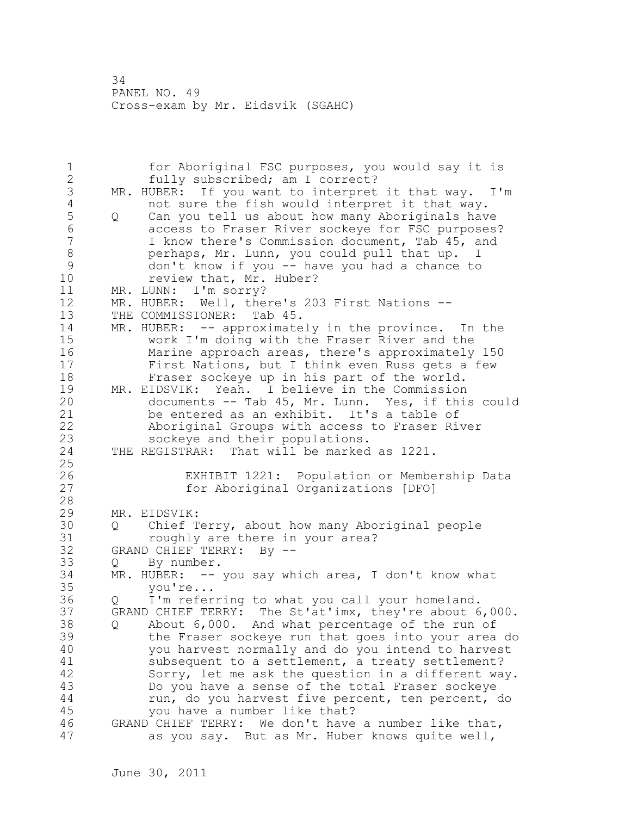1 for Aboriginal FSC purposes, you would say it is 2 fully subscribed; am I correct? 3 MR. HUBER: If you want to interpret it that way. I'm<br>4 mot sure the fish would interpret it that way. 4 not sure the fish would interpret it that way.<br>5 0 Can you tell us about how many Aboriginals hav 5 Q Can you tell us about how many Aboriginals have 6 6 access to Fraser River sockeye for FSC purposes?<br>7 1 know there's Commission document, Tab 45, and I know there's Commission document, Tab 45, and 8 **perhaps, Mr. Lunn, you could pull that up.** I 9 don't know if you -- have you had a chance to<br>10 review that, Mr. Huber? review that, Mr. Huber? 11 MR. LUNN: I'm sorry? 12 MR. HUBER: Well, there's 203 First Nations -- 13 THE COMMISSIONER: Tab 45. 14 MR. HUBER: -- approximately in the province. In the 15 work I'm doing with the Fraser River and the 16 Marine approach areas, there's approximately 150 17 First Nations, but I think even Russ gets a few 18 Fraser sockeye up in his part of the world. 19 MR. EIDSVIK: Yeah. I believe in the Commission<br>20 documents -- Tab 45, Mr. Lunn. Yes, if this documents -- Tab 45, Mr. Lunn. Yes, if this could 21 be entered as an exhibit. It's a table of 22 Aboriginal Groups with access to Fraser River 23 sockeye and their populations. 24 THE REGISTRAR: That will be marked as 1221. 25 26 EXHIBIT 1221: Population or Membership Data<br>27 for Aboriginal Organizations [DFO] for Aboriginal Organizations [DFO] 28 29 MR. EIDSVIK: 30 Q Chief Terry, about how many Aboriginal people 31 roughly are there in your area?<br>32 GRAND CHIEF TERRY: Bv --GRAND CHIEF TERRY: By --33 Q By number. 34 MR. HUBER: -- you say which area, I don't know what 35 you're... 36 Q I'm referring to what you call your homeland. 37 GRAND CHIEF TERRY: The St'at'imx, they're about 6,000. 38 Q About 6,000. And what percentage of the run of 39 the Fraser sockeye run that goes into your area do 40 you harvest normally and do you intend to harvest 41 subsequent to a settlement, a treaty settlement?<br>42 Sorry, let me ask the question in a different wa Sorry, let me ask the question in a different way. 43 Do you have a sense of the total Fraser sockeye 44 run, do you harvest five percent, ten percent, do 45 you have a number like that? 46 GRAND CHIEF TERRY: We don't have a number like that, 47 as you say. But as Mr. Huber knows quite well,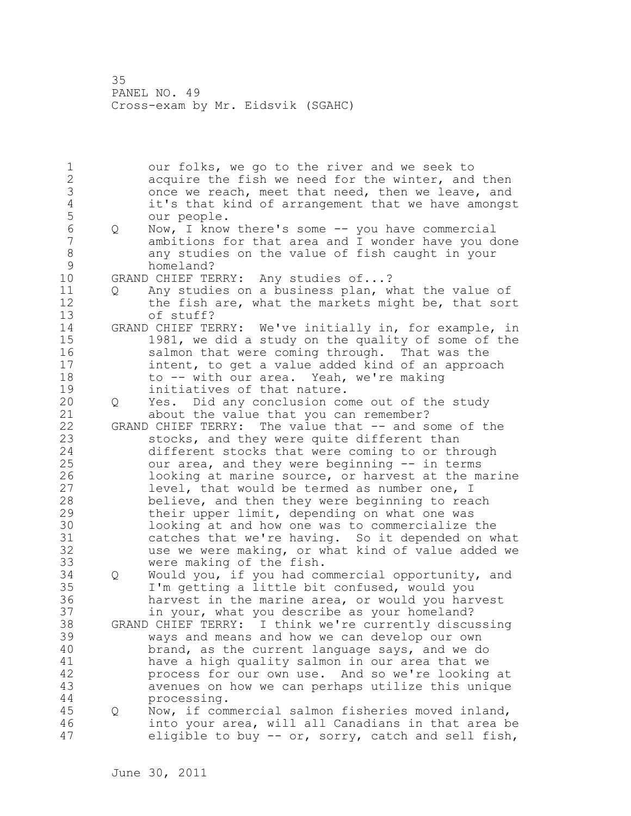1 our folks, we go to the river and we seek to 2 acquire the fish we need for the winter, and then 3 once we reach, meet that need, then we leave, and<br>4 it's that kind of arrangement that we have amongs 4 it's that kind of arrangement that we have amongst 5 our people.<br>6 0 Now, I know 6 Q Now, I know there's some -- you have commercial ambitions for that area and I wonder have you done 8 any studies on the value of fish caught in your 9 homeland?<br>10 GRAND CHIEF TE GRAND CHIEF TERRY: Any studies of...? 11 Q Any studies on a business plan, what the value of 12 the fish are, what the markets might be, that sort 13 of stuff? 14 GRAND CHIEF TERRY: We've initially in, for example, in 15 1981, we did a study on the quality of some of the 16 salmon that were coming through. That was the 17 intent, to get a value added kind of an approach 18 to -- with our area. Yeah, we're making 19 initiatives of that nature.<br>20 0 Yes. Did any conclusion co 20 Q Yes. Did any conclusion come out of the study 21 about the value that you can remember? 22 GRAND CHIEF TERRY: The value that -- and some of the 23 stocks, and they were quite different than 24 different stocks that were coming to or through 25 our area, and they were beginning -- in terms 26 100king at marine source, or harvest at the marine<br>27 1evel, that would be termed as number one, I level, that would be termed as number one, I 28 believe, and then they were beginning to reach 29 their upper limit, depending on what one was 30 looking at and how one was to commercialize the<br>31 catches that we're having. So it depended on w 31 catches that we're having. So it depended on what<br>32 use we were making, or what kind of value added we use we were making, or what kind of value added we 33 were making of the fish. 34 Q Would you, if you had commercial opportunity, and 35 I'm getting a little bit confused, would you 36 harvest in the marine area, or would you harvest 37 in your, what you describe as your homeland? 38 GRAND CHIEF TERRY: I think we're currently discussing 39 ways and means and how we can develop our own 40 brand, as the current language says, and we do 41 have a high quality salmon in our area that we<br>42 have service our own use. And so we're looking process for our own use. And so we're looking at 43 avenues on how we can perhaps utilize this unique 44 processing. 45 Q Now, if commercial salmon fisheries moved inland, 46 into your area, will all Canadians in that area be 47 eligible to buy -- or, sorry, catch and sell fish,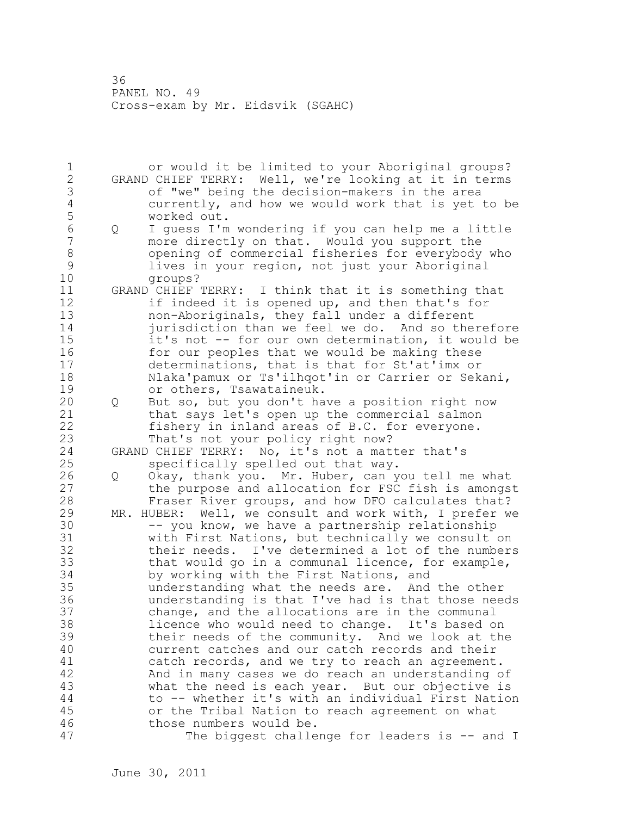1 or would it be limited to your Aboriginal groups? 2 GRAND CHIEF TERRY: Well, we're looking at it in terms 3 of "we" being the decision-makers in the area 4 currently, and how we would work that is yet to be 5 worked out.<br>6 0 I quess I'm 6 Q I guess I'm wondering if you can help me a little more directly on that. Would you support the 8 opening of commercial fisheries for everybody who<br>9 lives in your region, not just your Aboriginal 9 lives in your region, not just your Aboriginal groups? 11 GRAND CHIEF TERRY: I think that it is something that 12 if indeed it is opened up, and then that's for 13 non-Aboriginals, they fall under a different 14 jurisdiction than we feel we do. And so therefore 15 it's not -- for our own determination, it would be 16 for our peoples that we would be making these 17 determinations, that is that for St'at'imx or 18 Nlaka'pamux or Ts'ilhqot'in or Carrier or Sekani, 19 or others, Tsawataineuk.<br>20 0 But so, but you don't ha 20 Q But so, but you don't have a position right now 21 that says let's open up the commercial salmon 22 fishery in inland areas of B.C. for everyone. 23 That's not your policy right now? 24 GRAND CHIEF TERRY: No, it's not a matter that's 25 specifically spelled out that way. 26 Q Okay, thank you. Mr. Huber, can you tell me what<br>27 the purpose and allocation for FSC fish is amongs the purpose and allocation for FSC fish is amongst 28 Fraser River groups, and how DFO calculates that? 29 MR. HUBER: Well, we consult and work with, I prefer we 30 -- you know, we have a partnership relationship<br>31 with First Nations, but technically we consult 31 with First Nations, but technically we consult on<br>32 their needs. I've determined a lot of the number: their needs. I've determined a lot of the numbers 33 that would go in a communal licence, for example, 34 by working with the First Nations, and 35 understanding what the needs are. And the other 36 understanding is that I've had is that those needs 37 change, and the allocations are in the communal 38 licence who would need to change. It's based on 39 their needs of the community. And we look at the 40 current catches and our catch records and their 41 catch records, and we try to reach an agreement.<br>42 And in many cases we do reach an understanding o And in many cases we do reach an understanding of 43 what the need is each year. But our objective is 44 to -- whether it's with an individual First Nation 45 or the Tribal Nation to reach agreement on what 46 those numbers would be. 47 The biggest challenge for leaders is -- and I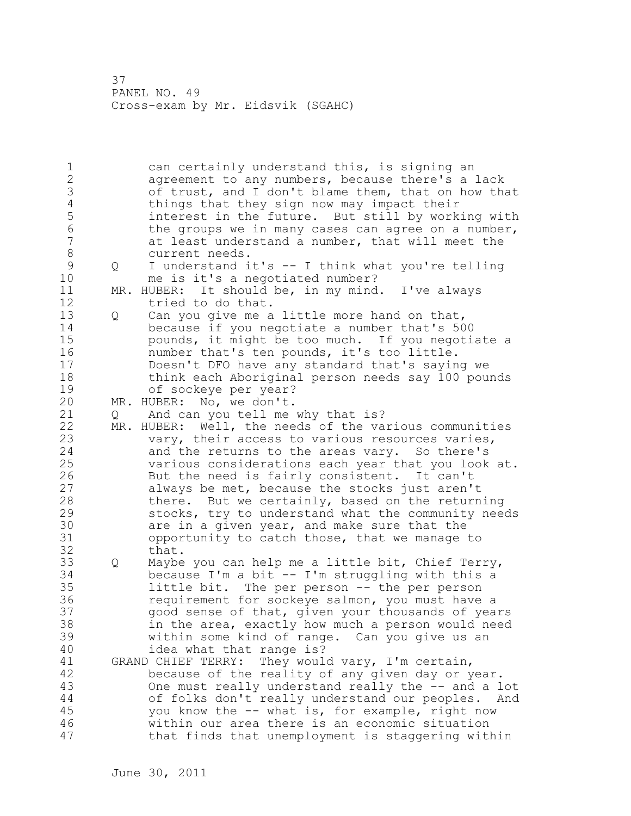1 can certainly understand this, is signing an 2 agreement to any numbers, because there's a lack 3 of trust, and I don't blame them, that on how that<br>4 things that they sign now may impact their 4 things that they sign now may impact their<br>5 finterest in the future. But still by work 5 interest in the future. But still by working with<br>6 the groups we in many cases can agree on a number, 6 the groups we in many cases can agree on a number,<br>7 at least understand a number, that will meet the at least understand a number, that will meet the 8 current needs. 9 Q I understand it's -- I think what you're telling me is it's a negotiated number? 11 MR. HUBER: It should be, in my mind. I've always 12 tried to do that. 13 Q Can you give me a little more hand on that, 14 because if you negotiate a number that's 500 15 pounds, it might be too much. If you negotiate a 16 number that's ten pounds, it's too little. 17 Doesn't DFO have any standard that's saying we 18 think each Aboriginal person needs say 100 pounds 19 of sockeye per year?<br>20 MR. HUBER: No, we don't. MR. HUBER: No, we don't. 21 Q And can you tell me why that is? 22 MR. HUBER: Well, the needs of the various communities 23 vary, their access to various resources varies, 24 and the returns to the areas vary. So there's 25 various considerations each year that you look at. 26 But the need is fairly consistent. It can't<br>27 always be met, because the stocks just aren' always be met, because the stocks just aren't 28 there. But we certainly, based on the returning 29 stocks, try to understand what the community needs 30 are in a given year, and make sure that the<br>31 opportunity to catch those, that we manage to opportunity to catch those, that we manage to 32 that. 33 Q Maybe you can help me a little bit, Chief Terry, 34 because I'm a bit -- I'm struggling with this a 35 little bit. The per person -- the per person 36 requirement for sockeye salmon, you must have a 37 good sense of that, given your thousands of years 38 in the area, exactly how much a person would need 39 within some kind of range. Can you give us an 40 idea what that range is? 41 GRAND CHIEF TERRY: They would vary, I'm certain,<br>42 because of the reality of any given day or y because of the reality of any given day or year. 43 One must really understand really the -- and a lot 44 of folks don't really understand our peoples. And 45 you know the -- what is, for example, right now 46 within our area there is an economic situation 47 that finds that unemployment is staggering within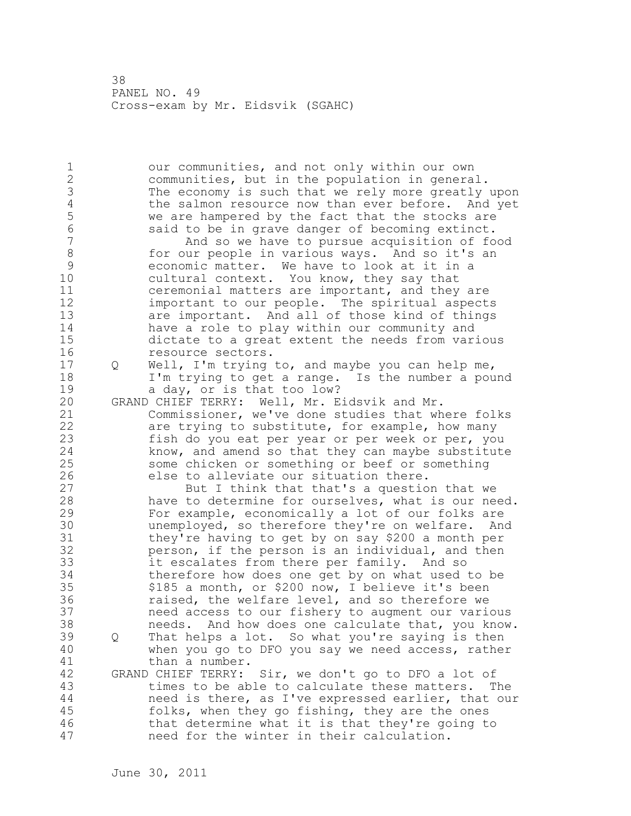1 our communities, and not only within our own 2 communities, but in the population in general. 3 The economy is such that we rely more greatly upon<br>4 the salmon resource now than ever before. And yet 4 the salmon resource now than ever before. And yet<br>5 we are hampered by the fact that the stocks are 5 we are hampered by the fact that the stocks are<br>6 said to be in grave danger of becoming extinct. 6 said to be in grave danger of becoming extinct. And so we have to pursue acquisition of food 8 for our people in various ways. And so it's an<br>9 economic matter. We have to look at it in a 9 economic matter. We have to look at it in a<br>10 cultural context. You know, they say that cultural context. You know, they say that 11 ceremonial matters are important, and they are 12 important to our people. The spiritual aspects 13 are important. And all of those kind of things 14 have a role to play within our community and 15 dictate to a great extent the needs from various 16 resource sectors. 17 Q Well, I'm trying to, and maybe you can help me, 18 I'm trying to get a range. Is the number a pound 19 a day, or is that too low?<br>20 GRAND CHIEF TERRY: Well, Mr. E GRAND CHIEF TERRY: Well, Mr. Eidsvik and Mr. 21 Commissioner, we've done studies that where folks 22 are trying to substitute, for example, how many 23 fish do you eat per year or per week or per, you 24 know, and amend so that they can maybe substitute 25 some chicken or something or beef or something 26 else to alleviate our situation there.<br>27 But I think that that's a questio But I think that that's a question that we 28 have to determine for ourselves, what is our need. 29 For example, economically a lot of our folks are 30 unemployed, so therefore they're on welfare. And<br>31 they're having to get by on say \$200 a month per they're having to get by on say \$200 a month per 32 person, if the person is an individual, and then 33 it escalates from there per family. And so 34 therefore how does one get by on what used to be 35 \$185 a month, or \$200 now, I believe it's been 36 raised, the welfare level, and so therefore we 37 need access to our fishery to augment our various 38 needs. And how does one calculate that, you know. 39 Q That helps a lot. So what you're saying is then 40 when you go to DFO you say we need access, rather 41 than a number.<br>42 GRAND CHIEF TERRY: GRAND CHIEF TERRY: Sir, we don't go to DFO a lot of 43 times to be able to calculate these matters. The 44 need is there, as I've expressed earlier, that our 45 folks, when they go fishing, they are the ones 46 that determine what it is that they're going to 47 need for the winter in their calculation.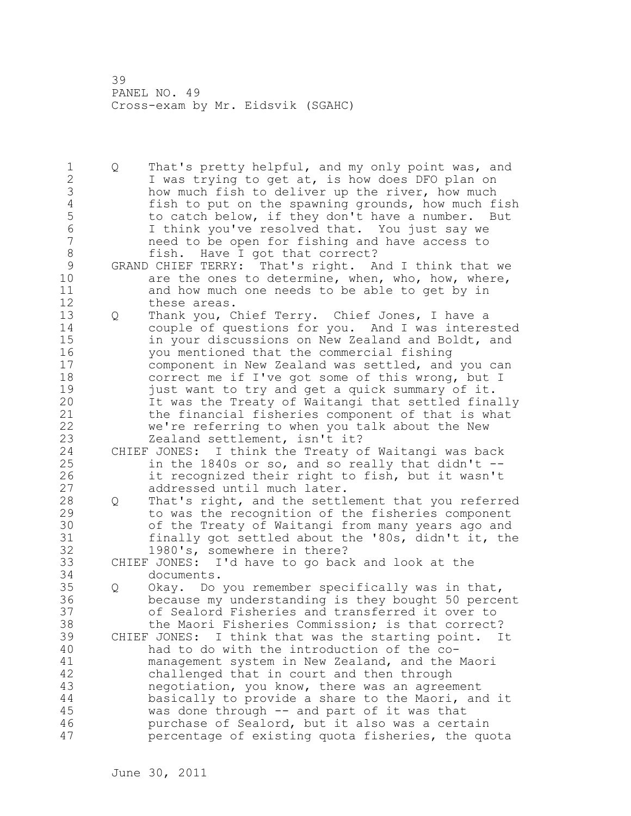1 Q That's pretty helpful, and my only point was, and 2 I was trying to get at, is how does DFO plan on 3 how much fish to deliver up the river, how much<br>4 fish to put on the spawning grounds, how much f 4 fish to put on the spawning grounds, how much fish<br>5 to catch below, if they don't have a number. But 5 to catch below, if they don't have a number. But<br>6 1 think you've resolved that. You just sav we 6 I think you've resolved that. You just say we need to be open for fishing and have access to 8 fish. Have I got that correct?<br>9 GRAND CHIEF TERRY: That's right. A 9 GRAND CHIEF TERRY: That's right. And I think that we<br>10 are the ones to determine, when, who, how, where, are the ones to determine, when, who, how, where, 11 and how much one needs to be able to get by in 12 these areas. 13 Q Thank you, Chief Terry. Chief Jones, I have a 14 couple of questions for you. And I was interested 15 in your discussions on New Zealand and Boldt, and 16 you mentioned that the commercial fishing 17 component in New Zealand was settled, and you can 18 correct me if I've got some of this wrong, but I 19 just want to try and get a quick summary of it.<br>20 11 Was the Treaty of Waitangi that settled fina It was the Treaty of Waitangi that settled finally 21 the financial fisheries component of that is what 22 we're referring to when you talk about the New 23 Zealand settlement, isn't it? 24 CHIEF JONES: I think the Treaty of Waitangi was back 25 in the 1840s or so, and so really that didn't -- 26 it recognized their right to fish, but it wasn't<br>27 addressed until much later. addressed until much later. 28 Q That's right, and the settlement that you referred 29 to was the recognition of the fisheries component 30 of the Treaty of Waitangi from many years ago and<br>31 finally got settled about the '80s, didn't it, the finally got settled about the '80s, didn't it, the 32 1980's, somewhere in there? 33 CHIEF JONES: I'd have to go back and look at the 34 documents. 35 Q Okay. Do you remember specifically was in that, 36 because my understanding is they bought 50 percent 37 of Sealord Fisheries and transferred it over to 38 the Maori Fisheries Commission; is that correct? 39 CHIEF JONES: I think that was the starting point. It 40 had to do with the introduction of the co-41 management system in New Zealand, and the Maori<br>42 challenged that in court and then through challenged that in court and then through 43 negotiation, you know, there was an agreement 44 basically to provide a share to the Maori, and it 45 was done through -- and part of it was that 46 purchase of Sealord, but it also was a certain 47 percentage of existing quota fisheries, the quota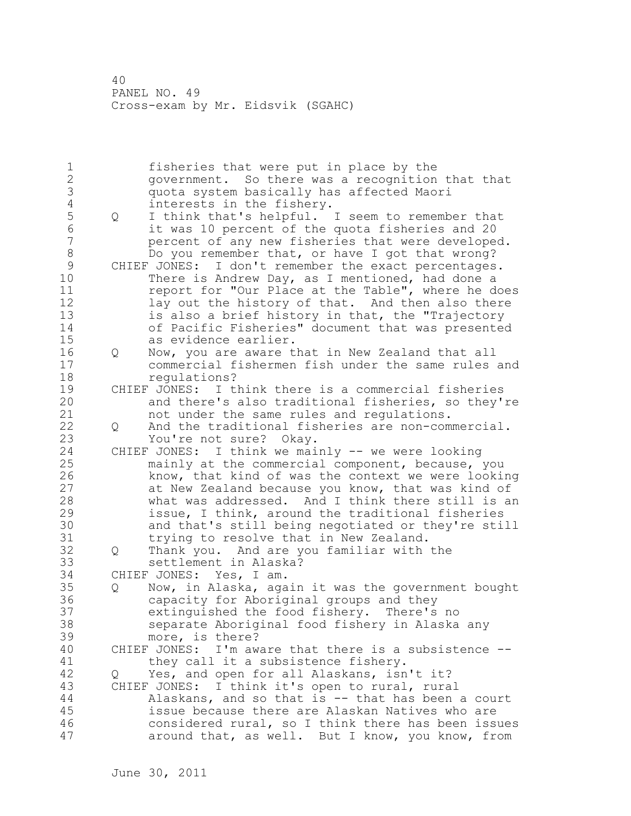1 fisheries that were put in place by the 2 government. So there was a recognition that that 3 quota system basically has affected Maori 4 interests in the fishery.<br>5 0 I think that's helpful. 5 Q I think that's helpful. I seem to remember that 6 it was 10 percent of the quota fisheries and 20 percent of any new fisheries that were developed. 8 Do you remember that, or have I got that wrong?<br>9 CHIEF JONES: I don't remember the exact percentages 9 CHIEF JONES: I don't remember the exact percentages.<br>10 There is Andrew Dav, as I mentioned, had done a There is Andrew Day, as I mentioned, had done a 11 report for "Our Place at the Table", where he does 12 lay out the history of that. And then also there 13 is also a brief history in that, the "Trajectory 14 of Pacific Fisheries" document that was presented 15 as evidence earlier. 16 Q Now, you are aware that in New Zealand that all 17 commercial fishermen fish under the same rules and 18 regulations? 19 CHIEF JONES: I think there is a commercial fisheries<br>20 and there's also traditional fisheries, so thev' and there's also traditional fisheries, so they're 21 not under the same rules and regulations. 22 Q And the traditional fisheries are non-commercial. 23 You're not sure? Okay. 24 CHIEF JONES: I think we mainly -- we were looking 25 mainly at the commercial component, because, you 26 know, that kind of was the context we were looking<br>27 at New Zealand because you know, that was kind of at New Zealand because you know, that was kind of 28 what was addressed. And I think there still is an 29 issue, I think, around the traditional fisheries 30 and that's still being negotiated or they're still trying to resolve that in New Zealand. 32 Q Thank you. And are you familiar with the 33 settlement in Alaska? 34 CHIEF JONES: Yes, I am. 35 Q Now, in Alaska, again it was the government bought 36 capacity for Aboriginal groups and they 37 extinguished the food fishery. There's no 38 separate Aboriginal food fishery in Alaska any 39 more, is there? 40 CHIEF JONES: I'm aware that there is a subsistence -- 41 they call it a subsistence fishery.<br>42 0 Yes, and open for all Alaskans, isn Yes, and open for all Alaskans, isn't it? 43 CHIEF JONES: I think it's open to rural, rural 44 Alaskans, and so that is -- that has been a court 45 issue because there are Alaskan Natives who are 46 considered rural, so I think there has been issues 47 around that, as well. But I know, you know, from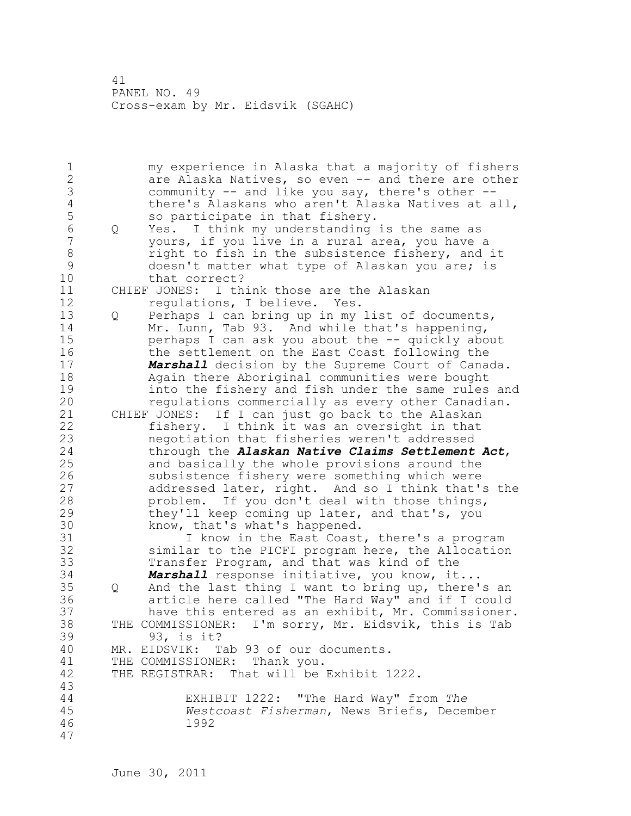1 my experience in Alaska that a majority of fishers 2 are Alaska Natives, so even -- and there are other 3 community -- and like you say, there's other --<br>4 there's Alaskans who aren't Alaska Natives at a 4 there's Alaskans who aren't Alaska Natives at all,<br>5 so participate in that fishery. 5 so participate in that fishery.<br>6 0 Yes. I think my understanding 6 Q Yes. I think my understanding is the same as yours, if you live in a rural area, you have a 8 right to fish in the subsistence fishery, and it<br>9 doesn't matter what type of Alaskan you are: is 9 doesn't matter what type of Alaskan you are; is<br>10 that correct? that correct? 11 CHIEF JONES: I think those are the Alaskan 12 regulations, I believe. Yes. 13 Q Perhaps I can bring up in my list of documents, 14 Mr. Lunn, Tab 93. And while that's happening, 15 perhaps I can ask you about the -- quickly about 16 the settlement on the East Coast following the 17 *Marshall* decision by the Supreme Court of Canada. 18 Again there Aboriginal communities were bought 19 into the fishery and fish under the same rules and<br>20 fequiations commercially as every other Canadian. regulations commercially as every other Canadian. 21 CHIEF JONES: If I can just go back to the Alaskan 22 fishery. I think it was an oversight in that 23 negotiation that fisheries weren't addressed 24 through the *Alaskan Native Claims Settlement Act*, 25 and basically the whole provisions around the 26 subsistence fishery were something which were<br>27 addressed later, right. And so I think that' addressed later, right. And so I think that's the 28 problem. If you don't deal with those things, 29 they'll keep coming up later, and that's, you 30 know, that's what's happened.<br>31 I know in the East Coast I know in the East Coast, there's a program 32 similar to the PICFI program here, the Allocation 33 Transfer Program, and that was kind of the 34 *Marshall* response initiative, you know, it... 35 Q And the last thing I want to bring up, there's an 36 article here called "The Hard Way" and if I could 37 have this entered as an exhibit, Mr. Commissioner. 38 THE COMMISSIONER: I'm sorry, Mr. Eidsvik, this is Tab 39 93, is it? 40 MR. EIDSVIK: Tab 93 of our documents. 41 THE COMMISSIONER: Thank you.<br>42 THE REGISTRAR: That will be THE REGISTRAR: That will be Exhibit 1222. 43 44 EXHIBIT 1222: "The Hard Way" from *The*  45 *Westcoast Fisherman*, News Briefs, December 46 1992 47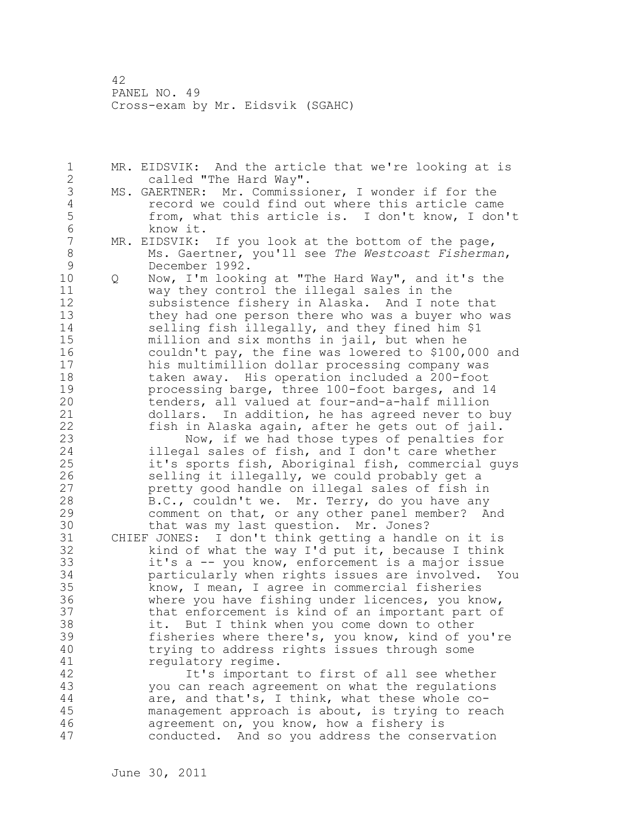1 MR. EIDSVIK: And the article that we're looking at is 2 called "The Hard Way".

- 3 MS. GAERTNER: Mr. Commissioner, I wonder if for the<br>4 fecord we could find out where this article came 4 record we could find out where this article came<br>5 from, what this article is. I don't know, I don 5 from, what this article is. I don't know, I don't<br>6 know it. 6 know it.<br>7 MR. EIDSVIK:
- MR. EIDSVIK: If you look at the bottom of the page, 8 Ms. Gaertner, you'll see *The Westcoast Fisherman*,
- 9 December 1992.<br>10 0 Now, I'm looki 10 Q Now, I'm looking at "The Hard Way", and it's the 11 way they control the illegal sales in the 12 subsistence fishery in Alaska. And I note that 13 they had one person there who was a buyer who was 14 selling fish illegally, and they fined him \$1 15 million and six months in jail, but when he 16 couldn't pay, the fine was lowered to \$100,000 and 17 his multimillion dollar processing company was 18 taken away. His operation included a 200-foot 19 processing barge, three 100-foot barges, and 14<br>20 tenders, all valued at four-and-a-half million tenders, all valued at four-and-a-half million 21 dollars. In addition, he has agreed never to buy 22 fish in Alaska again, after he gets out of jail.
- 23 Now, if we had those types of penalties for 24 illegal sales of fish, and I don't care whether 25 it's sports fish, Aboriginal fish, commercial guys 26 selling it illegally, we could probably get a<br>27 bretty good handle on illegal sales of fish in pretty good handle on illegal sales of fish in 28 B.C., couldn't we. Mr. Terry, do you have any 29 comment on that, or any other panel member? And
- 30 that was my last question. Mr. Jones?<br>31 CHIEF JONES: I don't think getting a handl CHIEF JONES: I don't think getting a handle on it is 32 kind of what the way I'd put it, because I think 33 it's a -- you know, enforcement is a major issue 34 particularly when rights issues are involved. You 35 know, I mean, I agree in commercial fisheries 36 where you have fishing under licences, you know, 37 that enforcement is kind of an important part of 38 it. But I think when you come down to other 39 fisheries where there's, you know, kind of you're 40 trying to address rights issues through some 41 regulatory regime.<br>42 It's importan

It's important to first of all see whether 43 you can reach agreement on what the regulations 44 are, and that's, I think, what these whole co-45 management approach is about, is trying to reach 46 agreement on, you know, how a fishery is 47 conducted. And so you address the conservation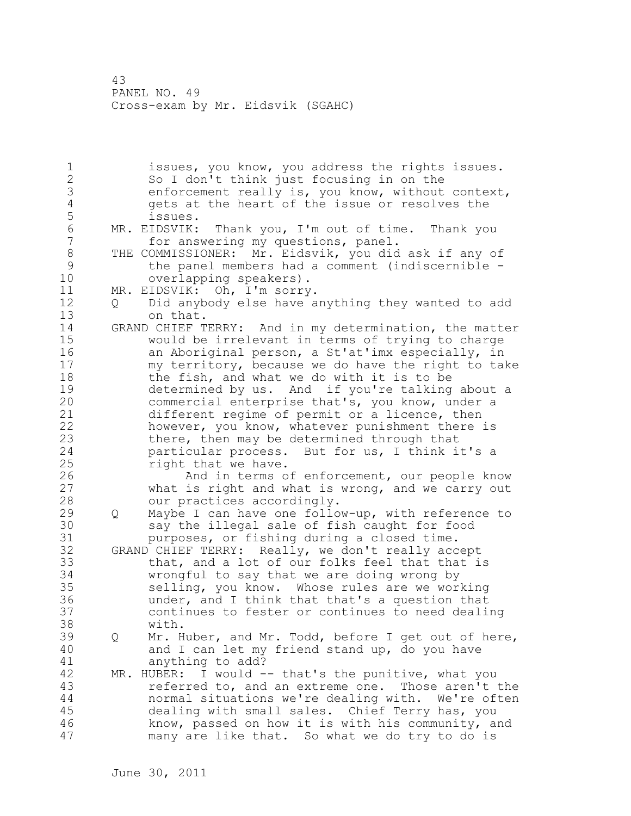1 issues, you know, you address the rights issues. 2 So I don't think just focusing in on the 3 enforcement really is, you know, without context,<br>4 and only at the heart of the issue or resolves the 4 gets at the heart of the issue or resolves the 5 issues. 6 MR. EIDSVIK: Thank you, I'm out of time. Thank you for answering my questions, panel. 8 THE COMMISSIONER: Mr. Eidsvik, you did ask if any of<br>9 the panel members had a comment (indiscernible -9 the panel members had a comment (indiscernible -<br>10 overlapping speakers). overlapping speakers). 11 MR. EIDSVIK: Oh, I'm sorry. 12 Q Did anybody else have anything they wanted to add 13 on that. 14 GRAND CHIEF TERRY: And in my determination, the matter 15 would be irrelevant in terms of trying to charge 16 an Aboriginal person, a St'at'imx especially, in 17 my territory, because we do have the right to take 18 the fish, and what we do with it is to be 19 determined by us. And if you're talking about a<br>20 commercial enterprise that's, you know, under a commercial enterprise that's, you know, under a 21 different regime of permit or a licence, then 22 however, you know, whatever punishment there is 23 there, then may be determined through that 24 particular process. But for us, I think it's a 25 right that we have. 26 And in terms of enforcement, our people know<br>27 what is right and what is wrong, and we carry out what is right and what is wrong, and we carry out 28 our practices accordingly. 29 Q Maybe I can have one follow-up, with reference to 30 say the illegal sale of fish caught for food<br>31 burposes, or fishing during a closed time. purposes, or fishing during a closed time. 32 GRAND CHIEF TERRY: Really, we don't really accept 33 that, and a lot of our folks feel that that is 34 wrongful to say that we are doing wrong by 35 selling, you know. Whose rules are we working 36 under, and I think that that's a question that 37 continues to fester or continues to need dealing 38 with. 39 Q Mr. Huber, and Mr. Todd, before I get out of here, 40 and I can let my friend stand up, do you have 41 anything to add?<br>42 MR. HUBER: I would - $MR. HUBER: I would -- that's the punitive, what you$ 43 referred to, and an extreme one. Those aren't the 44 normal situations we're dealing with. We're often 45 dealing with small sales. Chief Terry has, you 46 know, passed on how it is with his community, and 47 many are like that. So what we do try to do is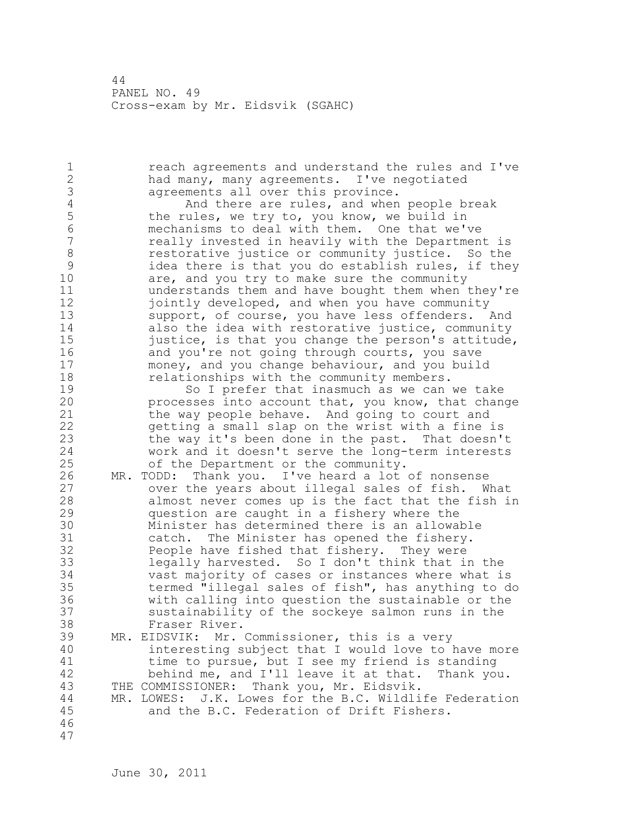1 reach agreements and understand the rules and I've 2 had many, many agreements. I've negotiated 3 agreements all over this province.<br>4 and there are rules, and when 4 And there are rules, and when people break<br>5 the rules, we try to, you know, we build in 5 the rules, we try to, you know, we build in<br>6 mechanisms to deal with them. One that we' 6 mechanisms to deal with them. One that we've really invested in heavily with the Department is 8 restorative justice or community justice. So the<br>9 idea there is that you do establish rules, if the 9 idea there is that you do establish rules, if they<br>10 are, and you try to make sure the community are, and you try to make sure the community 11 understands them and have bought them when they're 12 jointly developed, and when you have community 13 support, of course, you have less offenders. And 14 also the idea with restorative justice, community 15 justice, is that you change the person's attitude, 16 and you're not going through courts, you save 17 money, and you change behaviour, and you build 18 relationships with the community members. 19 So I prefer that inasmuch as we can we take<br>20 processes into account that, you know, that chan processes into account that, you know, that change 21 the way people behave. And going to court and 22 getting a small slap on the wrist with a fine is 23 the way it's been done in the past. That doesn't 24 work and it doesn't serve the long-term interests 25 of the Department or the community. 26 MR. TODD: Thank you. I've heard a lot of nonsense<br>27 over the years about illegal sales of fish. W over the years about illegal sales of fish. What 28 almost never comes up is the fact that the fish in 29 question are caught in a fishery where the 30 Minister has determined there is an allowable<br>31 catch. The Minister has opened the fishery. 31 catch. The Minister has opened the fishery.<br>32 People have fished that fishery. They were People have fished that fishery. They were 33 legally harvested. So I don't think that in the 34 vast majority of cases or instances where what is 35 termed "illegal sales of fish", has anything to do 36 with calling into question the sustainable or the 37 sustainability of the sockeye salmon runs in the 38 Fraser River. 39 MR. EIDSVIK: Mr. Commissioner, this is a very 40 interesting subject that I would love to have more 41 time to pursue, but I see my friend is standing<br>42 behind me, and I'll leave it at that. Thank vo behind me, and I'll leave it at that. Thank you. 43 THE COMMISSIONER: Thank you, Mr. Eidsvik. 44 MR. LOWES: J.K. Lowes for the B.C. Wildlife Federation 45 and the B.C. Federation of Drift Fishers. 46 47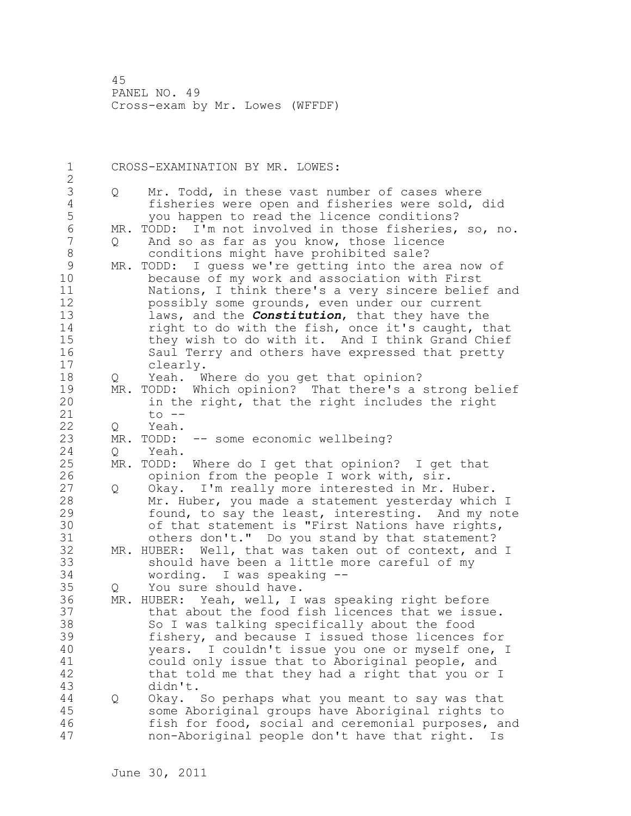1 CROSS-EXAMINATION BY MR. LOWES: 2 3 Q Mr. Todd, in these vast number of cases where<br>4 fisheries were open and fisheries were sold, 4 fisheries were open and fisheries were sold, did<br>5 (1990) you happen to read the licence conditions? 5 you happen to read the licence conditions?<br>6 MR. TODD: I'm not involved in those fisheries, 6 MR. TODD: I'm not involved in those fisheries, so, no.<br>7 0 And so as far as vou know, those licence And so as far as you know, those licence 8 conditions might have prohibited sale? 9 MR. TODD: I guess we're getting into the area now of<br>10 because of my work and association with First because of my work and association with First 11 Nations, I think there's a very sincere belief and 12 possibly some grounds, even under our current 13 laws, and the *Constitution*, that they have the 14 right to do with the fish, once it's caught, that 15 they wish to do with it. And I think Grand Chief 16 Saul Terry and others have expressed that pretty 17 clearly. 18 Q Yeah. Where do you get that opinion? 19 MR. TODD: Which opinion? That there's a strong belief<br>20 in the right, that the right includes the right in the right, that the right includes the right 21 to -- 22 Q Yeah. 23 MR. TODD: -- some economic wellbeing? 24 Q Yeah. 25 MR. TODD: Where do I get that opinion? I get that 26 opinion from the people I work with, sir.<br>27 0 Okay. I'm really more interested in Mr. 0 Okay. I'm really more interested in Mr. Huber. 28 Mr. Huber, you made a statement yesterday which I 29 found, to say the least, interesting. And my note 30 of that statement is "First Nations have rights,<br>31 others don't." Do you stand by that statement? others don't." Do you stand by that statement? 32 MR. HUBER: Well, that was taken out of context, and I 33 should have been a little more careful of my 34 wording. I was speaking -- 35 Q You sure should have. 36 MR. HUBER: Yeah, well, I was speaking right before 37 that about the food fish licences that we issue. 38 So I was talking specifically about the food 39 fishery, and because I issued those licences for 40 years. I couldn't issue you one or myself one, I 41 could only issue that to Aboriginal people, and<br>42 that told me that they had a right that you or that told me that they had a right that you or I 43 didn't. 44 Q Okay. So perhaps what you meant to say was that 45 some Aboriginal groups have Aboriginal rights to 46 fish for food, social and ceremonial purposes, and 47 non-Aboriginal people don't have that right. Is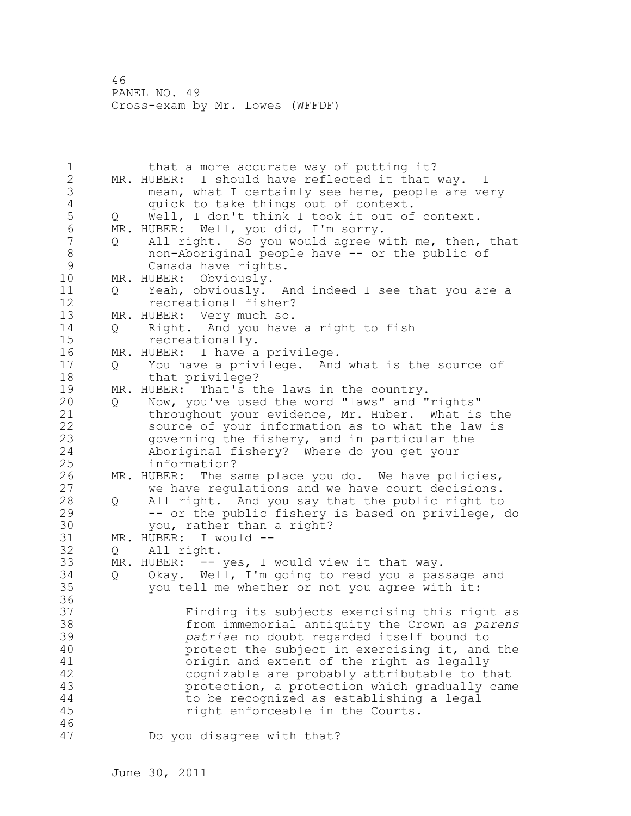| $\mathbf 1$    |   | that a more accurate way of putting it?             |
|----------------|---|-----------------------------------------------------|
| $\mathbf{2}$   |   | MR. HUBER: I should have reflected it that way. I   |
| 3              |   | mean, what I certainly see here, people are very    |
| $\overline{4}$ |   | quick to take things out of context.                |
| 5              | Q | Well, I don't think I took it out of context.       |
| $\epsilon$     |   | MR. HUBER: Well, you did, I'm sorry.                |
| $\overline{7}$ | Q | All right. So you would agree with me, then, that   |
| $\,8\,$        |   | non-Aboriginal people have -- or the public of      |
| 9              |   | Canada have rights.                                 |
| 10             |   | MR. HUBER: Obviously.                               |
| 11             | Q | Yeah, obviously. And indeed I see that you are a    |
| 12             |   | recreational fisher?                                |
| 13             |   | MR. HUBER: Very much so.                            |
| 14             | Q | Right. And you have a right to fish                 |
| 15             |   | recreationally.                                     |
| 16             |   | MR. HUBER: I have a privilege.                      |
| 17             | Q | You have a privilege. And what is the source of     |
| 18             |   | that privilege?                                     |
| 19             |   | MR. HUBER: That's the laws in the country.          |
| 20             | Q | Now, you've used the word "laws" and "rights"       |
| 21             |   | throughout your evidence, Mr. Huber. What is the    |
| 22             |   | source of your information as to what the law is    |
| 23             |   | governing the fishery, and in particular the        |
| 24             |   | Aboriginal fishery? Where do you get your           |
| 25             |   | information?                                        |
| 26             |   | MR. HUBER: The same place you do. We have policies, |
| 27             |   | we have regulations and we have court decisions.    |
| 28             | Q | All right. And you say that the public right to     |
| 29             |   | -- or the public fishery is based on privilege, do  |
| 30             |   | you, rather than a right?                           |
| 31             |   | MR. HUBER: I would --                               |
| 32             | Q | All right.                                          |
| 33             |   | MR. HUBER: -- yes, I would view it that way.        |
| 34             | Q | Okay. Well, I'm going to read you a passage and     |
| 35             |   | you tell me whether or not you agree with it:       |
| 36             |   |                                                     |
| 37             |   | Finding its subjects exercising this right as       |
| 38             |   | from immemorial antiquity the Crown as parens       |
| 39             |   | patriae no doubt regarded itself bound to           |
| 40             |   | protect the subject in exercising it, and the       |
| 41             |   | origin and extent of the right as legally           |
| 42             |   | cognizable are probably attributable to that        |
| 43             |   | protection, a protection which gradually came       |
| 44             |   | to be recognized as establishing a legal            |
| 45             |   | right enforceable in the Courts.                    |
| 46             |   |                                                     |
| 47             |   | Do you disagree with that?                          |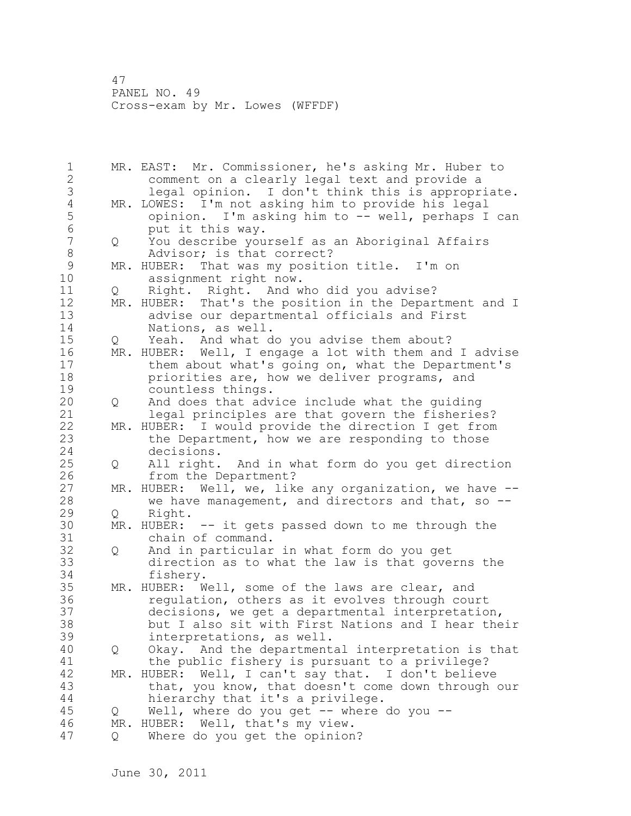1 MR. EAST: Mr. Commissioner, he's asking Mr. Huber to 2 comment on a clearly legal text and provide a 3 legal opinion. I don't think this is appropriate.<br>4 MR. LOWES: I'm not asking him to provide his legal 4 MR. LOWES: I'm not asking him to provide his legal<br>5 opinion. I'm asking him to -- well, perhaps I 5 opinion. I'm asking him to -- well, perhaps I can 6 put it this way. 7 Q You describe yourself as an Aboriginal Affairs 8 Madvisor; is that correct?<br>8 MR. HUBER: That was my positi 9 MR. HUBER: That was my position title. I'm on<br>10 assignment right now. assignment right now. 11 Q Right. Right. And who did you advise? 12 MR. HUBER: That's the position in the Department and I 13 advise our departmental officials and First 14 Nations, as well. 15 Q Yeah. And what do you advise them about? 16 MR. HUBER: Well, I engage a lot with them and I advise 17 them about what's going on, what the Department's 18 **priorities are, how we deliver programs, and** 19 countless things.<br>20 0 And does that adv 20 Q And does that advice include what the guiding 21 legal principles are that govern the fisheries? 22 MR. HUBER: I would provide the direction I get from 23 the Department, how we are responding to those 24 decisions. 25 Q All right. And in what form do you get direction 26 from the Department?<br>27 MR. HUBER: Well, we, lik MR. HUBER: Well, we, like any organization, we have --28 we have management, and directors and that, so -- 29 Q Right. 30 MR. HUBER: -- it gets passed down to me through the 31 chain of command.<br>32 0 And in particular 32 Q And in particular in what form do you get 33 direction as to what the law is that governs the 34 fishery. 35 MR. HUBER: Well, some of the laws are clear, and 36 regulation, others as it evolves through court 37 decisions, we get a departmental interpretation, 38 but I also sit with First Nations and I hear their 39 interpretations, as well. 40 Q Okay. And the departmental interpretation is that 41 the public fishery is pursuant to a privilege?<br>42 MR. HUBER: Well, I can't sav that. I don't believe MR. HUBER: Well, I can't say that. I don't believe 43 that, you know, that doesn't come down through our 44 hierarchy that it's a privilege. 45 Q Well, where do you get -- where do you -- 46 MR. HUBER: Well, that's my view. 47 Q Where do you get the opinion?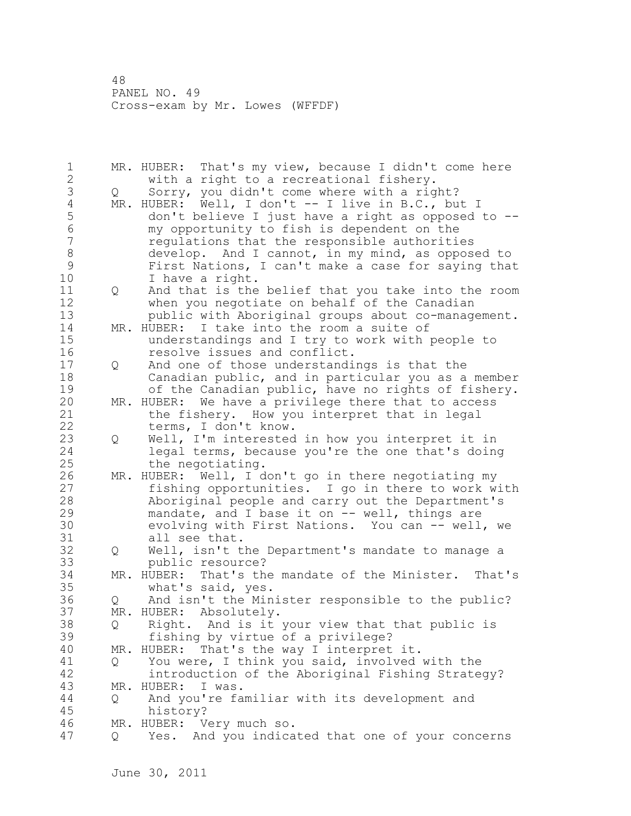| 1<br>$\overline{2}$ |                   | MR. HUBER: That's my view, because I didn't come here                     |
|---------------------|-------------------|---------------------------------------------------------------------------|
| 3                   |                   | with a right to a recreational fishery.                                   |
|                     | $Q_{\rm max}$     | Sorry, you didn't come where with a right?                                |
| $\sqrt{4}$          |                   | MR. HUBER: Well, I don't -- I live in B.C., but I                         |
| 5                   |                   | don't believe I just have a right as opposed to --                        |
| $\overline{6}$      |                   | my opportunity to fish is dependent on the                                |
| $\overline{7}$      |                   | regulations that the responsible authorities                              |
| $\,8\,$             |                   | develop. And I cannot, in my mind, as opposed to                          |
| $\mathcal{G}$       |                   | First Nations, I can't make a case for saying that                        |
| 10                  |                   | I have a right.                                                           |
| 11                  | $Q \qquad \qquad$ | And that is the belief that you take into the room                        |
| 12                  |                   | when you negotiate on behalf of the Canadian                              |
| 13                  |                   | public with Aboriginal groups about co-management.                        |
| 14                  |                   | MR. HUBER: I take into the room a suite of                                |
| 15                  |                   | understandings and I try to work with people to                           |
| 16                  |                   | resolve issues and conflict.                                              |
| 17                  | Q                 | And one of those understandings is that the                               |
| 18                  |                   | Canadian public, and in particular you as a member                        |
| 19                  |                   | of the Canadian public, have no rights of fishery.                        |
| 20                  |                   | MR. HUBER: We have a privilege there that to access                       |
| 21                  |                   | the fishery. How you interpret that in legal                              |
| 22                  |                   | terms, I don't know.                                                      |
| 23                  | $\mathsf{Q}$      | Well, I'm interested in how you interpret it in                           |
| 24                  |                   | legal terms, because you're the one that's doing                          |
| 25                  |                   | the negotiating.                                                          |
| 26                  |                   | MR. HUBER: Well, I don't go in there negotiating my                       |
| 27                  |                   | fishing opportunities. I go in there to work with                         |
| 28                  |                   | Aboriginal people and carry out the Department's                          |
| 29                  |                   | mandate, and I base it on -- well, things are                             |
| 30                  |                   | evolving with First Nations. You can -- well, we                          |
| 31                  |                   | all see that.                                                             |
| 32                  |                   | Well, isn't the Department's mandate to manage a                          |
| 33                  | Q                 |                                                                           |
| 34                  |                   | public resource?<br>MR. HUBER: That's the mandate of the Minister. That's |
| 35                  |                   | what's said, yes.                                                         |
| 36                  |                   | Q And isn't the Minister responsible to the public?                       |
| 37                  |                   | MR. HUBER: Absolutely.                                                    |
|                     |                   |                                                                           |
| 38                  | Q                 | Right. And is it your view that that public is                            |
| 39                  |                   | fishing by virtue of a privilege?                                         |
| 40                  |                   | MR. HUBER:<br>That's the way I interpret it.                              |
| 41                  | Q                 | You were, I think you said, involved with the                             |
| 42                  |                   | introduction of the Aboriginal Fishing Strategy?                          |
| 43                  | MR.               | HUBER:<br>I was.                                                          |
| 44                  | Q.                | And you're familiar with its development and                              |
| 45                  |                   | history?                                                                  |
| 46                  |                   | MR. HUBER: Very much so.                                                  |
| 47                  | Q                 | Yes. And you indicated that one of your concerns                          |
|                     |                   |                                                                           |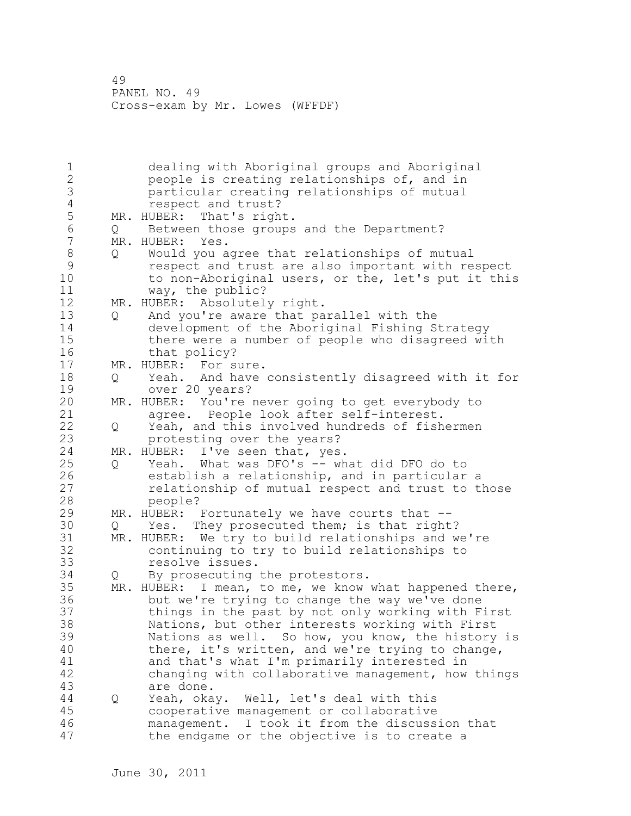1 dealing with Aboriginal groups and Aboriginal<br>2 beople is creating relationships of, and in people is creating relationships of, and in 3 particular creating relationships of mutual 4 respect and trust?<br>5 MR. HUBER: That's righ 5 MR. HUBER: That's right.<br>6 0 Between those groups 6 Q Between those groups and the Department? MR. HUBER: Yes. 8 Q Would you agree that relationships of mutual<br>9 seemet and trust are also important with re 9 respect and trust are also important with respect to non-Aboriginal users, or the, let's put it this 11 way, the public? 12 MR. HUBER: Absolutely right. 13 Q And you're aware that parallel with the 14 development of the Aboriginal Fishing Strategy 15 there were a number of people who disagreed with 16 that policy? 17 MR. HUBER: For sure. 18 Q Yeah. And have consistently disagreed with it for 19 over 20 years?<br>20 MR. HUBER: You're i MR. HUBER: You're never going to get everybody to 21 agree. People look after self-interest. 22 Q Yeah, and this involved hundreds of fishermen 23 protesting over the years? 24 MR. HUBER: I've seen that, yes. 25 Q Yeah. What was DFO's -- what did DFO do to 26 establish a relationship, and in particular a<br>27 elationship of mutual respect and trust to t relationship of mutual respect and trust to those 28 people? 29 MR. HUBER: Fortunately we have courts that -- 30 Q Yes. They prosecuted them; is that right?<br>31 MR. HUBER: We try to build relationships and w 31 MR. HUBER: We try to build relationships and we're continuing to try to build relationships to 33 resolve issues. 34 Q By prosecuting the protestors. 35 MR. HUBER: I mean, to me, we know what happened there, 36 but we're trying to change the way we've done 37 things in the past by not only working with First 38 Nations, but other interests working with First 39 Nations as well. So how, you know, the history is 40 there, it's written, and we're trying to change, 41 and that's what I'm primarily interested in<br>42 changing with collaborative management, how changing with collaborative management, how things 43 are done. 44 Q Yeah, okay. Well, let's deal with this 45 cooperative management or collaborative 46 management. I took it from the discussion that 47 the endgame or the objective is to create a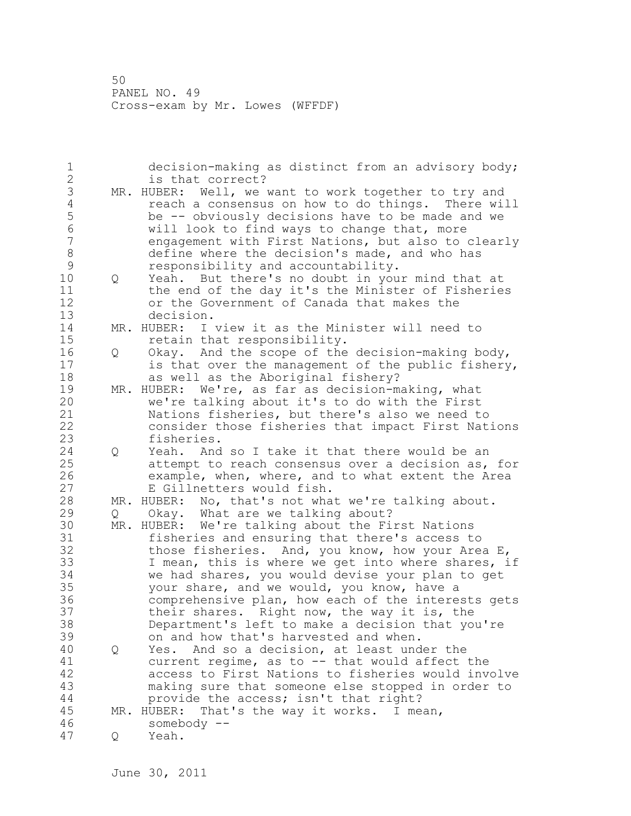1 decision-making as distinct from an advisory body; 2 is that correct? 3 MR. HUBER: Well, we want to work together to try and<br>4 There will reach a consensus on how to do things. There will 4 reach a consensus on how to do things. There will<br>5 be -- obviously decisions have to be made and we 5 be -- obviously decisions have to be made and we 6 will look to find ways to change that, more engagement with First Nations, but also to clearly 8 define where the decision's made, and who has 9 responsibility and accountability.<br>10 0 Yeah. But there's no doubt in you 10 Q Yeah. But there's no doubt in your mind that at 11 the end of the day it's the Minister of Fisheries 12 or the Government of Canada that makes the 13 decision. 14 MR. HUBER: I view it as the Minister will need to 15 retain that responsibility. 16 Q Okay. And the scope of the decision-making body, 17 is that over the management of the public fishery, 18 as well as the Aboriginal fishery? 19 MR. HUBER: We're, as far as decision-making, what<br>20 we're talking about it's to do with the First we're talking about it's to do with the First 21 Nations fisheries, but there's also we need to 22 consider those fisheries that impact First Nations 23 fisheries. 24 Q Yeah. And so I take it that there would be an 25 attempt to reach consensus over a decision as, for 26 example, when, where, and to what extent the Area<br>27 E Gillnetters would fish. E Gillnetters would fish. 28 MR. HUBER: No, that's not what we're talking about. 29 Q Okay. What are we talking about? 30 MR. HUBER: We're talking about the First Nations fisheries and ensuring that there's access to 32 those fisheries. And, you know, how your Area E, 33 I mean, this is where we get into where shares, if 34 we had shares, you would devise your plan to get 35 your share, and we would, you know, have a 36 comprehensive plan, how each of the interests gets 37 their shares. Right now, the way it is, the 38 Department's left to make a decision that you're 39 on and how that's harvested and when. 40 Q Yes. And so a decision, at least under the 41 current regime, as to -- that would affect the<br>42 access to First Nations to fisheries would inve access to First Nations to fisheries would involve 43 making sure that someone else stopped in order to 44 provide the access; isn't that right? 45 MR. HUBER: That's the way it works. I mean, 46 somebody -- 47 Q Yeah.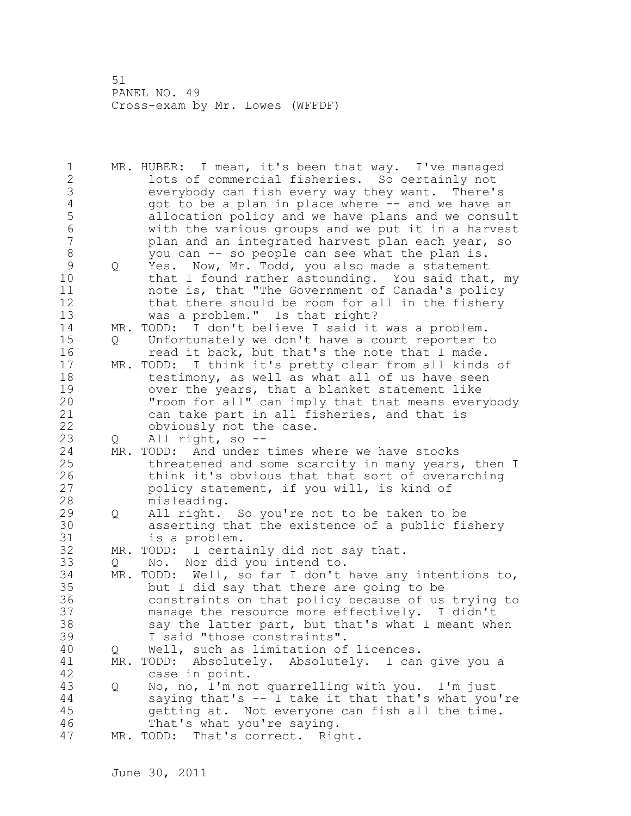1 MR. HUBER: I mean, it's been that way. I've managed 2 lots of commercial fisheries. So certainly not 3 everybody can fish every way they want. There's<br>4 and we have a plan in place where -- and we have a 4 got to be a plan in place where -- and we have an<br>5 allocation policy and we have plans and we consul 5 allocation policy and we have plans and we consult 6 with the various groups and we put it in a harvest plan and an integrated harvest plan each year, so 8 you can -- so people can see what the plan is. 9 Q Yes. Now, Mr. Todd, you also made a statement<br>10 that I found rather astounding. You said that that I found rather astounding. You said that, my 11 note is, that "The Government of Canada's policy 12 that there should be room for all in the fishery 13 was a problem." Is that right? 14 MR. TODD: I don't believe I said it was a problem. 15 Q Unfortunately we don't have a court reporter to 16 read it back, but that's the note that I made. 17 MR. TODD: I think it's pretty clear from all kinds of 18 testimony, as well as what all of us have seen 19 over the years, that a blanket statement like<br>20 Troom for all" can imply that that means ever "room for all" can imply that that means everybody 21 can take part in all fisheries, and that is 22 obviously not the case. 23 Q All right, so -- 24 MR. TODD: And under times where we have stocks 25 threatened and some scarcity in many years, then I 26 think it's obvious that that sort of overarching<br>27 policy statement, if you will, is kind of policy statement, if you will, is kind of 28 misleading. 29 Q All right. So you're not to be taken to be 30 asserting that the existence of a public fishery is a problem. 32 MR. TODD: I certainly did not say that. 33 Q No. Nor did you intend to. 34 MR. TODD: Well, so far I don't have any intentions to, 35 but I did say that there are going to be 36 constraints on that policy because of us trying to 37 manage the resource more effectively. I didn't 38 say the latter part, but that's what I meant when 39 I said "those constraints". 40 Q Well, such as limitation of licences. 41 MR. TODD: Absolutely. Absolutely. I can give you a<br>42 case in point. case in point. 43 Q No, no, I'm not quarrelling with you. I'm just 44 saying that's -- I take it that that's what you're 45 getting at. Not everyone can fish all the time. 46 That's what you're saying. 47 MR. TODD: That's correct. Right.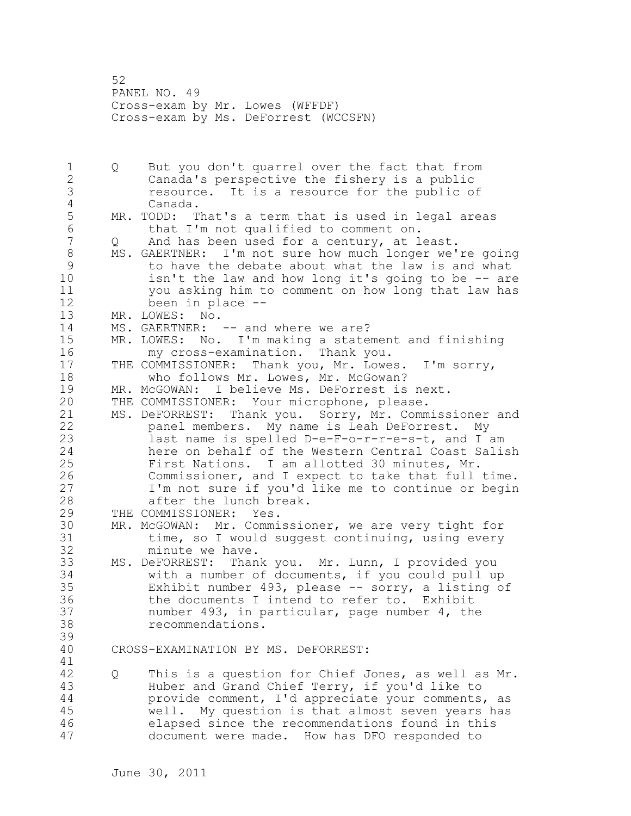52 PANEL NO. 49 Cross-exam by Mr. Lowes (WFFDF) Cross-exam by Ms. DeForrest (WCCSFN)

1 Q But you don't quarrel over the fact that from 2 Canada's perspective the fishery is a public 3 resource. It is a resource for the public of 4 Canada.<br>5 MR. TODD: T MR. TODD: That's a term that is used in legal areas 6 that I'm not qualified to comment on.<br>7 0 And has been used for a century, at 1 And has been used for a century, at least. 8 MS. GAERTNER: I'm not sure how much longer we're going<br>9 to have the debate about what the law is and what 9 to have the debate about what the law is and what<br>10 isn't the law and how long it's going to be -- are  $isn't$  the law and how long it's going to be  $-$  are 11 you asking him to comment on how long that law has 12 been in place -- 13 MR. LOWES: No. 14 MS. GAERTNER: -- and where we are? 15 MR. LOWES: No. I'm making a statement and finishing 16 my cross-examination. Thank you. 17 THE COMMISSIONER: Thank you, Mr. Lowes. I'm sorry, 18 who follows Mr. Lowes, Mr. McGowan? 19 MR. McGOWAN: I believe Ms. DeForrest is next.<br>20 THE COMMISSIONER: Your microphone, please. THE COMMISSIONER: Your microphone, please. 21 MS. DeFORREST: Thank you. Sorry, Mr. Commissioner and 22 panel members. My name is Leah DeForrest. My 23 last name is spelled D-e-F-o-r-r-e-s-t, and I am 24 here on behalf of the Western Central Coast Salish 25 First Nations. I am allotted 30 minutes, Mr. 26 Commissioner, and I expect to take that full time.<br>27 I'm not sure if you'd like me to continue or begin I'm not sure if you'd like me to continue or begin 28 after the lunch break. 29 THE COMMISSIONER: Yes. 30 MR. McGOWAN: Mr. Commissioner, we are very tight for time, so I would suggest continuing, using every 32 minute we have. 33 MS. DeFORREST: Thank you. Mr. Lunn, I provided you 34 with a number of documents, if you could pull up 35 Exhibit number 493, please -- sorry, a listing of 36 the documents I intend to refer to. Exhibit 37 number 493, in particular, page number 4, the 38 recommendations. 39 40 CROSS-EXAMINATION BY MS. DeFORREST: 41<br>42 42 Q This is a question for Chief Jones, as well as Mr. 43 Huber and Grand Chief Terry, if you'd like to 44 provide comment, I'd appreciate your comments, as 45 well. My question is that almost seven years has 46 elapsed since the recommendations found in this 47 document were made. How has DFO responded to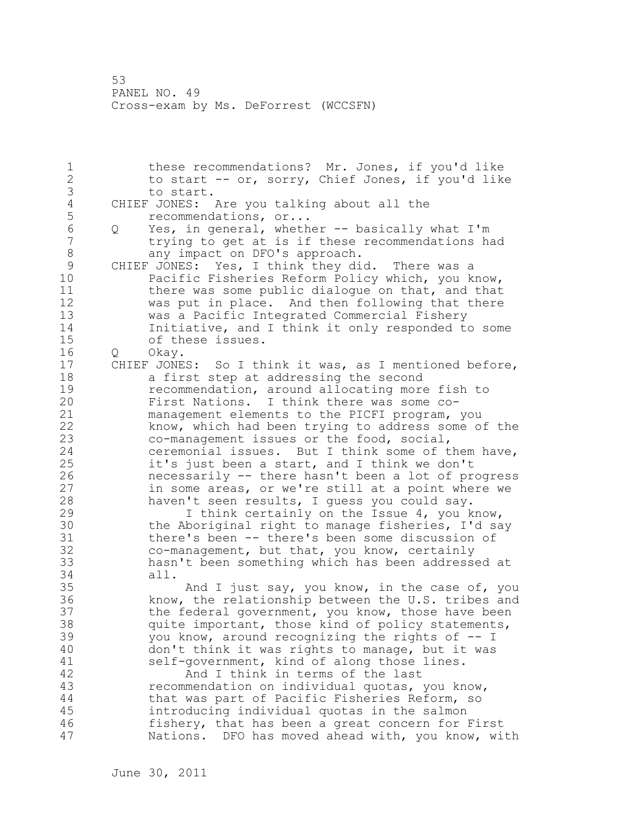1 these recommendations? Mr. Jones, if you'd like 2 to start -- or, sorry, Chief Jones, if you'd like 3 to start.<br>4 CHIEF JONES: 4 CHIEF JONES: Are you talking about all the<br>5 recommendations, or... 5 recommendations, or...<br>6 0 Yes, in general, wheth 6 Q Yes, in general, whether -- basically what I'm trying to get at is if these recommendations had 8 any impact on DFO's approach. 9 CHIEF JONES: Yes, I think they did. There was a Pacific Fisheries Reform Policy which, you know, 11 there was some public dialogue on that, and that 12 was put in place. And then following that there 13 was a Pacific Integrated Commercial Fishery 14 Initiative, and I think it only responded to some 15 of these issues. 16 Q Okay. 17 CHIEF JONES: So I think it was, as I mentioned before, 18 a first step at addressing the second 19 recommendation, around allocating more fish to<br>20 First Nations. I think there was some co-First Nations. I think there was some co-21 management elements to the PICFI program, you 22 know, which had been trying to address some of the 23 co-management issues or the food, social, 24 ceremonial issues. But I think some of them have, 25 it's just been a start, and I think we don't 26 necessarily -- there hasn't been a lot of progress<br>27 in some areas, or we're still at a point where we in some areas, or we're still at a point where we 28 haven't seen results, I guess you could say. 29 I think certainly on the Issue 4, you know, 30 the Aboriginal right to manage fisheries, I'd say 31 there's been -- there's been some discussion of 32 co-management, but that, you know, certainly 33 hasn't been something which has been addressed at 34 all. 35 And I just say, you know, in the case of, you 36 know, the relationship between the U.S. tribes and 37 the federal government, you know, those have been 38 quite important, those kind of policy statements, 39 you know, around recognizing the rights of -- I 40 don't think it was rights to manage, but it was 41 self-government, kind of along those lines.<br>42 and I think in terms of the last And I think in terms of the last 43 recommendation on individual quotas, you know, 44 that was part of Pacific Fisheries Reform, so 45 introducing individual quotas in the salmon 46 fishery, that has been a great concern for First 47 Nations. DFO has moved ahead with, you know, with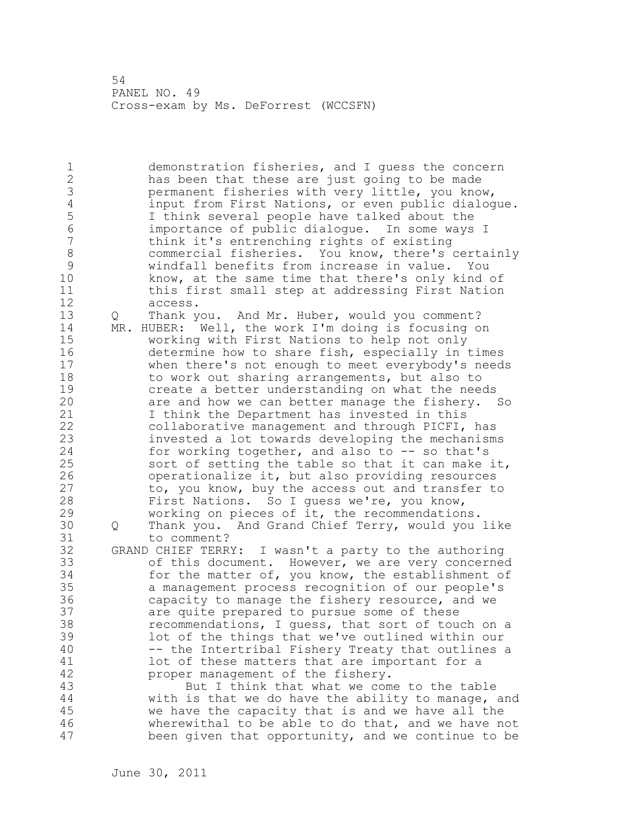1 demonstration fisheries, and I guess the concern 2 has been that these are just going to be made 3 bermanent fisheries with very little, you know,<br>4 input from First Nations, or even public dialog 4 input from First Nations, or even public dialogue.<br>5 1 I think several people have talked about the 5 I think several people have talked about the 6 importance of public dialogue. In some ways I think it's entrenching rights of existing 8 commercial fisheries. You know, there's certainly 9 windfall benefits from increase in value. You<br>10 know, at the same time that there's only kind know, at the same time that there's only kind of 11 this first small step at addressing First Nation 12 access. 13 Q Thank you. And Mr. Huber, would you comment? 14 MR. HUBER: Well, the work I'm doing is focusing on 15 working with First Nations to help not only 16 determine how to share fish, especially in times 17 when there's not enough to meet everybody's needs 18 to work out sharing arrangements, but also to 19 create a better understanding on what the needs<br>20 are and how we can better manage the fishery. are and how we can better manage the fishery. So 21 I think the Department has invested in this 22 collaborative management and through PICFI, has 23 invested a lot towards developing the mechanisms 24 for working together, and also to -- so that's 25 sort of setting the table so that it can make it, 26 operationalize it, but also providing resources<br>27 to, you know, buy the access out and transfer to to, you know, buy the access out and transfer to 28 First Nations. So I guess we're, you know, 29 working on pieces of it, the recommendations. 30 Q Thank you. And Grand Chief Terry, would you like to comment? 32 GRAND CHIEF TERRY: I wasn't a party to the authoring 33 of this document. However, we are very concerned 34 for the matter of, you know, the establishment of 35 a management process recognition of our people's 36 capacity to manage the fishery resource, and we 37 are quite prepared to pursue some of these 38 recommendations, I guess, that sort of touch on a 39 lot of the things that we've outlined within our 40 -- the Intertribal Fishery Treaty that outlines a 41 lot of these matters that are important for a<br>42 proper management of the fishery. proper management of the fishery. 43 But I think that what we come to the table 44 with is that we do have the ability to manage, and 45 we have the capacity that is and we have all the 46 wherewithal to be able to do that, and we have not 47 been given that opportunity, and we continue to be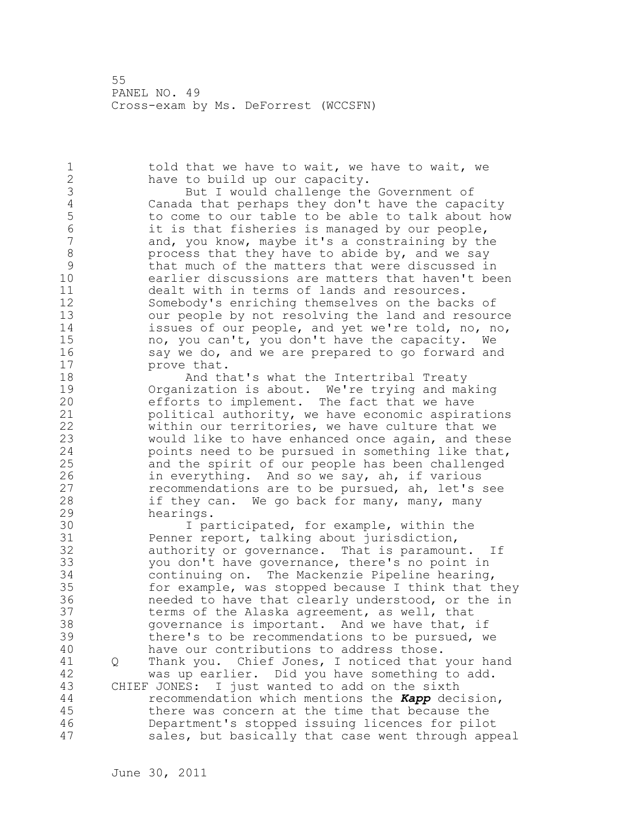1 told that we have to wait, we have to wait, we 2 have to build up our capacity. 3 But I would challenge the Government of 3<br>4 Canada that perhaps they don't have the capa 4 Canada that perhaps they don't have the capacity 5 to come to our table to be able to talk about how<br>6 it is that fisheries is managed by our people. 6 it is that fisheries is managed by our people,<br>7 and, you know, maybe it's a constraining by th and, you know, maybe it's a constraining by the 8 process that they have to abide by, and we say<br>9 that much of the matters that were discussed in 9 that much of the matters that were discussed in<br>10 earlier discussions are matters that haven't be earlier discussions are matters that haven't been 11 dealt with in terms of lands and resources. 12 Somebody's enriching themselves on the backs of 13 our people by not resolving the land and resource 14 issues of our people, and yet we're told, no, no, 15 no, you can't, you don't have the capacity. We 16 say we do, and we are prepared to go forward and 17 prove that. 18 **And that's what the Intertribal Treaty** 19 Organization is about. We're trying and making<br>20 efforts to implement. The fact that we have efforts to implement. The fact that we have 21 political authority, we have economic aspirations 22 within our territories, we have culture that we 23 would like to have enhanced once again, and these 24 points need to be pursued in something like that, 25 and the spirit of our people has been challenged 26 in everything. And so we say, ah, if various<br>27 cecommendations are to be pursued, ah, let's recommendations are to be pursued, ah, let's see 28 if they can. We go back for many, many, many 29 hearings. 30 1 participated, for example, within the<br>31 Penner report, talking about jurisdiction, Penner report, talking about jurisdiction, 32 authority or governance. That is paramount. If 33 you don't have governance, there's no point in 34 continuing on. The Mackenzie Pipeline hearing, 35 for example, was stopped because I think that they 36 needed to have that clearly understood, or the in 37 terms of the Alaska agreement, as well, that 38 governance is important. And we have that, if 39 there's to be recommendations to be pursued, we 40 have our contributions to address those. 41 Q Thank you. Chief Jones, I noticed that your hand 42 was up earlier. Did you have something to add. 43 CHIEF JONES: I just wanted to add on the sixth 44 recommendation which mentions the *Kapp* decision, 45 there was concern at the time that because the 46 Department's stopped issuing licences for pilot 47 sales, but basically that case went through appeal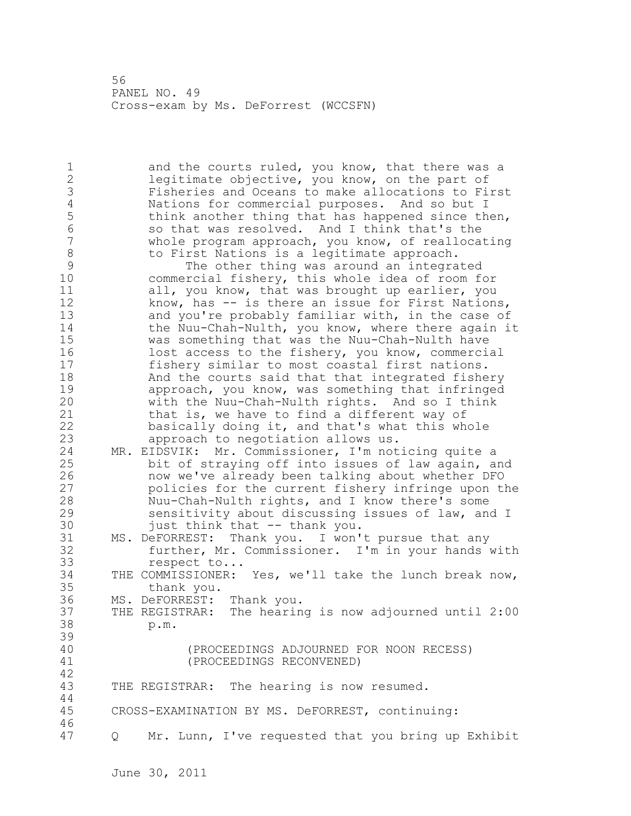1 and the courts ruled, you know, that there was a 2 legitimate objective, you know, on the part of 3 Fisheries and Oceans to make allocations to First 4 Nations for commercial purposes. And so but I<br>5 think another thing that has happened since the 5 think another thing that has happened since then,<br>6 so that was resolved. And I think that's the 6 so that was resolved. And I think that's the<br>7 whole program approach, you know, of realloca whole program approach, you know, of reallocating 8 to First Nations is a legitimate approach.<br>9 The other thing was around an integra 9 The other thing was around an integrated<br>10 Commercial fisherv, this whole idea of room f commercial fishery, this whole idea of room for 11 all, you know, that was brought up earlier, you 12 know, has -- is there an issue for First Nations, 13 and you're probably familiar with, in the case of 14 the Nuu-Chah-Nulth, you know, where there again it 15 was something that was the Nuu-Chah-Nulth have 16 lost access to the fishery, you know, commercial 17 fishery similar to most coastal first nations. 18 And the courts said that that integrated fishery 19 approach, you know, was something that infringed<br>20 with the Nuu-Chah-Nulth rights. And so I think with the Nuu-Chah-Nulth rights. And so I think 21 that is, we have to find a different way of 22 basically doing it, and that's what this whole 23 approach to negotiation allows us. 24 MR. EIDSVIK: Mr. Commissioner, I'm noticing quite a 25 bit of straying off into issues of law again, and 26 now we've already been talking about whether DFO<br>27 bolicies for the current fishery infringe upon the policies for the current fishery infringe upon the 28 Nuu-Chah-Nulth rights, and I know there's some 29 sensitivity about discussing issues of law, and I 30 just think that -- thank you.<br>31 MS. DeFORREST: Thank you. I won' MS. DeFORREST: Thank you. I won't pursue that any 32 further, Mr. Commissioner. I'm in your hands with 33 respect to... 34 THE COMMISSIONER: Yes, we'll take the lunch break now, 35 thank you. 36 MS. DeFORREST: Thank you. 37 THE REGISTRAR: The hearing is now adjourned until 2:00 38 p.m. 39 40 (PROCEEDINGS ADJOURNED FOR NOON RECESS) 41 (PROCEEDINGS RECONVENED) 42 43 THE REGISTRAR: The hearing is now resumed. 44 45 CROSS-EXAMINATION BY MS. DeFORREST, continuing: 46 47 Q Mr. Lunn, I've requested that you bring up Exhibit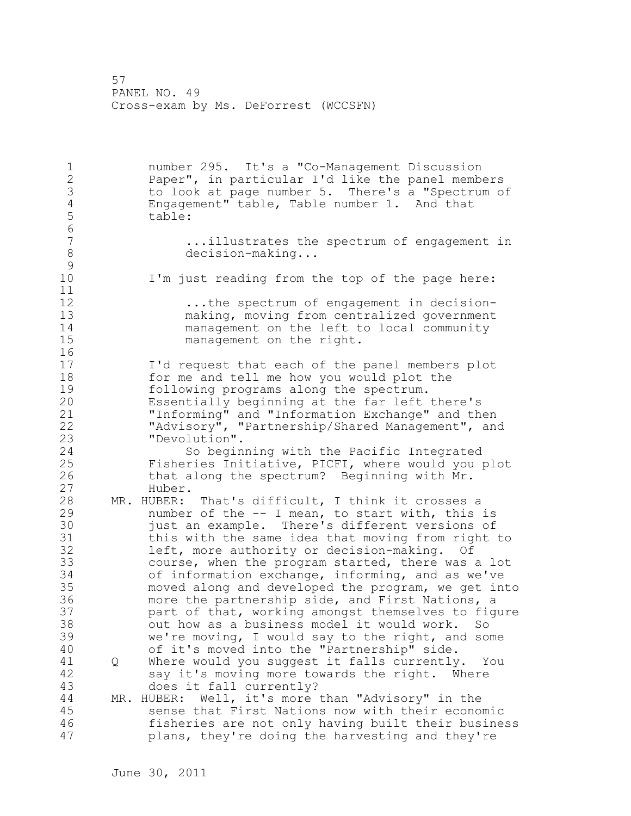1 number 295. It's a "Co-Management Discussion 2 Paper", in particular I'd like the panel members 3 to look at page number 5. There's a "Spectrum of<br>4 Engagement" table, Table number 1. And that 4 Engagement" table, Table number 1. And that table: 6<br>7 ...illustrates the spectrum of engagement in 8 decision-making...  $\begin{array}{c} 9 \\ 10 \end{array}$ I'm just reading from the top of the page here: 11 12 12 ...the spectrum of engagement in decision-<br>13 making, moving from centralized government making, moving from centralized government 14 management on the left to local community 15 management on the right. 16 17 I'd request that each of the panel members plot 18 for me and tell me how you would plot the 19 following programs along the spectrum.<br>20 Essentially beginning at the far left Essentially beginning at the far left there's 21 "Informing" and "Information Exchange" and then 22 "Advisory", "Partnership/Shared Management", and 23 "Devolution". 24 So beginning with the Pacific Integrated 25 Fisheries Initiative, PICFI, where would you plot 26 that along the spectrum? Beginning with Mr.<br>27 Huber. Huber. 28 MR. HUBER: That's difficult, I think it crosses a 29 number of the -- I mean, to start with, this is 30 just an example. There's different versions of<br>31 this with the same idea that moving from right this with the same idea that moving from right to 32 left, more authority or decision-making. Of 33 course, when the program started, there was a lot 34 of information exchange, informing, and as we've 35 moved along and developed the program, we get into 36 more the partnership side, and First Nations, a 37 part of that, working amongst themselves to figure 38 out how as a business model it would work. So 39 we're moving, I would say to the right, and some 40 of it's moved into the "Partnership" side. 41 Q Where would you suggest it falls currently. You<br>42 Sav it's moving more towards the right. Where say it's moving more towards the right. Where 43 does it fall currently? 44 MR. HUBER: Well, it's more than "Advisory" in the 45 sense that First Nations now with their economic 46 fisheries are not only having built their business 47 plans, they're doing the harvesting and they're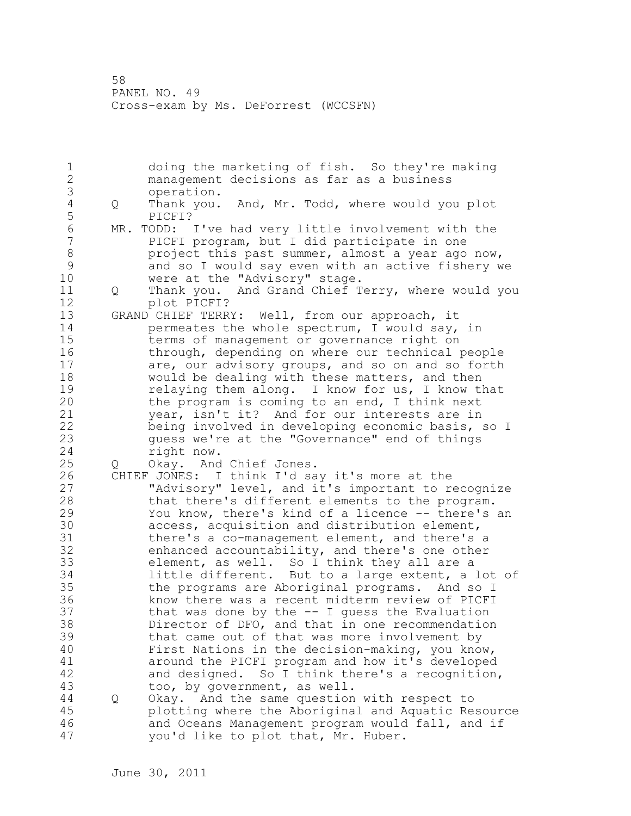1 doing the marketing of fish. So they're making 2 management decisions as far as a business 3 operation.<br>4 Q Thank you. 4 Q Thank you. And, Mr. Todd, where would you plot 5 PICFI? 6 MR. TODD: I've had very little involvement with the<br>7 PICFI program, but I did participate in one PICFI program, but I did participate in one 8 **project this past summer, almost a year ago now,** 9 and so I would say even with an active fishery we<br>10 were at the "Advisory" stage. were at the "Advisory" stage. 11 Q Thank you. And Grand Chief Terry, where would you 12 plot PICFI? 13 GRAND CHIEF TERRY: Well, from our approach, it<br>14 opermeates the whole spectrum, I would say, permeates the whole spectrum, I would say, in 15 terms of management or governance right on 16 through, depending on where our technical people 17 are, our advisory groups, and so on and so forth 18 would be dealing with these matters, and then 19 relaying them along. I know for us, I know that<br>20 the program is coming to an end, I think next the program is coming to an end, I think next 21 year, isn't it? And for our interests are in 22 being involved in developing economic basis, so I 23 guess we're at the "Governance" end of things 24 right now. 25 Q Okay. And Chief Jones. 26 CHIEF JONES: I think I'd say it's more at the<br>27 TAdvisory" level, and it's important to re "Advisory" level, and it's important to recognize 28 that there's different elements to the program. 29 You know, there's kind of a licence -- there's an 30 access, acquisition and distribution element, 31 there's a co-management element, and there's a 32 enhanced accountability, and there's one other 33 element, as well. So I think they all are a 34 little different. But to a large extent, a lot of 35 the programs are Aboriginal programs. And so I 36 know there was a recent midterm review of PICFI 37 that was done by the -- I guess the Evaluation 38 Director of DFO, and that in one recommendation 39 that came out of that was more involvement by 40 First Nations in the decision-making, you know, 41 around the PICFI program and how it's developed<br>42 and designed. So I think there's a recognition and designed. So I think there's a recognition, 43 too, by government, as well. 44 Q Okay. And the same question with respect to 45 plotting where the Aboriginal and Aquatic Resource 46 and Oceans Management program would fall, and if 47 you'd like to plot that, Mr. Huber.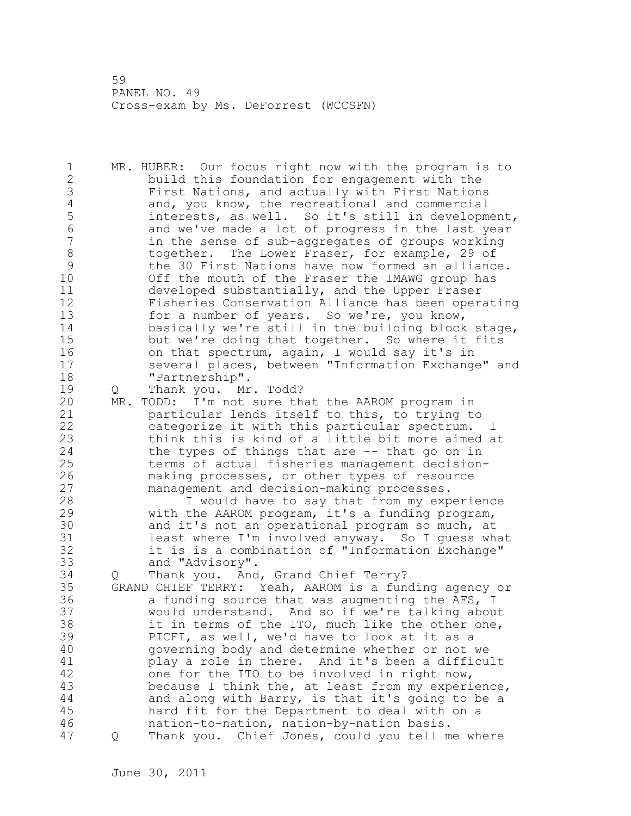1 MR. HUBER: Our focus right now with the program is to 2 build this foundation for engagement with the 3 First Nations, and actually with First Nations<br>4 and, you know, the recreational and commercial 4 and, you know, the recreational and commercial<br>5 5 interests, as well. So it's still in development 5 interests, as well. So it's still in development,<br>6 and we've made a lot of progress in the last vear 6 and we've made a lot of progress in the last year in the sense of sub-aggregates of groups working 8 together. The Lower Fraser, for example, 29 of<br>9 the 30 First Nations have now formed an alliance 9 the 30 First Nations have now formed an alliance.<br>10 0ff the mouth of the Fraser the IMAWG group has Off the mouth of the Fraser the IMAWG group has 11 developed substantially, and the Upper Fraser 12 Fisheries Conservation Alliance has been operating 13 for a number of years. So we're, you know, 14 basically we're still in the building block stage, 15 but we're doing that together. So where it fits 16 on that spectrum, again, I would say it's in 17 several places, between "Information Exchange" and 18 "Partnership". 19 Q Thank you. Mr. Todd? 20 MR. TODD: I'm not sure that the AAROM program in 21 particular lends itself to this, to trying to 22 categorize it with this particular spectrum. I 23 think this is kind of a little bit more aimed at 24 the types of things that are -- that go on in 25 terms of actual fisheries management decision-26 making processes, or other types of resource<br>27 management and decision-making processes. management and decision-making processes. 28 I would have to say that from my experience 29 with the AAROM program, it's a funding program, 30 and it's not an operational program so much, at<br>31 and it's not an operational program so I quess wh least where I'm involved anyway. So I guess what 32 it is is a combination of "Information Exchange" 33 and "Advisory". 34 Q Thank you. And, Grand Chief Terry? 35 GRAND CHIEF TERRY: Yeah, AAROM is a funding agency or 36 a funding source that was augmenting the AFS, I 37 would understand. And so if we're talking about 38 it in terms of the ITO, much like the other one, 39 PICFI, as well, we'd have to look at it as a 40 governing body and determine whether or not we 41 play a role in there. And it's been a difficult<br>42 one for the ITO to be involved in right now, one for the ITO to be involved in right now, 43 because I think the, at least from my experience, 44 and along with Barry, is that it's going to be a 45 hard fit for the Department to deal with on a 46 nation-to-nation, nation-by-nation basis. 47 Q Thank you. Chief Jones, could you tell me where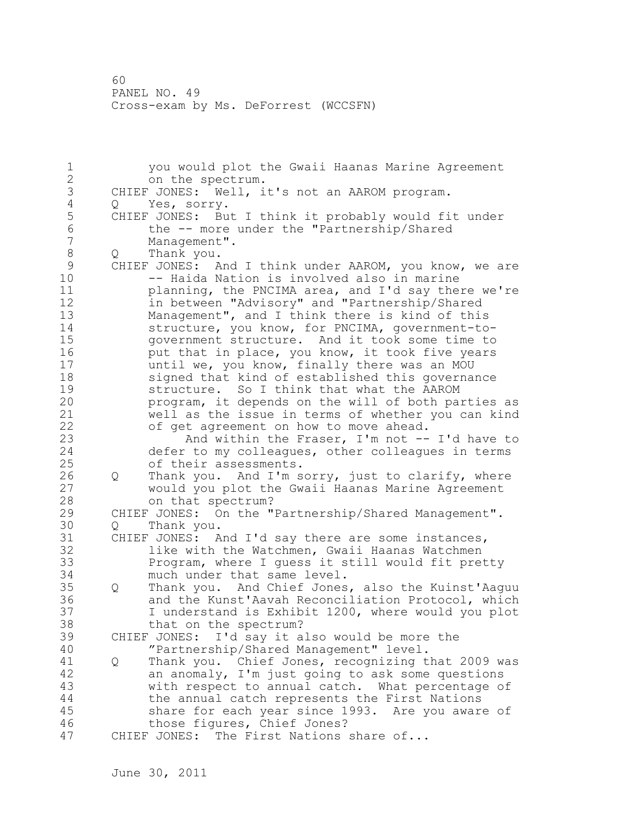1 you would plot the Gwaii Haanas Marine Agreement on the spectrum. 3 CHIEF JONES: Well, it's not an AAROM program.<br>4 0 Yes, sorry. 4 Q Yes, sorry.<br>5 CHIEF JONES: Bu 5 CHIEF JONES: But I think it probably would fit under<br>6 the -- more under the "Partnership/Shared 6 the -- more under the "Partnership/Shared<br>7 Management". Management". 8 Q Thank you.<br>9 CHIEF JONES: A 9 CHIEF JONES: And I think under AAROM, you know, we are<br>10 -- Haida Nation is involved also in marine -- Haida Nation is involved also in marine 11 planning, the PNCIMA area, and I'd say there we're 12 in between "Advisory" and "Partnership/Shared 13 Management", and I think there is kind of this 14 structure, you know, for PNCIMA, government-to-15 government structure. And it took some time to 16 put that in place, you know, it took five years 17 until we, you know, finally there was an MOU 18 signed that kind of established this governance 19 structure. So I think that what the AAROM<br>20 program, it depends on the will of both pa program, it depends on the will of both parties as 21 well as the issue in terms of whether you can kind 22 of get agreement on how to move ahead. 23 And within the Fraser, I'm not -- I'd have to 24 defer to my colleagues, other colleagues in terms 25 of their assessments. 26 Q Thank you. And I'm sorry, just to clarify, where<br>27 would you plot the Gwaii Haanas Marine Agreement would you plot the Gwaii Haanas Marine Agreement 28 on that spectrum? 29 CHIEF JONES: On the "Partnership/Shared Management". 30 Q Thank you.<br>31 CHIEF JONES: A CHIEF JONES: And I'd say there are some instances, 32 like with the Watchmen, Gwaii Haanas Watchmen 33 Program, where I guess it still would fit pretty 34 much under that same level. 35 Q Thank you. And Chief Jones, also the Kuinst'Aaguu 36 and the Kunst'Aavah Reconciliation Protocol, which 37 I understand is Exhibit 1200, where would you plot 38 that on the spectrum? 39 CHIEF JONES: I'd say it also would be more the 40 "Partnership/Shared Management" level. 41 Q Thank you. Chief Jones, recognizing that 2009 was<br>42 an anomaly, I'm just going to ask some questions an anomaly, I'm just going to ask some questions 43 with respect to annual catch. What percentage of 44 the annual catch represents the First Nations 45 share for each year since 1993. Are you aware of 46 those figures, Chief Jones? 47 CHIEF JONES: The First Nations share of...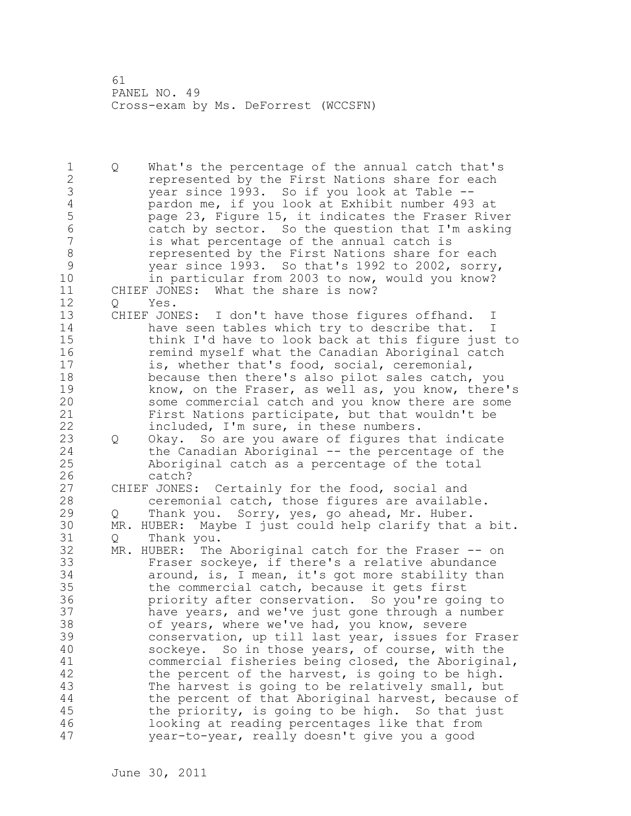1 Q What's the percentage of the annual catch that's 2 represented by the First Nations share for each 3 year since 1993. So if you look at Table --<br>4 pardon me, if you look at Exhibit number 493 4 pardon me, if you look at Exhibit number 493 at<br>5 page 23, Figure 15, it indicates the Fraser Riv 5 page 23, Figure 15, it indicates the Fraser River<br>6 catch by sector. So the question that I'm asking 6 catch by sector. So the question that I'm asking is what percentage of the annual catch is 8 represented by the First Nations share for each<br>9 vear since 1993. So that's 1992 to 2002, sorry 9 year since 1993. So that's 1992 to 2002, sorry, in particular from 2003 to now, would you know? 11 CHIEF JONES: What the share is now? 12 Q Yes. 13 CHIEF JONES: I don't have those figures offhand. I 14 have seen tables which try to describe that. I 15 think I'd have to look back at this figure just to 16 remind myself what the Canadian Aboriginal catch 17 is, whether that's food, social, ceremonial, 18 because then there's also pilot sales catch, you 19 know, on the Fraser, as well as, you know, there's<br>20 some commercial catch and you know there are some some commercial catch and you know there are some 21 First Nations participate, but that wouldn't be 22 included, I'm sure, in these numbers. 23 Q Okay. So are you aware of figures that indicate 24 the Canadian Aboriginal -- the percentage of the 25 Aboriginal catch as a percentage of the total 26 catch?<br>27 CHIEF JONES CHIEF JONES: Certainly for the food, social and 28 ceremonial catch, those figures are available. 29 Q Thank you. Sorry, yes, go ahead, Mr. Huber. 30 MR. HUBER: Maybe I just could help clarify that a bit. Q Thank you. 32 MR. HUBER: The Aboriginal catch for the Fraser -- on 33 Fraser sockeye, if there's a relative abundance 34 around, is, I mean, it's got more stability than 35 the commercial catch, because it gets first 36 priority after conservation. So you're going to 37 have years, and we've just gone through a number 38 of years, where we've had, you know, severe 39 conservation, up till last year, issues for Fraser 40 sockeye. So in those years, of course, with the 41 commercial fisheries being closed, the Aboriginal,<br>42 the percent of the harvest, is going to be high. the percent of the harvest, is going to be high. 43 The harvest is going to be relatively small, but 44 the percent of that Aboriginal harvest, because of 45 the priority, is going to be high. So that just 46 looking at reading percentages like that from 47 year-to-year, really doesn't give you a good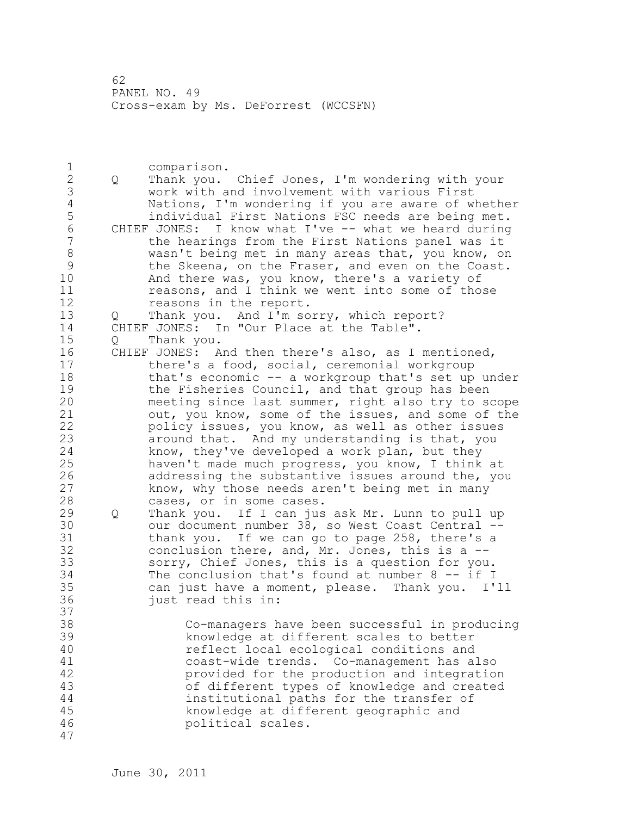1 comparison.<br>2 O Thank vou. 2 Q Thank you. Chief Jones, I'm wondering with your 3 work with and involvement with various First 4 Nations, I'm wondering if you are aware of whether 5 individual First Nations FSC needs are being met.<br>6 CHIEF JONES: I know what I've -- what we heard during 6 CHIEF JONES: I know what I've -- what we heard during the hearings from the First Nations panel was it 8 wasn't being met in many areas that, you know, on 9 the Skeena, on the Fraser, and even on the Coast.<br>10 and there was, you know, there's a variety of And there was, you know, there's a variety of 11 reasons, and I think we went into some of those 12 reasons in the report. 13 Q Thank you. And I'm sorry, which report? 14 CHIEF JONES: In "Our Place at the Table". 15 Q Thank you. 16 CHIEF JONES: And then there's also, as I mentioned, 17 there's a food, social, ceremonial workgroup 18 that's economic -- a workgroup that's set up under 19 the Fisheries Council, and that group has been<br>20 meeting since last summer, right also try to so meeting since last summer, right also try to scope 21 out, you know, some of the issues, and some of the 22 policy issues, you know, as well as other issues 23 around that. And my understanding is that, you 24 know, they've developed a work plan, but they 25 haven't made much progress, you know, I think at 26 addressing the substantive issues around the, you<br>27 havow, why those needs aren't being met in many know, why those needs aren't being met in many 28 cases, or in some cases. 29 Q Thank you. If I can jus ask Mr. Lunn to pull up 30 our document number 38, so West Coast Central --<br>31 bhank you. If we can go to page 258, there's a thank you. If we can go to page 258, there's a 32 conclusion there, and, Mr. Jones, this is a -- 33 sorry, Chief Jones, this is a question for you. 34 The conclusion that's found at number 8 -- if I 35 can just have a moment, please. Thank you. I'll 36 just read this in: 37 38 Co-managers have been successful in producing 39 knowledge at different scales to better 40 reflect local ecological conditions and 41 coast-wide trends. Co-management has also<br>42 https://wided.for.the.production.and.integration provided for the production and integration 43 of different types of knowledge and created 44 institutional paths for the transfer of 45 knowledge at different geographic and 46 political scales. 47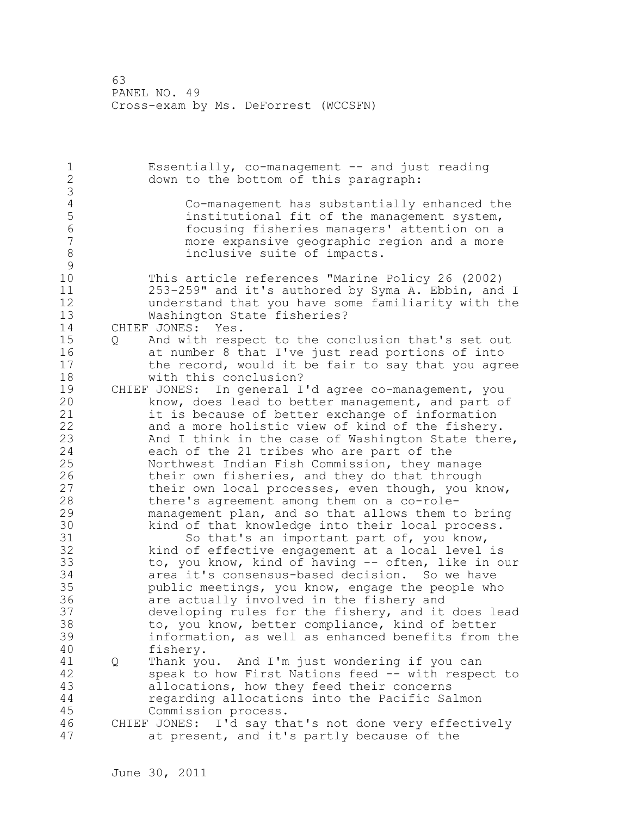1 Essentially, co-management -- and just reading 2 down to the bottom of this paragraph: 3 4 Co-management has substantially enhanced the 5 institutional fit of the management system, 6 focusing fisheries managers' attention on a more expansive geographic region and a more 8 inclusive suite of impacts.  $\begin{array}{c} 9 \\ 10 \end{array}$ This article references "Marine Policy 26 (2002) 11 253-259" and it's authored by Syma A. Ebbin, and I 12 understand that you have some familiarity with the 13 Washington State fisheries? 14 CHIEF JONES: Yes. 15 Q And with respect to the conclusion that's set out 16 at number 8 that I've just read portions of into 17 the record, would it be fair to say that you agree 18 with this conclusion? 19 CHIEF JONES: In general I'd agree co-management, you<br>20 know, does lead to better management, and part o know, does lead to better management, and part of 21 it is because of better exchange of information 22 and a more holistic view of kind of the fishery. 23 And I think in the case of Washington State there, 24 each of the 21 tribes who are part of the 25 Northwest Indian Fish Commission, they manage 26 their own fisheries, and they do that through<br>27 their own local processes, even though, you ki their own local processes, even though, you know, 28 there's agreement among them on a co-role-29 management plan, and so that allows them to bring 30 kind of that knowledge into their local process.<br>31 So that's an important part of, you know, 31 So that's an important part of, you know,<br>32 kind of effective engagement at a local level kind of effective engagement at a local level is 33 to, you know, kind of having -- often, like in our 34 area it's consensus-based decision. So we have 35 public meetings, you know, engage the people who 36 are actually involved in the fishery and 37 developing rules for the fishery, and it does lead 38 to, you know, better compliance, kind of better 39 information, as well as enhanced benefits from the 40 fishery. 41 Q Thank you. And I'm just wondering if you can<br>42 Speak to how First Nations feed -- with respe speak to how First Nations feed -- with respect to 43 allocations, how they feed their concerns 44 regarding allocations into the Pacific Salmon 45 Commission process. 46 CHIEF JONES: I'd say that's not done very effectively 47 at present, and it's partly because of the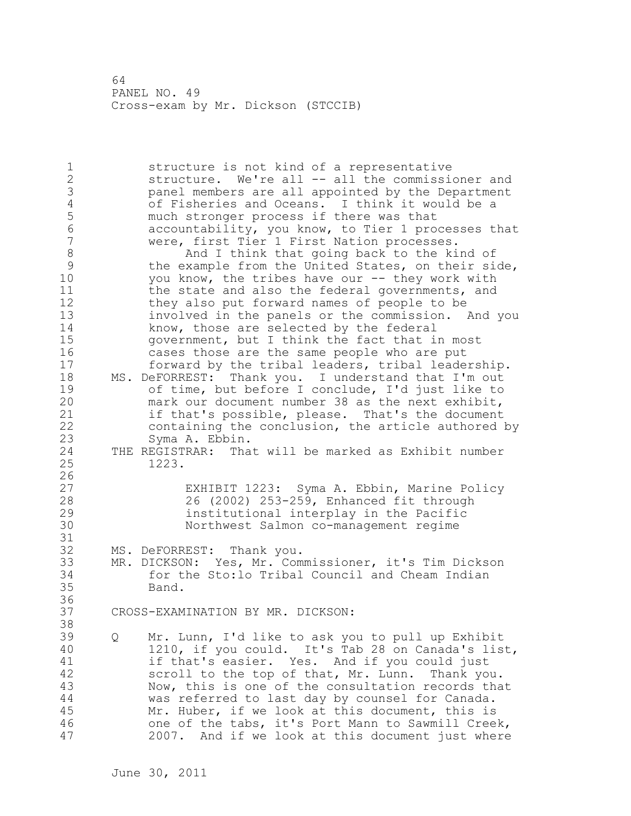1 structure is not kind of a representative 2 structure. We're all -- all the commissioner and 3 panel members are all appointed by the Department 4 of Fisheries and Oceans. I think it would be a 5 much stronger process if there was that<br>6 accountability, you know, to Tier 1 pro 6 accountability, you know, to Tier 1 processes that were, first Tier 1 First Nation processes. 8 And I think that going back to the kind of<br>9 the example from the United States, on their si 9 the example from the United States, on their side,<br>10 vou know, the tribes have our -- they work with you know, the tribes have our  $-$ - they work with 11 the state and also the federal governments, and 12 they also put forward names of people to be 13 involved in the panels or the commission. And you 14 know, those are selected by the federal 15 government, but I think the fact that in most 16 cases those are the same people who are put 17 forward by the tribal leaders, tribal leadership. 18 MS. DeFORREST: Thank you. I understand that I'm out 19 of time, but before I conclude, I'd just like to<br>20 mark our document number 38 as the next exhibit, mark our document number 38 as the next exhibit, 21 if that's possible, please. That's the document 22 containing the conclusion, the article authored by 23 Syma A. Ebbin. 24 THE REGISTRAR: That will be marked as Exhibit number 25 1223.  $\frac{26}{27}$ 27 EXHIBIT 1223: Syma A. Ebbin, Marine Policy<br>28 26 (2002) 253-259, Enhanced fit through 28 26 (2002) 253-259, Enhanced fit through 29 institutional interplay in the Pacific 30 Northwest Salmon co-management regime 31<br>32 MS. DeFORREST: Thank you. 33 MR. DICKSON: Yes, Mr. Commissioner, it's Tim Dickson 34 for the Sto:lo Tribal Council and Cheam Indian 35 Band. 36 37 CROSS-EXAMINATION BY MR. DICKSON: 38 39 Q Mr. Lunn, I'd like to ask you to pull up Exhibit 40 1210, if you could. It's Tab 28 on Canada's list, 41 if that's easier. Yes. And if you could just<br>42 scroll to the top of that, Mr. Lunn. Thank vo scroll to the top of that, Mr. Lunn. Thank you. 43 Now, this is one of the consultation records that 44 was referred to last day by counsel for Canada. 45 Mr. Huber, if we look at this document, this is 46 one of the tabs, it's Port Mann to Sawmill Creek, 47 2007. And if we look at this document just where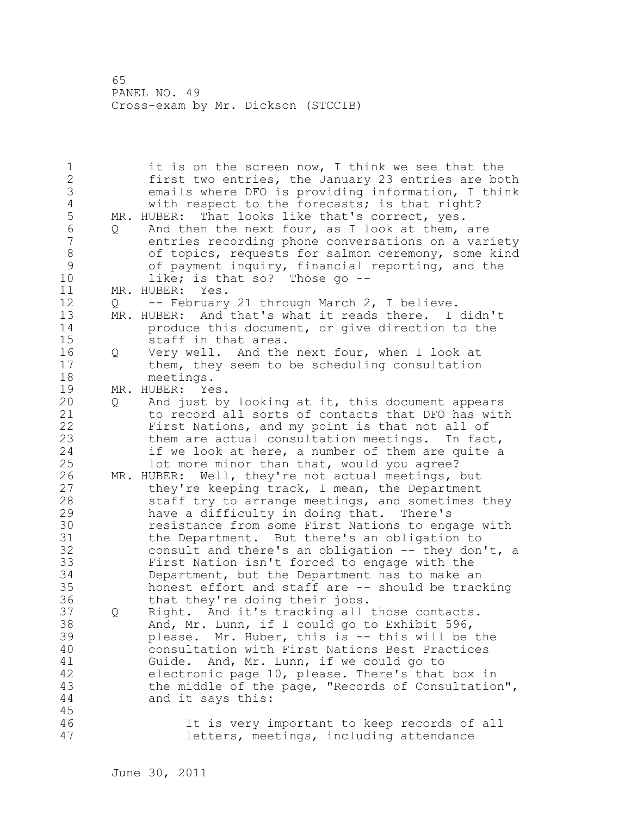1 it is on the screen now, I think we see that the 2 first two entries, the January 23 entries are both 3 emails where DFO is providing information, I think 4 with respect to the forecasts; is that right?<br>5 MR. HUBER: That looks like that's correct, yes. 5 MR. HUBER: That looks like that's correct, yes.<br>6 0 And then the next four, as I look at them, 6 Q And then the next four, as I look at them, are entries recording phone conversations on a variety 8 of topics, requests for salmon ceremony, some kind<br>9 of payment inquiry, financial reporting, and the 9 of payment inquiry, financial reporting, and the<br>10 like: is that so? Those go -like; is that so? Those go  $-$ -11 MR. HUBER: Yes. 12 Q -- February 21 through March 2, I believe. 13 MR. HUBER: And that's what it reads there. I didn't 14 produce this document, or give direction to the 15 staff in that area. 16 Q Very well. And the next four, when I look at 17 them, they seem to be scheduling consultation 18 meetings. 19 MR. HUBER: Yes.<br>20 0 And just by 20 Q And just by looking at it, this document appears 21 to record all sorts of contacts that DFO has with 22 First Nations, and my point is that not all of 23 them are actual consultation meetings. In fact, 24 if we look at here, a number of them are quite a 25 lot more minor than that, would you agree? 26 MR. HUBER: Well, they're not actual meetings, but<br>27 they're keeping track, I mean, the Department they're keeping track, I mean, the Department 28 staff try to arrange meetings, and sometimes they 29 have a difficulty in doing that. There's 30 resistance from some First Nations to engage with<br>31 the Department. But there's an obligation to the Department. But there's an obligation to 32 consult and there's an obligation -- they don't, a 33 First Nation isn't forced to engage with the 34 Department, but the Department has to make an 35 honest effort and staff are -- should be tracking 36 that they're doing their jobs. 37 Q Right. And it's tracking all those contacts. 38 And, Mr. Lunn, if I could go to Exhibit 596, 39 please. Mr. Huber, this is -- this will be the 40 consultation with First Nations Best Practices 41 Guide. And, Mr. Lunn, if we could go to<br>42 electronic page 10, please. There's that electronic page 10, please. There's that box in 43 the middle of the page, "Records of Consultation", 44 and it says this: 45 46 It is very important to keep records of all 47 letters, meetings, including attendance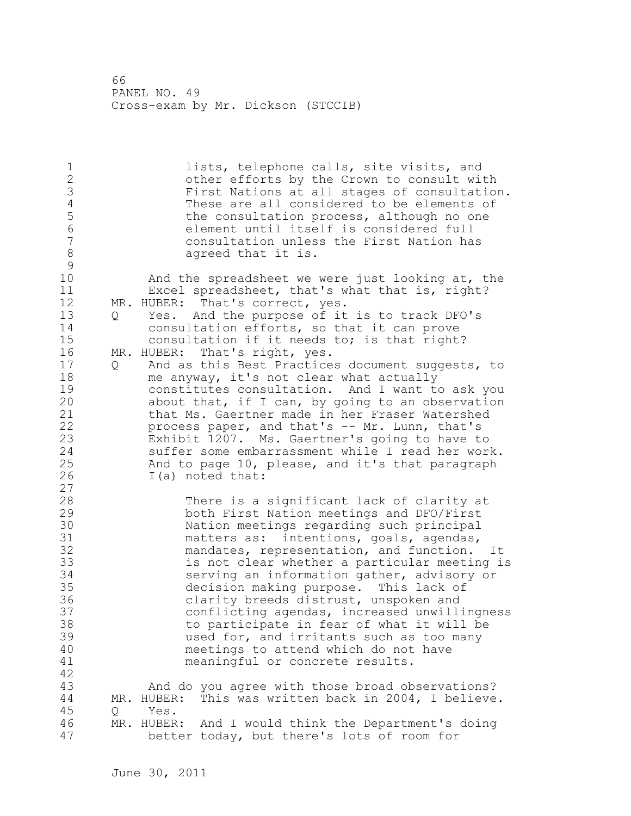1 lists, telephone calls, site visits, and 2 other efforts by the Crown to consult with 3 First Nations at all stages of consultation.<br>4 These are all considered to be elements of 4 These are all considered to be elements of<br>5 the consultation process, although no one 5 the consultation process, although no one<br>6 (6) the element until itself is considered full 6 element until itself is considered full 7 consultation unless the First Nation has 8 agreed that it is.  $\begin{array}{c} 9 \\ 10 \end{array}$ And the spreadsheet we were just looking at, the 11 Excel spreadsheet, that's what that is, right? 12 MR. HUBER: That's correct, yes. 13 Q Yes. And the purpose of it is to track DFO's 14 consultation efforts, so that it can prove 15 consultation if it needs to; is that right? 16 MR. HUBER: That's right, yes. 17 Q And as this Best Practices document suggests, to 18 me anyway, it's not clear what actually 19 constitutes consultation. And I want to ask you<br>20 about that, if I can, by going to an observation about that, if I can, by going to an observation 21 that Ms. Gaertner made in her Fraser Watershed 22 process paper, and that's -- Mr. Lunn, that's 23 Exhibit 1207. Ms. Gaertner's going to have to 24 suffer some embarrassment while I read her work. 25 And to page 10, please, and it's that paragraph 26 I(a) noted that:  $\begin{array}{c} 27 \\ 28 \end{array}$ There is a significant lack of clarity at 29 both First Nation meetings and DFO/First 30 Nation meetings regarding such principal<br>31 matters as: intentions, goals, agendas, 31 matters as: intentions, goals, agendas,<br>32 mandates, representation, and function. mandates, representation, and function. It 33 is not clear whether a particular meeting is 34 serving an information gather, advisory or 35 decision making purpose. This lack of 36 clarity breeds distrust, unspoken and 37 conflicting agendas, increased unwillingness 38 to participate in fear of what it will be 39 used for, and irritants such as too many 40 meetings to attend which do not have 41 meaningful or concrete results. 42 43 And do you agree with those broad observations? 44 MR. HUBER: This was written back in 2004, I believe. 45 Q Yes. 46 MR. HUBER: And I would think the Department's doing 47 better today, but there's lots of room for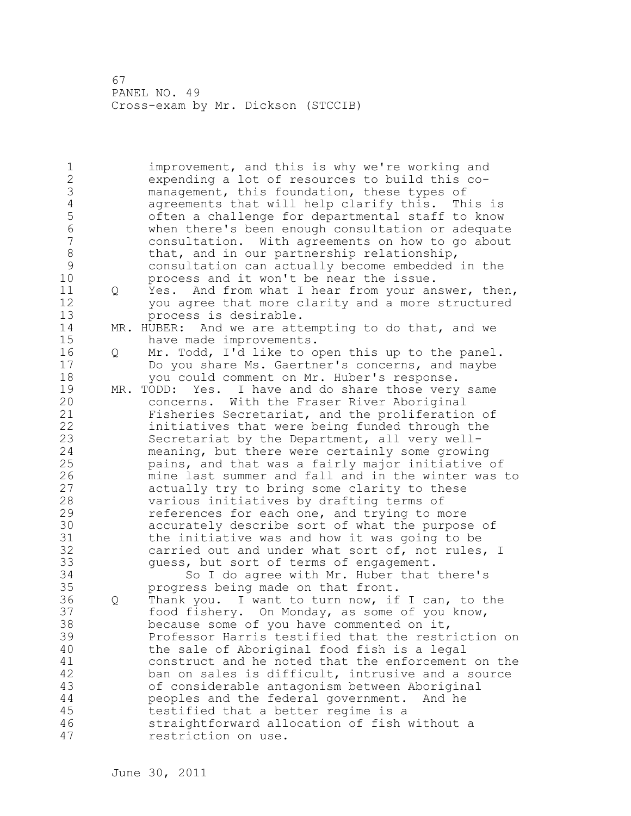1 improvement, and this is why we're working and 2 expending a lot of resources to build this co-3 management, this foundation, these types of<br>4 agreements that will help clarify this. Th 4 agreements that will help clarify this. This is<br>5 often a challenge for departmental staff to know 5 often a challenge for departmental staff to know 6 when there's been enough consultation or adequate 7 consultation. With agreements on how to go about 8 that, and in our partnership relationship,<br>9 consultation can actually become embedded 9 consultation can actually become embedded in the<br>10 **belogens** or process and it won't be near the issue. process and it won't be near the issue. 11 Q Yes. And from what I hear from your answer, then, 12 you agree that more clarity and a more structured 13 process is desirable. 14 MR. HUBER: And we are attempting to do that, and we 15 have made improvements. 16 Q Mr. Todd, I'd like to open this up to the panel. 17 Do you share Ms. Gaertner's concerns, and maybe 18 you could comment on Mr. Huber's response. 19 MR. TODD: Yes. I have and do share those very same concerns. With the Fraser River Aboriginal 21 Fisheries Secretariat, and the proliferation of 22 initiatives that were being funded through the 23 Secretariat by the Department, all very well-24 meaning, but there were certainly some growing 25 pains, and that was a fairly major initiative of 26 mine last summer and fall and in the winter was to<br>27 actually try to bring some clarity to these actually try to bring some clarity to these 28 various initiatives by drafting terms of 29 references for each one, and trying to more 30 accurately describe sort of what the purpose of<br>31 the initiative was and how it was going to be the initiative was and how it was going to be 32 carried out and under what sort of, not rules, I 33 guess, but sort of terms of engagement. 34 So I do agree with Mr. Huber that there's 35 progress being made on that front. 36 Q Thank you. I want to turn now, if I can, to the 37 food fishery. On Monday, as some of you know, 38 because some of you have commented on it, 39 Professor Harris testified that the restriction on 40 the sale of Aboriginal food fish is a legal 41 construct and he noted that the enforcement on the<br>42 ban on sales is difficult, intrusive and a source ban on sales is difficult, intrusive and a source 43 of considerable antagonism between Aboriginal 44 peoples and the federal government. And he 45 testified that a better regime is a 46 straightforward allocation of fish without a 47 restriction on use.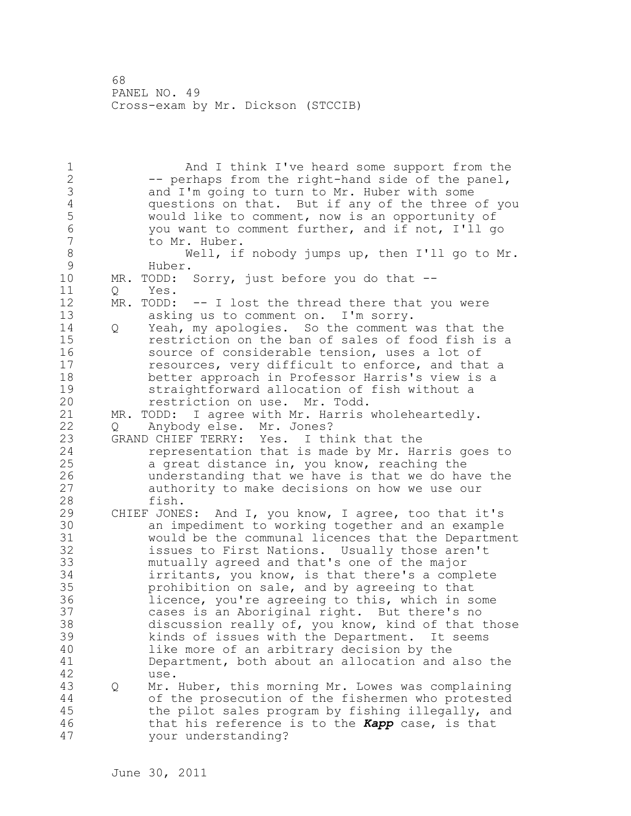1 And I think I've heard some support from the 2 -- perhaps from the right-hand side of the panel, 3 and I'm going to turn to Mr. Huber with some<br>4 questions on that. But if any of the three 4 questions on that. But if any of the three of you<br>5 would like to comment, now is an opportunity of 5 would like to comment, now is an opportunity of 6 you want to comment further, and if not, I'll go to Mr. Huber. 8 Well, if nobody jumps up, then I'll go to Mr.<br>9 Huber. 9 Huber. MR. TODD: Sorry, just before you do that --11 O Yes. 12 MR. TODD: -- I lost the thread there that you were 13 asking us to comment on. I'm sorry. 14 Q Yeah, my apologies. So the comment was that the 15 restriction on the ban of sales of food fish is a 16 source of considerable tension, uses a lot of 17 resources, very difficult to enforce, and that a 18 better approach in Professor Harris's view is a 19 straightforward allocation of fish without a<br>20 straiction on use. Mr. Todd. restriction on use. Mr. Todd. 21 MR. TODD: I agree with Mr. Harris wholeheartedly. 22 Q Anybody else. Mr. Jones? 23 GRAND CHIEF TERRY: Yes. I think that the 24 representation that is made by Mr. Harris goes to 25 a great distance in, you know, reaching the 26 understanding that we have is that we do have the<br>27 authority to make decisions on how we use our authority to make decisions on how we use our 28 fish. 29 CHIEF JONES: And I, you know, I agree, too that it's 30 an impediment to working together and an example would be the communal licences that the Department 32 issues to First Nations. Usually those aren't 33 mutually agreed and that's one of the major 34 irritants, you know, is that there's a complete 35 prohibition on sale, and by agreeing to that 36 licence, you're agreeing to this, which in some 37 cases is an Aboriginal right. But there's no 38 discussion really of, you know, kind of that those 39 kinds of issues with the Department. It seems 40 like more of an arbitrary decision by the 41 Department, both about an allocation and also the use. 43 Q Mr. Huber, this morning Mr. Lowes was complaining 44 of the prosecution of the fishermen who protested 45 the pilot sales program by fishing illegally, and 46 that his reference is to the *Kapp* case, is that 47 your understanding?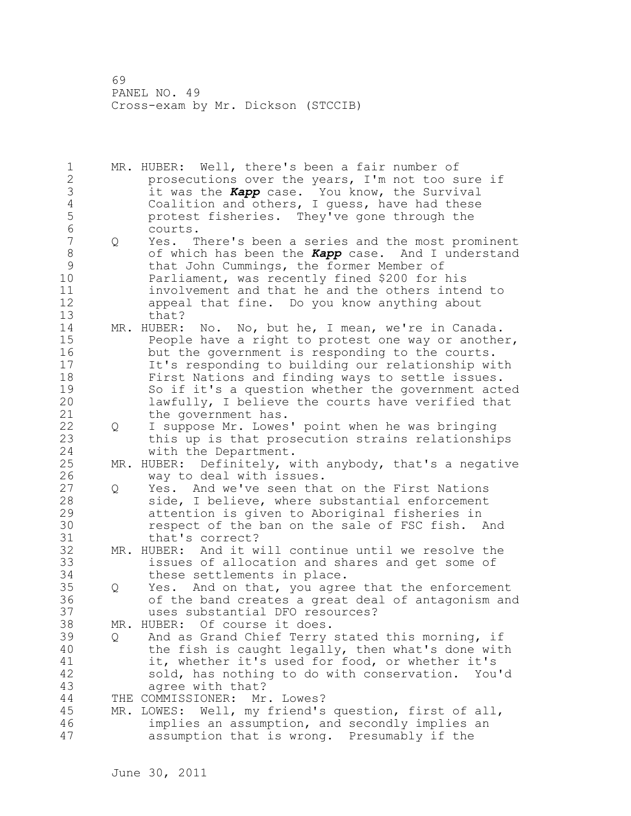1 MR. HUBER: Well, there's been a fair number of 2 prosecutions over the years, I'm not too sure if 3 it was the *Kapp* case. You know, the Survival 4 Coalition and others, I guess, have had these<br>5 protest fisheries. They've gone through the 5 protest fisheries. They've gone through the 6 courts.<br>7 0 Yes. T 7 Q Yes. There's been a series and the most prominent 8 of which has been the *Kapp* case. And I understand 9 that John Cummings, the former Member of<br>10 Parliament, was recently fined \$200 for 1 Parliament, was recently fined \$200 for his 11 involvement and that he and the others intend to 12 appeal that fine. Do you know anything about 13 that? 14 MR. HUBER: No. No, but he, I mean, we're in Canada. 15 People have a right to protest one way or another, 16 but the government is responding to the courts. 17 It's responding to building our relationship with 18 First Nations and finding ways to settle issues. 19 So if it's a question whether the government acted<br>20 1awfully, I believe the courts have verified that lawfully, I believe the courts have verified that 21 the government has. 22 Q I suppose Mr. Lowes' point when he was bringing 23 this up is that prosecution strains relationships 24 with the Department. 25 MR. HUBER: Definitely, with anybody, that's a negative 26 way to deal with issues.<br>27 0 Yes. And we've seen tha Q Yes. And we've seen that on the First Nations 28 side, I believe, where substantial enforcement 29 attention is given to Aboriginal fisheries in 30 respect of the ban on the sale of FSC fish. And<br>31 that's correct? that's correct? 32 MR. HUBER: And it will continue until we resolve the 33 issues of allocation and shares and get some of 34 these settlements in place. 35 Q Yes. And on that, you agree that the enforcement 36 of the band creates a great deal of antagonism and 37 uses substantial DFO resources? 38 MR. HUBER: Of course it does. 39 Q And as Grand Chief Terry stated this morning, if 40 the fish is caught legally, then what's done with 41 it, whether it's used for food, or whether it's<br>42 sold, has nothing to do with conservation. You sold, has nothing to do with conservation. You'd 43 agree with that? 44 THE COMMISSIONER: Mr. Lowes? 45 MR. LOWES: Well, my friend's question, first of all, 46 implies an assumption, and secondly implies an 47 assumption that is wrong. Presumably if the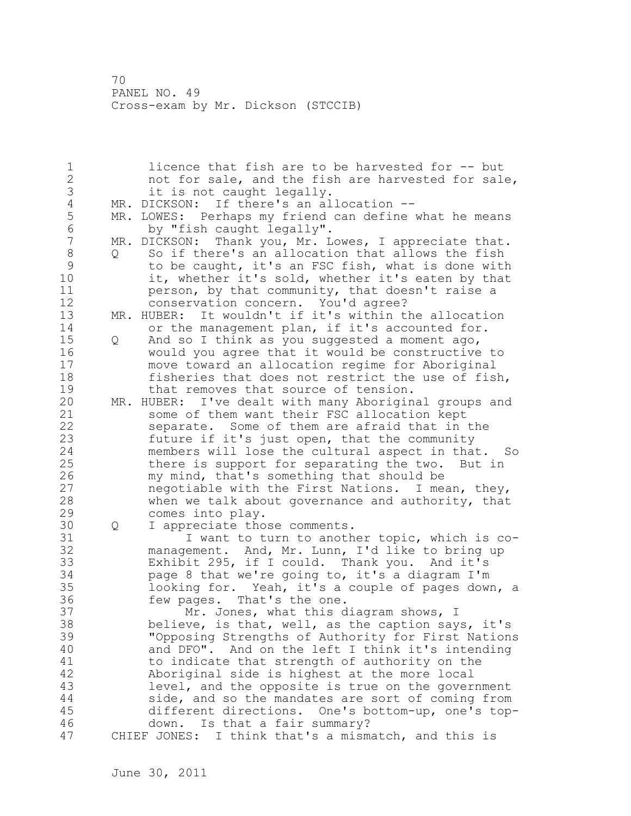1 licence that fish are to be harvested for -- but 2 not for sale, and the fish are harvested for sale, 3 it is not caught legally.<br>4 MR. DICKSON: If there's an al 4 MR. DICKSON: If there's an allocation --<br>5 MR. LOWES: Perhaps my friend can define 5 MR. LOWES: Perhaps my friend can define what he means<br>6 by "fish caught legally". 6 by "fish caught legally". MR. DICKSON: Thank you, Mr. Lowes, I appreciate that. 8 Q So if there's an allocation that allows the fish<br>9 to be caught, it's an FSC fish, what is done with 9 to be caught, it's an FSC fish, what is done with<br>10 it, whether it's sold, whether it's eaten by that it, whether it's sold, whether it's eaten by that 11 person, by that community, that doesn't raise a 12 conservation concern. You'd agree? 13 MR. HUBER: It wouldn't if it's within the allocation 14 or the management plan, if it's accounted for. 15 Q And so I think as you suggested a moment ago, 16 would you agree that it would be constructive to 17 move toward an allocation regime for Aboriginal 18 fisheries that does not restrict the use of fish, 19 that removes that source of tension.<br>20 MR. HUBER: I've dealt with many Aborigin MR. HUBER: I've dealt with many Aboriginal groups and 21 some of them want their FSC allocation kept 22 separate. Some of them are afraid that in the 23 future if it's just open, that the community 24 members will lose the cultural aspect in that. So 25 there is support for separating the two. But in 26 my mind, that's something that should be<br>27 megotiable with the First Nations. I mea negotiable with the First Nations. I mean, they, 28 when we talk about governance and authority, that 29 comes into play. 30 Q I appreciate those comments.<br>31 I want to turn to anoth 31 I want to turn to another topic, which is co-<br>32 management. And, Mr. Lunn, I'd like to bring up management. And, Mr. Lunn, I'd like to bring up 33 Exhibit 295, if I could. Thank you. And it's 34 page 8 that we're going to, it's a diagram I'm 35 looking for. Yeah, it's a couple of pages down, a 36 few pages. That's the one. 37 Mr. Jones, what this diagram shows, I 38 believe, is that, well, as the caption says, it's 39 "Opposing Strengths of Authority for First Nations 40 and DFO". And on the left I think it's intending 41 to indicate that strength of authority on the<br>42 Aboriginal side is highest at the more local Aboriginal side is highest at the more local 43 level, and the opposite is true on the government 44 side, and so the mandates are sort of coming from 45 different directions. One's bottom-up, one's top-46 down. Is that a fair summary? 47 CHIEF JONES: I think that's a mismatch, and this is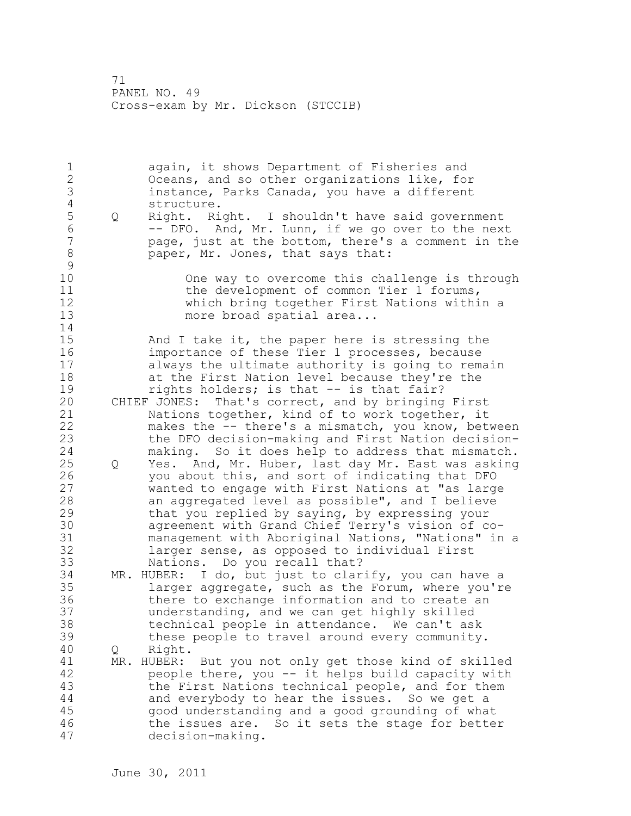1 again, it shows Department of Fisheries and 2 Oceans, and so other organizations like, for 3 instance, Parks Canada, you have a different 4 structure.<br>5 Q Right. Ri 5 Q Right. Right. I shouldn't have said government<br>6 -- DFO. And, Mr. Lunn, if we go over to the nex 6 -- DFO. And, Mr. Lunn, if we go over to the next page, just at the bottom, there's a comment in the 8 paper, Mr. Jones, that says that:  $\begin{array}{c} 9 \\ 10 \end{array}$ One way to overcome this challenge is through 11 the development of common Tier 1 forums, 12 which bring together First Nations within a 13 more broad spatial area... 14 15 And I take it, the paper here is stressing the 16 importance of these Tier 1 processes, because 17 always the ultimate authority is going to remain 18 at the First Nation level because they're the 19 rights holders; is that -- is that fair?<br>20 CHIEF JONES: That's correct, and by bringing CHIEF JONES: That's correct, and by bringing First 21 Nations together, kind of to work together, it 22 makes the -- there's a mismatch, you know, between 23 the DFO decision-making and First Nation decision-24 making. So it does help to address that mismatch. 25 Q Yes. And, Mr. Huber, last day Mr. East was asking 26 you about this, and sort of indicating that DFO<br>27 wanted to engage with First Nations at "as large wanted to engage with First Nations at "as large 28 an aggregated level as possible", and I believe 29 that you replied by saying, by expressing your 30 agreement with Grand Chief Terry's vision of comanagement with Aboriginal Nations, "Nations" in a 32 larger sense, as opposed to individual First 33 Nations. Do you recall that? 34 MR. HUBER: I do, but just to clarify, you can have a 35 larger aggregate, such as the Forum, where you're 36 there to exchange information and to create an 37 understanding, and we can get highly skilled 38 technical people in attendance. We can't ask 39 these people to travel around every community. 40 Q Right. 41 MR. HUBER: But you not only get those kind of skilled<br>42 beople there, you -- it helps build capacity with people there, you -- it helps build capacity with 43 the First Nations technical people, and for them 44 and everybody to hear the issues. So we get a 45 good understanding and a good grounding of what 46 the issues are. So it sets the stage for better 47 decision-making.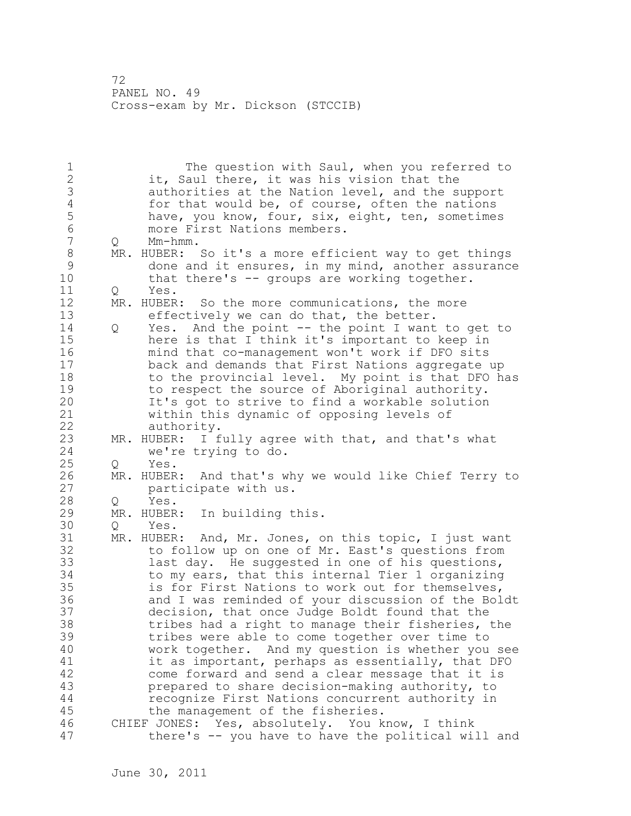1 The question with Saul, when you referred to 2 it, Saul there, it was his vision that the 3 authorities at the Nation level, and the support<br>4 for that would be, of course, often the nations 4 for that would be, of course, often the nations<br>5 have, you know, four, six, eight, ten, sometimes 5 have, you know, four, six, eight, ten, sometimes<br>6 more First Nations members. 6 more First Nations members.<br>7 0 Mm-hmm. 0 Mm-hmm. 8 MR. HUBER: So it's a more efficient way to get things<br>9 done and it ensures, in my mind, another assurance 9 done and it ensures, in my mind, another assurance<br>10 that there's -- groups are working together. that there's  $-$  groups are working together. 11 O Yes. 12 MR. HUBER: So the more communications, the more 13 effectively we can do that, the better. 14 Q Yes. And the point -- the point I want to get to 15 here is that I think it's important to keep in 16 mind that co-management won't work if DFO sits 17 back and demands that First Nations aggregate up 18 to the provincial level. My point is that DFO has 19 to respect the source of Aboriginal authority.<br>20 1t's got to strive to find a workable solution It's got to strive to find a workable solution 21 within this dynamic of opposing levels of 22 authority. 23 MR. HUBER: I fully agree with that, and that's what 24 we're trying to do. 25 Q Yes. 26 MR. HUBER: And that's why we would like Chief Terry to<br>27 harticipate with us. participate with us. 28 Q Yes. 29 MR. HUBER: In building this. 30 Q Yes.<br>31 MR. HUBER MR. HUBER: And, Mr. Jones, on this topic, I just want 32 to follow up on one of Mr. East's questions from 33 last day. He suggested in one of his questions, 34 to my ears, that this internal Tier 1 organizing 35 is for First Nations to work out for themselves, 36 and I was reminded of your discussion of the Boldt 37 decision, that once Judge Boldt found that the 38 tribes had a right to manage their fisheries, the 39 tribes were able to come together over time to 40 work together. And my question is whether you see 41 it as important, perhaps as essentially, that DFO<br>42 come forward and send a clear message that it is come forward and send a clear message that it is 43 prepared to share decision-making authority, to 44 recognize First Nations concurrent authority in 45 the management of the fisheries. 46 CHIEF JONES: Yes, absolutely. You know, I think 47 there's -- you have to have the political will and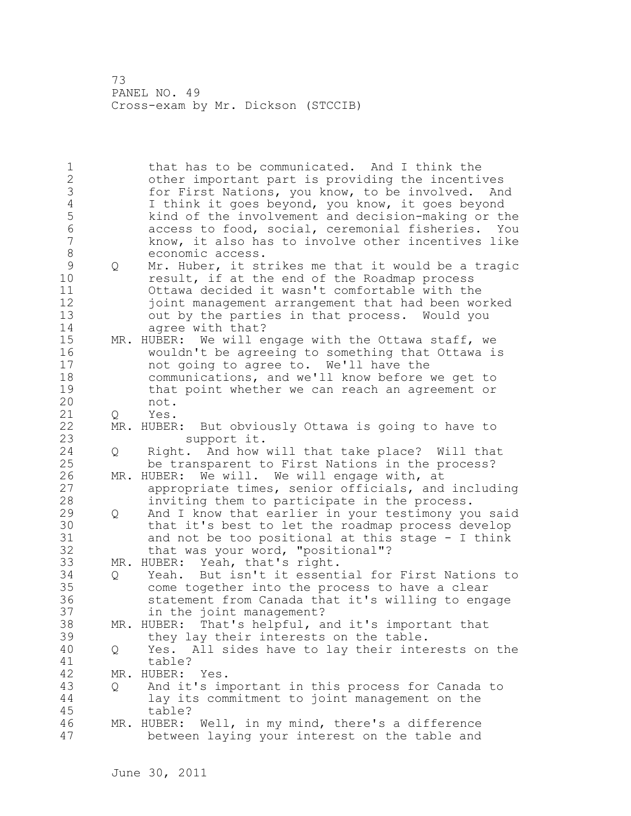1 that has to be communicated. And I think the 2 other important part is providing the incentives 3 for First Nations, you know, to be involved. And<br>4 1 think it goes beyond, you know, it goes beyond 4 I think it goes beyond, you know, it goes beyond 5 kind of the involvement and decision-making or the 6 access to food, social, ceremonial fisheries. You know, it also has to involve other incentives like 8 economic access. 9 Q Mr. Huber, it strikes me that it would be a tragic<br>10 cresult, if at the end of the Roadmap process result, if at the end of the Roadmap process 11 Ottawa decided it wasn't comfortable with the 12 joint management arrangement that had been worked 13 out by the parties in that process. Would you 14 agree with that? 15 MR. HUBER: We will engage with the Ottawa staff, we 16 wouldn't be agreeing to something that Ottawa is 17 not going to agree to. We'll have the 18 communications, and we'll know before we get to 19 that point whether we can reach an agreement or<br>20 mot. not. 21 Q Yes. 22 MR. HUBER: But obviously Ottawa is going to have to 23 support it. 24 Q Right. And how will that take place? Will that 25 be transparent to First Nations in the process? 26 MR. HUBER: We will. We will engage with, at<br>27 appropriate times, senior officials, and appropriate times, senior officials, and including 28 inviting them to participate in the process. 29 Q And I know that earlier in your testimony you said 30 that it's best to let the roadmap process develop<br>31 and not be too positional at this stage - I think 31 and not be too positional at this stage - I think<br>32 that was your word, "positional"? that was your word, "positional"? 33 MR. HUBER: Yeah, that's right. 34 Q Yeah. But isn't it essential for First Nations to 35 come together into the process to have a clear 36 statement from Canada that it's willing to engage 37 in the joint management? 38 MR. HUBER: That's helpful, and it's important that 39 they lay their interests on the table. 40 Q Yes. All sides have to lay their interests on the 41 table?<br>42 MR. HUBER: MR. HUBER: Yes. 43 Q And it's important in this process for Canada to 44 lay its commitment to joint management on the 45 table? 46 MR. HUBER: Well, in my mind, there's a difference 47 between laying your interest on the table and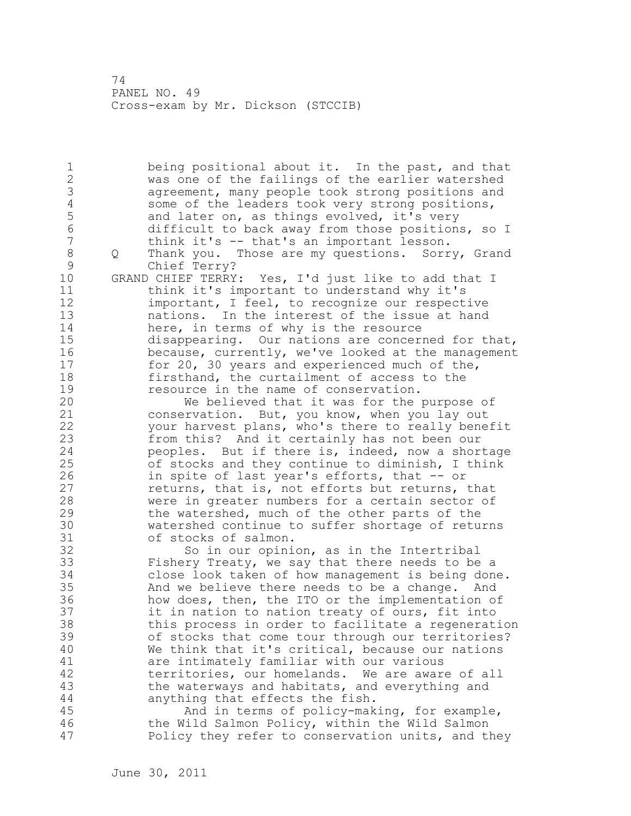1 being positional about it. In the past, and that 2 was one of the failings of the earlier watershed 3 agreement, many people took strong positions and<br>4 some of the leaders took very strong positions, 4 some of the leaders took very strong positions,<br>5 and later on, as things evolved, it's very 5 and later on, as things evolved, it's very<br>6 difficult to back away from those position 6 difficult to back away from those positions, so I think it's -- that's an important lesson. 8 Q Thank you. Those are my questions. Sorry, Grand 9 Chief Terry?<br>10 GRAND CHIEF TERRY GRAND CHIEF TERRY: Yes, I'd just like to add that I 11 think it's important to understand why it's 12 important, I feel, to recognize our respective 13 nations. In the interest of the issue at hand 14 here, in terms of why is the resource 15 disappearing. Our nations are concerned for that, 16 because, currently, we've looked at the management 17 for 20, 30 years and experienced much of the, 18 firsthand, the curtailment of access to the 19 resource in the name of conservation.<br>20 We believed that it was for the We believed that it was for the purpose of 21 conservation. But, you know, when you lay out 22 your harvest plans, who's there to really benefit 23 from this? And it certainly has not been our 24 peoples. But if there is, indeed, now a shortage 25 of stocks and they continue to diminish, I think 26 in spite of last year's efforts, that -- or<br>27 feturns, that is, not efforts but returns, returns, that is, not efforts but returns, that 28 were in greater numbers for a certain sector of 29 the watershed, much of the other parts of the 30 watershed continue to suffer shortage of returns 31 of stocks of salmon.<br>32 So in our opini So in our opinion, as in the Intertribal 33 Fishery Treaty, we say that there needs to be a 34 close look taken of how management is being done. 35 And we believe there needs to be a change. And 36 how does, then, the ITO or the implementation of 37 it in nation to nation treaty of ours, fit into 38 this process in order to facilitate a regeneration 39 of stocks that come tour through our territories? 40 We think that it's critical, because our nations 41 are intimately familiar with our various<br>42 territories, our homelands. We are awar territories, our homelands. We are aware of all 43 the waterways and habitats, and everything and 44 anything that effects the fish. 45 And in terms of policy-making, for example, 46 the Wild Salmon Policy, within the Wild Salmon 47 Policy they refer to conservation units, and they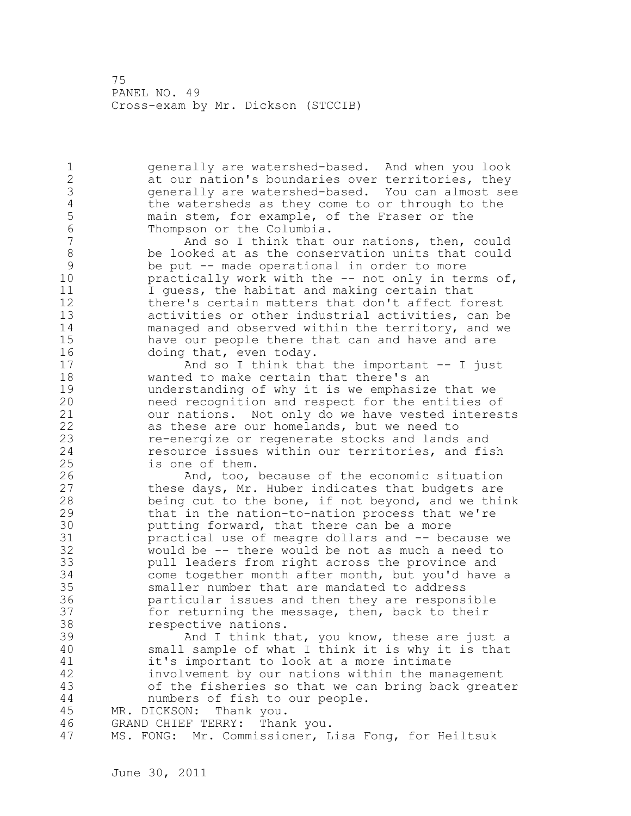1 generally are watershed-based. And when you look 2 at our nation's boundaries over territories, they 3 generally are watershed-based. You can almost see 4 the watersheds as they come to or through to the<br>5 main stem, for example, of the Fraser or the 5 main stem, for example, of the Fraser or the<br>6 Thompson or the Columbia. 6 Thompson or the Columbia.<br>7 And so I think that And so I think that our nations, then, could 8 be looked at as the conservation units that could 9 be put -- made operational in order to more<br>10 bractically work with the -- not only in te practically work with the  $-$ - not only in terms of, 11 I guess, the habitat and making certain that 12 there's certain matters that don't affect forest 13 activities or other industrial activities, can be 14 managed and observed within the territory, and we 15 have our people there that can and have and are 16 doing that, even today. 17 And so I think that the important -- I just 18 wanted to make certain that there's an 19 understanding of why it is we emphasize that we 20 need recognition and respect for the entities of 21 our nations. Not only do we have vested interests 22 as these are our homelands, but we need to 23 re-energize or regenerate stocks and lands and 24 resource issues within our territories, and fish 25 is one of them. 26 And, too, because of the economic situation<br>27 these days, Mr. Huber indicates that budgets are these days, Mr. Huber indicates that budgets are 28 being cut to the bone, if not beyond, and we think 29 that in the nation-to-nation process that we're 30 butting forward, that there can be a more<br>31 bractical use of meagre dollars and -- be practical use of meagre dollars and -- because we 32 would be -- there would be not as much a need to 33 pull leaders from right across the province and 34 come together month after month, but you'd have a 35 smaller number that are mandated to address 36 particular issues and then they are responsible 37 for returning the message, then, back to their 38 respective nations. 39 And I think that, you know, these are just a 40 small sample of what I think it is why it is that 41 it's important to look at a more intimate 42 involvement by our nations within the management 43 of the fisheries so that we can bring back greater 44 numbers of fish to our people. 45 MR. DICKSON: Thank you. 46 GRAND CHIEF TERRY: Thank you. 47 MS. FONG: Mr. Commissioner, Lisa Fong, for Heiltsuk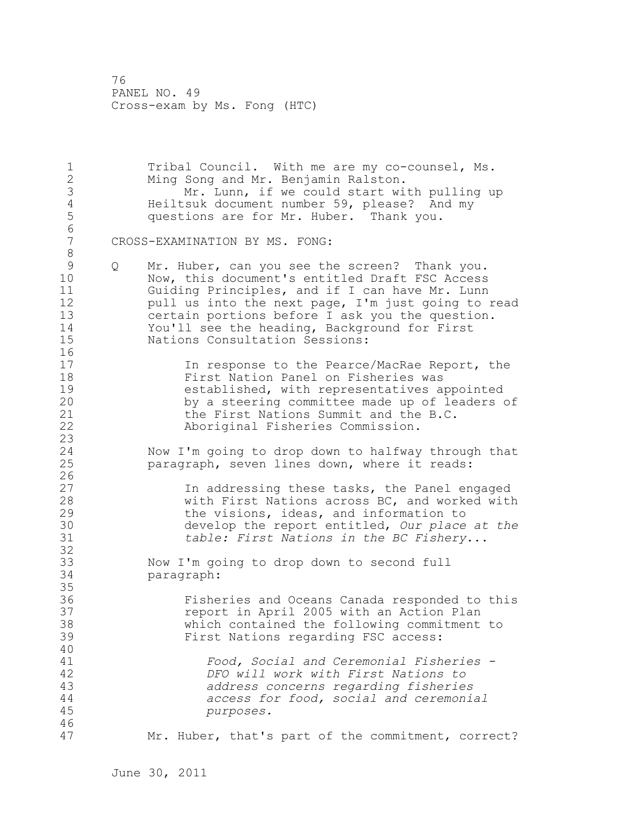1 Tribal Council. With me are my co-counsel, Ms. 2 Ming Song and Mr. Benjamin Ralston. 3 Mr. Lunn, if we could start with pulling up<br>4 Heiltsuk document number 59, please? And my 4 Heiltsuk document number 59, please? And my<br>5 questions are for Mr. Huber. Thank you. questions are for Mr. Huber. Thank you. 6 CROSS-EXAMINATION BY MS. FONG: 8<br>9 9 Q Mr. Huber, can you see the screen? Thank you.<br>10 Now, this document's entitled Draft FSC Access Now, this document's entitled Draft FSC Access 11 Guiding Principles, and if I can have Mr. Lunn 12 pull us into the next page, I'm just going to read 13 certain portions before I ask you the question. 14 You'll see the heading, Background for First<br>15 Nations Consultation Sessions: Nations Consultation Sessions:  $\frac{16}{17}$ In response to the Pearce/MacRae Report, the 18 First Nation Panel on Fisheries was 19 established, with representatives appointed<br>20 by a steering committee made up of leaders o by a steering committee made up of leaders of 21 the First Nations Summit and the B.C. 22 Aboriginal Fisheries Commission.  $\begin{array}{c} 23 \\ 24 \end{array}$ Now I'm going to drop down to halfway through that 25 paragraph, seven lines down, where it reads:  $\frac{26}{27}$ 27 1n addressing these tasks, the Panel engaged<br>28 128 11 with First Nations across BC. and worked with with First Nations across BC, and worked with 29 the visions, ideas, and information to 30 develop the report entitled, *Our place at the*  31 *table: First Nations in the BC Fishery*... 32 33 Now I'm going to drop down to second full 34 paragraph: 35 36 Fisheries and Oceans Canada responded to this 37 report in April 2005 with an Action Plan 38 which contained the following commitment to 39 First Nations regarding FSC access: 40 41 *Food, Social and Ceremonial Fisheries -*  42 *DFO will work with First Nations to*  43 *address concerns regarding fisheries*  44 *access for food, social and ceremonial*  45 *purposes.* 46 47 Mr. Huber, that's part of the commitment, correct?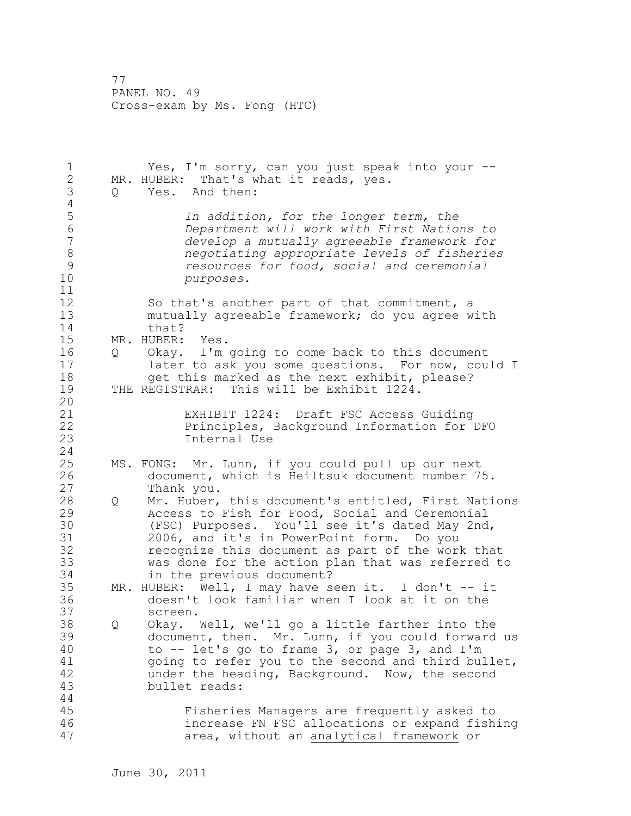1 Yes, I'm sorry, can you just speak into your -- 2 MR. HUBER: That's what it reads, yes. 3 Q Yes. And then:  $\frac{4}{5}$ 5 *In addition, for the longer term, the*  6 *Department will work with First Nations to*  7 *develop a mutually agreeable framework for*  8 *negotiating appropriate levels of fisheries*  9 *resources for food, social and ceremonial*   $purposes.$ 11 12 So that's another part of that commitment, a 13 mutually agreeable framework; do you agree with 14 that? 15 MR. HUBER: Yes. 16 Q Okay. I'm going to come back to this document 17 later to ask you some questions. For now, could I 18 get this marked as the next exhibit, please? 19 THE REGISTRAR: This will be Exhibit 1224. 20 21 EXHIBIT 1224: Draft FSC Access Guiding 22 Principles, Background Information for DFO 23 Internal Use 24 25 MS. FONG: Mr. Lunn, if you could pull up our next 26 document, which is Heiltsuk document number 75.<br>27 Thank you. Thank you. 28 Q Mr. Huber, this document's entitled, First Nations 29 Access to Fish for Food, Social and Ceremonial 30 (FSC) Purposes. You'll see it's dated May 2nd,<br>31 2006, and it's in PowerPoint form. Do you 31 2006, and it's in PowerPoint form. Do you 32 recognize this document as part of the work that 33 was done for the action plan that was referred to 34 in the previous document? 35 MR. HUBER: Well, I may have seen it. I don't -- it 36 doesn't look familiar when I look at it on the 37 screen. 38 Q Okay. Well, we'll go a little farther into the 39 document, then. Mr. Lunn, if you could forward us 40 to -- let's go to frame 3, or page 3, and I'm 41 going to refer you to the second and third bullet,<br>42 ander the heading, Background. Now, the second under the heading, Background. Now, the second 43 bullet reads: 44 45 Fisheries Managers are frequently asked to 46 increase FN FSC allocations or expand fishing 47 area, without an analytical framework or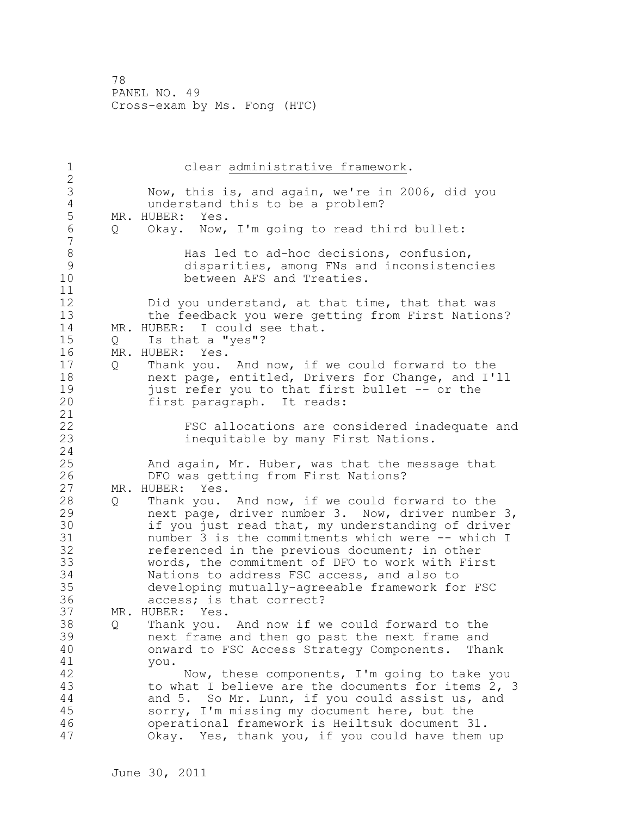1 clear administrative framework. 2 3 Now, this is, and again, we're in 2006, did you 4 understand this to be a problem?<br>5 MR. HUBER: Yes. 5 MR. HUBER: Yes.<br>6 Q Okay. Now, Q Okay. Now, I'm going to read third bullet: 7 8 Has led to ad-hoc decisions, confusion,<br>9 disparities, among FNs and inconsistenc 9 disparities, among FNs and inconsistencies<br>10 between AFS and Treaties. between AFS and Treaties. 11 12 Did you understand, at that time, that that was 13 the feedback you were getting from First Nations? 14 MR. HUBER: I could see that. 15 Q Is that a "yes"? 16 MR. HUBER: Yes. 17 Q Thank you. And now, if we could forward to the 18 next page, entitled, Drivers for Change, and I'll 19 just refer you to that first bullet -- or the<br>20 first paragraph. It reads: first paragraph. It reads: 21 22 FSC allocations are considered inadequate and 23 inequitable by many First Nations. 24 25 And again, Mr. Huber, was that the message that 26 DFO was getting from First Nations?<br>27 MR. HUBER: Yes. MR. HUBER: Yes. 28 Q Thank you. And now, if we could forward to the 29 next page, driver number 3. Now, driver number 3, 30 if you just read that, my understanding of driver<br>31 mumber 3 is the commitments which were -- which I number 3 is the commitments which were -- which I 32 referenced in the previous document; in other 33 words, the commitment of DFO to work with First 34 Nations to address FSC access, and also to 35 developing mutually-agreeable framework for FSC 36 access; is that correct? 37 MR. HUBER: Yes. 38 Q Thank you. And now if we could forward to the 39 next frame and then go past the next frame and 40 onward to FSC Access Strategy Components. Thank 41 you. Now, these components, I'm going to take you 43 to what I believe are the documents for items 2, 3 44 and 5. So Mr. Lunn, if you could assist us, and 45 sorry, I'm missing my document here, but the 46 operational framework is Heiltsuk document 31. 47 Okay. Yes, thank you, if you could have them up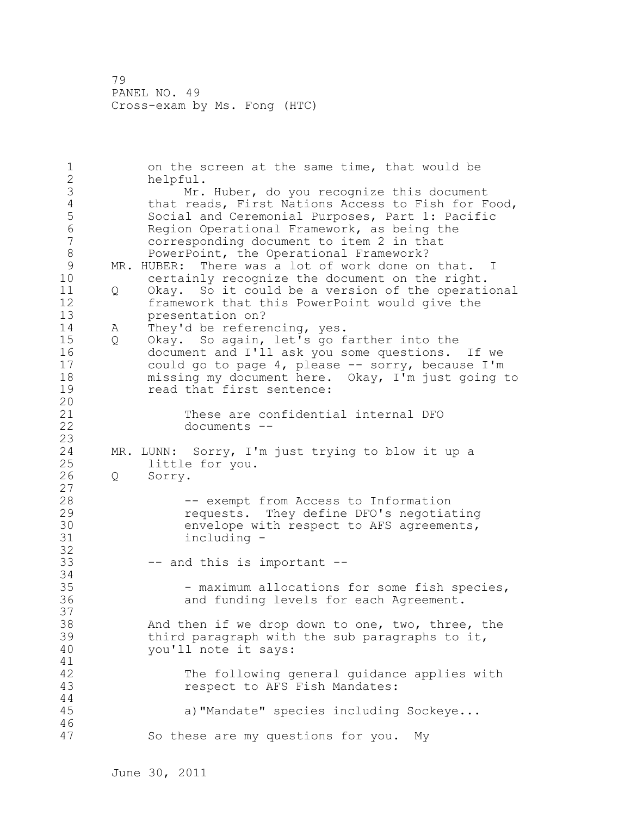1 on the screen at the same time, that would be 2 helpful. 3 Mr. Huber, do you recognize this document<br>4 that reads, First Nations Access to Fish for F 4 that reads, First Nations Access to Fish for Food,<br>5 Social and Ceremonial Purposes, Part 1: Pacific 5 Social and Ceremonial Purposes, Part 1: Pacific<br>6 Region Operational Framework, as being the 6 Region Operational Framework, as being the corresponding document to item 2 in that 8 **PowerPoint, the Operational Framework?** 9 MR. HUBER: There was a lot of work done on that. I<br>10 certainly recognize the document on the right. certainly recognize the document on the right. 11 Q Okay. So it could be a version of the operational 12 framework that this PowerPoint would give the 13 presentation on? 14 A They'd be referencing, yes. 15 Q Okay. So again, let's go farther into the 16 document and I'll ask you some questions. If we 17 could go to page 4, please -- sorry, because I'm 18 missing my document here. Okay, I'm just going to 19 read that first sentence: 20 21 These are confidential internal DFO 22 documents -- 23 24 MR. LUNN: Sorry, I'm just trying to blow it up a 25 little for you. 26 Q Sorry. 27 28 -- exempt from Access to Information 29 requests. They define DFO's negotiating 30 envelope with respect to AFS agreements,<br>31 including including -32 33 -- and this is important -- 34 35 - maximum allocations for some fish species, 36 and funding levels for each Agreement. 37 38 And then if we drop down to one, two, three, the 39 third paragraph with the sub paragraphs to it, 40 you'll note it says: 41<br>42 The following general guidance applies with 43 respect to AFS Fish Mandates: 44 45 a)"Mandate" species including Sockeye... 46 47 So these are my questions for you. My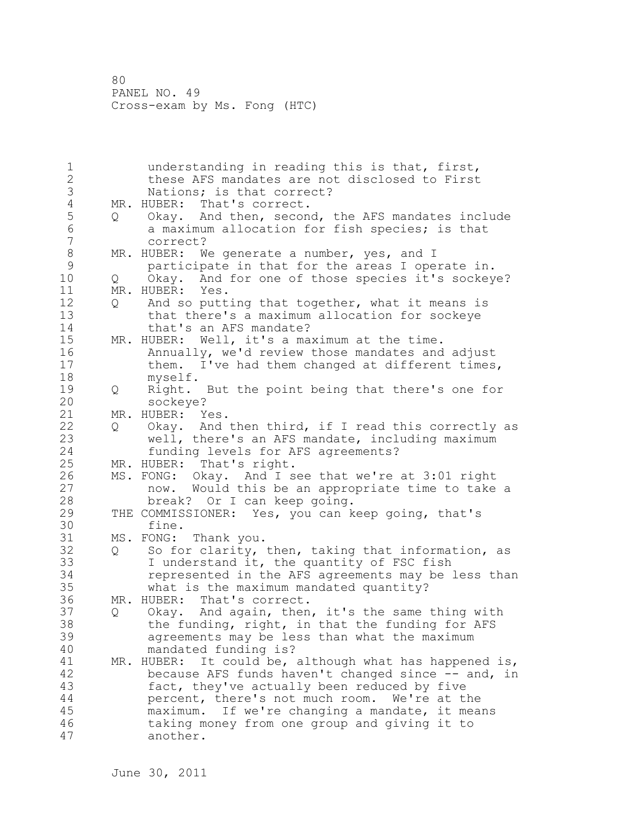| $\overline{2}$<br>these AFS mandates are not disclosed to First<br>3<br>Nations; is that correct?<br>$\overline{4}$<br>That's correct.<br>MR. HUBER:<br>5<br>Okay. And then, second, the AFS mandates include<br>Q<br>$\epsilon$<br>a maximum allocation for fish species; is that<br>$\overline{7}$<br>correct?<br>$\,8\,$<br>MR. HUBER: We generate a number, yes, and I<br>$\mathsf 9$<br>participate in that for the areas I operate in.<br>10<br>Okay. And for one of those species it's sockeye?<br>Q.<br>11<br>MR. HUBER:<br>Yes.<br>12<br>And so putting that together, what it means is<br>Q<br>13<br>that there's a maximum allocation for sockeye<br>14<br>that's an AFS mandate?<br>15<br>MR. HUBER: Well, it's a maximum at the time.<br>16<br>Annually, we'd review those mandates and adjust<br>17<br>I've had them changed at different times,<br>them.<br>18<br>myself.<br>19<br>Right. But the point being that there's one for<br>Q |  |
|--------------------------------------------------------------------------------------------------------------------------------------------------------------------------------------------------------------------------------------------------------------------------------------------------------------------------------------------------------------------------------------------------------------------------------------------------------------------------------------------------------------------------------------------------------------------------------------------------------------------------------------------------------------------------------------------------------------------------------------------------------------------------------------------------------------------------------------------------------------------------------------------------------------------------------------------------------|--|
|                                                                                                                                                                                                                                                                                                                                                                                                                                                                                                                                                                                                                                                                                                                                                                                                                                                                                                                                                        |  |
|                                                                                                                                                                                                                                                                                                                                                                                                                                                                                                                                                                                                                                                                                                                                                                                                                                                                                                                                                        |  |
|                                                                                                                                                                                                                                                                                                                                                                                                                                                                                                                                                                                                                                                                                                                                                                                                                                                                                                                                                        |  |
|                                                                                                                                                                                                                                                                                                                                                                                                                                                                                                                                                                                                                                                                                                                                                                                                                                                                                                                                                        |  |
|                                                                                                                                                                                                                                                                                                                                                                                                                                                                                                                                                                                                                                                                                                                                                                                                                                                                                                                                                        |  |
|                                                                                                                                                                                                                                                                                                                                                                                                                                                                                                                                                                                                                                                                                                                                                                                                                                                                                                                                                        |  |
|                                                                                                                                                                                                                                                                                                                                                                                                                                                                                                                                                                                                                                                                                                                                                                                                                                                                                                                                                        |  |
|                                                                                                                                                                                                                                                                                                                                                                                                                                                                                                                                                                                                                                                                                                                                                                                                                                                                                                                                                        |  |
|                                                                                                                                                                                                                                                                                                                                                                                                                                                                                                                                                                                                                                                                                                                                                                                                                                                                                                                                                        |  |
|                                                                                                                                                                                                                                                                                                                                                                                                                                                                                                                                                                                                                                                                                                                                                                                                                                                                                                                                                        |  |
|                                                                                                                                                                                                                                                                                                                                                                                                                                                                                                                                                                                                                                                                                                                                                                                                                                                                                                                                                        |  |
|                                                                                                                                                                                                                                                                                                                                                                                                                                                                                                                                                                                                                                                                                                                                                                                                                                                                                                                                                        |  |
|                                                                                                                                                                                                                                                                                                                                                                                                                                                                                                                                                                                                                                                                                                                                                                                                                                                                                                                                                        |  |
|                                                                                                                                                                                                                                                                                                                                                                                                                                                                                                                                                                                                                                                                                                                                                                                                                                                                                                                                                        |  |
|                                                                                                                                                                                                                                                                                                                                                                                                                                                                                                                                                                                                                                                                                                                                                                                                                                                                                                                                                        |  |
|                                                                                                                                                                                                                                                                                                                                                                                                                                                                                                                                                                                                                                                                                                                                                                                                                                                                                                                                                        |  |
|                                                                                                                                                                                                                                                                                                                                                                                                                                                                                                                                                                                                                                                                                                                                                                                                                                                                                                                                                        |  |
|                                                                                                                                                                                                                                                                                                                                                                                                                                                                                                                                                                                                                                                                                                                                                                                                                                                                                                                                                        |  |
| 20<br>sockeye?                                                                                                                                                                                                                                                                                                                                                                                                                                                                                                                                                                                                                                                                                                                                                                                                                                                                                                                                         |  |
| 21<br>MR. HUBER: Yes.                                                                                                                                                                                                                                                                                                                                                                                                                                                                                                                                                                                                                                                                                                                                                                                                                                                                                                                                  |  |
| 22<br>Okay. And then third, if I read this correctly as<br>Q                                                                                                                                                                                                                                                                                                                                                                                                                                                                                                                                                                                                                                                                                                                                                                                                                                                                                           |  |
| 23<br>well, there's an AFS mandate, including maximum                                                                                                                                                                                                                                                                                                                                                                                                                                                                                                                                                                                                                                                                                                                                                                                                                                                                                                  |  |
| 24<br>funding levels for AFS agreements?                                                                                                                                                                                                                                                                                                                                                                                                                                                                                                                                                                                                                                                                                                                                                                                                                                                                                                               |  |
| 25<br>MR. HUBER: That's right.                                                                                                                                                                                                                                                                                                                                                                                                                                                                                                                                                                                                                                                                                                                                                                                                                                                                                                                         |  |
| 26<br>MS. FONG: Okay. And I see that we're at 3:01 right                                                                                                                                                                                                                                                                                                                                                                                                                                                                                                                                                                                                                                                                                                                                                                                                                                                                                               |  |
| 27<br>now. Would this be an appropriate time to take a                                                                                                                                                                                                                                                                                                                                                                                                                                                                                                                                                                                                                                                                                                                                                                                                                                                                                                 |  |
| 28<br>break? Or I can keep going.                                                                                                                                                                                                                                                                                                                                                                                                                                                                                                                                                                                                                                                                                                                                                                                                                                                                                                                      |  |
| 29<br>THE COMMISSIONER: Yes, you can keep going, that's                                                                                                                                                                                                                                                                                                                                                                                                                                                                                                                                                                                                                                                                                                                                                                                                                                                                                                |  |
| 30<br>fine.                                                                                                                                                                                                                                                                                                                                                                                                                                                                                                                                                                                                                                                                                                                                                                                                                                                                                                                                            |  |
| 31<br>MS. FONG:<br>Thank you.                                                                                                                                                                                                                                                                                                                                                                                                                                                                                                                                                                                                                                                                                                                                                                                                                                                                                                                          |  |
| 32<br>So for clarity, then, taking that information, as<br>Q                                                                                                                                                                                                                                                                                                                                                                                                                                                                                                                                                                                                                                                                                                                                                                                                                                                                                           |  |
| 33<br>I understand it, the quantity of FSC fish                                                                                                                                                                                                                                                                                                                                                                                                                                                                                                                                                                                                                                                                                                                                                                                                                                                                                                        |  |
| 34<br>represented in the AFS agreements may be less than                                                                                                                                                                                                                                                                                                                                                                                                                                                                                                                                                                                                                                                                                                                                                                                                                                                                                               |  |
| 35<br>what is the maximum mandated quantity?                                                                                                                                                                                                                                                                                                                                                                                                                                                                                                                                                                                                                                                                                                                                                                                                                                                                                                           |  |
| 36<br>MR. HUBER: That's correct.                                                                                                                                                                                                                                                                                                                                                                                                                                                                                                                                                                                                                                                                                                                                                                                                                                                                                                                       |  |
| 37<br>Okay. And again, then, it's the same thing with<br>Q                                                                                                                                                                                                                                                                                                                                                                                                                                                                                                                                                                                                                                                                                                                                                                                                                                                                                             |  |
| 38<br>the funding, right, in that the funding for AFS                                                                                                                                                                                                                                                                                                                                                                                                                                                                                                                                                                                                                                                                                                                                                                                                                                                                                                  |  |
| 39<br>agreements may be less than what the maximum                                                                                                                                                                                                                                                                                                                                                                                                                                                                                                                                                                                                                                                                                                                                                                                                                                                                                                     |  |
| 40<br>mandated funding is?                                                                                                                                                                                                                                                                                                                                                                                                                                                                                                                                                                                                                                                                                                                                                                                                                                                                                                                             |  |
| 41<br>It could be, although what has happened is,<br>MR. HUBER:                                                                                                                                                                                                                                                                                                                                                                                                                                                                                                                                                                                                                                                                                                                                                                                                                                                                                        |  |
| 42<br>because AFS funds haven't changed since -- and, in                                                                                                                                                                                                                                                                                                                                                                                                                                                                                                                                                                                                                                                                                                                                                                                                                                                                                               |  |
| 43<br>fact, they've actually been reduced by five                                                                                                                                                                                                                                                                                                                                                                                                                                                                                                                                                                                                                                                                                                                                                                                                                                                                                                      |  |
| 44<br>percent, there's not much room.<br>We're at the                                                                                                                                                                                                                                                                                                                                                                                                                                                                                                                                                                                                                                                                                                                                                                                                                                                                                                  |  |
| 45<br>If we're changing a mandate, it means<br>maximum.                                                                                                                                                                                                                                                                                                                                                                                                                                                                                                                                                                                                                                                                                                                                                                                                                                                                                                |  |
| 46<br>taking money from one group and giving it to                                                                                                                                                                                                                                                                                                                                                                                                                                                                                                                                                                                                                                                                                                                                                                                                                                                                                                     |  |
| 47<br>another.                                                                                                                                                                                                                                                                                                                                                                                                                                                                                                                                                                                                                                                                                                                                                                                                                                                                                                                                         |  |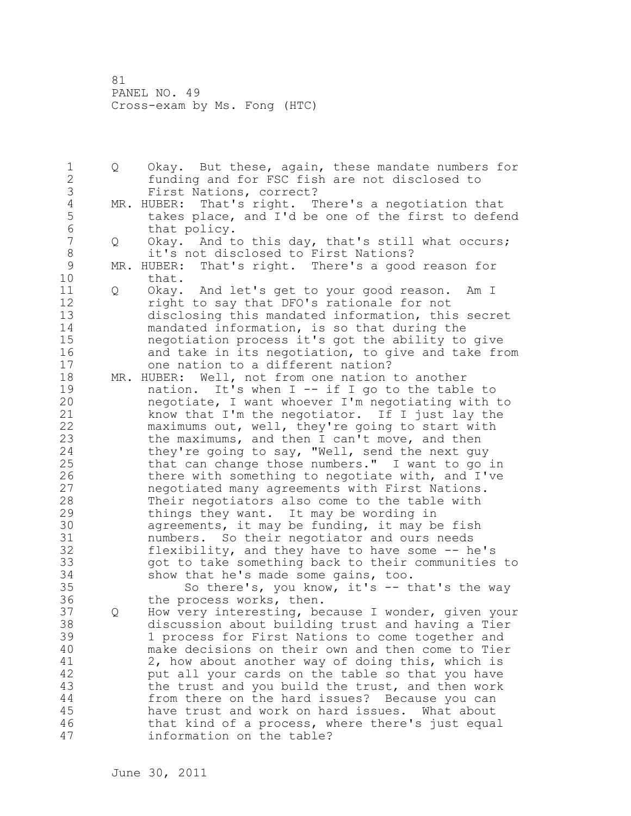1 Q Okay. But these, again, these mandate numbers for 2 funding and for FSC fish are not disclosed to 3 First Nations, correct?<br>4 MR. HUBER: That's right. T 4 MR. HUBER: That's right. There's a negotiation that<br>5 takes place, and I'd be one of the first to defer 5 takes place, and I'd be one of the first to defend<br>6 that policy. 6 that policy.<br>7 0 Okav. And t Q Okay. And to this day, that's still what occurs; 8 it's not disclosed to First Nations?<br>9 MR. HUBER: That's right. There's a good 9 MR. HUBER: That's right. There's a good reason for<br>10 that. that. 11 Q Okay. And let's get to your good reason. Am I 12 right to say that DFO's rationale for not 13 disclosing this mandated information, this secret 14 mandated information, is so that during the 15 negotiation process it's got the ability to give 16 and take in its negotiation, to give and take from 17 one nation to a different nation? 18 MR. HUBER: Well, not from one nation to another 19 mation. It's when I -- if I go to the table to<br>20 megotiate, I want whoever I'm negotiating with negotiate, I want whoever I'm negotiating with to 21 know that I'm the negotiator. If I just lay the 22 maximums out, well, they're going to start with 23 the maximums, and then I can't move, and then 24 they're going to say, "Well, send the next guy 25 that can change those numbers." I want to go in 26 there with something to negotiate with, and I've<br>27 megotiated many agreements with First Nations. negotiated many agreements with First Nations. 28 Their negotiators also come to the table with 29 things they want. It may be wording in 30 agreements, it may be funding, it may be fish<br>31 mumbers. So their negotiator and ours needs numbers. So their negotiator and ours needs 32 flexibility, and they have to have some -- he's 33 got to take something back to their communities to 34 show that he's made some gains, too. 35 So there's, you know, it's -- that's the way 36 the process works, then. 37 Q How very interesting, because I wonder, given your 38 discussion about building trust and having a Tier 39 1 process for First Nations to come together and 40 make decisions on their own and then come to Tier 41 2, how about another way of doing this, which is<br>42 but all your cards on the table so that you have put all your cards on the table so that you have 43 the trust and you build the trust, and then work 44 from there on the hard issues? Because you can 45 have trust and work on hard issues. What about 46 that kind of a process, where there's just equal 47 information on the table?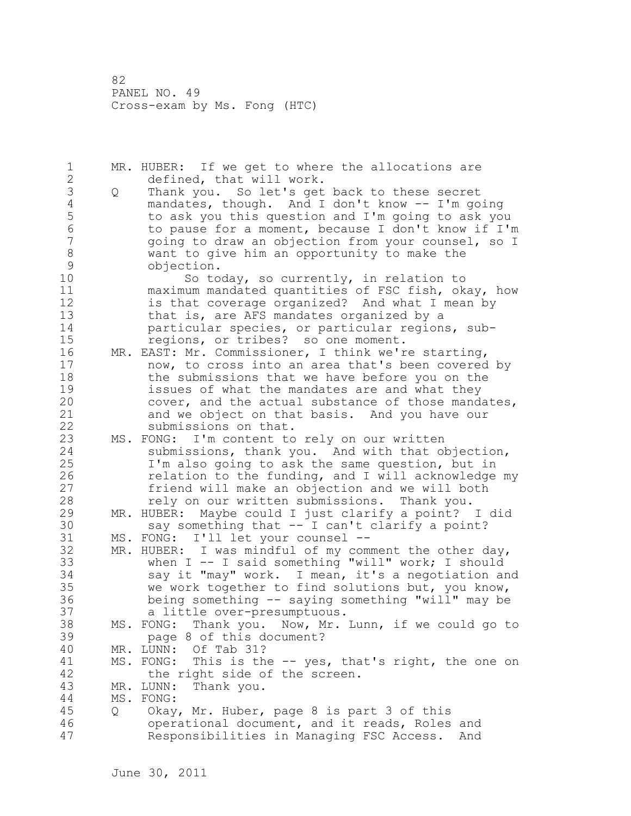1 MR. HUBER: If we get to where the allocations are 2 defined, that will work. 3 Q Thank you. So let's get back to these secret<br>4 mandates, though. And I don't know -- I'm go 4 mandates, though. And I don't know -- I'm going<br>5 to ask you this question and I'm going to ask yo 5 to ask you this question and I'm going to ask you<br>6 to pause for a moment, because I don't know if I'm 6 to pause for a moment, because I don't know if I'm 7 going to draw an objection from your counsel, so I 8 want to give him an opportunity to make the 9 objection.<br>10 So to So today, so currently, in relation to 11 maximum mandated quantities of FSC fish, okay, how 12 is that coverage organized? And what I mean by 13 that is, are AFS mandates organized by a 14 particular species, or particular regions, sub-15 regions, or tribes? so one moment. 16 MR. EAST: Mr. Commissioner, I think we're starting, 17 now, to cross into an area that's been covered by 18 the submissions that we have before you on the 19 issues of what the mandates are and what they<br>20 cover, and the actual substance of those mand cover, and the actual substance of those mandates, 21 and we object on that basis. And you have our 22 submissions on that. 23 MS. FONG: I'm content to rely on our written 24 submissions, thank you. And with that objection, 25 I'm also going to ask the same question, but in 26 relation to the funding, and I will acknowledge my<br>27 friend will make an objection and we will both friend will make an objection and we will both 28 rely on our written submissions. Thank you. 29 MR. HUBER: Maybe could I just clarify a point? I did 30 say something that -- I can't clarify a point?<br>31 MS. FONG: I'll let vour counsel --MS. FONG: I'll let your counsel --32 MR. HUBER: I was mindful of my comment the other day, 33 when I -- I said something "will" work; I should 34 say it "may" work. I mean, it's a negotiation and 35 we work together to find solutions but, you know, 36 being something -- saying something "will" may be 37 a little over-presumptuous. 38 MS. FONG: Thank you. Now, Mr. Lunn, if we could go to 39 page 8 of this document? 40 MR. LUNN: Of Tab 31? 41 MS. FONG: This is the -- yes, that's right, the one on<br>42 the right side of the screen. the right side of the screen. 43 MR. LUNN: Thank you. 44 MS. FONG: 45 Q Okay, Mr. Huber, page 8 is part 3 of this 46 operational document, and it reads, Roles and 47 Responsibilities in Managing FSC Access. And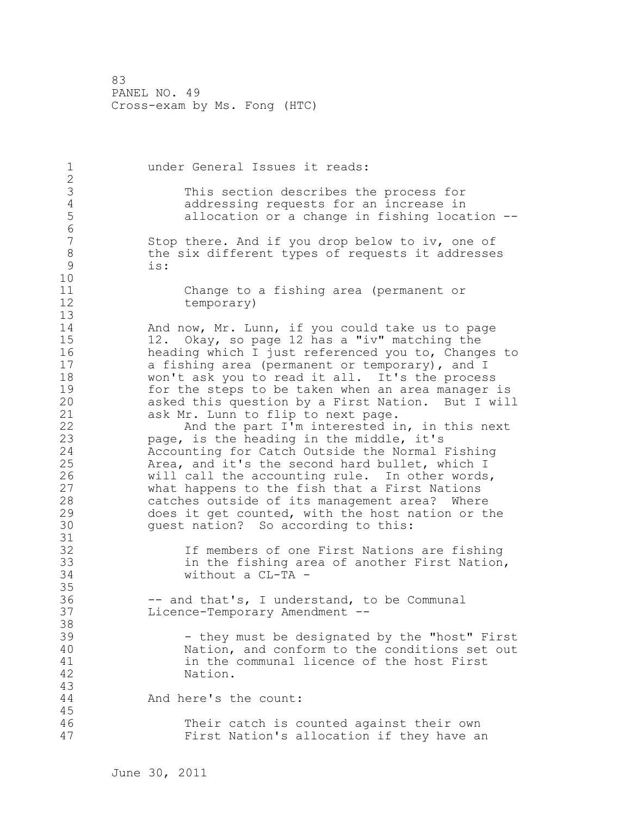1 under General Issues it reads: 2 3 This section describes the process for<br>4 addressing requests for an increase in 4 addressing requests for an increase in<br>5 allocation or a change in fishing loca allocation or a change in fishing location --6 Stop there. And if you drop below to iv, one of 8 the six different types of requests it addresses<br>9 is: is: 10 11 Change to a fishing area (permanent or 12 temporary) 13 14 And now, Mr. Lunn, if you could take us to page 15 12. Okay, so page 12 has a "iv" matching the 16 heading which I just referenced you to, Changes to 17 a fishing area (permanent or temporary), and I 18 won't ask you to read it all. It's the process 19 for the steps to be taken when an area manager is<br>20 asked this question by a First Nation. But I will asked this question by a First Nation. But I will 21 ask Mr. Lunn to flip to next page. 22 And the part I'm interested in, in this next 23 page, is the heading in the middle, it's 24 Accounting for Catch Outside the Normal Fishing 25 Area, and it's the second hard bullet, which I 26 will call the accounting rule. In other words,<br>27 what happens to the fish that a First Nations what happens to the fish that a First Nations 28 catches outside of its management area? Where 29 does it get counted, with the host nation or the 30 guest nation? So according to this: 31<br>32 If members of one First Nations are fishing 33 in the fishing area of another First Nation, 34 without a CL-TA - 35 36 -- and that's, I understand, to be Communal 37 Licence-Temporary Amendment -- 38 39 - they must be designated by the "host" First 40 Nation, and conform to the conditions set out 41 in the communal licence of the host First<br>42 Mation. Nation. 43 44 And here's the count: 45 46 Their catch is counted against their own 47 First Nation's allocation if they have an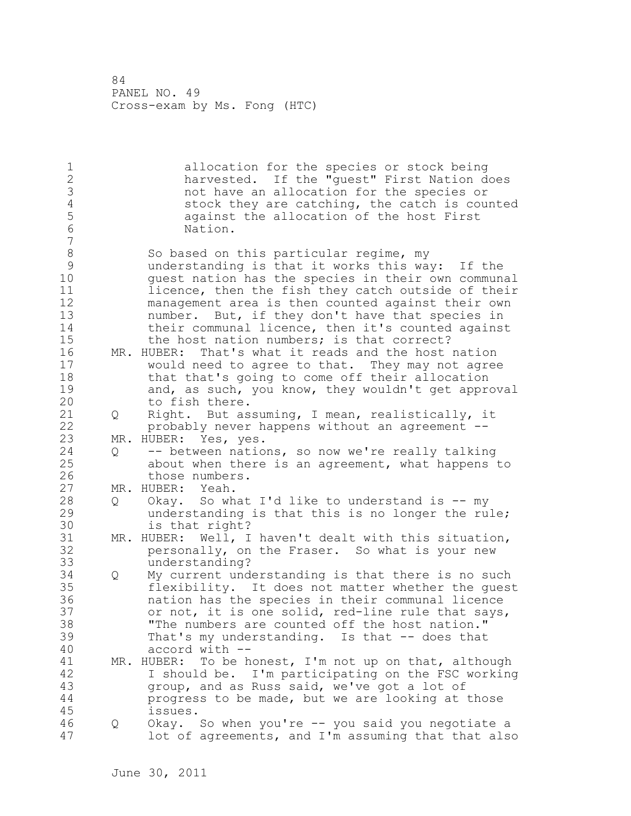1 allocation for the species or stock being 2 harvested. If the "guest" First Nation does 3 a compare that have an allocation for the species or<br>4 a cost of they are catching, the catch is cour 4 stock they are catching, the catch is counted<br>5 against the allocation of the host First 5 against the allocation of the host First<br>6 Mation. Nation. 7 8 So based on this particular regime, my<br>8 So understanding is that it works this way 9 understanding is that it works this way: If the quest nation has the species in their own communal 11 licence, then the fish they catch outside of their 12 management area is then counted against their own 13 number. But, if they don't have that species in 14 their communal licence, then it's counted against 15 the host nation numbers; is that correct? 16 MR. HUBER: That's what it reads and the host nation 17 would need to agree to that. They may not agree 18 that that's going to come off their allocation 19 and, as such, you know, they wouldn't get approval<br>20 to fish there. to fish there. 21 Q Right. But assuming, I mean, realistically, it 22 probably never happens without an agreement -- 23 MR. HUBER: Yes, yes. 24 Q -- between nations, so now we're really talking 25 about when there is an agreement, what happens to 26 those numbers.<br>27 MR. HUBER: Yeah. MR. HUBER: Yeah. 28 Q Okay. So what I'd like to understand is -- my 29 understanding is that this is no longer the rule; 30 is that right?<br>31 MR. HUBER: Well, I MR. HUBER: Well, I haven't dealt with this situation, 32 personally, on the Fraser. So what is your new 33 understanding? 34 Q My current understanding is that there is no such 35 flexibility. It does not matter whether the guest 36 nation has the species in their communal licence 37 or not, it is one solid, red-line rule that says, 38 "The numbers are counted off the host nation." 39 That's my understanding. Is that -- does that 40 accord with -- 41 MR. HUBER: To be honest, I'm not up on that, although<br>42 1 Should be. I'm participating on the FSC working I should be. I'm participating on the FSC working 43 group, and as Russ said, we've got a lot of 44 progress to be made, but we are looking at those 45 issues. 46 Q Okay. So when you're -- you said you negotiate a 47 lot of agreements, and I'm assuming that that also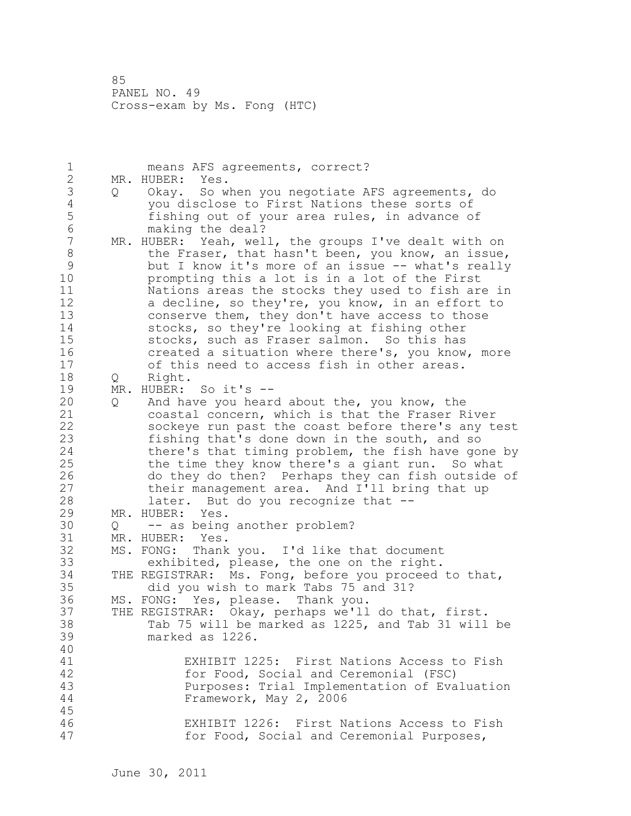1 means AFS agreements, correct? 2 MR. HUBER: Yes. 3 Q Okay. So when you negotiate AFS agreements, do<br>4 vou disclose to First Nations these sorts of 4 you disclose to First Nations these sorts of<br>5 fishing out of your area rules, in advance or 5 fishing out of your area rules, in advance of<br>6 making the deal? 6 making the deal?<br>7 MR. HUBER: Yeah, wel MR. HUBER: Yeah, well, the groups I've dealt with on 8 the Fraser, that hasn't been, you know, an issue, 9 but I know it's more of an issue -- what's really<br>10 brompting this a lot is in a lot of the First prompting this a lot is in a lot of the First 11 Nations areas the stocks they used to fish are in 12 a decline, so they're, you know, in an effort to 13 conserve them, they don't have access to those 14 stocks, so they're looking at fishing other 15 stocks, such as Fraser salmon. So this has 16 created a situation where there's, you know, more 17 of this need to access fish in other areas. 18 Q Right. 19 MR. HUBER: So it's --<br>20 0 And have you heard 20 Q And have you heard about the, you know, the 21 coastal concern, which is that the Fraser River 22 sockeye run past the coast before there's any test 23 fishing that's done down in the south, and so 24 there's that timing problem, the fish have gone by 25 the time they know there's a giant run. So what 26 do they do then? Perhaps they can fish outside of<br>27 their management area. And I'll bring that up their management area. And I'll bring that up 28 later. But do you recognize that -- 29 MR. HUBER: Yes. 30 Q -- as being another problem?<br>31 MR. HUBER: Yes. MR. HUBER: Yes. 32 MS. FONG: Thank you. I'd like that document 33 exhibited, please, the one on the right. 34 THE REGISTRAR: Ms. Fong, before you proceed to that, 35 did you wish to mark Tabs 75 and 31? 36 MS. FONG: Yes, please. Thank you. 37 THE REGISTRAR: Okay, perhaps we'll do that, first. 38 Tab 75 will be marked as 1225, and Tab 31 will be 39 marked as 1226. 40 41 EXHIBIT 1225: First Nations Access to Fish for Food, Social and Ceremonial (FSC) 43 Purposes: Trial Implementation of Evaluation 44 Framework, May 2, 2006 45 46 EXHIBIT 1226: First Nations Access to Fish 47 for Food, Social and Ceremonial Purposes,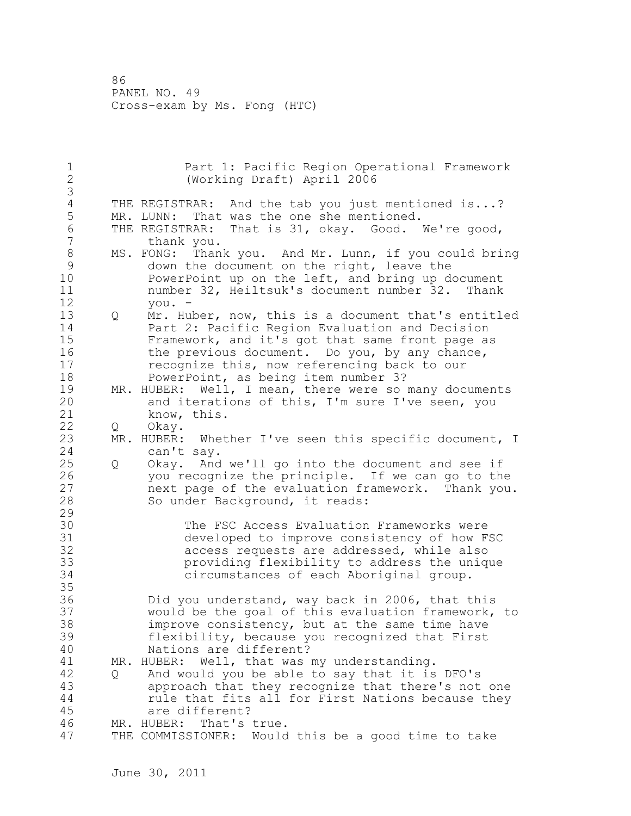1 Part 1: Pacific Region Operational Framework 2 (Working Draft) April 2006 3 4 THE REGISTRAR: And the tab you just mentioned is...?<br>5 MR. LUNN: That was the one she mentioned. MR. LUNN: That was the one she mentioned. 6 THE REGISTRAR: That is 31, okay. Good. We're good,<br>7 thank you. thank you. 8 MS. FONG: Thank you. And Mr. Lunn, if you could bring 9 down the document on the right, leave the<br>10 PowerPoint up on the left, and bring up d PowerPoint up on the left, and bring up document 11 number 32, Heiltsuk's document number 32. Thank 12 you. - 13 Q Mr. Huber, now, this is a document that's entitled 14 Part 2: Pacific Region Evaluation and Decision 15 Framework, and it's got that same front page as 16 the previous document. Do you, by any chance, 17 recognize this, now referencing back to our 18 PowerPoint, as being item number 3? 19 MR. HUBER: Well, I mean, there were so many documents<br>20 and iterations of this, I'm sure I've seen, you and iterations of this, I'm sure I've seen, you 21 know, this. 22 Q Okay. 23 MR. HUBER: Whether I've seen this specific document, I 24 can't say. 25 Q Okay. And we'll go into the document and see if 26 you recognize the principle. If we can go to the<br>27 hext page of the evaluation framework. Thank you next page of the evaluation framework. Thank you. 28 So under Background, it reads: 29 30 The FSC Access Evaluation Frameworks were<br>31 developed to improve consistency of how F 31 developed to improve consistency of how FSC<br>32 access requests are addressed, while also access requests are addressed, while also 33 providing flexibility to address the unique 34 circumstances of each Aboriginal group. 35 36 Did you understand, way back in 2006, that this 37 would be the goal of this evaluation framework, to 38 improve consistency, but at the same time have 39 flexibility, because you recognized that First 40 Nations are different? 41 MR. HUBER: Well, that was my understanding.<br>42 O And would you be able to say that it is 42 Q And would you be able to say that it is DFO's 43 approach that they recognize that there's not one 44 rule that fits all for First Nations because they 45 are different? 46 MR. HUBER: That's true. 47 THE COMMISSIONER: Would this be a good time to take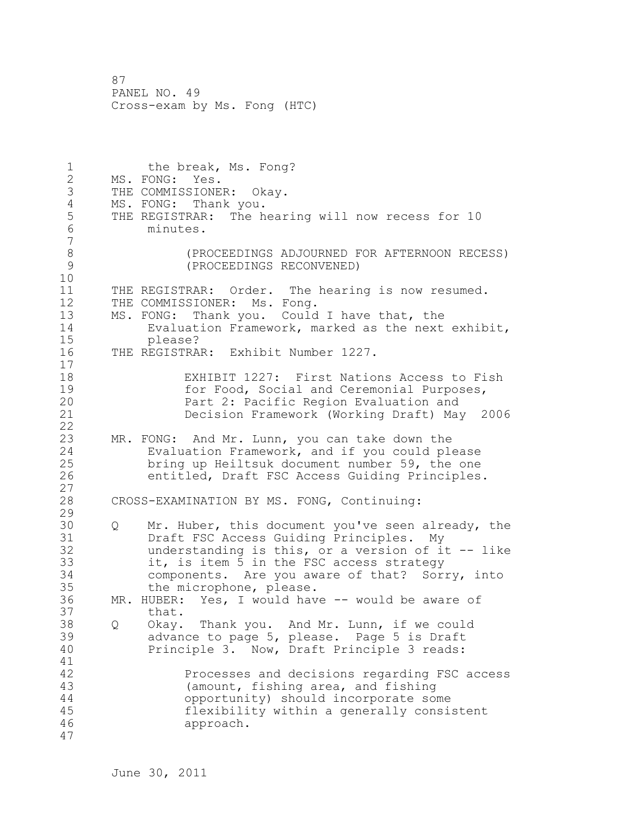1 the break, Ms. Fong? 2 MS. FONG: Yes. 3 THE COMMISSIONER: Okay. 4 MS. FONG: Thank you.<br>5 THE REGISTRAR: The h 5 THE REGISTRAR: The hearing will now recess for 10<br>6 minutes. 6 minutes. 7 8 (PROCEEDINGS ADJOURNED FOR AFTERNOON RECESS) 9 (PROCEEDINGS RECONVENED) 10 11 THE REGISTRAR: Order. The hearing is now resumed. 12 THE COMMISSIONER: Ms. Fong. 13 MS. FONG: Thank you. Could I have that, the 14 Evaluation Framework, marked as the next exhibit, 15 please?<br>16 THE REGISTRA THE REGISTRAR: Exhibit Number 1227. 17 18 EXHIBIT 1227: First Nations Access to Fish 19 for Food, Social and Ceremonial Purposes,<br>20 **Fact 2:** Pacific Region Evaluation and Part 2: Pacific Region Evaluation and 21 Decision Framework (Working Draft) May 2006 22 23 MR. FONG: And Mr. Lunn, you can take down the 24 Evaluation Framework, and if you could please 25 bring up Heiltsuk document number 59, the one 26 entitled, Draft FSC Access Guiding Principles. 27 28 CROSS-EXAMINATION BY MS. FONG, Continuing: 29 30 Q Mr. Huber, this document you've seen already, the<br>31 Draft FSC Access Guiding Principles. My Draft FSC Access Guiding Principles. My 32 understanding is this, or a version of it -- like 33 it, is item 5 in the FSC access strategy 34 components. Are you aware of that? Sorry, into 35 the microphone, please. 36 MR. HUBER: Yes, I would have -- would be aware of 37 that. 38 Q Okay. Thank you. And Mr. Lunn, if we could 39 advance to page 5, please. Page 5 is Draft 40 Principle 3. Now, Draft Principle 3 reads: 41<br>42 Processes and decisions regarding FSC access 43 (amount, fishing area, and fishing 44 opportunity) should incorporate some 45 flexibility within a generally consistent 46 approach. 47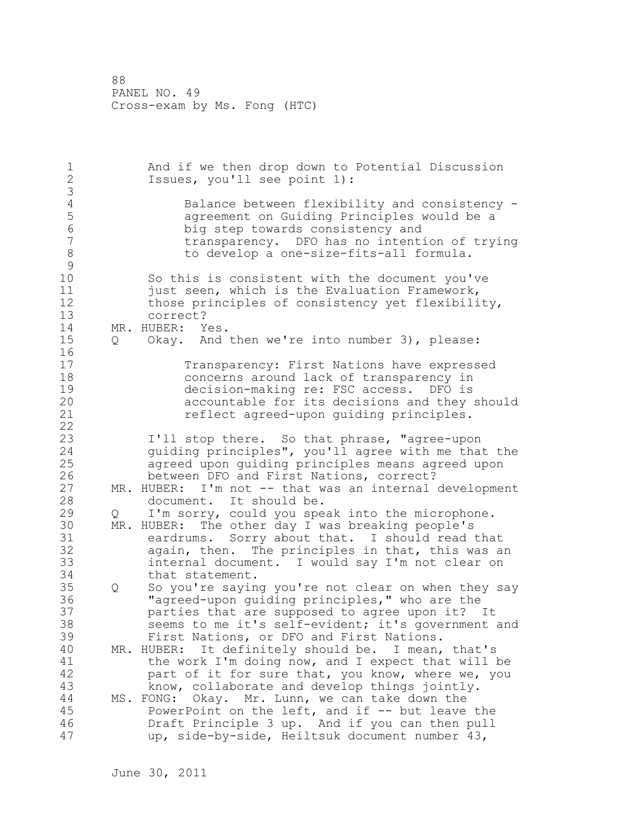1 And if we then drop down to Potential Discussion 2 Issues, you'll see point 1): 3 4 Balance between flexibility and consistency - 5 agreement on Guiding Principles would be a 6 big step towards consistency and transparency. DFO has no intention of trying 8 to develop a one-size-fits-all formula.  $\begin{array}{c} 9 \\ 10 \end{array}$ So this is consistent with the document you've 11 **just seen, which is the Evaluation Framework,** 12 those principles of consistency yet flexibility, 13 correct? 14 MR. HUBER: Yes. 15 Q Okay. And then we're into number 3), please: 16 17 Transparency: First Nations have expressed 18 concerns around lack of transparency in 19 decision-making re: FSC access. DFO is<br>20 accountable for its decisions and they accountable for its decisions and they should 21 reflect agreed-upon guiding principles. 22 23 I'll stop there. So that phrase, "agree-upon 24 guiding principles", you'll agree with me that the 25 agreed upon guiding principles means agreed upon 26 between DFO and First Nations, correct?<br>27 MR. HUBER: I'm not -- that was an internal MR. HUBER: I'm not -- that was an internal development 28 document. It should be. 29 Q I'm sorry, could you speak into the microphone. 30 MR. HUBER: The other day I was breaking people's 31 eardrums. Sorry about that. I should read that<br>32 again, then. The principles in that, this was a again, then. The principles in that, this was an 33 internal document. I would say I'm not clear on 34 that statement. 35 Q So you're saying you're not clear on when they say 36 "agreed-upon guiding principles," who are the 37 parties that are supposed to agree upon it? It 38 seems to me it's self-evident; it's government and 39 First Nations, or DFO and First Nations. 40 MR. HUBER: It definitely should be. I mean, that's 41 the work I'm doing now, and I expect that will be<br>42 bart of it for sure that, you know, where we, you part of it for sure that, you know, where we, you 43 know, collaborate and develop things jointly. 44 MS. FONG: Okay. Mr. Lunn, we can take down the 45 PowerPoint on the left, and if -- but leave the 46 Draft Principle 3 up. And if you can then pull 47 up, side-by-side, Heiltsuk document number 43,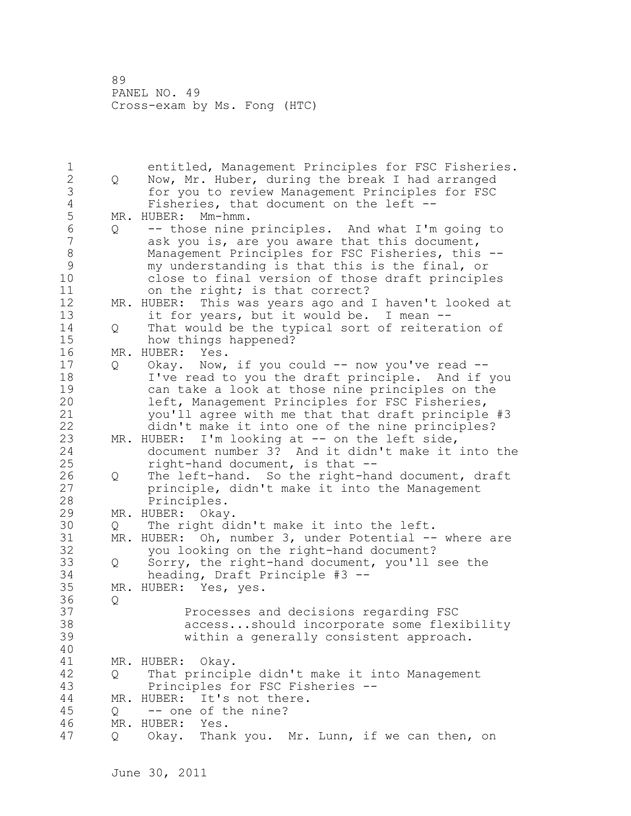1 entitled, Management Principles for FSC Fisheries.<br>2 0 Now, Mr. Huber, during the break I had arranged 2 Q Now, Mr. Huber, during the break I had arranged 3 for you to review Management Principles for FSC<br>4 Fisheries, that document on the left --4 Fisheries, that document on the left --<br>5 MR. HUBER: Mm-hmm. 5 MR. HUBER: Mm-hmm.<br>6 0 -- those nine 6  $Q$  -- those nine principles. And what I'm going to ask you is, are you aware that this document, ask you is, are you aware that this document, 8 Management Principles for FSC Fisheries, this --<br>9 my understanding is that this is the final, or 9 my understanding is that this is the final, or close to final version of those draft principles 11 on the right; is that correct? 12 MR. HUBER: This was years ago and I haven't looked at 13 it for years, but it would be. I mean --14 Q That would be the typical sort of reiteration of 15 how things happened? 16 MR. HUBER: Yes. 17 Q Okay. Now, if you could -- now you've read --18 I've read to you the draft principle. And if you 19 can take a look at those nine principles on the<br>20 left, Management Principles for FSC Fisheries, left, Management Principles for FSC Fisheries, 21 you'll agree with me that that draft principle #3 22 didn't make it into one of the nine principles? 23 MR. HUBER: I'm looking at -- on the left side, 24 document number 3? And it didn't make it into the 25 right-hand document, is that -- 26 Q The left-hand. So the right-hand document, draft<br>27 principle, didn't make it into the Management principle, didn't make it into the Management 28 Principles. 29 MR. HUBER: Okay. 30 Q The right didn't make it into the left.<br>31 MR. HUBER: Oh, number 3, under Potential --31 MR. HUBER: Oh, number 3, under Potential -- where are<br>32 vou looking on the right-hand document? you looking on the right-hand document? 33 Q Sorry, the right-hand document, you'll see the 34 heading, Draft Principle #3 -- 35 MR. HUBER: Yes, yes. 36 Q 37 Processes and decisions regarding FSC 38 access...should incorporate some flexibility 39 within a generally consistent approach. 40 41 MR. HUBER: Okay.<br>42 0 That princip 42 Q That principle didn't make it into Management 43 Principles for FSC Fisheries -- 44 MR. HUBER: It's not there. 45 Q -- one of the nine? 46 MR. HUBER: Yes. 47 Q Okay. Thank you. Mr. Lunn, if we can then, on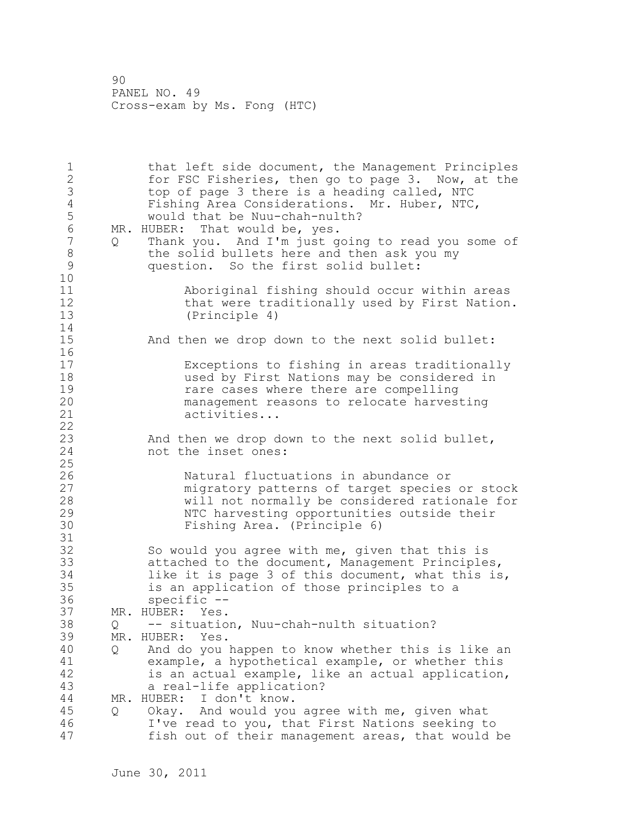1 that left side document, the Management Principles 2 for FSC Fisheries, then go to page 3. Now, at the 3 top of page 3 there is a heading called, NTC 4 Fishing Area Considerations. Mr. Huber, NTC,<br>5 would that be Nuu-chah-nulth? would that be Nuu-chah-nulth? 6 MR. HUBER: That would be, yes.<br>7 0 Thank you. And I'm just q. Q Thank you. And I'm just going to read you some of 8 the solid bullets here and then ask you my<br>9 ouestion. So the first solid bullet: question. So the first solid bullet: 10 11 Aboriginal fishing should occur within areas 12 that were traditionally used by First Nation. 13 (Principle 4) 14 15 And then we drop down to the next solid bullet: 16 17 Exceptions to fishing in areas traditionally 18 used by First Nations may be considered in 19 19 19 rare cases where there are compelling<br>20 10 management reasons to relocate harves management reasons to relocate harvesting 21 activities... 22 23 And then we drop down to the next solid bullet, 24 not the inset ones: 25 26 120 Natural fluctuations in abundance or<br>27 migratory patterns of target species migratory patterns of target species or stock 28 will not normally be considered rationale for 29 NTC harvesting opportunities outside their 30 Fishing Area. (Principle 6) 31 32 So would you agree with me, given that this is 33 attached to the document, Management Principles, 34 like it is page 3 of this document, what this is, 35 is an application of those principles to a 36 specific -- 37 MR. HUBER: Yes. 38 Q -- situation, Nuu-chah-nulth situation? 39 MR. HUBER: Yes. 40 Q And do you happen to know whether this is like an 41 example, a hypothetical example, or whether this<br>42 is an actual example, like an actual application is an actual example, like an actual application, 43 a real-life application? 44 MR. HUBER: I don't know. 45 Q Okay. And would you agree with me, given what 46 I've read to you, that First Nations seeking to 47 fish out of their management areas, that would be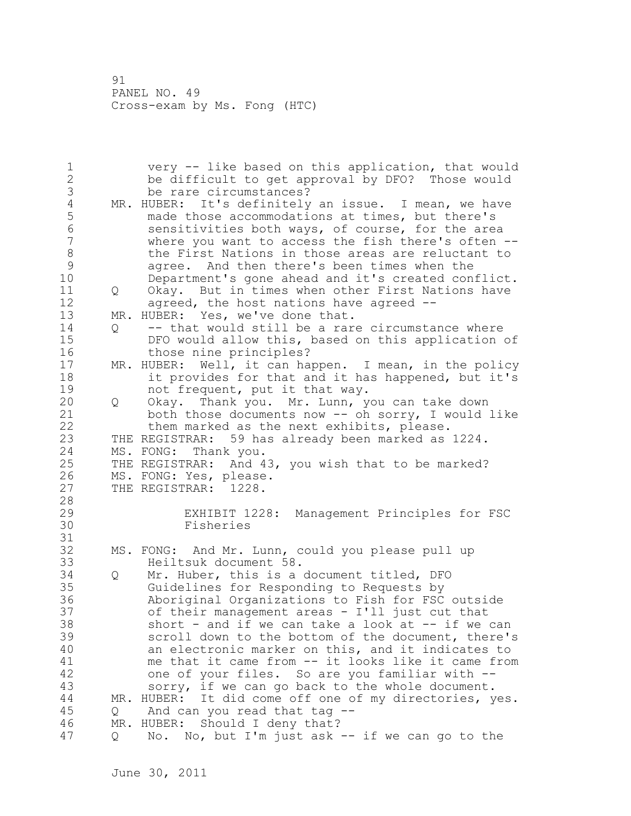1 very -- like based on this application, that would 2 be difficult to get approval by DFO? Those would 3 be rare circumstances?<br>4 MR. HUBER: It's definitely 4 MR. HUBER: It's definitely an issue. I mean, we have<br>5 made those accommodations at times, but there's 5 made those accommodations at times, but there's<br>6 sensitivities both ways, of course, for the are 6 sensitivities both ways, of course, for the area where you want to access the fish there's often  $--$ 8 the First Nations in those areas are reluctant to<br>9 agree. And then there's been times when the 9 agree. And then there's been times when the<br>10 Department's gone ahead and it's created con Department's gone ahead and it's created conflict. 11 Q Okay. But in times when other First Nations have 12 agreed, the host nations have agreed -- 13 MR. HUBER: Yes, we've done that. 14 Q -- that would still be a rare circumstance where 15 DFO would allow this, based on this application of 16 those nine principles? 17 MR. HUBER: Well, it can happen. I mean, in the policy 18 it provides for that and it has happened, but it's 19 not frequent, put it that way.<br>20 0 Okay. Thank you. Mr. Lunn, y 20 Q Okay. Thank you. Mr. Lunn, you can take down 21 both those documents now -- oh sorry, I would like 22 them marked as the next exhibits, please. 23 THE REGISTRAR: 59 has already been marked as 1224. 24 MS. FONG: Thank you. 25 THE REGISTRAR: And 43, you wish that to be marked? 26 MS. FONG: Yes, please.<br>27 THE REGISTRAR: 1228. THE REGISTRAR: 1228. 28 29 EXHIBIT 1228: Management Principles for FSC 30 Fisheries 31 32 MS. FONG: And Mr. Lunn, could you please pull up 33 Heiltsuk document 58. 34 Q Mr. Huber, this is a document titled, DFO 35 Guidelines for Responding to Requests by 36 Aboriginal Organizations to Fish for FSC outside 37 of their management areas - I'll just cut that 38 short - and if we can take a look at -- if we can 39 scroll down to the bottom of the document, there's 40 an electronic marker on this, and it indicates to 41 me that it came from -- it looks like it came from<br>42 one of your files. So are you familiar with -one of your files. So are you familiar with --43 sorry, if we can go back to the whole document. 44 MR. HUBER: It did come off one of my directories, yes. 45 Q And can you read that tag -- 46 MR. HUBER: Should I deny that? 47 Q No. No, but I'm just ask -- if we can go to the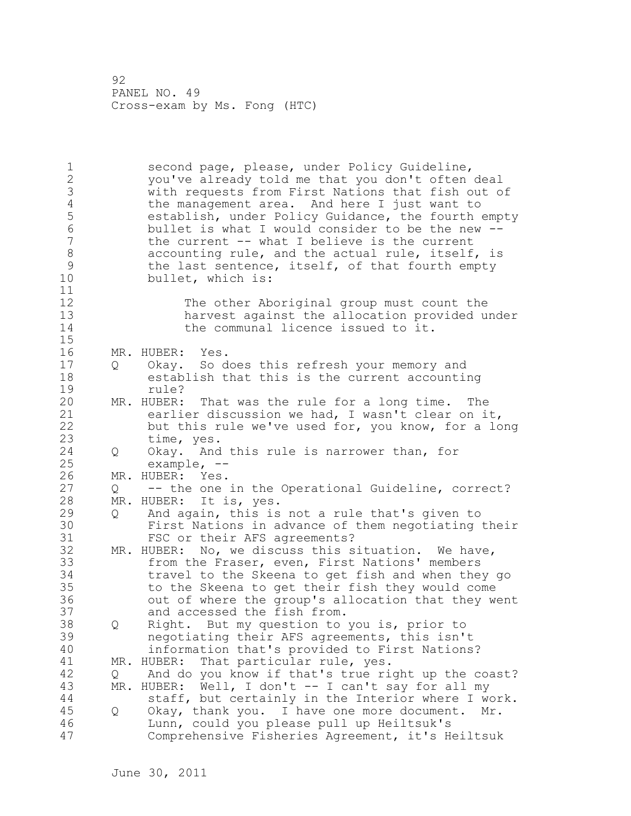1 second page, please, under Policy Guideline, 2 you've already told me that you don't often deal 3 with requests from First Nations that fish out of<br>4 the management area. And here I just want to 4 the management area. And here I just want to<br>5 establish, under Policy Guidance, the fourth 5 establish, under Policy Guidance, the fourth empty<br>6 bullet is what I would consider to be the new --6 bullet is what I would consider to be the new - the current  $--$  what I believe is the current 8 accounting rule, and the actual rule, itself, is<br>9 the last sentence, itself, of that fourth empty 9 the last sentence, itself, of that fourth empty<br>10 bullet, which is: bullet, which is: 11 12 The other Aboriginal group must count the 13 harvest against the allocation provided under 14 the communal licence issued to it. 15 16 MR. HUBER: Yes. 17 Q Okay. So does this refresh your memory and 18 establish that this is the current accounting 19 rule?<br>20 MR. HUBER: MR. HUBER: That was the rule for a long time. The 21 earlier discussion we had, I wasn't clear on it, 22 but this rule we've used for, you know, for a long 23 time, yes. 24 Q Okay. And this rule is narrower than, for 25 example, -- 26 MR. HUBER: Yes.<br>27 0 -- the one 27 Q -- the one in the Operational Guideline, correct? 28 MR. HUBER: It is, yes. 29 Q And again, this is not a rule that's given to 30 First Nations in advance of them negotiating their FSC or their AFS agreements? 32 MR. HUBER: No, we discuss this situation. We have, 33 from the Fraser, even, First Nations' members 34 travel to the Skeena to get fish and when they go 35 to the Skeena to get their fish they would come 36 out of where the group's allocation that they went 37 and accessed the fish from. 38 Q Right. But my question to you is, prior to 39 negotiating their AFS agreements, this isn't 40 information that's provided to First Nations? 41 MR. HUBER: That particular rule, yes.<br>42 0 And do you know if that's true ri 42 Q And do you know if that's true right up the coast? 43 MR. HUBER: Well, I don't -- I can't say for all my 44 staff, but certainly in the Interior where I work. 45 Q Okay, thank you. I have one more document. Mr. 46 Lunn, could you please pull up Heiltsuk's 47 Comprehensive Fisheries Agreement, it's Heiltsuk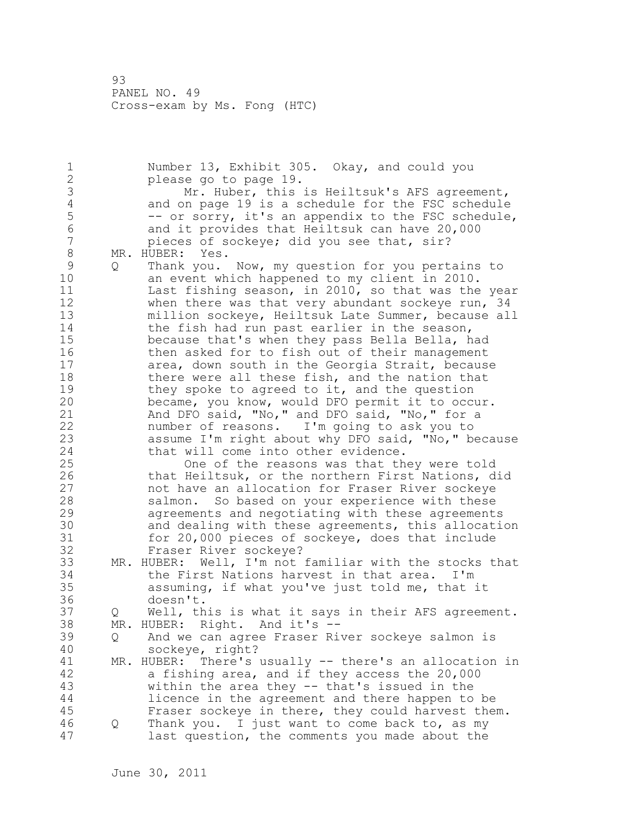1 Number 13, Exhibit 305. Okay, and could you 2 please go to page 19. 3 Mr. Huber, this is Heiltsuk's AFS agreement,<br>4 and on page 19 is a schedule for the FSC schedule 4 and on page 19 is a schedule for the FSC schedule<br>5 -- or sorry, it's an appendix to the FSC schedule 5 -- or sorry, it's an appendix to the FSC schedule,<br>6 and it provides that Heiltsuk can have 20,000 6 and it provides that Heiltsuk can have 20,000<br>7 bieces of sockeve: did you see that, sir? pieces of sockeye; did you see that, sir? 8 MR. HUBER: Yes. 9 Q Thank you. Now, my question for you pertains to<br>10 an event which happened to my client in 2010. an event which happened to my client in 2010. 11 Last fishing season, in 2010, so that was the year 12 when there was that very abundant sockeye run, 34 13 million sockeye, Heiltsuk Late Summer, because all 14 the fish had run past earlier in the season, 15 because that's when they pass Bella Bella, had 16 then asked for to fish out of their management 17 area, down south in the Georgia Strait, because 18 there were all these fish, and the nation that 19 they spoke to agreed to it, and the question<br>20 became, you know, would DFO permit it to occ became, you know, would DFO permit it to occur. 21 And DFO said, "No," and DFO said, "No," for a 22 number of reasons. I'm going to ask you to 23 assume I'm right about why DFO said, "No," because 24 that will come into other evidence. 25 One of the reasons was that they were told 26 that Heiltsuk, or the northern First Nations, did<br>27 hot have an allocation for Fraser River sockeye not have an allocation for Fraser River sockeye 28 salmon. So based on your experience with these 29 agreements and negotiating with these agreements 30 and dealing with these agreements, this allocation<br>31 for 20,000 pieces of sockeye, does that include for 20,000 pieces of sockeye, does that include 32 Fraser River sockeye? 33 MR. HUBER: Well, I'm not familiar with the stocks that 34 the First Nations harvest in that area. I'm 35 assuming, if what you've just told me, that it 36 doesn't. 37 Q Well, this is what it says in their AFS agreement. 38 MR. HUBER: Right. And it's -- 39 Q And we can agree Fraser River sockeye salmon is 40 sockeye, right? 41 MR. HUBER: There's usually -- there's an allocation in<br>42 a fishing area, and if they access the 20,000 a fishing area, and if they access the 20,000 43 within the area they -- that's issued in the 44 licence in the agreement and there happen to be 45 Fraser sockeye in there, they could harvest them. 46 Q Thank you. I just want to come back to, as my 47 last question, the comments you made about the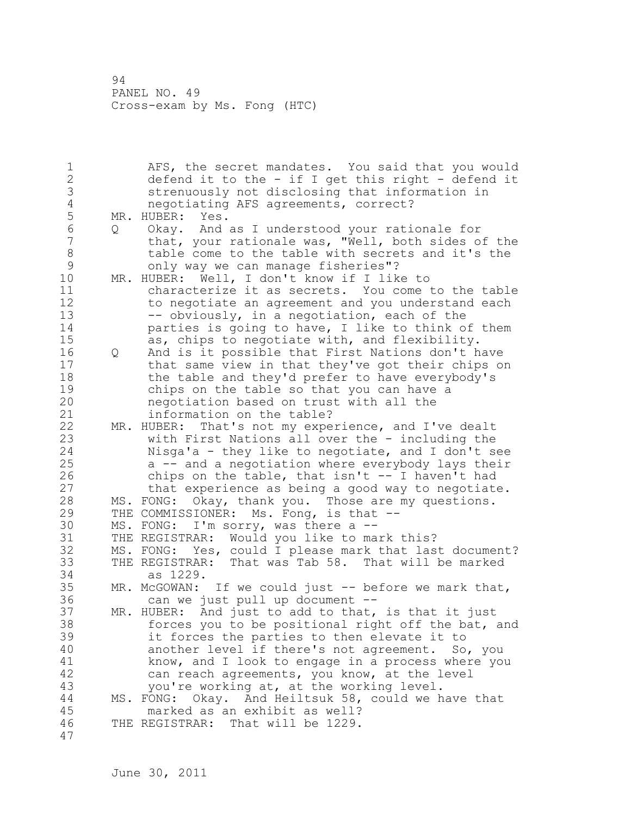1 AFS, the secret mandates. You said that you would 2 defend it to the - if I get this right - defend it 3 strenuously not disclosing that information in 4 negotiating AFS agreements, correct?<br>5 MR. HUBER: Yes. 5 MR. HUBER: Yes.<br>6 0 Okav. And 6 Q Okay. And as I understood your rationale for that, your rationale was, "Well, both sides of the 8 table come to the table with secrets and it's the<br>9 only way we can manage fisheries"? 9 only way we can manage fisheries"?<br>10 MR. HUBER: Well, I don't know if I lik MR. HUBER: Well, I don't know if I like to 11 characterize it as secrets. You come to the table 12 to negotiate an agreement and you understand each 13 -- obviously, in a negotiation, each of the 14 **parties is going to have, I like to think of them** 15 as, chips to negotiate with, and flexibility. 16 Q And is it possible that First Nations don't have 17 that same view in that they've got their chips on 18 the table and they'd prefer to have everybody's 19 chips on the table so that you can have a<br>20 megotiation based on trust with all the negotiation based on trust with all the 21 information on the table? 22 MR. HUBER: That's not my experience, and I've dealt 23 with First Nations all over the - including the 24 Nisga'a - they like to negotiate, and I don't see 25 a -- and a negotiation where everybody lays their 26 chips on the table, that isn't -- I haven't had<br>27 that experience as being a good way to negotiate that experience as being a good way to negotiate. 28 MS. FONG: Okay, thank you. Those are my questions. 29 THE COMMISSIONER: Ms. Fong, is that -- 30 MS. FONG: I'm sorry, was there a --<br>31 THE REGISTRAR: Would you like to ma 31 THE REGISTRAR: Would you like to mark this?<br>32 MS. FONG: Yes, could I please mark that las MS. FONG: Yes, could I please mark that last document? 33 THE REGISTRAR: That was Tab 58. That will be marked 34 as 1229. 35 MR. McGOWAN: If we could just -- before we mark that, 36 can we just pull up document -- 37 MR. HUBER: And just to add to that, is that it just 38 forces you to be positional right off the bat, and 39 it forces the parties to then elevate it to 40 another level if there's not agreement. So, you 41 know, and I look to engage in a process where you<br>42 can reach agreements, you know, at the level can reach agreements, you know, at the level 43 you're working at, at the working level. 44 MS. FONG: Okay. And Heiltsuk 58, could we have that 45 marked as an exhibit as well? 46 THE REGISTRAR: That will be 1229. 47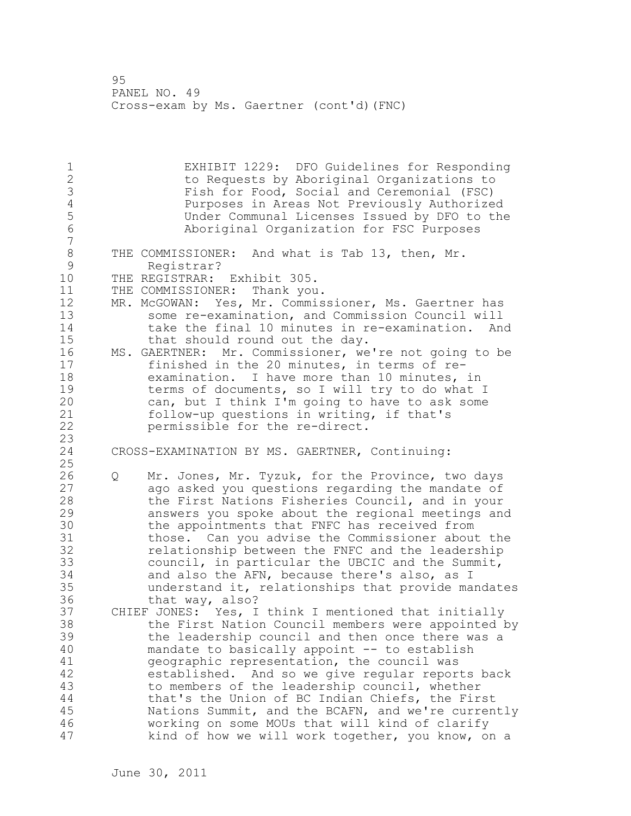1 EXHIBIT 1229: DFO Guidelines for Responding to Requests by Aboriginal Organizations to 3 Fish for Food, Social and Ceremonial (FSC)<br>4 Purposes in Areas Not Previously Authorize 4 Purposes in Areas Not Previously Authorized<br>5 Under Communal Licenses Issued by DFO to the 5 Under Communal Licenses Issued by DFO to the Aboriginal Organization for FSC Purposes 7 8 THE COMMISSIONER: And what is Tab 13, then, Mr.<br>9 Registrar? 9 Registrar? THE REGISTRAR: Exhibit 305. 11 THE COMMISSIONER: Thank you. 12 MR. McGOWAN: Yes, Mr. Commissioner, Ms. Gaertner has 13 some re-examination, and Commission Council will 14 take the final 10 minutes in re-examination. And 15 that should round out the day. 16 MS. GAERTNER: Mr. Commissioner, we're not going to be 17 finished in the 20 minutes, in terms of re-18 examination. I have more than 10 minutes, in 19 terms of documents, so I will try to do what I<br>20 can, but I think I'm going to have to ask some can, but I think I'm going to have to ask some 21 follow-up questions in writing, if that's 22 permissible for the re-direct.  $\frac{23}{24}$ CROSS-EXAMINATION BY MS. GAERTNER, Continuing: 25 26 Q Mr. Jones, Mr. Tyzuk, for the Province, two days<br>27 ago asked you questions regarding the mandate of ago asked you questions regarding the mandate of 28 the First Nations Fisheries Council, and in your 29 answers you spoke about the regional meetings and 30 the appointments that FNFC has received from<br>31 those. Can you advise the Commissioner about those. Can you advise the Commissioner about the 32 relationship between the FNFC and the leadership 33 council, in particular the UBCIC and the Summit, 34 and also the AFN, because there's also, as I 35 understand it, relationships that provide mandates 36 that way, also? 37 CHIEF JONES: Yes, I think I mentioned that initially 38 the First Nation Council members were appointed by 39 the leadership council and then once there was a 40 mandate to basically appoint -- to establish 41 geographic representation, the council was<br>42 established. And so we give regular repor established. And so we give regular reports back 43 to members of the leadership council, whether 44 that's the Union of BC Indian Chiefs, the First 45 Nations Summit, and the BCAFN, and we're currently 46 working on some MOUs that will kind of clarify 47 kind of how we will work together, you know, on a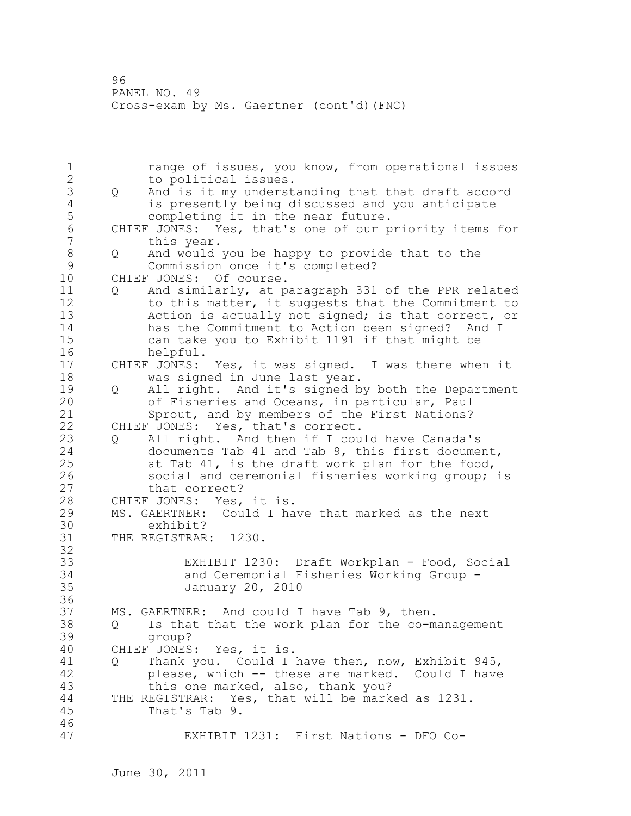1 range of issues, you know, from operational issues<br>2 to political issues. to political issues. 3 Q And is it my understanding that that draft accord 4 is presently being discussed and you anticipate<br>5 completing it in the near future. 5 completing it in the near future.<br>6 CHIEF JONES: Yes, that's one of our p 6 CHIEF JONES: Yes, that's one of our priority items for<br>7 this year. this year. 8 Q And would you be happy to provide that to the 9 Commission once it's completed?<br>10 CHIEF JONES: Of course. CHIEF JONES: Of course. 11 Q And similarly, at paragraph 331 of the PPR related 12 to this matter, it suggests that the Commitment to 13 Action is actually not signed; is that correct, or 14 has the Commitment to Action been signed? And I 15 can take you to Exhibit 1191 if that might be 16 helpful. 17 CHIEF JONES: Yes, it was signed. I was there when it 18 was signed in June last year. 19 Q All right. And it's signed by both the Department<br>20 of Fisheries and Oceans, in particular, Paul of Fisheries and Oceans, in particular, Paul 21 Sprout, and by members of the First Nations? 22 CHIEF JONES: Yes, that's correct. 23 Q All right. And then if I could have Canada's 24 documents Tab 41 and Tab 9, this first document, 25 at Tab 41, is the draft work plan for the food, 26 social and ceremonial fisheries working group; is<br>27 that correct? that correct? 28 CHIEF JONES: Yes, it is. 29 MS. GAERTNER: Could I have that marked as the next 30 exhibit?<br>31 THE REGISTRAR THE REGISTRAR: 1230. 32 33 EXHIBIT 1230: Draft Workplan - Food, Social 34 and Ceremonial Fisheries Working Group - 35 January 20, 2010 36 37 MS. GAERTNER: And could I have Tab 9, then. 38 Q Is that that the work plan for the co-management 39 group? 40 CHIEF JONES: Yes, it is. 41 Q Thank you. Could I have then, now, Exhibit 945, 42 please, which -- these are marked. Could I have<br>43 this one marked, also, thank you? this one marked, also, thank you? 44 THE REGISTRAR: Yes, that will be marked as 1231. 45 That's Tab 9. 46 47 EXHIBIT 1231: First Nations - DFO Co-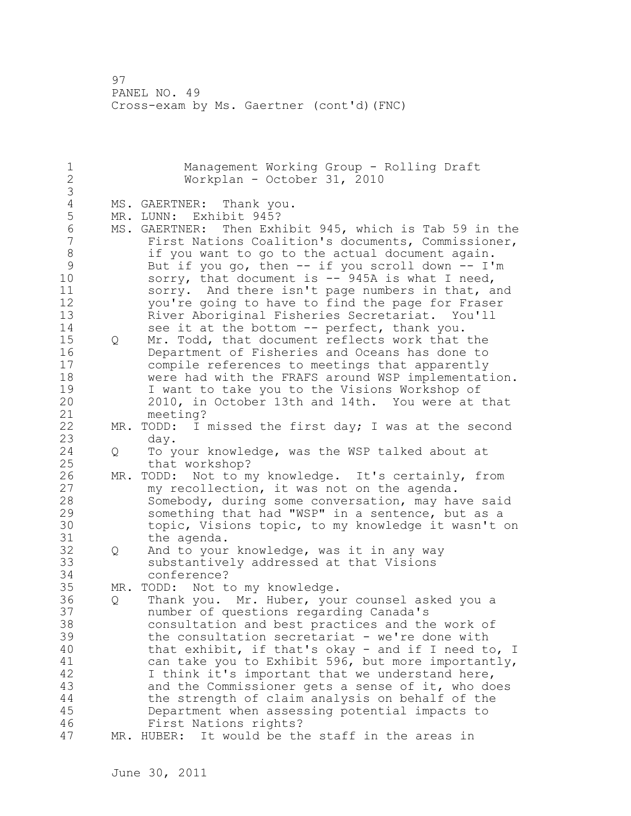1 Management Working Group - Rolling Draft<br>2 Morkplan - October 31, 2010 Workplan - October 31, 2010 3 4 MS. GAERTNER: Thank you.<br>5 MR. LUNN: Exhibit 945? 5 MR. LUNN: Exhibit 945?<br>6 MS. GAERTNER: Then Exh 6 MS. GAERTNER: Then Exhibit 945, which is Tab 59 in the<br>7 First Nations Coalition's documents, Commissioner, First Nations Coalition's documents, Commissioner, 8 if you want to go to the actual document again. 9 But if you go, then -- if you scroll down -- I'm<br>10 sorry, that document is -- 945A is what I need, sorry, that document is  $-$  945A is what I need, 11 sorry. And there isn't page numbers in that, and 12 you're going to have to find the page for Fraser 13 River Aboriginal Fisheries Secretariat. You'll 14 see it at the bottom -- perfect, thank you. 15 Q Mr. Todd, that document reflects work that the 16 Department of Fisheries and Oceans has done to 17 compile references to meetings that apparently 18 were had with the FRAFS around WSP implementation. 19 I want to take you to the Visions Workshop of<br>20 2010, in October 13th and 14th. You were at 2010, in October 13th and 14th. You were at that 21 meeting? 22 MR. TODD: I missed the first day; I was at the second 23 day. 24 Q To your knowledge, was the WSP talked about at 25 that workshop? 26 MR. TODD: Not to my knowledge. It's certainly, from<br>27 my recollection, it was not on the agenda. my recollection, it was not on the agenda. 28 Somebody, during some conversation, may have said 29 something that had "WSP" in a sentence, but as a 30 topic, Visions topic, to my knowledge it wasn't on<br>31 the agenda. the agenda. 32 Q And to your knowledge, was it in any way 33 substantively addressed at that Visions 34 conference? 35 MR. TODD: Not to my knowledge. 36 Q Thank you. Mr. Huber, your counsel asked you a 37 number of questions regarding Canada's 38 consultation and best practices and the work of 39 the consultation secretariat - we're done with 40 that exhibit, if that's okay - and if I need to, I 41 can take you to Exhibit 596, but more importantly,<br>42 I think it's important that we understand here, I think it's important that we understand here, 43 and the Commissioner gets a sense of it, who does 44 the strength of claim analysis on behalf of the 45 Department when assessing potential impacts to 46 First Nations rights? 47 MR. HUBER: It would be the staff in the areas in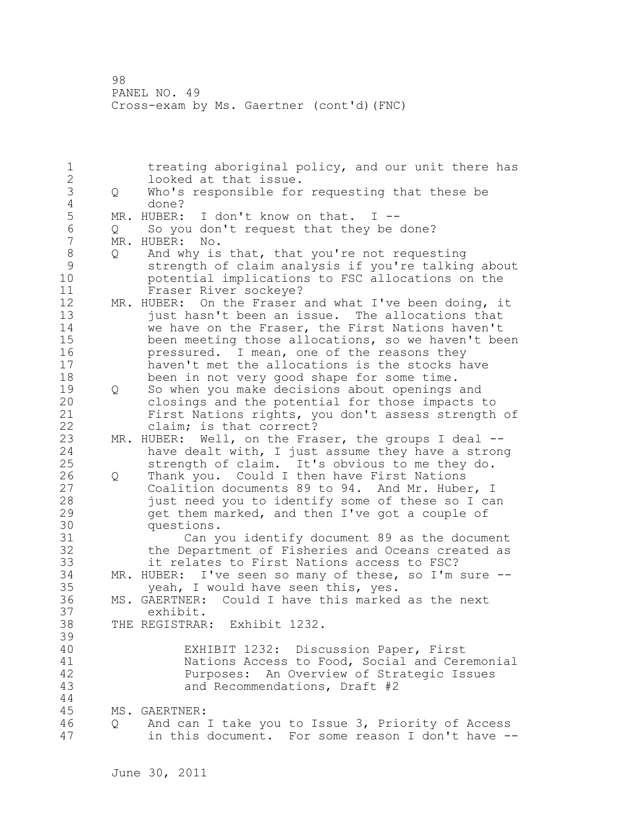1 treating aboriginal policy, and our unit there has 2 looked at that issue. 3 Q Who's responsible for requesting that these be 4 done?<br>5 MR. HUBER: 5 MR. HUBER: I don't know on that. I --<br>6 O So you don't request that they be 6 Q So you don't request that they be done? MR. HUBER: No. 8 Q And why is that, that you're not requesting 9 strength of claim analysis if you're talking about<br>10 botential implications to FSC allocations on the potential implications to FSC allocations on the 11 Fraser River sockeye? 12 MR. HUBER: On the Fraser and what I've been doing, it 13 just hasn't been an issue. The allocations that 14 we have on the Fraser, the First Nations haven't 15 been meeting those allocations, so we haven't been 16 **pressured.** I mean, one of the reasons they 17 haven't met the allocations is the stocks have 18 been in not very good shape for some time. 19 0 So when you make decisions about openings and<br>20 0 closings and the potential for those impacts closings and the potential for those impacts to 21 First Nations rights, you don't assess strength of 22 claim; is that correct? 23 MR. HUBER: Well, on the Fraser, the groups I deal --24 have dealt with, I just assume they have a strong 25 strength of claim. It's obvious to me they do. 26 Q Thank you. Could I then have First Nations<br>27 Coalition documents 89 to 94. And Mr. Hube Coalition documents 89 to 94. And Mr. Huber, I 28 just need you to identify some of these so I can 29 get them marked, and then I've got a couple of 30 questions.<br>31 Can v 31 Can you identify document 89 as the document the Department of Fisheries and Oceans created as 33 it relates to First Nations access to FSC? 34 MR. HUBER: I've seen so many of these, so I'm sure -- 35 yeah, I would have seen this, yes. 36 MS. GAERTNER: Could I have this marked as the next 37 exhibit. 38 THE REGISTRAR: Exhibit 1232. 39 40 EXHIBIT 1232: Discussion Paper, First 41 1 Nations Access to Food, Social and Ceremonial<br>42 Purposes: An Overview of Strategic Issues Purposes: An Overview of Strategic Issues 43 and Recommendations, Draft #2 44 45 MS. GAERTNER: 46 Q And can I take you to Issue 3, Priority of Access 47 in this document. For some reason I don't have --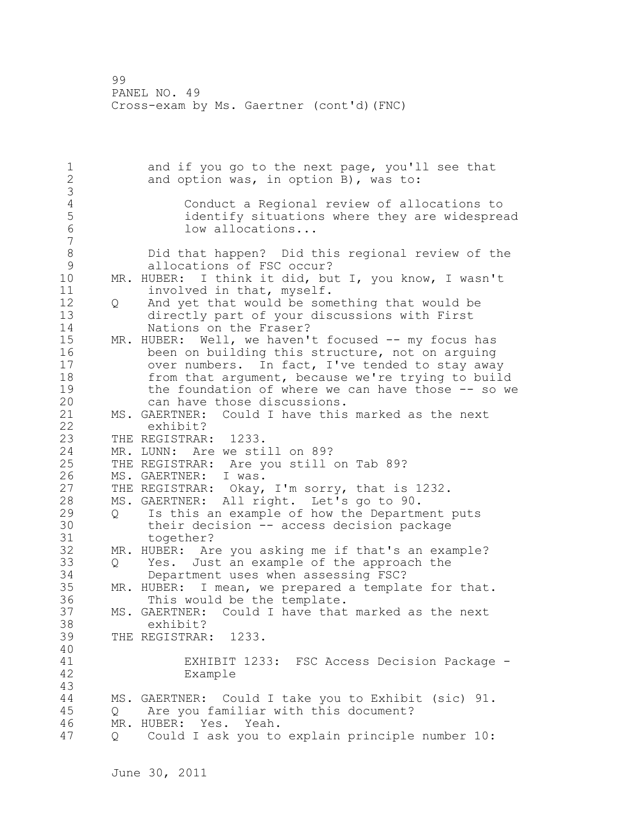1 and if you go to the next page, you'll see that 2 and option was, in option B), was to: 3 4 Conduct a Regional review of allocations to 5 identify situations where they are widespread<br>6 10w allocations... low allocations... 7 8 Did that happen? Did this regional review of the 9 allocations of FSC occur?<br>10 MR. HUBER: I think it did, bu MR. HUBER: I think it did, but I, you know, I wasn't 11 involved in that, myself. 12 Q And yet that would be something that would be 13 directly part of your discussions with First 14 Nations on the Fraser? 15 MR. HUBER: Well, we haven't focused -- my focus has 16 been on building this structure, not on arguing 17 over numbers. In fact, I've tended to stay away 18 from that argument, because we're trying to build 19 the foundation of where we can have those -- so we<br>20 can have those discussions. can have those discussions. 21 MS. GAERTNER: Could I have this marked as the next 22 exhibit? 23 THE REGISTRAR: 1233. 24 MR. LUNN: Are we still on 89? 25 THE REGISTRAR: Are you still on Tab 89? 26 MS. GAERTNER: I was.<br>27 THE REGISTRAR: Okay, THE REGISTRAR: Okay, I'm sorry, that is 1232. 28 MS. GAERTNER: All right. Let's go to 90. 29 Q Is this an example of how the Department puts 30 their decision -- access decision package<br>31 together? 31 together?<br>32 MR. HUBER: Ar MR. HUBER: Are you asking me if that's an example? 33 Q Yes. Just an example of the approach the 34 Department uses when assessing FSC? 35 MR. HUBER: I mean, we prepared a template for that. 36 This would be the template. 37 MS. GAERTNER: Could I have that marked as the next 38 exhibit? 39 THE REGISTRAR: 1233. 40 41 EXHIBIT 1233: FSC Access Decision Package - Example 43 44 MS. GAERTNER: Could I take you to Exhibit (sic) 91. 45 Q Are you familiar with this document? 46 MR. HUBER: Yes. Yeah. 47 Q Could I ask you to explain principle number 10: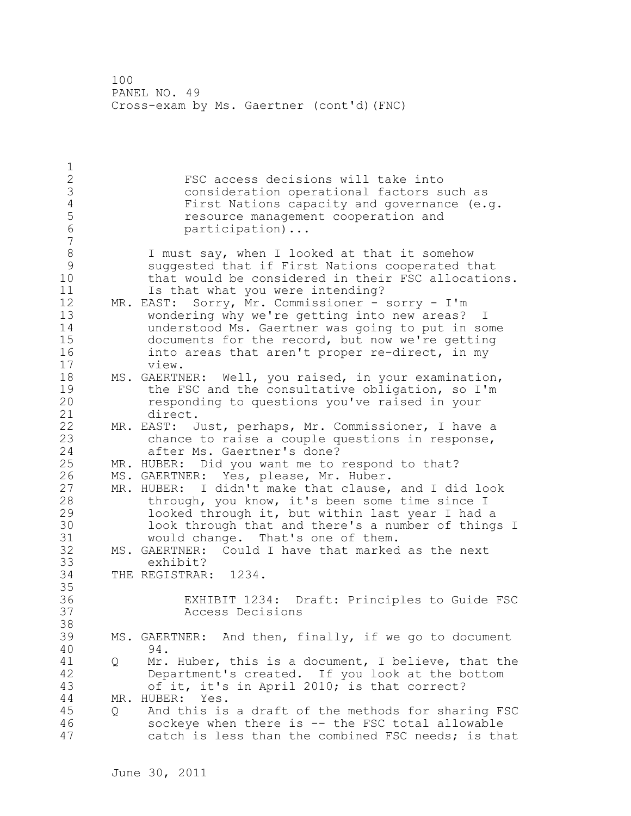$\frac{1}{2}$ FSC access decisions will take into 3 consideration operational factors such as<br>4 First Nations capacity and governance (e. 4 First Nations capacity and governance (e.g.<br>5 Sepanda Sessingle management cooperation and 5 **12** resource management cooperation and<br>6 **12** resolution **1** participation)... 7 8 I must say, when I looked at that it somehow<br>9 Suggested that if First Nations cooperated t 9 suggested that if First Nations cooperated that that would be considered in their FSC allocations. 11 Is that what you were intending? 12 MR. EAST: Sorry, Mr. Commissioner - sorry - I'm 13 wondering why we're getting into new areas? I 14 understood Ms. Gaertner was going to put in some 15 documents for the record, but now we're getting 16 into areas that aren't proper re-direct, in my 17 view. 18 MS. GAERTNER: Well, you raised, in your examination, 19 the FSC and the consultative obligation, so I'm<br>20 sesponding to questions you've raised in your responding to questions you've raised in your 21 direct. 22 MR. EAST: Just, perhaps, Mr. Commissioner, I have a 23 chance to raise a couple questions in response, 24 after Ms. Gaertner's done? 25 MR. HUBER: Did you want me to respond to that? 26 MS. GAERTNER: Yes, please, Mr. Huber.<br>27 MR. HUBER: I didn't make that clause, 27 MR. HUBER: I didn't make that clause, and I did look<br>28 through, you know, it's been some time since I through, you know, it's been some time since I 29 looked through it, but within last year I had a 30 look through that and there's a number of things I<br>31 would change. That's one of them. would change. That's one of them. 32 MS. GAERTNER: Could I have that marked as the next 33 exhibit? 34 THE REGISTRAR: 1234. 35 36 EXHIBIT 1234: Draft: Principles to Guide FSC 37 Access Decisions 38 39 MS. GAERTNER: And then, finally, if we go to document 40 94. 41 Q Mr. Huber, this is a document, I believe, that the 42 Department's created. If you look at the bottom 43 of it, it's in April 2010; is that correct? 44 MR. HUBER: Yes. 45 Q And this is a draft of the methods for sharing FSC 46 sockeye when there is -- the FSC total allowable 47 catch is less than the combined FSC needs; is that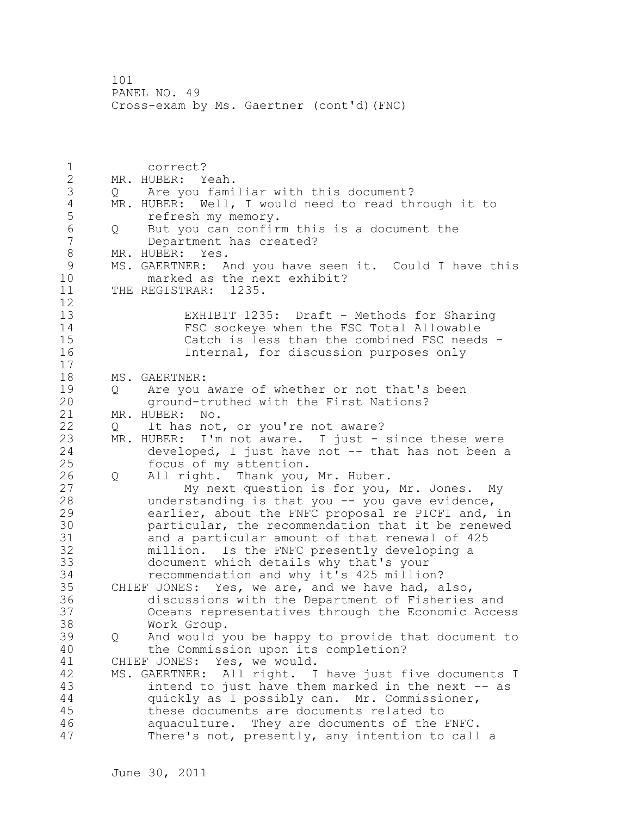1 correct? 2 MR. HUBER: Yeah. 3 Q Are you familiar with this document? 4 MR. HUBER: Well, I would need to read through it to<br>5 fefresh my memory. 5 **1988** refresh my memory.<br>6 0 But vou can confir 6 Q But you can confirm this is a document the Department has created? 8 MR. HUBER: Yes. 9 MS. GAERTNER: And you have seen it. Could I have this<br>10 marked as the next exhibit? marked as the next exhibit? 11 THE REGISTRAR: 1235. 12 13 EXHIBIT 1235: Draft - Methods for Sharing 14 FSC sockeye when the FSC Total Allowable 15 Catch is less than the combined FSC needs - 16 Internal, for discussion purposes only 17 18 MS. GAERTNER: 19 Q Are you aware of whether or not that's been ground-truthed with the First Nations? 21 MR. HUBER: No. 22 Q It has not, or you're not aware? 23 MR. HUBER: I'm not aware. I just - since these were 24 developed, I just have not -- that has not been a 25 focus of my attention. 26 Q All right. Thank you, Mr. Huber.<br>27 My next question is for you, My next question is for you, Mr. Jones. My 28 understanding is that you -- you gave evidence, 29 earlier, about the FNFC proposal re PICFI and, in 30 particular, the recommendation that it be renewed<br>31 and a particular amount of that renewal of 425 and a particular amount of that renewal of 425 32 million. Is the FNFC presently developing a 33 document which details why that's your 34 recommendation and why it's 425 million? 35 CHIEF JONES: Yes, we are, and we have had, also, 36 discussions with the Department of Fisheries and 37 Oceans representatives through the Economic Access 38 Work Group. 39 Q And would you be happy to provide that document to 40 the Commission upon its completion? 41 CHIEF JONES: Yes, we would.<br>42 MS. GAERTNER: All right. I MS. GAERTNER: All right. I have just five documents I 43 intend to just have them marked in the next -- as 44 quickly as I possibly can. Mr. Commissioner, 45 these documents are documents related to 46 aquaculture. They are documents of the FNFC. 47 There's not, presently, any intention to call a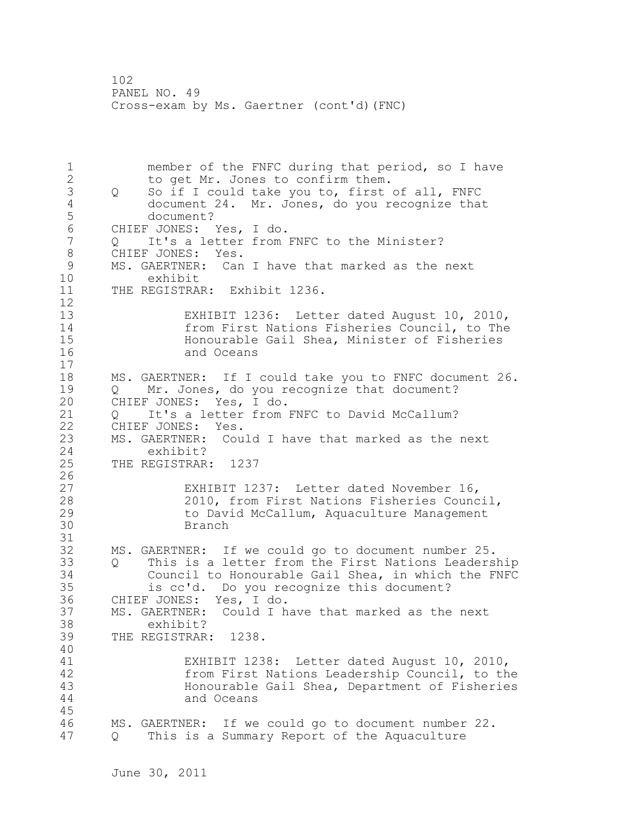1 member of the FNFC during that period, so I have 2 to get Mr. Jones to confirm them. 3 Q So if I could take you to, first of all, FNFC<br>4 document 24. Mr. Jones, do you recognize tha 4 document 24. Mr. Jones, do you recognize that 5 document? 6 CHIEF JONES: Yes, I do. Q It's a letter from FNFC to the Minister? 8 CHIEF JONES: Yes.<br>9 MS. GAERTNER: Can 9 MS. GAERTNER: Can I have that marked as the next<br>10 exhibit exhibit 11 THE REGISTRAR: Exhibit 1236.  $\begin{array}{c} 12 \\ 13 \end{array}$ EXHIBIT 1236: Letter dated August 10, 2010, 14 from First Nations Fisheries Council, to The 15 Honourable Gail Shea, Minister of Fisheries and Oceans 17 18 MS. GAERTNER: If I could take you to FNFC document 26. 19 Q Mr. Jones, do you recognize that document?<br>20 CHIEF JONES: Yes, I do. CHIEF JONES: Yes, I do. 21 Q It's a letter from FNFC to David McCallum? 22 CHIEF JONES: Yes. 23 MS. GAERTNER: Could I have that marked as the next 24 exhibit? 25 THE REGISTRAR: 1237  $\frac{26}{27}$ 27 EXHIBIT 1237: Letter dated November 16,<br>28 2010, from First Nations Fisheries Counc 2010, from First Nations Fisheries Council, 29 to David McCallum, Aquaculture Management 30 Branch 31<br>32 MS. GAERTNER: If we could go to document number 25. 33 Q This is a letter from the First Nations Leadership 34 Council to Honourable Gail Shea, in which the FNFC 35 is cc'd. Do you recognize this document? 36 CHIEF JONES: Yes, I do. 37 MS. GAERTNER: Could I have that marked as the next 38 exhibit? 39 THE REGISTRAR: 1238. 40 41 EXHIBIT 1238: Letter dated August 10, 2010,<br>42 from First Nations Leadership Council, to th 42 from First Nations Leadership Council, to the Honourable Gail Shea, Department of Fisheries 44 and Oceans 45 46 MS. GAERTNER: If we could go to document number 22. 47 Q This is a Summary Report of the Aquaculture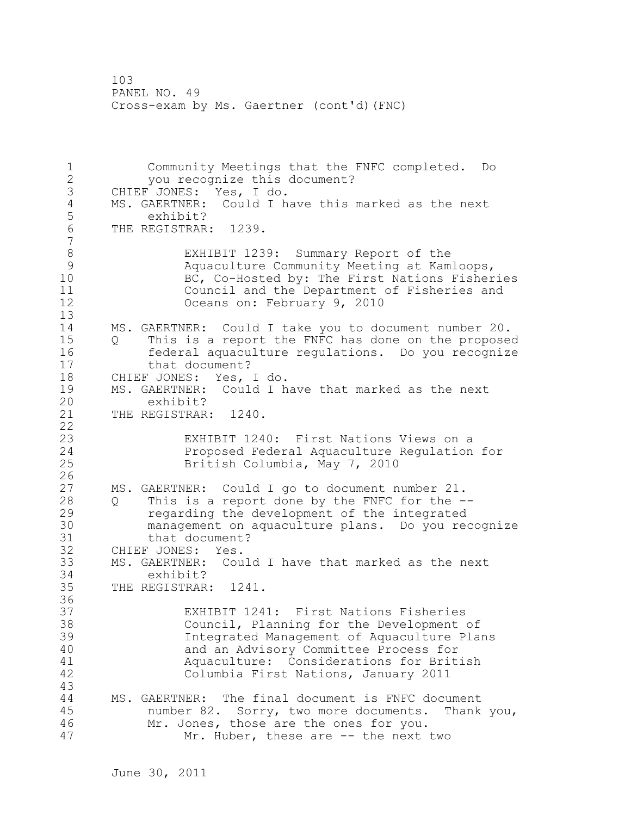1 Community Meetings that the FNFC completed. Do 2 you recognize this document? 3 CHIEF JONES: Yes, I do.<br>4 MS. GAERTNER: Could I h 4 MS. GAERTNER: Could I have this marked as the next<br>5 exhibit? 5 exhibit?<br>6 THE REGISTRAR THE REGISTRAR: 1239. 7 8 EXHIBIT 1239: Summary Report of the<br>9 Aquaculture Community Meeting at Kam 9 Aquaculture Community Meeting at Kamloops,<br>BC, Co-Hosted by: The First Nations Fisher BC, Co-Hosted by: The First Nations Fisheries 11 Council and the Department of Fisheries and 12 Oceans on: February 9, 2010 13 14 MS. GAERTNER: Could I take you to document number 20. 15 Q This is a report the FNFC has done on the proposed 16 federal aquaculture regulations. Do you recognize 17 that document? 18 CHIEF JONES: Yes, I do. 19 MS. GAERTNER: Could I have that marked as the next<br>20 exhibit? exhibit? 21 THE REGISTRAR: 1240. 22 23 EXHIBIT 1240: First Nations Views on a<br>24 Proposed Federal Aquaculture Requlation Proposed Federal Aquaculture Regulation for 25 British Columbia, May 7, 2010  $\frac{26}{27}$ MS. GAERTNER: Could I go to document number 21. 28 Q This is a report done by the FNFC for the -- 29 regarding the development of the integrated 30 management on aquaculture plans. Do you recognize that document? 32 CHIEF JONES: Yes. 33 MS. GAERTNER: Could I have that marked as the next 34 exhibit? 35 THE REGISTRAR: 1241. 36 37 EXHIBIT 1241: First Nations Fisheries 38 Council, Planning for the Development of 39 Integrated Management of Aquaculture Plans 40 and an Advisory Committee Process for 41 Aquaculture: Considerations for British Columbia First Nations, January 2011 43 44 MS. GAERTNER: The final document is FNFC document 45 number 82. Sorry, two more documents. Thank you, 46 Mr. Jones, those are the ones for you. 47 Mr. Huber, these are -- the next two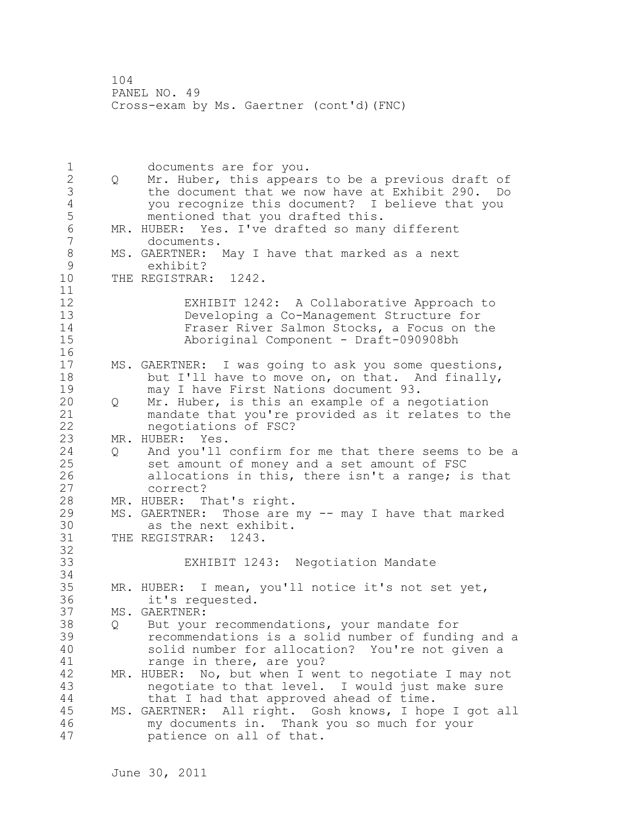1 documents are for you. 2 Q Mr. Huber, this appears to be a previous draft of 3 the document that we now have at Exhibit 290. Do 4 you recognize this document? I believe that you mentioned that you drafted this. 6 MR. HUBER: Yes. I've drafted so many different<br>7 documents. documents. 8 MS. GAERTNER: May I have that marked as a next<br>9 exhibit? 9 exhibit?<br>10 THE REGISTRAR THE REGISTRAR: 1242. 11 12 EXHIBIT 1242: A Collaborative Approach to 13 Developing a Co-Management Structure for 14 Fraser River Salmon Stocks, a Focus on the 15 Aboriginal Component - Draft-090908bh 16 17 MS. GAERTNER: I was going to ask you some questions, 18 but I'll have to move on, on that. And finally, 19 may I have First Nations document 93.<br>20 0 Mr. Huber, is this an example of a ne 20 Q Mr. Huber, is this an example of a negotiation 21 mandate that you're provided as it relates to the 22 negotiations of FSC? 23 MR. HUBER: Yes. 24 Q And you'll confirm for me that there seems to be a 25 set amount of money and a set amount of FSC 26 allocations in this, there isn't a range; is that<br>27 correct? correct? 28 MR. HUBER: That's right. 29 MS. GAERTNER: Those are my -- may I have that marked 30 as the next exhibit.<br>31 THE REGISTRAR: 1243. THE REGISTRAR: 1243. 32 33 EXHIBIT 1243: Negotiation Mandate 34 35 MR. HUBER: I mean, you'll notice it's not set yet, 36 it's requested. 37 MS. GAERTNER: 38 Q But your recommendations, your mandate for 39 recommendations is a solid number of funding and a 40 solid number for allocation? You're not given a 41 range in there, are you?<br>42 MR. HUBER: No, but when I we MR. HUBER: No, but when I went to negotiate I may not 43 negotiate to that level. I would just make sure 44 that I had that approved ahead of time. 45 MS. GAERTNER: All right. Gosh knows, I hope I got all 46 my documents in. Thank you so much for your 47 patience on all of that.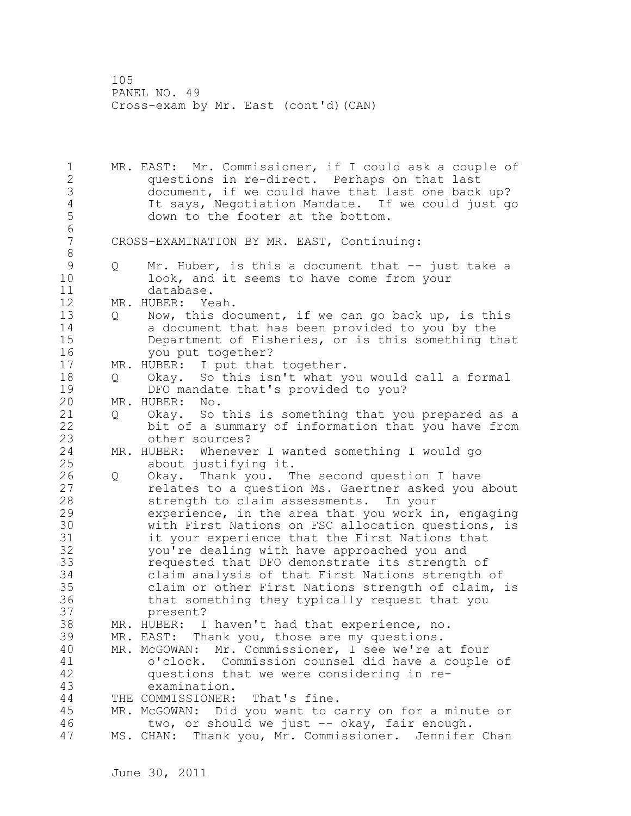105 PANEL NO. 49 Cross-exam by Mr. East (cont'd)(CAN)

1 MR. EAST: Mr. Commissioner, if I could ask a couple of 2 questions in re-direct. Perhaps on that last 3 document, if we could have that last one back up?<br>4 1 1t savs, Negotiation Mandate. If we could just g 4 It says, Negotiation Mandate. If we could just go down to the footer at the bottom. 6 CROSS-EXAMINATION BY MR. EAST, Continuing: 8<br>9 9 Q Mr. Huber, is this a document that -- just take a<br>10 100k, and it seems to have come from your 10 look, and it seems to have come from your 11 database. 12 MR. HUBER: Yeah. 13 Q Now, this document, if we can go back up, is this 14 a document that has been provided to you by the 15 Department of Fisheries, or is this something that 16 you put together? 17 MR. HUBER: I put that together. 18 Q Okay. So this isn't what you would call a formal 19 DFO mandate that's provided to you?<br>20 MR. HUBER: No. MR. HUBER: No. 21 Q Okay. So this is something that you prepared as a 22 bit of a summary of information that you have from 23 other sources? 24 MR. HUBER: Whenever I wanted something I would go 25 about justifying it. 26 Q Okay. Thank you. The second question I have<br>27 celates to a question Ms. Gaertner asked you relates to a question Ms. Gaertner asked you about 28 strength to claim assessments. In your 29 experience, in the area that you work in, engaging 30 with First Nations on FSC allocation questions, is<br>31 it your experience that the First Nations that it your experience that the First Nations that 32 you're dealing with have approached you and 33 requested that DFO demonstrate its strength of 34 claim analysis of that First Nations strength of 35 claim or other First Nations strength of claim, is 36 that something they typically request that you 37 present? 38 MR. HUBER: I haven't had that experience, no. 39 MR. EAST: Thank you, those are my questions. 40 MR. McGOWAN: Mr. Commissioner, I see we're at four 41 o'clock. Commission counsel did have a couple of<br>42 ouestions that we were considering in requestions that we were considering in re-43 examination. 44 THE COMMISSIONER: That's fine. 45 MR. McGOWAN: Did you want to carry on for a minute or 46 two, or should we just -- okay, fair enough. 47 MS. CHAN: Thank you, Mr. Commissioner. Jennifer Chan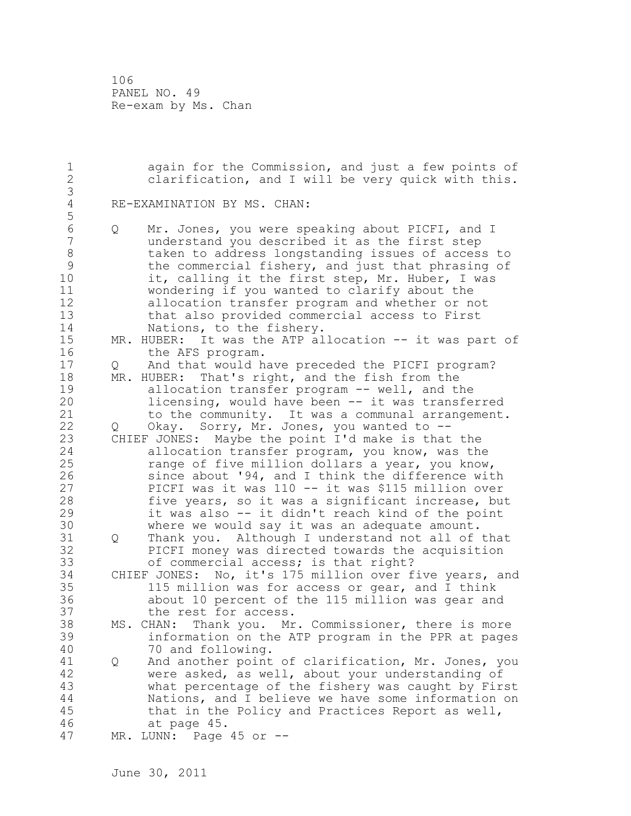106 PANEL NO. 49 Re-exam by Ms. Chan

1 again for the Commission, and just a few points of 2 clarification, and I will be very quick with this. 3 RE-EXAMINATION BY MS. CHAN: 5 6 Q Mr. Jones, you were speaking about PICFI, and I understand you described it as the first step 8 taken to address longstanding issues of access to 9 the commercial fishery, and just that phrasing of<br>10 it, calling it the first step, Mr. Huber, I was it, calling it the first step, Mr. Huber, I was 11 wondering if you wanted to clarify about the 12 allocation transfer program and whether or not 13 that also provided commercial access to First 14 Nations, to the fishery. 15 MR. HUBER: It was the ATP allocation -- it was part of 16 the AFS program. 17 Q And that would have preceded the PICFI program? 18 MR. HUBER: That's right, and the fish from the 19 allocation transfer program -- well, and the<br>20 licensing, would have been -- it was transfe licensing, would have been -- it was transferred 21 to the community. It was a communal arrangement. 22 Q Okay. Sorry, Mr. Jones, you wanted to -- 23 CHIEF JONES: Maybe the point I'd make is that the 24 allocation transfer program, you know, was the 25 range of five million dollars a year, you know, 26 since about '94, and I think the difference with<br>27 PICFI was it was 110 -- it was \$115 million over PICFI was it was 110 -- it was \$115 million over 28 five years, so it was a significant increase, but 29 it was also -- it didn't reach kind of the point 30 where we would say it was an adequate amount.<br>31 0 Thank you. Although I understand not all of Q Thank you. Although I understand not all of that 32 PICFI money was directed towards the acquisition 33 of commercial access; is that right? 34 CHIEF JONES: No, it's 175 million over five years, and 35 115 million was for access or gear, and I think 36 about 10 percent of the 115 million was gear and 37 the rest for access. 38 MS. CHAN: Thank you. Mr. Commissioner, there is more 39 information on the ATP program in the PPR at pages 40 70 and following. 41 Q And another point of clarification, Mr. Jones, you 42 were asked, as well, about your understanding of 43 what percentage of the fishery was caught by First 44 Nations, and I believe we have some information on 45 that in the Policy and Practices Report as well, 46 at page 45. 47 MR. LUNN: Page 45 or --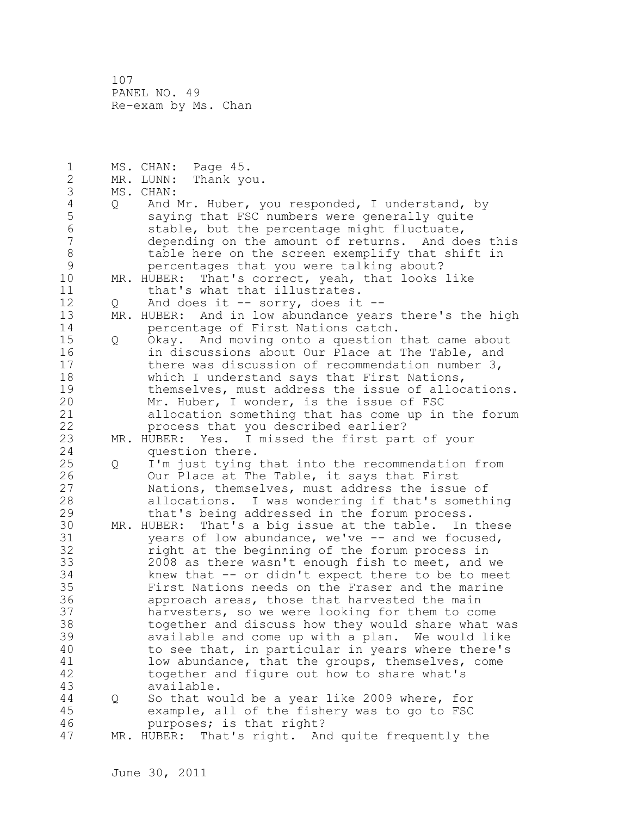107 PANEL NO. 49 Re-exam by Ms. Chan

| $\mathbf 1$    |     | MS. CHAN:<br>Page 45.                                |
|----------------|-----|------------------------------------------------------|
| $\mathbf{2}$   |     | MR. LUNN:<br>Thank you.                              |
| 3              |     | MS. CHAN:                                            |
| $\sqrt{4}$     | Q   | And Mr. Huber, you responded, I understand, by       |
| 5              |     | saying that FSC numbers were generally quite         |
| $\sqrt{6}$     |     | stable, but the percentage might fluctuate,          |
| $\overline{7}$ |     | depending on the amount of returns. And does this    |
| $\,8\,$        |     | table here on the screen exemplify that shift in     |
| $\mathcal{G}$  |     | percentages that you were talking about?             |
| 10             |     | MR. HUBER: That's correct, yeah, that looks like     |
| 11             |     | that's what that illustrates.                        |
| 12             |     | And does it -- sorry, does it --                     |
| 13             | Q.  | HUBER: And in low abundance years there's the high   |
| 14             | MR. |                                                      |
|                |     | percentage of First Nations catch.                   |
| 15             | Q   | Okay. And moving onto a question that came about     |
| 16             |     | in discussions about Our Place at The Table, and     |
| 17             |     | there was discussion of recommendation number 3,     |
| 18             |     | which I understand says that First Nations,          |
| 19             |     | themselves, must address the issue of allocations.   |
| 20             |     | Mr. Huber, I wonder, is the issue of FSC             |
| 21             |     | allocation something that has come up in the forum   |
| 22             |     | process that you described earlier?                  |
| 23             |     | MR. HUBER: Yes. I missed the first part of your      |
| 24             |     | question there.                                      |
| 25             | Q   | I'm just tying that into the recommendation from     |
| 26             |     | Our Place at The Table, it says that First           |
| 27             |     | Nations, themselves, must address the issue of       |
| 28             |     | allocations. I was wondering if that's something     |
| 29             |     | that's being addressed in the forum process.         |
| 30             |     | MR. HUBER: That's a big issue at the table. In these |
| 31             |     | years of low abundance, we've -- and we focused,     |
| 32             |     | right at the beginning of the forum process in       |
| 33             |     | 2008 as there wasn't enough fish to meet, and we     |
| 34             |     | knew that -- or didn't expect there to be to meet    |
| 35             |     | First Nations needs on the Fraser and the marine     |
| 36             |     | approach areas, those that harvested the main        |
| 37             |     | harvesters, so we were looking for them to come      |
| 38             |     | together and discuss how they would share what was   |
| 39             |     | available and come up with a plan. We would like     |
| 40             |     | to see that, in particular in years where there's    |
| 41             |     | low abundance, that the groups, themselves, come     |
| 42             |     | together and figure out how to share what's          |
| 43             |     | available.                                           |
| 44             | Q   | So that would be a year like 2009 where, for         |
| 45             |     | example, all of the fishery was to go to FSC         |
| 46             |     | purposes; is that right?                             |
| 47             |     | MR. HUBER: That's right. And quite frequently the    |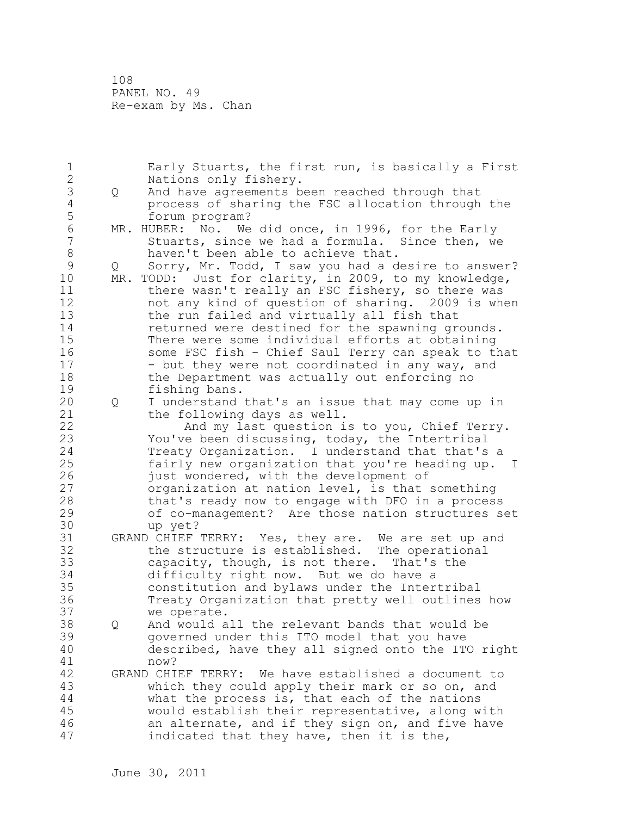108 PANEL NO. 49 Re-exam by Ms. Chan

| 1              |     | Early Stuarts, the first run, is basically a First   |
|----------------|-----|------------------------------------------------------|
| $\mathbf{2}$   |     | Nations only fishery.                                |
| $\mathfrak{Z}$ | Q   | And have agreements been reached through that        |
| $\sqrt{4}$     |     | process of sharing the FSC allocation through the    |
| 5              |     | forum program?                                       |
| $\sqrt{6}$     |     | MR. HUBER: No. We did once, in 1996, for the Early   |
| $\overline{7}$ |     | Stuarts, since we had a formula. Since then, we      |
| $\,8\,$        |     | haven't been able to achieve that.                   |
| $\mathcal{G}$  | Q   | Sorry, Mr. Todd, I saw you had a desire to answer?   |
| 10             | MR. | TODD: Just for clarity, in 2009, to my knowledge,    |
| 11             |     | there wasn't really an FSC fishery, so there was     |
| 12             |     | not any kind of question of sharing. 2009 is when    |
| 13             |     | the run failed and virtually all fish that           |
| 14             |     | returned were destined for the spawning grounds.     |
| 15             |     | There were some individual efforts at obtaining      |
| 16             |     | some FSC fish - Chief Saul Terry can speak to that   |
| 17             |     | - but they were not coordinated in any way, and      |
| 18             |     | the Department was actually out enforcing no         |
| 19             |     | fishing bans.                                        |
| 20             | Q   | I understand that's an issue that may come up in     |
| 21             |     | the following days as well.                          |
| 22             |     | And my last question is to you, Chief Terry.         |
| 23             |     | You've been discussing, today, the Intertribal       |
| 24             |     | Treaty Organization. I understand that that's a      |
| 25             |     | fairly new organization that you're heading up. I    |
| 26             |     | just wondered, with the development of               |
| 27             |     | organization at nation level, is that something      |
| 28             |     | that's ready now to engage with DFO in a process     |
| 29             |     | of co-management? Are those nation structures set    |
| 30             |     | up yet?                                              |
| 31             |     | GRAND CHIEF TERRY: Yes, they are. We are set up and  |
| 32             |     | the structure is established. The operational        |
| 33             |     | capacity, though, is not there. That's the           |
| 34             |     | difficulty right now. But we do have a               |
| 35             |     | constitution and bylaws under the Intertribal        |
| 36             |     | Treaty Organization that pretty well outlines how    |
| 37             |     | we operate.                                          |
| 38             |     | And would all the relevant bands that would be       |
| 39             |     | governed under this ITO model that you have          |
| 40             |     | described, have they all signed onto the ITO right   |
| 41             |     | now?                                                 |
| 42             |     | GRAND CHIEF TERRY: We have established a document to |
| 43             |     | which they could apply their mark or so on, and      |
| $4\,4$         |     | what the process is, that each of the nations        |
| 45             |     | would establish their representative, along with     |
| 46             |     | an alternate, and if they sign on, and five have     |
| 47             |     | indicated that they have, then it is the,            |
|                |     |                                                      |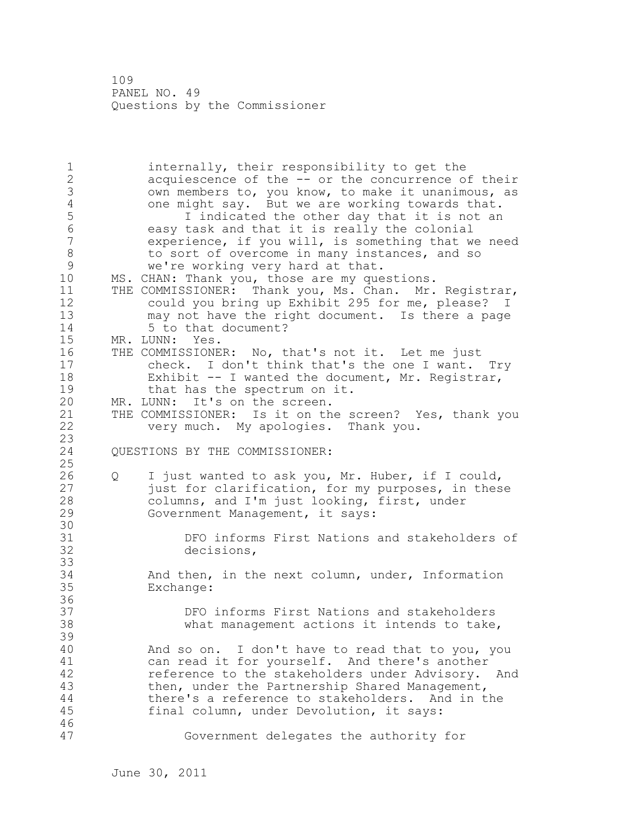109 PANEL NO. 49 Questions by the Commissioner

1 internally, their responsibility to get the 2 acquiescence of the -- or the concurrence of their 3 own members to, you know, to make it unanimous, as<br>4 one might say. But we are working towards that. 4 one might say. But we are working towards that.<br>5 1 indicated the other day that it is not an 5 I indicated the other day that it is not an 6 easy task and that it is really the colonial experience, if you will, is something that we need 8 to sort of overcome in many instances, and so<br>9 we're working yery hard at that. 9 we're working very hard at that.<br>10 MS. CHAN: Thank you, those are my que MS. CHAN: Thank you, those are my questions. 11 THE COMMISSIONER: Thank you, Ms. Chan. Mr. Registrar, 12 could you bring up Exhibit 295 for me, please? I 13 may not have the right document. Is there a page 14 5 to that document? 15 MR. LUNN: Yes. 16 THE COMMISSIONER: No, that's not it. Let me just 17 check. I don't think that's the one I want. Try 18 Exhibit -- I wanted the document, Mr. Registrar, 19 that has the spectrum on it.<br>20 MR. LUNN: It's on the screen. MR. LUNN: It's on the screen. 21 THE COMMISSIONER: Is it on the screen? Yes, thank you 22 very much. My apologies. Thank you. 23 QUESTIONS BY THE COMMISSIONER: 25 26 Q I just wanted to ask you, Mr. Huber, if I could,<br>27 just for clarification, for my purposes, in thes just for clarification, for my purposes, in these 28 columns, and I'm just looking, first, under 29 Government Management, it says: 30<br>31 31 DFO informs First Nations and stakeholders of 32 decisions, 33 34 And then, in the next column, under, Information 35 Exchange: 36 37 DFO informs First Nations and stakeholders 38 what management actions it intends to take, 39 40 And so on. I don't have to read that to you, you 41 can read it for yourself. And there's another<br>42 efference to the stakeholders under Advisory. reference to the stakeholders under Advisory. And 43 then, under the Partnership Shared Management, 44 there's a reference to stakeholders. And in the 45 final column, under Devolution, it says: 46 47 Government delegates the authority for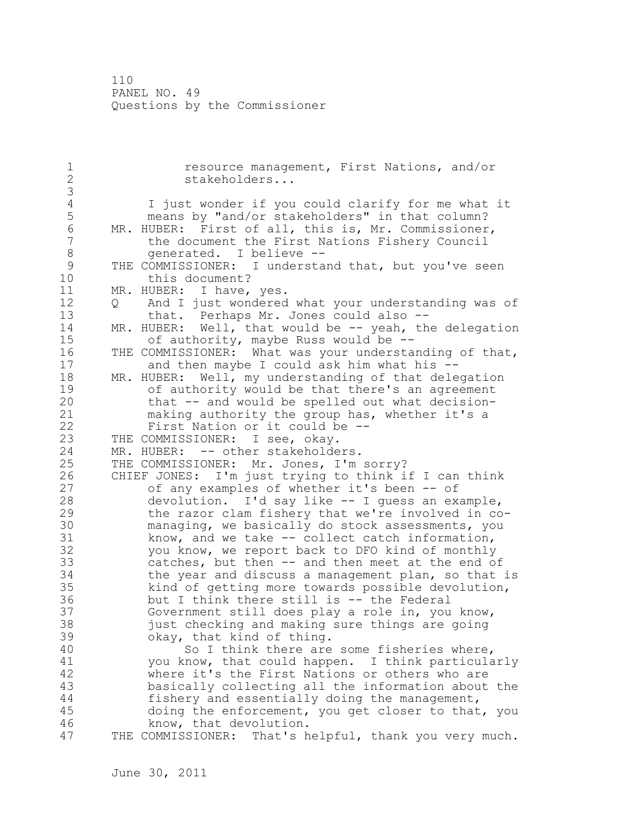110 PANEL NO. 49 Questions by the Commissioner

1 **1** resource management, First Nations, and/or<br>2 stakeholders... stakeholders... 3 4 I just wonder if you could clarify for me what it 5 means by "and/or stakeholders" in that column?<br>6 MR. HUBER: First of all, this is, Mr. Commissioner 6 MR. HUBER: First of all, this is, Mr. Commissioner,<br>7 the document the First Nations Fishery Council the document the First Nations Fishery Council 8 generated. I believe --<br>9 THE COMMISSIONER: I understa 9 THE COMMISSIONER: I understand that, but you've seen<br>10 this document? this document? 11 MR. HUBER: I have, yes. 12 Q And I just wondered what your understanding was of 13 that. Perhaps Mr. Jones could also -- 14 MR. HUBER: Well, that would be -- yeah, the delegation 15 of authority, maybe Russ would be -- 16 THE COMMISSIONER: What was your understanding of that, 17 and then maybe I could ask him what his -- 18 MR. HUBER: Well, my understanding of that delegation 19 of authority would be that there's an agreement<br>20 that -- and would be spelled out what decisionthat  $-$  and would be spelled out what decision-21 making authority the group has, whether it's a 22 First Nation or it could be -- 23 THE COMMISSIONER: I see, okay. 24 MR. HUBER: -- other stakeholders. 25 THE COMMISSIONER: Mr. Jones, I'm sorry? 26 CHIEF JONES: I'm just trying to think if I can think<br>27 of any examples of whether it's been -- of of any examples of whether it's been -- of 28 devolution. I'd say like -- I guess an example, 29 the razor clam fishery that we're involved in co-30 managing, we basically do stock assessments, you<br>31 know, and we take -- collect catch information, know, and we take  $--$  collect catch information, 32 you know, we report back to DFO kind of monthly 33 catches, but then -- and then meet at the end of 34 the year and discuss a management plan, so that is 35 kind of getting more towards possible devolution, 36 but I think there still is -- the Federal 37 Government still does play a role in, you know, 38 just checking and making sure things are going 39 okay, that kind of thing. 40 So I think there are some fisheries where, 41 you know, that could happen. I think particularly<br>42 where it's the First Nations or others who are where it's the First Nations or others who are 43 basically collecting all the information about the 44 fishery and essentially doing the management, 45 doing the enforcement, you get closer to that, you 46 know, that devolution. 47 THE COMMISSIONER: That's helpful, thank you very much.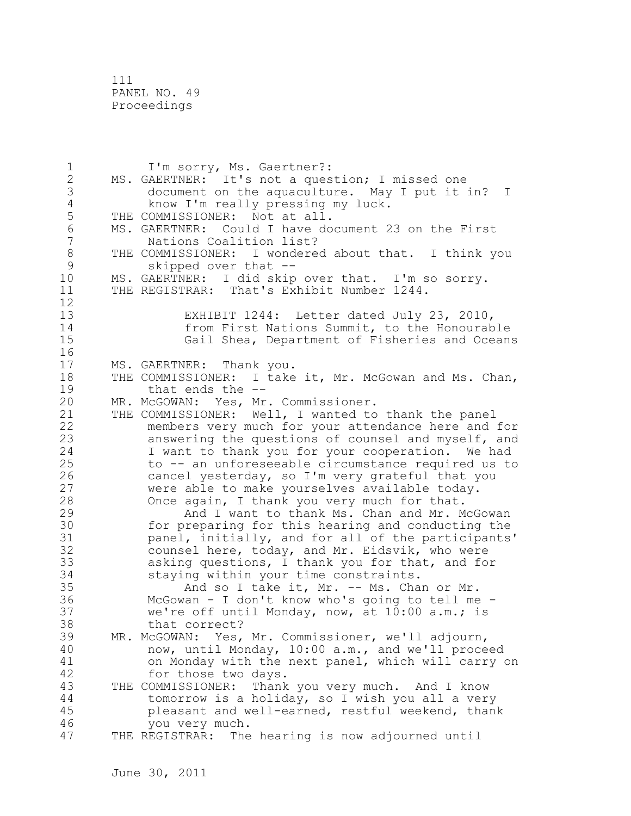111 PANEL NO. 49 Proceedings

1 I'm sorry, Ms. Gaertner?: 2 MS. GAERTNER: It's not a question; I missed one 3 document on the aquaculture. May I put it in? I 4 know I'm really pressing my luck.<br>5 THE COMMISSIONER: Not at all. THE COMMISSIONER: Not at all. 6 MS. GAERTNER: Could I have document 23 on the First Nations Coalition list? 8 THE COMMISSIONER: I wondered about that. I think you<br>9 skipped over that --9 Skipped over that --<br>10 MS. GAERTNER: I did skip MS. GAERTNER: I did skip over that. I'm so sorry. 11 THE REGISTRAR: That's Exhibit Number 1244. 12 13 EXHIBIT 1244: Letter dated July 23, 2010, 14 from First Nations Summit, to the Honourable 15 Gail Shea, Department of Fisheries and Oceans 16 17 MS. GAERTNER: Thank you. 18 THE COMMISSIONER: I take it, Mr. McGowan and Ms. Chan, 19 that ends the --<br>20 MR. McGOWAN: Yes, Mr MR. McGOWAN: Yes, Mr. Commissioner. 21 THE COMMISSIONER: Well, I wanted to thank the panel 22 members very much for your attendance here and for 23 answering the questions of counsel and myself, and 24 I want to thank you for your cooperation. We had 25 to -- an unforeseeable circumstance required us to 26 cancel yesterday, so I'm very grateful that you<br>27 were able to make yourselves available today. were able to make yourselves available today. 28 Once again, I thank you very much for that. 29 And I want to thank Ms. Chan and Mr. McGowan 30 for preparing for this hearing and conducting the<br>31 manel, initially, and for all of the participants panel, initially, and for all of the participants' 32 counsel here, today, and Mr. Eidsvik, who were 33 asking questions, I thank you for that, and for 34 staying within your time constraints. 35 And so I take it, Mr. -- Ms. Chan or Mr. 36 McGowan - I don't know who's going to tell me - 37 we're off until Monday, now, at 10:00 a.m.; is 38 that correct? 39 MR. McGOWAN: Yes, Mr. Commissioner, we'll adjourn, 40 now, until Monday, 10:00 a.m., and we'll proceed 41 on Monday with the next panel, which will carry on<br>42 for those two davs. for those two days. 43 THE COMMISSIONER: Thank you very much. And I know 44 tomorrow is a holiday, so I wish you all a very 45 pleasant and well-earned, restful weekend, thank 46 you very much. 47 THE REGISTRAR: The hearing is now adjourned until